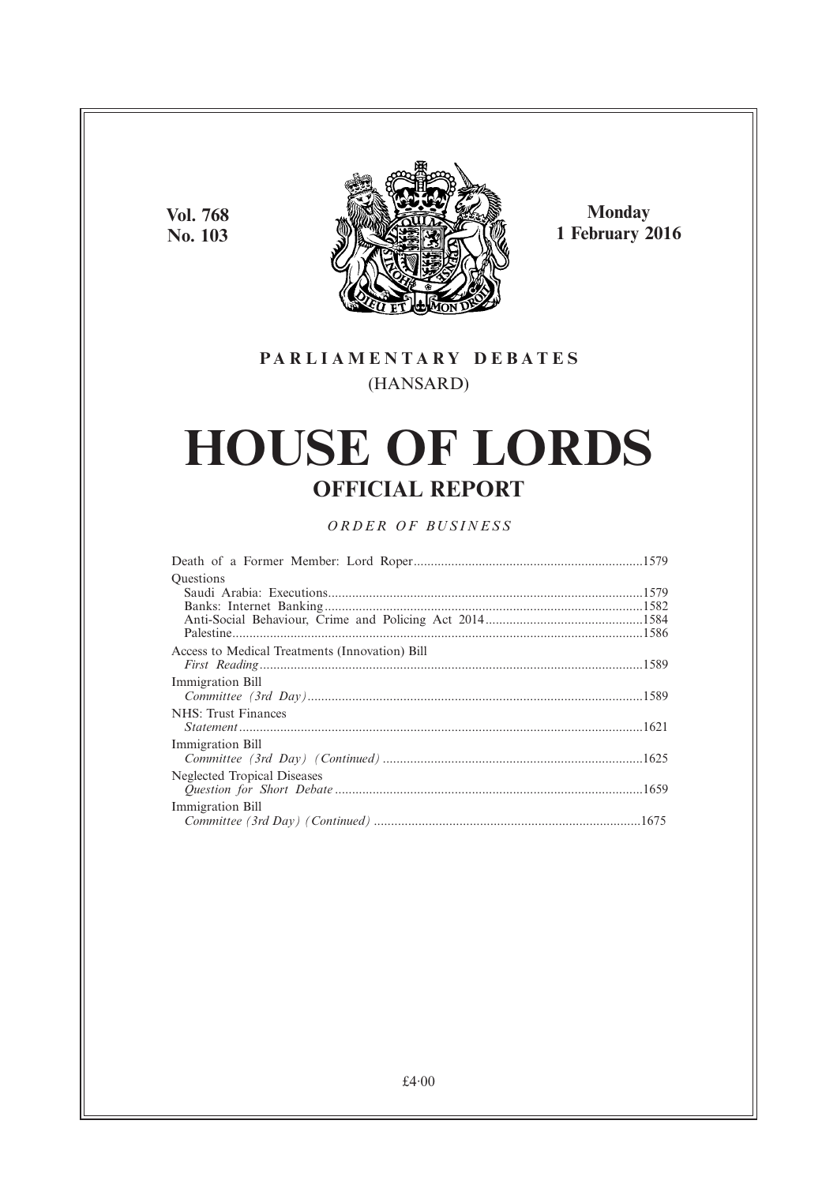**Vol. 768 No. 103**



**Monday 1 February 2016**

### **PARL IAMENTARY DEBATES** (HANSARD)

# **HOUSE OF LORDS OFFICIAL REPORT**

### *ORDER OF BUSINESS*

| <b>Ouestions</b>                               |  |
|------------------------------------------------|--|
|                                                |  |
|                                                |  |
|                                                |  |
|                                                |  |
| Access to Medical Treatments (Innovation) Bill |  |
|                                                |  |
| Immigration Bill                               |  |
|                                                |  |
| NHS: Trust Finances                            |  |
|                                                |  |
| Immigration Bill                               |  |
|                                                |  |
| Neglected Tropical Diseases                    |  |
|                                                |  |
| Immigration Bill                               |  |
|                                                |  |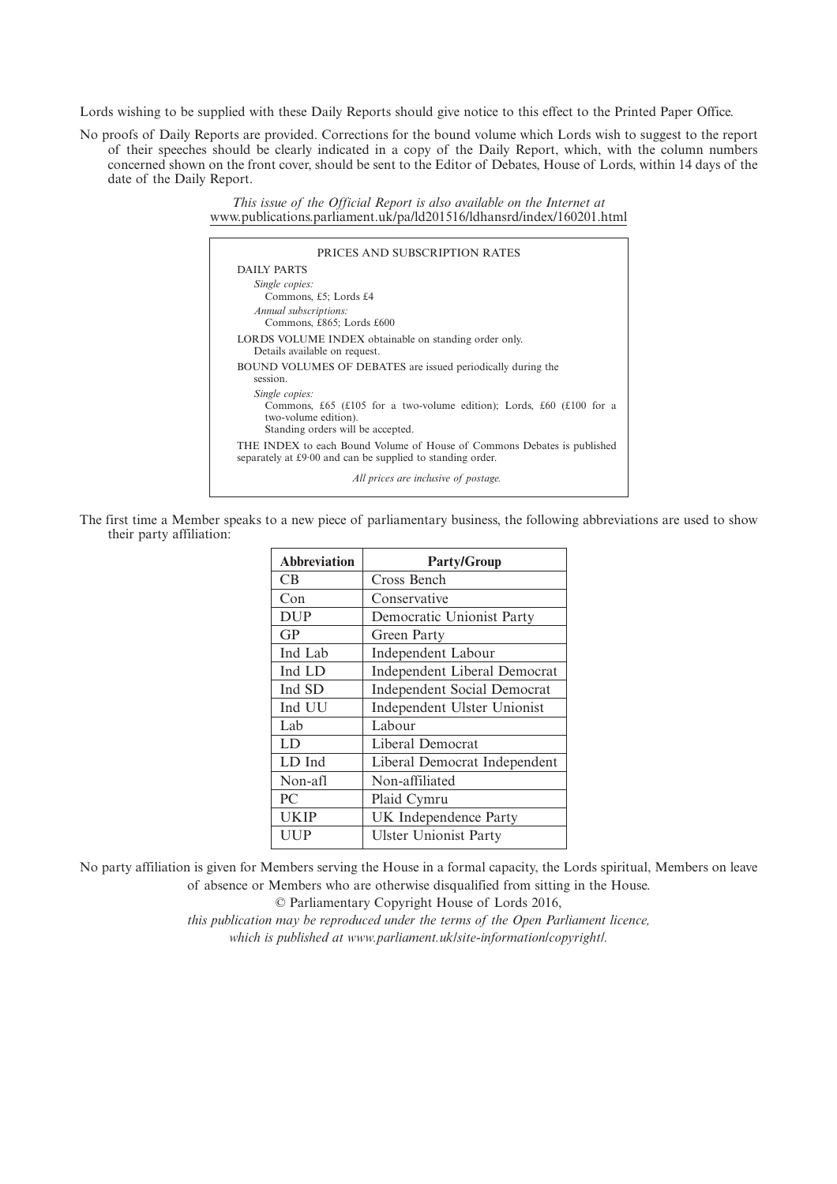Lords wishing to be supplied with these Daily Reports should give notice to this effect to the Printed Paper Office.

No proofs of Daily Reports are provided. Corrections for the bound volume which Lords wish to suggest to the report of their speeches should be clearly indicated in a copy of the Daily Report, which, with the column numbers concerned shown on the front cover, should be sent to the Editor of Debates, House of Lords, within 14 days of the date of the Daily Report.

> *This issue of the Official Report is also available on the Internet at* www.publications.parliament.uk/pa/ld201516/ldhansrd/index/160201.html

| PRICES AND SUBSCRIPTION RATES                                                                                                         |
|---------------------------------------------------------------------------------------------------------------------------------------|
| DAILY PARTS                                                                                                                           |
| Single copies:<br>Commons, £5; Lords £4                                                                                               |
| Annual subscriptions:<br>Commons, £865; Lords £600                                                                                    |
| LORDS VOLUME INDEX obtainable on standing order only.<br>Details available on request.                                                |
| BOUND VOLUMES OF DEBATES are issued periodically during the<br>session.                                                               |
| Single copies:<br>Commons, £65 (£105 for a two-volume edition); Lords, £60 (£100 for a<br>two-volume edition).                        |
| Standing orders will be accepted.                                                                                                     |
| THE INDEX to each Bound Volume of House of Commons Debates is published<br>separately at £9.00 and can be supplied to standing order. |
| All prices are inclusive of postage.                                                                                                  |

The first time a Member speaks to a new piece of parliamentary business, the following abbreviations are used to show their party affiliation:

| <b>Abbreviation</b> | <b>Party/Group</b>                  |
|---------------------|-------------------------------------|
| <b>CB</b>           | Cross Bench                         |
| Con                 | Conservative                        |
| <b>DUP</b>          | Democratic Unionist Party           |
| GP                  | Green Party                         |
| Ind Lab             | <b>Independent Labour</b>           |
| Ind LD              | <b>Independent Liberal Democrat</b> |
| Ind SD              | <b>Independent Social Democrat</b>  |
| Ind UU              | Independent Ulster Unionist         |
| Lab                 | Labour                              |
| LD                  | Liberal Democrat                    |
| LD Ind              | Liberal Democrat Independent        |
| Non-afl             | Non-affiliated                      |
| PC.                 | Plaid Cymru                         |
| <b>UKIP</b>         | UK Independence Party               |
| UUP                 | <b>Ulster Unionist Party</b>        |

No party affiliation is given for Members serving the House in a formal capacity, the Lords spiritual, Members on leave of absence or Members who are otherwise disqualified from sitting in the House.

© Parliamentary Copyright House of Lords 2016,

*this publication may be reproduced under the terms of the Open Parliament licence, which is published at www.parliament.uk/site-information/copyright/.*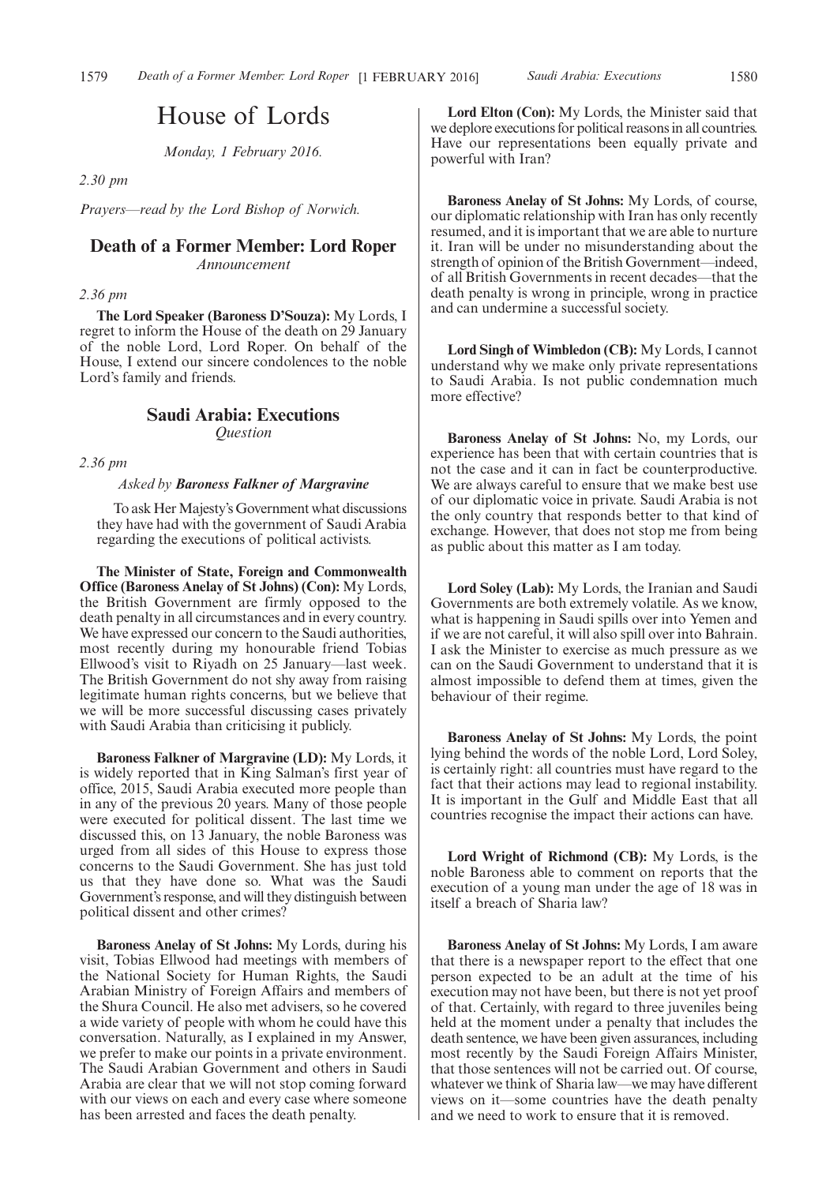## House of Lords

*Monday, 1 February 2016.*

#### *2.30 pm*

*Prayers—read by the Lord Bishop of Norwich.*

#### **Death of a Former Member: Lord Roper**

*Announcement*

*2.36 pm*

**The Lord Speaker (Baroness D'Souza):** My Lords, I regret to inform the House of the death on 29 January of the noble Lord, Lord Roper. On behalf of the House, I extend our sincere condolences to the noble Lord's family and friends.

## **Saudi Arabia: Executions**

*Question*

*2.36 pm*

#### *Asked by Baroness Falkner of Margravine*

To ask Her Majesty's Government what discussions they have had with the government of Saudi Arabia regarding the executions of political activists.

**The Minister of State, Foreign and Commonwealth Office (Baroness Anelay of St Johns) (Con):** My Lords, the British Government are firmly opposed to the death penalty in all circumstances and in every country. We have expressed our concern to the Saudi authorities, most recently during my honourable friend Tobias Ellwood's visit to Riyadh on 25 January—last week. The British Government do not shy away from raising legitimate human rights concerns, but we believe that we will be more successful discussing cases privately with Saudi Arabia than criticising it publicly.

**Baroness Falkner of Margravine (LD):** My Lords, it is widely reported that in King Salman's first year of office, 2015, Saudi Arabia executed more people than in any of the previous 20 years. Many of those people were executed for political dissent. The last time we discussed this, on 13 January, the noble Baroness was urged from all sides of this House to express those concerns to the Saudi Government. She has just told us that they have done so. What was the Saudi Government's response, and will they distinguish between political dissent and other crimes?

**Baroness Anelay of St Johns:** My Lords, during his visit, Tobias Ellwood had meetings with members of the National Society for Human Rights, the Saudi Arabian Ministry of Foreign Affairs and members of the Shura Council. He also met advisers, so he covered a wide variety of people with whom he could have this conversation. Naturally, as I explained in my Answer, we prefer to make our points in a private environment. The Saudi Arabian Government and others in Saudi Arabia are clear that we will not stop coming forward with our views on each and every case where someone has been arrested and faces the death penalty.

**Lord Elton (Con):** My Lords, the Minister said that we deplore executions for political reasons in all countries. Have our representations been equally private and powerful with Iran?

**Baroness Anelay of St Johns:** My Lords, of course, our diplomatic relationship with Iran has only recently resumed, and it is important that we are able to nurture it. Iran will be under no misunderstanding about the strength of opinion of the British Government—indeed, of all British Governments in recent decades—that the death penalty is wrong in principle, wrong in practice and can undermine a successful society.

**Lord Singh of Wimbledon (CB):** My Lords, I cannot understand why we make only private representations to Saudi Arabia. Is not public condemnation much more effective?

**Baroness Anelay of St Johns:** No, my Lords, our experience has been that with certain countries that is not the case and it can in fact be counterproductive. We are always careful to ensure that we make best use of our diplomatic voice in private. Saudi Arabia is not the only country that responds better to that kind of exchange. However, that does not stop me from being as public about this matter as I am today.

**Lord Soley (Lab):** My Lords, the Iranian and Saudi Governments are both extremely volatile. As we know, what is happening in Saudi spills over into Yemen and if we are not careful, it will also spill over into Bahrain. I ask the Minister to exercise as much pressure as we can on the Saudi Government to understand that it is almost impossible to defend them at times, given the behaviour of their regime.

**Baroness Anelay of St Johns:** My Lords, the point lying behind the words of the noble Lord, Lord Soley, is certainly right: all countries must have regard to the fact that their actions may lead to regional instability. It is important in the Gulf and Middle East that all countries recognise the impact their actions can have.

**Lord Wright of Richmond (CB):** My Lords, is the noble Baroness able to comment on reports that the execution of a young man under the age of 18 was in itself a breach of Sharia law?

**Baroness Anelay of St Johns:** My Lords, I am aware that there is a newspaper report to the effect that one person expected to be an adult at the time of his execution may not have been, but there is not yet proof of that. Certainly, with regard to three juveniles being held at the moment under a penalty that includes the death sentence, we have been given assurances, including most recently by the Saudi Foreign Affairs Minister, that those sentences will not be carried out. Of course, whatever we think of Sharia law—we may have different views on it—some countries have the death penalty and we need to work to ensure that it is removed.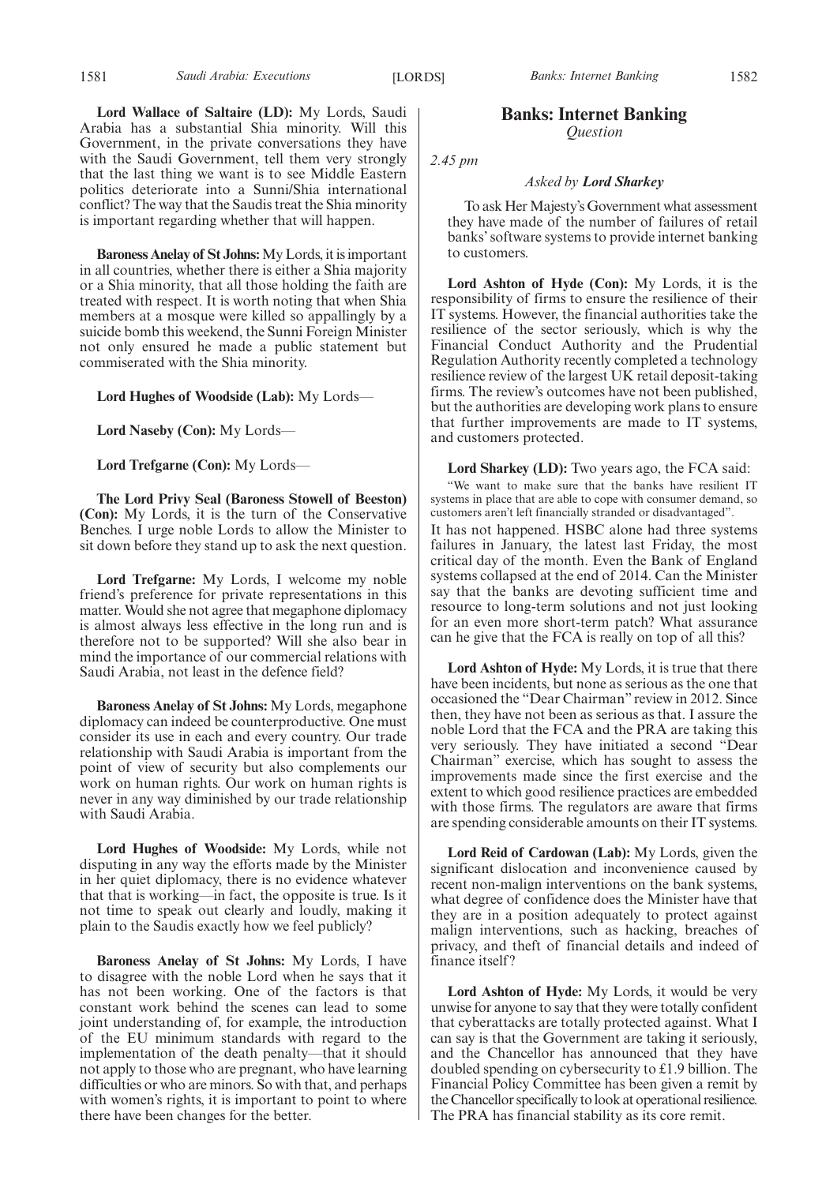**Baroness Anelay of St Johns:**My Lords, it is important in all countries, whether there is either a Shia majority or a Shia minority, that all those holding the faith are treated with respect. It is worth noting that when Shia members at a mosque were killed so appallingly by a suicide bomb this weekend, the Sunni Foreign Minister not only ensured he made a public statement but commiserated with the Shia minority.

**Lord Hughes of Woodside (Lab):** My Lords—

**Lord Naseby (Con):** My Lords—

**Lord Trefgarne (Con):** My Lords—

**The Lord Privy Seal (Baroness Stowell of Beeston) (Con):** My Lords, it is the turn of the Conservative Benches. I urge noble Lords to allow the Minister to sit down before they stand up to ask the next question.

**Lord Trefgarne:** My Lords, I welcome my noble friend's preference for private representations in this matter. Would she not agree that megaphone diplomacy is almost always less effective in the long run and is therefore not to be supported? Will she also bear in mind the importance of our commercial relations with Saudi Arabia, not least in the defence field?

**Baroness Anelay of St Johns:** My Lords, megaphone diplomacy can indeed be counterproductive. One must consider its use in each and every country. Our trade relationship with Saudi Arabia is important from the point of view of security but also complements our work on human rights. Our work on human rights is never in any way diminished by our trade relationship with Saudi Arabia.

**Lord Hughes of Woodside:** My Lords, while not disputing in any way the efforts made by the Minister in her quiet diplomacy, there is no evidence whatever that that is working—in fact, the opposite is true. Is it not time to speak out clearly and loudly, making it plain to the Saudis exactly how we feel publicly?

**Baroness Anelay of St Johns:** My Lords, I have to disagree with the noble Lord when he says that it has not been working. One of the factors is that constant work behind the scenes can lead to some joint understanding of, for example, the introduction of the EU minimum standards with regard to the implementation of the death penalty—that it should not apply to those who are pregnant, who have learning difficulties or who are minors. So with that, and perhaps with women's rights, it is important to point to where there have been changes for the better.

#### 1581 *Saudi Arabia: Executions Banks: Internet Banking* [LORDS] 1582

#### **Banks: Internet Banking** *Question*

*2.45 pm*

#### *Asked by Lord Sharkey*

To ask Her Majesty's Government what assessment they have made of the number of failures of retail banks' software systems to provide internet banking to customers.

**Lord Ashton of Hyde (Con):** My Lords, it is the responsibility of firms to ensure the resilience of their IT systems. However, the financial authorities take the resilience of the sector seriously, which is why the Financial Conduct Authority and the Prudential Regulation Authority recently completed a technology resilience review of the largest UK retail deposit-taking firms. The review's outcomes have not been published, but the authorities are developing work plans to ensure that further improvements are made to IT systems, and customers protected.

**Lord Sharkey (LD):** Two years ago, the FCA said:

"We want to make sure that the banks have resilient IT systems in place that are able to cope with consumer demand, so customers aren't left financially stranded or disadvantaged".

It has not happened. HSBC alone had three systems failures in January, the latest last Friday, the most critical day of the month. Even the Bank of England systems collapsed at the end of 2014. Can the Minister say that the banks are devoting sufficient time and resource to long-term solutions and not just looking for an even more short-term patch? What assurance can he give that the FCA is really on top of all this?

**Lord Ashton of Hyde:** My Lords, it is true that there have been incidents, but none as serious as the one that occasioned the "Dear Chairman" review in 2012. Since then, they have not been as serious as that. I assure the noble Lord that the FCA and the PRA are taking this very seriously. They have initiated a second "Dear Chairman" exercise, which has sought to assess the improvements made since the first exercise and the extent to which good resilience practices are embedded with those firms. The regulators are aware that firms are spending considerable amounts on their IT systems.

**Lord Reid of Cardowan (Lab):** My Lords, given the significant dislocation and inconvenience caused by recent non-malign interventions on the bank systems, what degree of confidence does the Minister have that they are in a position adequately to protect against malign interventions, such as hacking, breaches of privacy, and theft of financial details and indeed of finance itself?

**Lord Ashton of Hyde:** My Lords, it would be very unwise for anyone to say that they were totally confident that cyberattacks are totally protected against. What I can say is that the Government are taking it seriously, and the Chancellor has announced that they have doubled spending on cybersecurity to £1.9 billion. The Financial Policy Committee has been given a remit by the Chancellor specifically to look at operational resilience. The PRA has financial stability as its core remit.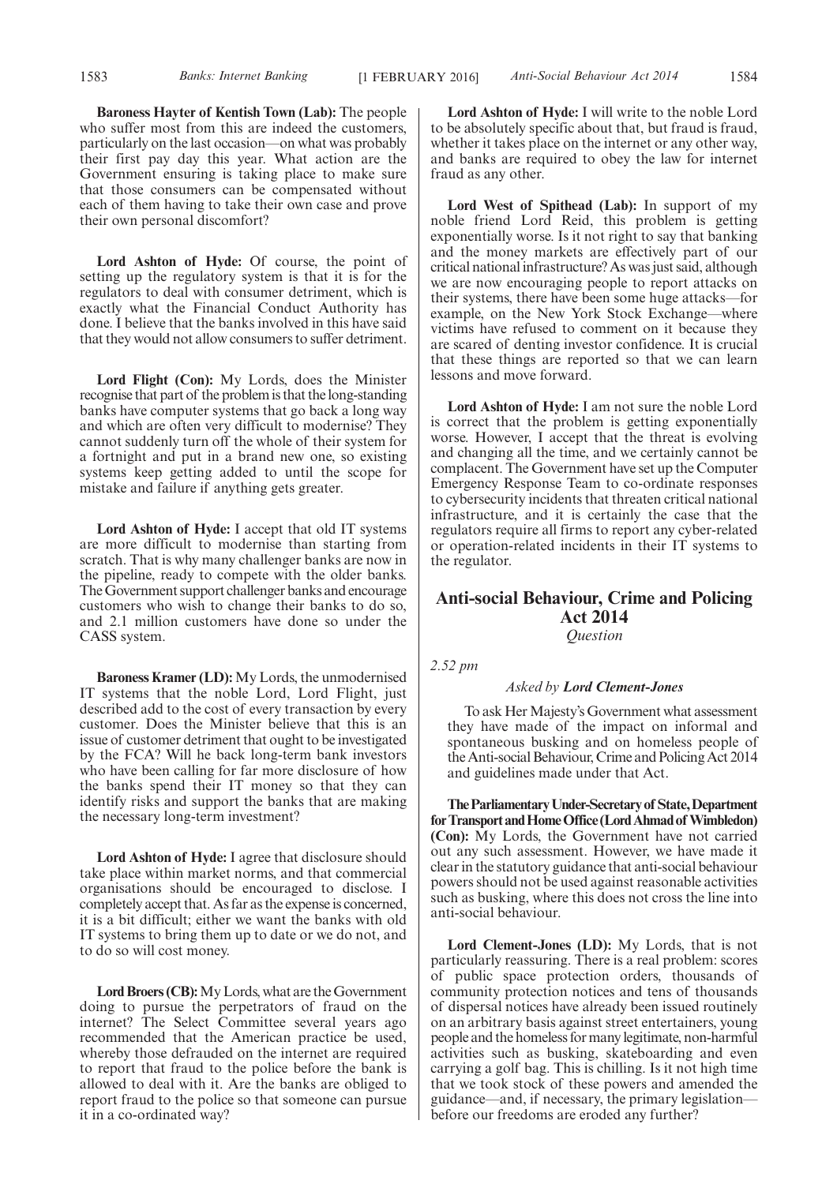**Baroness Hayter of Kentish Town (Lab):** The people who suffer most from this are indeed the customers, particularly on the last occasion—on what was probably their first pay day this year. What action are the Government ensuring is taking place to make sure that those consumers can be compensated without each of them having to take their own case and prove their own personal discomfort?

**Lord Ashton of Hyde:** Of course, the point of setting up the regulatory system is that it is for the regulators to deal with consumer detriment, which is exactly what the Financial Conduct Authority has done. I believe that the banks involved in this have said that they would not allow consumers to suffer detriment.

**Lord Flight (Con):** My Lords, does the Minister recognise that part of the problem is that the long-standing banks have computer systems that go back a long way and which are often very difficult to modernise? They cannot suddenly turn off the whole of their system for a fortnight and put in a brand new one, so existing systems keep getting added to until the scope for mistake and failure if anything gets greater.

**Lord Ashton of Hyde:** I accept that old IT systems are more difficult to modernise than starting from scratch. That is why many challenger banks are now in the pipeline, ready to compete with the older banks. The Government support challenger banks and encourage customers who wish to change their banks to do so, and 2.1 million customers have done so under the CASS system.

**Baroness Kramer (LD):** My Lords, the unmodernised IT systems that the noble Lord, Lord Flight, just described add to the cost of every transaction by every customer. Does the Minister believe that this is an issue of customer detriment that ought to be investigated by the FCA? Will he back long-term bank investors who have been calling for far more disclosure of how the banks spend their IT money so that they can identify risks and support the banks that are making the necessary long-term investment?

**Lord Ashton of Hyde:** I agree that disclosure should take place within market norms, and that commercial organisations should be encouraged to disclose. I completely accept that. As far as the expense is concerned, it is a bit difficult; either we want the banks with old IT systems to bring them up to date or we do not, and to do so will cost money.

**Lord Broers (CB):**My Lords, what are the Government doing to pursue the perpetrators of fraud on the internet? The Select Committee several years ago recommended that the American practice be used, whereby those defrauded on the internet are required to report that fraud to the police before the bank is allowed to deal with it. Are the banks are obliged to report fraud to the police so that someone can pursue it in a co-ordinated way?

**Lord Ashton of Hyde:** I will write to the noble Lord to be absolutely specific about that, but fraud is fraud, whether it takes place on the internet or any other way, and banks are required to obey the law for internet fraud as any other.

**Lord West of Spithead (Lab):** In support of my noble friend Lord Reid, this problem is getting exponentially worse. Is it not right to say that banking and the money markets are effectively part of our critical national infrastructure? As was just said, although we are now encouraging people to report attacks on their systems, there have been some huge attacks—for example, on the New York Stock Exchange—where victims have refused to comment on it because they are scared of denting investor confidence. It is crucial that these things are reported so that we can learn lessons and move forward.

**Lord Ashton of Hyde:** I am not sure the noble Lord is correct that the problem is getting exponentially worse. However, I accept that the threat is evolving and changing all the time, and we certainly cannot be complacent. The Government have set up the Computer Emergency Response Team to co-ordinate responses to cybersecurity incidents that threaten critical national infrastructure, and it is certainly the case that the regulators require all firms to report any cyber-related or operation-related incidents in their IT systems to the regulator.

#### **Anti-social Behaviour, Crime and Policing Act 2014** *Question*

*2.52 pm*

#### *Asked by Lord Clement-Jones*

To ask Her Majesty's Government what assessment they have made of the impact on informal and spontaneous busking and on homeless people of the Anti-social Behaviour, Crime and Policing Act 2014 and guidelines made under that Act.

**TheParliamentaryUnder-Secretaryof State,Department** for Transport and Home Office (Lord Ahmad of Wimbledon) **(Con):** My Lords, the Government have not carried out any such assessment. However, we have made it clear in the statutory guidance that anti-social behaviour powers should not be used against reasonable activities such as busking, where this does not cross the line into anti-social behaviour.

**Lord Clement-Jones (LD):** My Lords, that is not particularly reassuring. There is a real problem: scores of public space protection orders, thousands of community protection notices and tens of thousands of dispersal notices have already been issued routinely on an arbitrary basis against street entertainers, young people and the homeless for many legitimate, non-harmful activities such as busking, skateboarding and even carrying a golf bag. This is chilling. Is it not high time that we took stock of these powers and amended the guidance—and, if necessary, the primary legislation before our freedoms are eroded any further?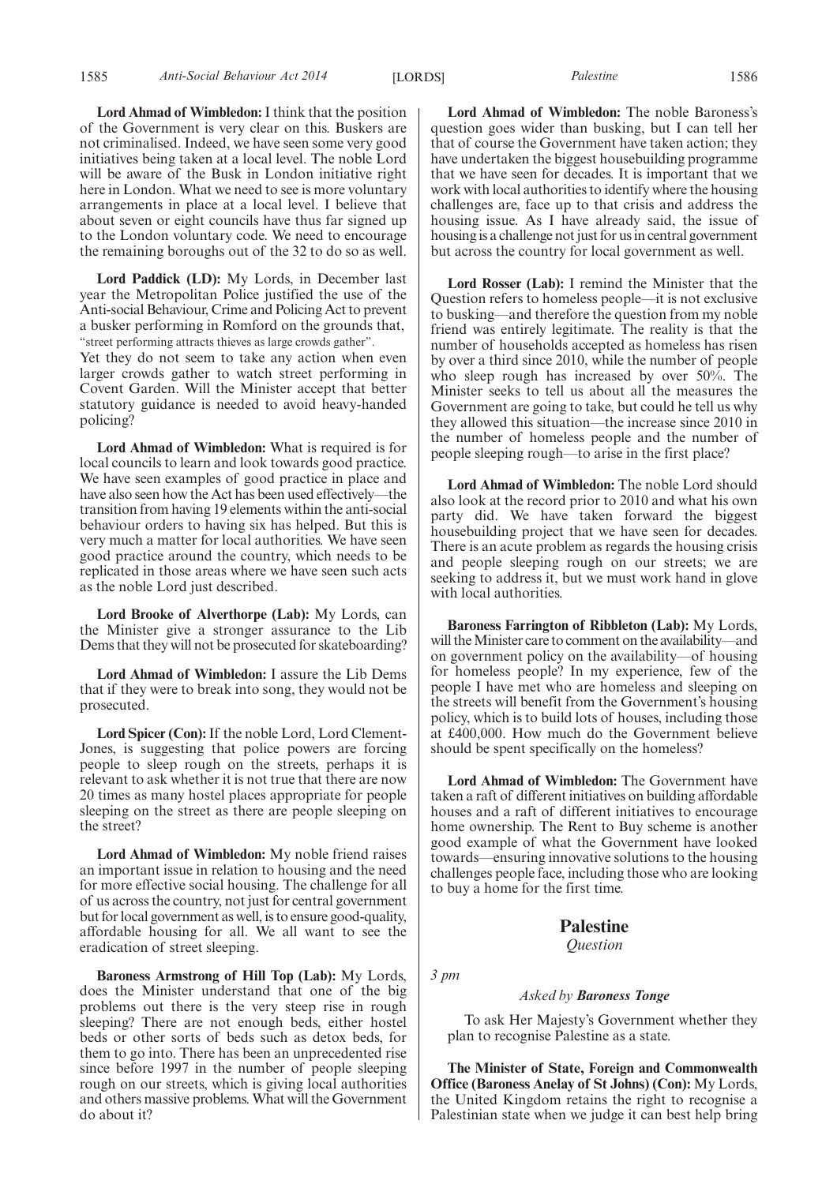**Lord Ahmad of Wimbledon:** I think that the position of the Government is very clear on this. Buskers are not criminalised. Indeed, we have seen some very good initiatives being taken at a local level. The noble Lord will be aware of the Busk in London initiative right here in London. What we need to see is more voluntary arrangements in place at a local level. I believe that about seven or eight councils have thus far signed up to the London voluntary code. We need to encourage the remaining boroughs out of the 32 to do so as well.

**Lord Paddick (LD):** My Lords, in December last year the Metropolitan Police justified the use of the Anti-social Behaviour, Crime and Policing Act to prevent a busker performing in Romford on the grounds that, "street performing attracts thieves as large crowds gather".

Yet they do not seem to take any action when even larger crowds gather to watch street performing in Covent Garden. Will the Minister accept that better statutory guidance is needed to avoid heavy-handed policing?

**Lord Ahmad of Wimbledon:** What is required is for local councils to learn and look towards good practice. We have seen examples of good practice in place and have also seen how the Act has been used effectively—the transition from having 19 elements within the anti-social behaviour orders to having six has helped. But this is very much a matter for local authorities. We have seen good practice around the country, which needs to be replicated in those areas where we have seen such acts as the noble Lord just described.

**Lord Brooke of Alverthorpe (Lab):** My Lords, can the Minister give a stronger assurance to the Lib Dems that they will not be prosecuted for skateboarding?

**Lord Ahmad of Wimbledon:** I assure the Lib Dems that if they were to break into song, they would not be prosecuted.

**Lord Spicer (Con):**If the noble Lord, Lord Clement-Jones, is suggesting that police powers are forcing people to sleep rough on the streets, perhaps it is relevant to ask whether it is not true that there are now 20 times as many hostel places appropriate for people sleeping on the street as there are people sleeping on the street?

**Lord Ahmad of Wimbledon:** My noble friend raises an important issue in relation to housing and the need for more effective social housing. The challenge for all of us across the country, not just for central government but for local government as well, is to ensure good-quality, affordable housing for all. We all want to see the eradication of street sleeping.

**Baroness Armstrong of Hill Top (Lab):** My Lords, does the Minister understand that one of the big problems out there is the very steep rise in rough sleeping? There are not enough beds, either hostel beds or other sorts of beds such as detox beds, for them to go into. There has been an unprecedented rise since before 1997 in the number of people sleeping rough on our streets, which is giving local authorities and others massive problems. What will the Government do about it?

**Lord Ahmad of Wimbledon:** The noble Baroness's question goes wider than busking, but I can tell her that of course the Government have taken action; they have undertaken the biggest housebuilding programme that we have seen for decades. It is important that we work with local authorities to identify where the housing challenges are, face up to that crisis and address the housing issue. As I have already said, the issue of housing is a challenge not just for us in central government but across the country for local government as well.

**Lord Rosser (Lab):** I remind the Minister that the Question refers to homeless people—it is not exclusive to busking—and therefore the question from my noble friend was entirely legitimate. The reality is that the number of households accepted as homeless has risen by over a third since 2010, while the number of people who sleep rough has increased by over 50%. The Minister seeks to tell us about all the measures the Government are going to take, but could he tell us why they allowed this situation—the increase since 2010 in the number of homeless people and the number of people sleeping rough—to arise in the first place?

**Lord Ahmad of Wimbledon:** The noble Lord should also look at the record prior to 2010 and what his own party did. We have taken forward the biggest housebuilding project that we have seen for decades. There is an acute problem as regards the housing crisis and people sleeping rough on our streets; we are seeking to address it, but we must work hand in glove with local authorities.

**Baroness Farrington of Ribbleton (Lab):** My Lords, will the Minister care to comment on the availability—and on government policy on the availability—of housing for homeless people? In my experience, few of the people I have met who are homeless and sleeping on the streets will benefit from the Government's housing policy, which is to build lots of houses, including those at £400,000. How much do the Government believe should be spent specifically on the homeless?

**Lord Ahmad of Wimbledon:** The Government have taken a raft of different initiatives on building affordable houses and a raft of different initiatives to encourage home ownership. The Rent to Buy scheme is another good example of what the Government have looked towards—ensuring innovative solutions to the housing challenges people face, including those who are looking to buy a home for the first time.

#### **Palestine**

#### *Question*

*3 pm*

#### *Asked by Baroness Tonge*

To ask Her Majesty's Government whether they plan to recognise Palestine as a state.

**The Minister of State, Foreign and Commonwealth Office (Baroness Anelay of St Johns) (Con):** My Lords, the United Kingdom retains the right to recognise a Palestinian state when we judge it can best help bring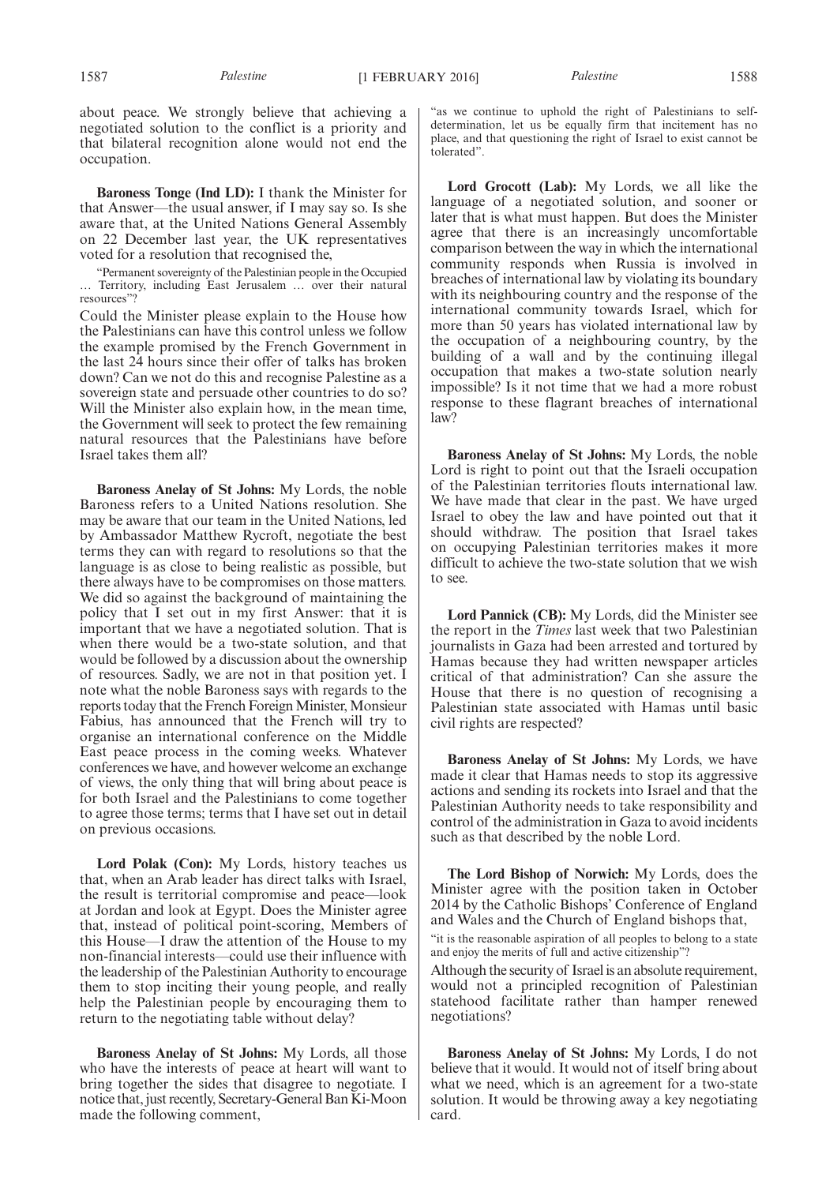about peace. We strongly believe that achieving a negotiated solution to the conflict is a priority and that bilateral recognition alone would not end the occupation.

**Baroness Tonge (Ind LD):** I thank the Minister for that Answer—the usual answer, if I may say so. Is she aware that, at the United Nations General Assembly on 22 December last year, the UK representatives voted for a resolution that recognised the,

"Permanent sovereignty of the Palestinian people in the Occupied … Territory, including East Jerusalem … over their natural resources"?

Could the Minister please explain to the House how the Palestinians can have this control unless we follow the example promised by the French Government in the last 24 hours since their offer of talks has broken down? Can we not do this and recognise Palestine as a sovereign state and persuade other countries to do so? Will the Minister also explain how, in the mean time, the Government will seek to protect the few remaining natural resources that the Palestinians have before Israel takes them all?

**Baroness Anelay of St Johns:** My Lords, the noble Baroness refers to a United Nations resolution. She may be aware that our team in the United Nations, led by Ambassador Matthew Rycroft, negotiate the best terms they can with regard to resolutions so that the language is as close to being realistic as possible, but there always have to be compromises on those matters. We did so against the background of maintaining the policy that I set out in my first Answer: that it is important that we have a negotiated solution. That is when there would be a two-state solution, and that would be followed by a discussion about the ownership of resources. Sadly, we are not in that position yet. I note what the noble Baroness says with regards to the reports today that the French Foreign Minister, Monsieur Fabius, has announced that the French will try to organise an international conference on the Middle East peace process in the coming weeks. Whatever conferences we have, and however welcome an exchange of views, the only thing that will bring about peace is for both Israel and the Palestinians to come together to agree those terms; terms that I have set out in detail on previous occasions.

**Lord Polak (Con):** My Lords, history teaches us that, when an Arab leader has direct talks with Israel, the result is territorial compromise and peace—look at Jordan and look at Egypt. Does the Minister agree that, instead of political point-scoring, Members of this House—I draw the attention of the House to my non-financial interests—could use their influence with the leadership of the Palestinian Authority to encourage them to stop inciting their young people, and really help the Palestinian people by encouraging them to return to the negotiating table without delay?

**Baroness Anelay of St Johns:** My Lords, all those who have the interests of peace at heart will want to bring together the sides that disagree to negotiate. I notice that, just recently, Secretary-General Ban Ki-Moon made the following comment,

"as we continue to uphold the right of Palestinians to selfdetermination, let us be equally firm that incitement has no place, and that questioning the right of Israel to exist cannot be tolerated".

**Lord Grocott (Lab):** My Lords, we all like the language of a negotiated solution, and sooner or later that is what must happen. But does the Minister agree that there is an increasingly uncomfortable comparison between the way in which the international community responds when Russia is involved in breaches of international law by violating its boundary with its neighbouring country and the response of the international community towards Israel, which for more than 50 years has violated international law by the occupation of a neighbouring country, by the building of a wall and by the continuing illegal occupation that makes a two-state solution nearly impossible? Is it not time that we had a more robust response to these flagrant breaches of international law?

**Baroness Anelay of St Johns:** My Lords, the noble Lord is right to point out that the Israeli occupation of the Palestinian territories flouts international law. We have made that clear in the past. We have urged Israel to obey the law and have pointed out that it should withdraw. The position that Israel takes on occupying Palestinian territories makes it more difficult to achieve the two-state solution that we wish to see.

**Lord Pannick (CB):** My Lords, did the Minister see the report in the *Times* last week that two Palestinian journalists in Gaza had been arrested and tortured by Hamas because they had written newspaper articles critical of that administration? Can she assure the House that there is no question of recognising a Palestinian state associated with Hamas until basic civil rights are respected?

**Baroness Anelay of St Johns:** My Lords, we have made it clear that Hamas needs to stop its aggressive actions and sending its rockets into Israel and that the Palestinian Authority needs to take responsibility and control of the administration in Gaza to avoid incidents such as that described by the noble Lord.

**The Lord Bishop of Norwich:** My Lords, does the Minister agree with the position taken in October 2014 by the Catholic Bishops' Conference of England and Wales and the Church of England bishops that,

"it is the reasonable aspiration of all peoples to belong to a state and enjoy the merits of full and active citizenship"?

Although the security of Israel is an absolute requirement, would not a principled recognition of Palestinian statehood facilitate rather than hamper renewed negotiations?

**Baroness Anelay of St Johns:** My Lords, I do not believe that it would. It would not of itself bring about what we need, which is an agreement for a two-state solution. It would be throwing away a key negotiating card.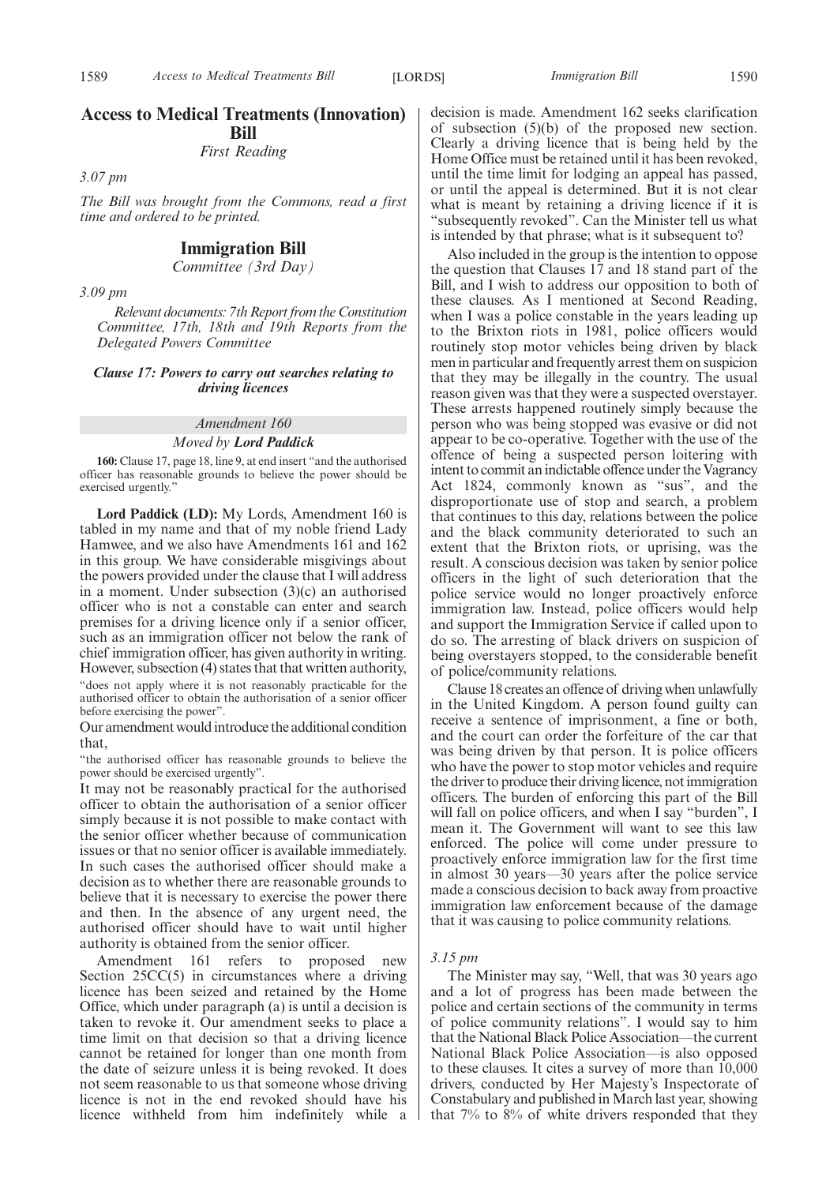#### **Access to Medical Treatments (Innovation) Bill**

*First Reading*

*3.07 pm*

*The Bill was brought from the Commons, read a first time and ordered to be printed.*

#### **Immigration Bill**

*Committee (3rd Day)*

*3.09 pm*

*Relevant documents: 7th Report from the Constitution Committee, 17th, 18th and 19th Reports from the Delegated Powers Committee*

#### *Clause 17: Powers to carry out searches relating to driving licences*

#### *Amendment 160 Moved by Lord Paddick*

**160:** Clause 17, page 18, line 9, at end insert "and the authorised officer has reasonable grounds to believe the power should be exercised urgently."

**Lord Paddick (LD):** My Lords, Amendment 160 is tabled in my name and that of my noble friend Lady Hamwee, and we also have Amendments 161 and 162 in this group. We have considerable misgivings about the powers provided under the clause that I will address in a moment. Under subsection (3)(c) an authorised officer who is not a constable can enter and search premises for a driving licence only if a senior officer, such as an immigration officer not below the rank of chief immigration officer, has given authority in writing. However, subsection (4) states that that written authority, "does not apply where it is not reasonably practicable for the authorised officer to obtain the authorisation of a senior officer before exercising the power".

Our amendment would introduce the additional condition that,

"the authorised officer has reasonable grounds to believe the power should be exercised urgently".

It may not be reasonably practical for the authorised officer to obtain the authorisation of a senior officer simply because it is not possible to make contact with the senior officer whether because of communication issues or that no senior officer is available immediately. In such cases the authorised officer should make a decision as to whether there are reasonable grounds to believe that it is necessary to exercise the power there and then. In the absence of any urgent need, the authorised officer should have to wait until higher authority is obtained from the senior officer.

Amendment 161 refers to proposed new Section 25CC(5) in circumstances where a driving licence has been seized and retained by the Home Office, which under paragraph (a) is until a decision is taken to revoke it. Our amendment seeks to place a time limit on that decision so that a driving licence cannot be retained for longer than one month from the date of seizure unless it is being revoked. It does not seem reasonable to us that someone whose driving licence is not in the end revoked should have his licence withheld from him indefinitely while a decision is made. Amendment 162 seeks clarification of subsection (5)(b) of the proposed new section. Clearly a driving licence that is being held by the Home Office must be retained until it has been revoked, until the time limit for lodging an appeal has passed, or until the appeal is determined. But it is not clear what is meant by retaining a driving licence if it is "subsequently revoked". Can the Minister tell us what is intended by that phrase; what is it subsequent to?

Also included in the group is the intention to oppose the question that Clauses 17 and 18 stand part of the Bill, and I wish to address our opposition to both of these clauses. As I mentioned at Second Reading, when I was a police constable in the years leading up to the Brixton riots in 1981, police officers would routinely stop motor vehicles being driven by black men in particular and frequently arrest them on suspicion that they may be illegally in the country. The usual reason given was that they were a suspected overstayer. These arrests happened routinely simply because the person who was being stopped was evasive or did not appear to be co-operative. Together with the use of the offence of being a suspected person loitering with intent to commit an indictable offence under the Vagrancy Act 1824, commonly known as "sus", and the disproportionate use of stop and search, a problem that continues to this day, relations between the police and the black community deteriorated to such an extent that the Brixton riots, or uprising, was the result. A conscious decision was taken by senior police officers in the light of such deterioration that the police service would no longer proactively enforce immigration law. Instead, police officers would help and support the Immigration Service if called upon to do so. The arresting of black drivers on suspicion of being overstayers stopped, to the considerable benefit of police/community relations.

Clause 18 creates an offence of driving when unlawfully in the United Kingdom. A person found guilty can receive a sentence of imprisonment, a fine or both, and the court can order the forfeiture of the car that was being driven by that person. It is police officers who have the power to stop motor vehicles and require the driver to produce their driving licence, not immigration officers. The burden of enforcing this part of the Bill will fall on police officers, and when I say "burden", I mean it. The Government will want to see this law enforced. The police will come under pressure to proactively enforce immigration law for the first time in almost 30 years—30 years after the police service made a conscious decision to back away from proactive immigration law enforcement because of the damage that it was causing to police community relations.

#### *3.15 pm*

The Minister may say, "Well, that was 30 years ago and a lot of progress has been made between the police and certain sections of the community in terms of police community relations". I would say to him that the National Black Police Association—the current National Black Police Association—is also opposed to these clauses. It cites a survey of more than 10,000 drivers, conducted by Her Majesty's Inspectorate of Constabulary and published in March last year, showing that 7% to 8% of white drivers responded that they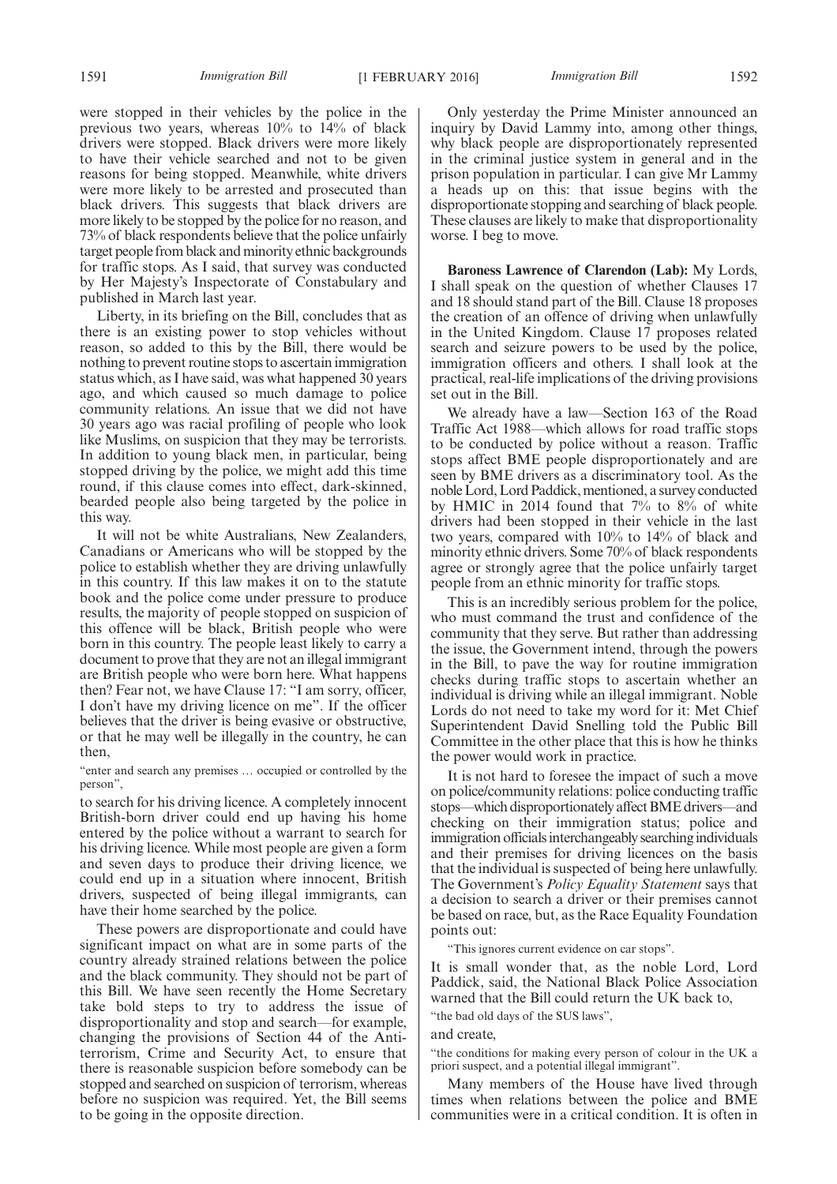1591 *Immigration Bill Immigration Bill* [1 FEBRUARY 2016] 1592

were stopped in their vehicles by the police in the previous two years, whereas 10% to 14% of black drivers were stopped. Black drivers were more likely to have their vehicle searched and not to be given reasons for being stopped. Meanwhile, white drivers were more likely to be arrested and prosecuted than black drivers. This suggests that black drivers are more likely to be stopped by the police for no reason, and 73% of black respondents believe that the police unfairly target people from black and minority ethnic backgrounds for traffic stops. As I said, that survey was conducted by Her Majesty's Inspectorate of Constabulary and published in March last year.

Liberty, in its briefing on the Bill, concludes that as there is an existing power to stop vehicles without reason, so added to this by the Bill, there would be nothing to prevent routine stops to ascertain immigration status which, as I have said, was what happened 30 years ago, and which caused so much damage to police community relations. An issue that we did not have 30 years ago was racial profiling of people who look like Muslims, on suspicion that they may be terrorists. In addition to young black men, in particular, being stopped driving by the police, we might add this time round, if this clause comes into effect, dark-skinned, bearded people also being targeted by the police in this way.

It will not be white Australians, New Zealanders, Canadians or Americans who will be stopped by the police to establish whether they are driving unlawfully in this country. If this law makes it on to the statute book and the police come under pressure to produce results, the majority of people stopped on suspicion of this offence will be black, British people who were born in this country. The people least likely to carry a document to prove that they are not an illegal immigrant are British people who were born here. What happens then? Fear not, we have Clause 17: "I am sorry, officer, I don't have my driving licence on me". If the officer believes that the driver is being evasive or obstructive, or that he may well be illegally in the country, he can then,

"enter and search any premises … occupied or controlled by the person",

to search for his driving licence. A completely innocent British-born driver could end up having his home entered by the police without a warrant to search for his driving licence. While most people are given a form and seven days to produce their driving licence, we could end up in a situation where innocent, British drivers, suspected of being illegal immigrants, can have their home searched by the police.

These powers are disproportionate and could have significant impact on what are in some parts of the country already strained relations between the police and the black community. They should not be part of this Bill. We have seen recently the Home Secretary take bold steps to try to address the issue of disproportionality and stop and search—for example, changing the provisions of Section 44 of the Antiterrorism, Crime and Security Act, to ensure that there is reasonable suspicion before somebody can be stopped and searched on suspicion of terrorism, whereas before no suspicion was required. Yet, the Bill seems to be going in the opposite direction.

Only yesterday the Prime Minister announced an inquiry by David Lammy into, among other things, why black people are disproportionately represented in the criminal justice system in general and in the prison population in particular. I can give Mr Lammy a heads up on this: that issue begins with the disproportionate stopping and searching of black people. These clauses are likely to make that disproportionality worse. I beg to move.

**Baroness Lawrence of Clarendon (Lab):** My Lords, I shall speak on the question of whether Clauses 17 and 18 should stand part of the Bill. Clause 18 proposes the creation of an offence of driving when unlawfully in the United Kingdom. Clause 17 proposes related search and seizure powers to be used by the police, immigration officers and others. I shall look at the practical, real-life implications of the driving provisions set out in the Bill.

We already have a law—Section 163 of the Road Traffic Act 1988—which allows for road traffic stops to be conducted by police without a reason. Traffic stops affect BME people disproportionately and are seen by BME drivers as a discriminatory tool. As the noble Lord, Lord Paddick, mentioned, a survey conducted by HMIC in 2014 found that 7% to 8% of white drivers had been stopped in their vehicle in the last two years, compared with 10% to 14% of black and minority ethnic drivers. Some 70% of black respondents agree or strongly agree that the police unfairly target people from an ethnic minority for traffic stops.

This is an incredibly serious problem for the police, who must command the trust and confidence of the community that they serve. But rather than addressing the issue, the Government intend, through the powers in the Bill, to pave the way for routine immigration checks during traffic stops to ascertain whether an individual is driving while an illegal immigrant. Noble Lords do not need to take my word for it: Met Chief Superintendent David Snelling told the Public Bill Committee in the other place that this is how he thinks the power would work in practice.

It is not hard to foresee the impact of such a move on police/community relations: police conducting traffic stops—which disproportionately affect BME drivers—and checking on their immigration status; police and immigration officials interchangeably searching individuals and their premises for driving licences on the basis that the individual is suspected of being here unlawfully. The Government's *Policy Equality Statement* says that a decision to search a driver or their premises cannot be based on race, but, as the Race Equality Foundation points out:

"This ignores current evidence on car stops".

It is small wonder that, as the noble Lord, Lord Paddick, said, the National Black Police Association warned that the Bill could return the UK back to,

"the bad old days of the SUS laws",

and create,

"the conditions for making every person of colour in the UK a priori suspect, and a potential illegal immigrant".

Many members of the House have lived through times when relations between the police and BME communities were in a critical condition. It is often in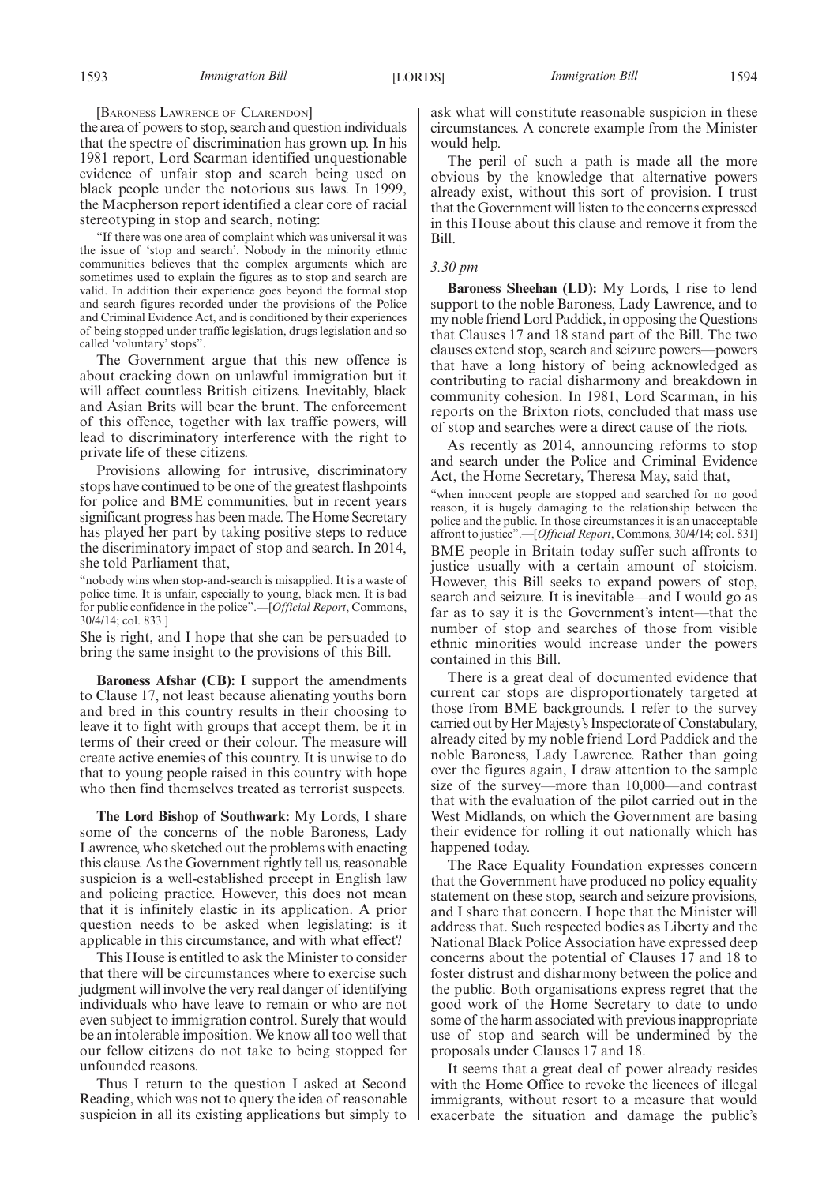[BARONESS LAWRENCE OF CLARENDON]

the area of powers to stop, search and question individuals that the spectre of discrimination has grown up. In his 1981 report, Lord Scarman identified unquestionable evidence of unfair stop and search being used on black people under the notorious sus laws. In 1999, the Macpherson report identified a clear core of racial stereotyping in stop and search, noting:

"If there was one area of complaint which was universal it was the issue of 'stop and search'. Nobody in the minority ethnic communities believes that the complex arguments which are sometimes used to explain the figures as to stop and search are valid. In addition their experience goes beyond the formal stop and search figures recorded under the provisions of the Police and Criminal Evidence Act, and is conditioned by their experiences of being stopped under traffic legislation, drugs legislation and so called 'voluntary' stops".

The Government argue that this new offence is about cracking down on unlawful immigration but it will affect countless British citizens. Inevitably, black and Asian Brits will bear the brunt. The enforcement of this offence, together with lax traffic powers, will lead to discriminatory interference with the right to private life of these citizens.

Provisions allowing for intrusive, discriminatory stops have continued to be one of the greatest flashpoints for police and BME communities, but in recent years significant progress has been made. The Home Secretary has played her part by taking positive steps to reduce the discriminatory impact of stop and search. In 2014, she told Parliament that,

"nobody wins when stop-and-search is misapplied. It is a waste of police time. It is unfair, especially to young, black men. It is bad for public confidence in the police".—[*Official Report*, Commons, 30/4/14; col. 833.]

She is right, and I hope that she can be persuaded to bring the same insight to the provisions of this Bill.

**Baroness Afshar (CB):** I support the amendments to Clause 17, not least because alienating youths born and bred in this country results in their choosing to leave it to fight with groups that accept them, be it in terms of their creed or their colour. The measure will create active enemies of this country. It is unwise to do that to young people raised in this country with hope who then find themselves treated as terrorist suspects.

**The Lord Bishop of Southwark:** My Lords, I share some of the concerns of the noble Baroness, Lady Lawrence, who sketched out the problems with enacting this clause. As the Government rightly tell us, reasonable suspicion is a well-established precept in English law and policing practice. However, this does not mean that it is infinitely elastic in its application. A prior question needs to be asked when legislating: is it applicable in this circumstance, and with what effect?

This House is entitled to ask the Minister to consider that there will be circumstances where to exercise such judgment will involve the very real danger of identifying individuals who have leave to remain or who are not even subject to immigration control. Surely that would be an intolerable imposition. We know all too well that our fellow citizens do not take to being stopped for unfounded reasons.

Thus I return to the question I asked at Second Reading, which was not to query the idea of reasonable suspicion in all its existing applications but simply to ask what will constitute reasonable suspicion in these circumstances. A concrete example from the Minister would help.

The peril of such a path is made all the more obvious by the knowledge that alternative powers already exist, without this sort of provision. I trust that the Government will listen to the concerns expressed in this House about this clause and remove it from the Bill.

#### *3.30 pm*

**Baroness Sheehan (LD):** My Lords, I rise to lend support to the noble Baroness, Lady Lawrence, and to my noble friend Lord Paddick, in opposing the Questions that Clauses 17 and 18 stand part of the Bill. The two clauses extend stop, search and seizure powers—powers that have a long history of being acknowledged as contributing to racial disharmony and breakdown in community cohesion. In 1981, Lord Scarman, in his reports on the Brixton riots, concluded that mass use of stop and searches were a direct cause of the riots.

As recently as 2014, announcing reforms to stop and search under the Police and Criminal Evidence Act, the Home Secretary, Theresa May, said that,

"when innocent people are stopped and searched for no good reason, it is hugely damaging to the relationship between the police and the public. In those circumstances it is an unacceptable affront to justice".—[*Official Report*, Commons, 30/4/14; col. 831] BME people in Britain today suffer such affronts to justice usually with a certain amount of stoicism. However, this Bill seeks to expand powers of stop, search and seizure. It is inevitable—and I would go as far as to say it is the Government's intent—that the number of stop and searches of those from visible ethnic minorities would increase under the powers contained in this Bill.

There is a great deal of documented evidence that current car stops are disproportionately targeted at those from BME backgrounds. I refer to the survey carried out by Her Majesty's Inspectorate of Constabulary, already cited by my noble friend Lord Paddick and the noble Baroness, Lady Lawrence. Rather than going over the figures again, I draw attention to the sample size of the survey—more than 10,000—and contrast that with the evaluation of the pilot carried out in the West Midlands, on which the Government are basing their evidence for rolling it out nationally which has happened today.

The Race Equality Foundation expresses concern that the Government have produced no policy equality statement on these stop, search and seizure provisions, and I share that concern. I hope that the Minister will address that. Such respected bodies as Liberty and the National Black Police Association have expressed deep concerns about the potential of Clauses 17 and 18 to foster distrust and disharmony between the police and the public. Both organisations express regret that the good work of the Home Secretary to date to undo some of the harm associated with previous inappropriate use of stop and search will be undermined by the proposals under Clauses 17 and 18.

It seems that a great deal of power already resides with the Home Office to revoke the licences of illegal immigrants, without resort to a measure that would exacerbate the situation and damage the public's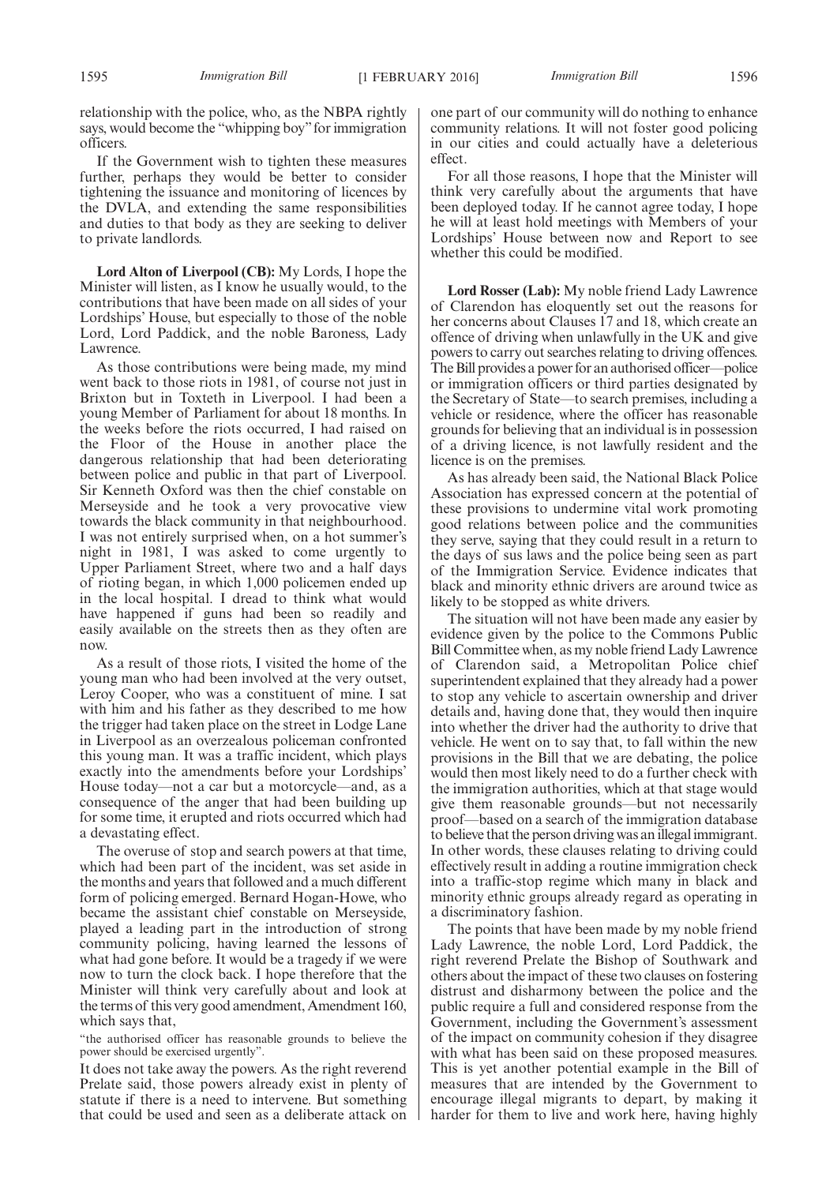relationship with the police, who, as the NBPA rightly says, would become the "whipping boy" for immigration officers.

If the Government wish to tighten these measures further, perhaps they would be better to consider tightening the issuance and monitoring of licences by the DVLA, and extending the same responsibilities and duties to that body as they are seeking to deliver to private landlords.

**Lord Alton of Liverpool (CB):** My Lords, I hope the Minister will listen, as I know he usually would, to the contributions that have been made on all sides of your Lordships' House, but especially to those of the noble Lord, Lord Paddick, and the noble Baroness, Lady Lawrence.

As those contributions were being made, my mind went back to those riots in 1981, of course not just in Brixton but in Toxteth in Liverpool. I had been a young Member of Parliament for about 18 months. In the weeks before the riots occurred, I had raised on the Floor of the House in another place the dangerous relationship that had been deteriorating between police and public in that part of Liverpool. Sir Kenneth Oxford was then the chief constable on Merseyside and he took a very provocative view towards the black community in that neighbourhood. I was not entirely surprised when, on a hot summer's night in 1981, I was asked to come urgently to Upper Parliament Street, where two and a half days of rioting began, in which 1,000 policemen ended up in the local hospital. I dread to think what would have happened if guns had been so readily and easily available on the streets then as they often are now.

As a result of those riots, I visited the home of the young man who had been involved at the very outset, Leroy Cooper, who was a constituent of mine. I sat with him and his father as they described to me how the trigger had taken place on the street in Lodge Lane in Liverpool as an overzealous policeman confronted this young man. It was a traffic incident, which plays exactly into the amendments before your Lordships' House today—not a car but a motorcycle—and, as a consequence of the anger that had been building up for some time, it erupted and riots occurred which had a devastating effect.

The overuse of stop and search powers at that time, which had been part of the incident, was set aside in the months and years that followed and a much different form of policing emerged. Bernard Hogan-Howe, who became the assistant chief constable on Merseyside, played a leading part in the introduction of strong community policing, having learned the lessons of what had gone before. It would be a tragedy if we were now to turn the clock back. I hope therefore that the Minister will think very carefully about and look at the terms of this very good amendment, Amendment 160, which says that,

"the authorised officer has reasonable grounds to believe the power should be exercised urgently".

It does not take away the powers. As the right reverend Prelate said, those powers already exist in plenty of statute if there is a need to intervene. But something that could be used and seen as a deliberate attack on one part of our community will do nothing to enhance community relations. It will not foster good policing in our cities and could actually have a deleterious effect.

For all those reasons, I hope that the Minister will think very carefully about the arguments that have been deployed today. If he cannot agree today, I hope he will at least hold meetings with Members of your Lordships' House between now and Report to see whether this could be modified.

**Lord Rosser (Lab):** My noble friend Lady Lawrence of Clarendon has eloquently set out the reasons for her concerns about Clauses 17 and 18, which create an offence of driving when unlawfully in the UK and give powers to carry out searches relating to driving offences. The Bill provides a power for an authorised officer—police or immigration officers or third parties designated by the Secretary of State—to search premises, including a vehicle or residence, where the officer has reasonable grounds for believing that an individual is in possession of a driving licence, is not lawfully resident and the licence is on the premises.

As has already been said, the National Black Police Association has expressed concern at the potential of these provisions to undermine vital work promoting good relations between police and the communities they serve, saying that they could result in a return to the days of sus laws and the police being seen as part of the Immigration Service. Evidence indicates that black and minority ethnic drivers are around twice as likely to be stopped as white drivers.

The situation will not have been made any easier by evidence given by the police to the Commons Public Bill Committee when, as my noble friend Lady Lawrence of Clarendon said, a Metropolitan Police chief superintendent explained that they already had a power to stop any vehicle to ascertain ownership and driver details and, having done that, they would then inquire into whether the driver had the authority to drive that vehicle. He went on to say that, to fall within the new provisions in the Bill that we are debating, the police would then most likely need to do a further check with the immigration authorities, which at that stage would give them reasonable grounds—but not necessarily proof—based on a search of the immigration database to believe that the person driving was an illegal immigrant. In other words, these clauses relating to driving could effectively result in adding a routine immigration check into a traffic-stop regime which many in black and minority ethnic groups already regard as operating in a discriminatory fashion.

The points that have been made by my noble friend Lady Lawrence, the noble Lord, Lord Paddick, the right reverend Prelate the Bishop of Southwark and others about the impact of these two clauses on fostering distrust and disharmony between the police and the public require a full and considered response from the Government, including the Government's assessment of the impact on community cohesion if they disagree with what has been said on these proposed measures. This is yet another potential example in the Bill of measures that are intended by the Government to encourage illegal migrants to depart, by making it harder for them to live and work here, having highly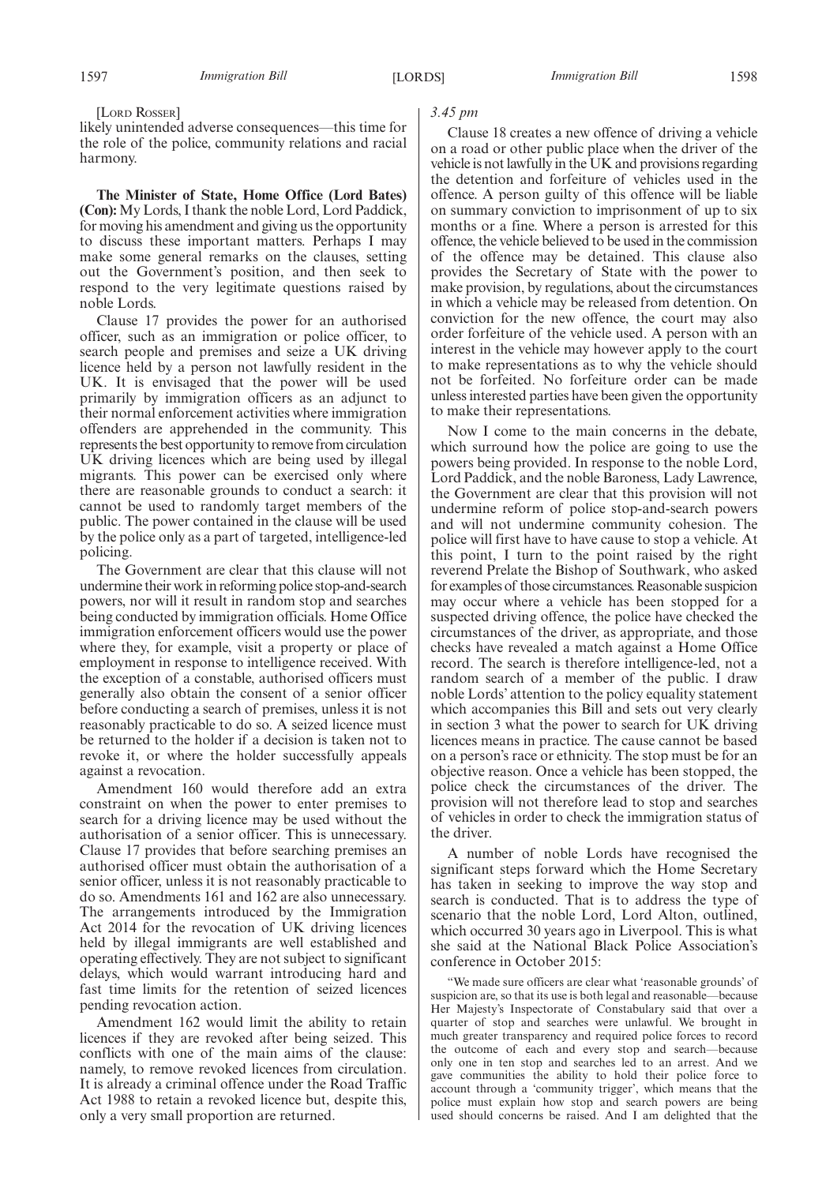[LORD ROSSER]

likely unintended adverse consequences—this time for the role of the police, community relations and racial harmony.

**The Minister of State, Home Office (Lord Bates) (Con):** My Lords, I thank the noble Lord, Lord Paddick, for moving his amendment and giving us the opportunity to discuss these important matters. Perhaps I may make some general remarks on the clauses, setting out the Government's position, and then seek to respond to the very legitimate questions raised by noble Lords.

Clause 17 provides the power for an authorised officer, such as an immigration or police officer, to search people and premises and seize a UK driving licence held by a person not lawfully resident in the UK. It is envisaged that the power will be used primarily by immigration officers as an adjunct to their normal enforcement activities where immigration offenders are apprehended in the community. This represents the best opportunity to remove from circulation UK driving licences which are being used by illegal migrants. This power can be exercised only where there are reasonable grounds to conduct a search: it cannot be used to randomly target members of the public. The power contained in the clause will be used by the police only as a part of targeted, intelligence-led policing.

The Government are clear that this clause will not undermine their work in reforming police stop-and-search powers, nor will it result in random stop and searches being conducted by immigration officials. Home Office immigration enforcement officers would use the power where they, for example, visit a property or place of employment in response to intelligence received. With the exception of a constable, authorised officers must generally also obtain the consent of a senior officer before conducting a search of premises, unless it is not reasonably practicable to do so. A seized licence must be returned to the holder if a decision is taken not to revoke it, or where the holder successfully appeals against a revocation.

Amendment 160 would therefore add an extra constraint on when the power to enter premises to search for a driving licence may be used without the authorisation of a senior officer. This is unnecessary. Clause 17 provides that before searching premises an authorised officer must obtain the authorisation of a senior officer, unless it is not reasonably practicable to do so. Amendments 161 and 162 are also unnecessary. The arrangements introduced by the Immigration Act 2014 for the revocation of UK driving licences held by illegal immigrants are well established and operating effectively. They are not subject to significant delays, which would warrant introducing hard and fast time limits for the retention of seized licences pending revocation action.

Amendment 162 would limit the ability to retain licences if they are revoked after being seized. This conflicts with one of the main aims of the clause: namely, to remove revoked licences from circulation. It is already a criminal offence under the Road Traffic Act 1988 to retain a revoked licence but, despite this, only a very small proportion are returned.

#### *3.45 pm*

Clause 18 creates a new offence of driving a vehicle on a road or other public place when the driver of the vehicle is not lawfully in the UK and provisions regarding the detention and forfeiture of vehicles used in the offence. A person guilty of this offence will be liable on summary conviction to imprisonment of up to six months or a fine. Where a person is arrested for this offence, the vehicle believed to be used in the commission of the offence may be detained. This clause also provides the Secretary of State with the power to make provision, by regulations, about the circumstances in which a vehicle may be released from detention. On conviction for the new offence, the court may also order forfeiture of the vehicle used. A person with an interest in the vehicle may however apply to the court to make representations as to why the vehicle should not be forfeited. No forfeiture order can be made unless interested parties have been given the opportunity to make their representations.

Now I come to the main concerns in the debate, which surround how the police are going to use the powers being provided. In response to the noble Lord, Lord Paddick, and the noble Baroness, Lady Lawrence, the Government are clear that this provision will not undermine reform of police stop-and-search powers and will not undermine community cohesion. The police will first have to have cause to stop a vehicle. At this point, I turn to the point raised by the right reverend Prelate the Bishop of Southwark, who asked for examples of those circumstances. Reasonable suspicion may occur where a vehicle has been stopped for a suspected driving offence, the police have checked the circumstances of the driver, as appropriate, and those checks have revealed a match against a Home Office record. The search is therefore intelligence-led, not a random search of a member of the public. I draw noble Lords' attention to the policy equality statement which accompanies this Bill and sets out very clearly in section 3 what the power to search for UK driving licences means in practice. The cause cannot be based on a person's race or ethnicity. The stop must be for an objective reason. Once a vehicle has been stopped, the police check the circumstances of the driver. The provision will not therefore lead to stop and searches of vehicles in order to check the immigration status of the driver.

A number of noble Lords have recognised the significant steps forward which the Home Secretary has taken in seeking to improve the way stop and search is conducted. That is to address the type of scenario that the noble Lord, Lord Alton, outlined, which occurred 30 years ago in Liverpool. This is what she said at the National Black Police Association's conference in October 2015:

"We made sure officers are clear what 'reasonable grounds' of suspicion are, so that its use is both legal and reasonable—because Her Majesty's Inspectorate of Constabulary said that over a quarter of stop and searches were unlawful. We brought in much greater transparency and required police forces to record the outcome of each and every stop and search—because only one in ten stop and searches led to an arrest. And we gave communities the ability to hold their police force to account through a 'community trigger', which means that the police must explain how stop and search powers are being used should concerns be raised. And I am delighted that the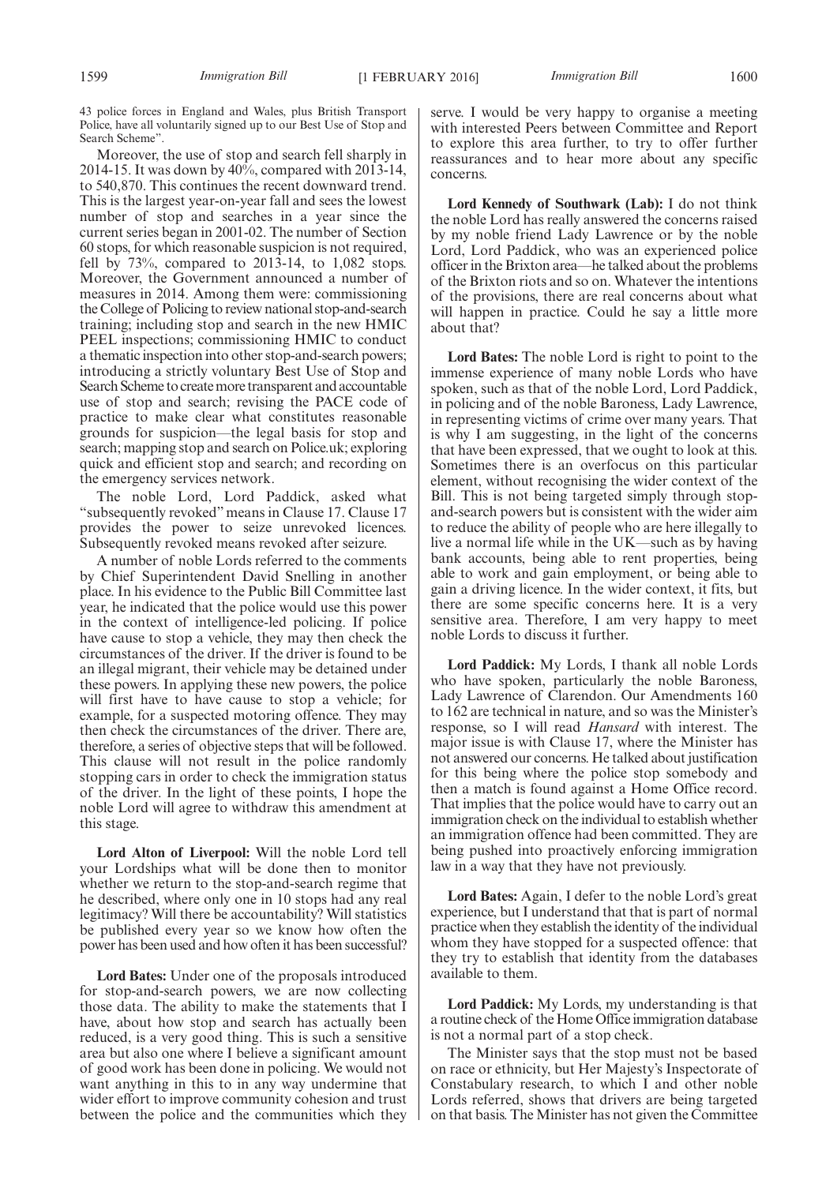43 police forces in England and Wales, plus British Transport Police, have all voluntarily signed up to our Best Use of Stop and Search Scheme".

Moreover, the use of stop and search fell sharply in 2014-15. It was down by 40%, compared with 2013-14, to 540,870. This continues the recent downward trend. This is the largest year-on-year fall and sees the lowest number of stop and searches in a year since the current series began in 2001-02. The number of Section 60 stops, for which reasonable suspicion is not required, fell by  $73\%$ , compared to  $2013-14$ , to  $1,082$  stops. Moreover, the Government announced a number of measures in 2014. Among them were: commissioning the College of Policing to review national stop-and-search training; including stop and search in the new HMIC PEEL inspections; commissioning HMIC to conduct a thematic inspection into other stop-and-search powers; introducing a strictly voluntary Best Use of Stop and Search Scheme to createmore transparent and accountable use of stop and search; revising the PACE code of practice to make clear what constitutes reasonable grounds for suspicion—the legal basis for stop and search; mapping stop and search on Police.uk; exploring quick and efficient stop and search; and recording on the emergency services network.

The noble Lord, Lord Paddick, asked what "subsequently revoked" means in Clause 17. Clause 17 provides the power to seize unrevoked licences. Subsequently revoked means revoked after seizure.

A number of noble Lords referred to the comments by Chief Superintendent David Snelling in another place. In his evidence to the Public Bill Committee last year, he indicated that the police would use this power in the context of intelligence-led policing. If police have cause to stop a vehicle, they may then check the circumstances of the driver. If the driver is found to be an illegal migrant, their vehicle may be detained under these powers. In applying these new powers, the police will first have to have cause to stop a vehicle; for example, for a suspected motoring offence. They may then check the circumstances of the driver. There are, therefore, a series of objective steps that will be followed. This clause will not result in the police randomly stopping cars in order to check the immigration status of the driver. In the light of these points, I hope the noble Lord will agree to withdraw this amendment at this stage.

**Lord Alton of Liverpool:** Will the noble Lord tell your Lordships what will be done then to monitor whether we return to the stop-and-search regime that he described, where only one in 10 stops had any real legitimacy? Will there be accountability? Will statistics be published every year so we know how often the power has been used and how often it has been successful?

**Lord Bates:** Under one of the proposals introduced for stop-and-search powers, we are now collecting those data. The ability to make the statements that I have, about how stop and search has actually been reduced, is a very good thing. This is such a sensitive area but also one where I believe a significant amount of good work has been done in policing. We would not want anything in this to in any way undermine that wider effort to improve community cohesion and trust between the police and the communities which they serve. I would be very happy to organise a meeting with interested Peers between Committee and Report to explore this area further, to try to offer further reassurances and to hear more about any specific concerns.

**Lord Kennedy of Southwark (Lab):** I do not think the noble Lord has really answered the concerns raised by my noble friend Lady Lawrence or by the noble Lord, Lord Paddick, who was an experienced police officer in the Brixton area—he talked about the problems of the Brixton riots and so on. Whatever the intentions of the provisions, there are real concerns about what will happen in practice. Could he say a little more about that?

**Lord Bates:** The noble Lord is right to point to the immense experience of many noble Lords who have spoken, such as that of the noble Lord, Lord Paddick, in policing and of the noble Baroness, Lady Lawrence, in representing victims of crime over many years. That is why I am suggesting, in the light of the concerns that have been expressed, that we ought to look at this. Sometimes there is an overfocus on this particular element, without recognising the wider context of the Bill. This is not being targeted simply through stopand-search powers but is consistent with the wider aim to reduce the ability of people who are here illegally to live a normal life while in the UK—such as by having bank accounts, being able to rent properties, being able to work and gain employment, or being able to gain a driving licence. In the wider context, it fits, but there are some specific concerns here. It is a very sensitive area. Therefore, I am very happy to meet noble Lords to discuss it further.

**Lord Paddick:** My Lords, I thank all noble Lords who have spoken, particularly the noble Baroness, Lady Lawrence of Clarendon. Our Amendments 160 to 162 are technical in nature, and so was the Minister's response, so I will read *Hansard* with interest. The major issue is with Clause 17, where the Minister has not answered our concerns. He talked about justification for this being where the police stop somebody and then a match is found against a Home Office record. That implies that the police would have to carry out an immigration check on the individual to establish whether an immigration offence had been committed. They are being pushed into proactively enforcing immigration law in a way that they have not previously.

**Lord Bates:** Again, I defer to the noble Lord's great experience, but I understand that that is part of normal practice when they establish the identity of the individual whom they have stopped for a suspected offence: that they try to establish that identity from the databases available to them.

**Lord Paddick:** My Lords, my understanding is that a routine check of the Home Office immigration database is not a normal part of a stop check.

The Minister says that the stop must not be based on race or ethnicity, but Her Majesty's Inspectorate of Constabulary research, to which I and other noble Lords referred, shows that drivers are being targeted on that basis. The Minister has not given the Committee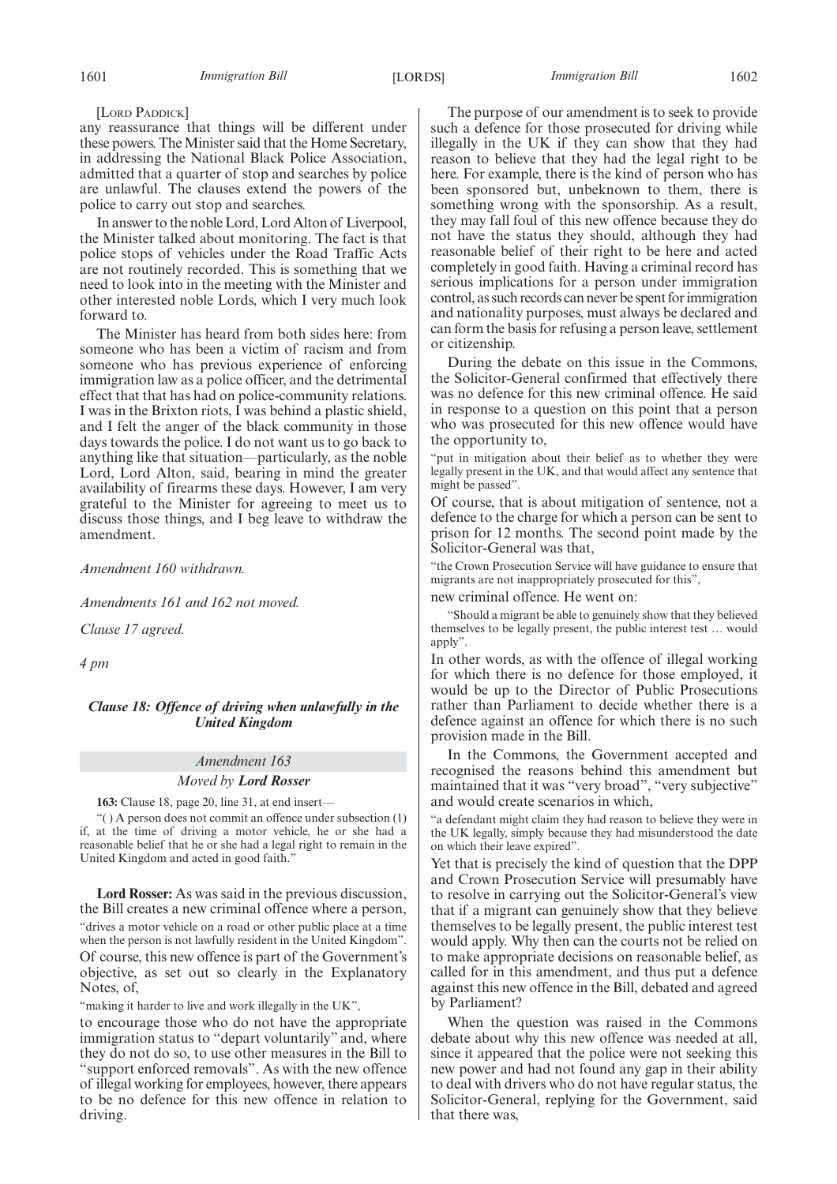#### [LORD PADDICK]

any reassurance that things will be different under these powers. The Minister said that the Home Secretary, in addressing the National Black Police Association, admitted that a quarter of stop and searches by police are unlawful. The clauses extend the powers of the police to carry out stop and searches.

In answer to the noble Lord, Lord Alton of Liverpool, the Minister talked about monitoring. The fact is that police stops of vehicles under the Road Traffic Acts are not routinely recorded. This is something that we need to look into in the meeting with the Minister and other interested noble Lords, which I very much look forward to.

The Minister has heard from both sides here: from someone who has been a victim of racism and from someone who has previous experience of enforcing immigration law as a police officer, and the detrimental effect that that has had on police-community relations. I was in the Brixton riots, I was behind a plastic shield, and I felt the anger of the black community in those days towards the police. I do not want us to go back to anything like that situation—particularly, as the noble Lord, Lord Alton, said, bearing in mind the greater availability of firearms these days. However, I am very grateful to the Minister for agreeing to meet us to discuss those things, and I beg leave to withdraw the amendment.

*Amendment 160 withdrawn.*

*Amendments 161 and 162 not moved.*

*Clause 17 agreed.*

*4 pm*

#### *Clause 18: Offence of driving when unlawfully in the United Kingdom*

#### *Amendment 163*

#### *Moved by Lord Rosser*

**163:** Clause 18, page 20, line 31, at end insert—

"( ) A person does not commit an offence under subsection (1) if, at the time of driving a motor vehicle, he or she had a reasonable belief that he or she had a legal right to remain in the United Kingdom and acted in good faith."

**Lord Rosser:** As was said in the previous discussion, the Bill creates a new criminal offence where a person, "drives a motor vehicle on a road or other public place at a time when the person is not lawfully resident in the United Kingdom". Of course, this new offence is part of the Government's objective, as set out so clearly in the Explanatory Notes, of,

"making it harder to live and work illegally in the UK",

to encourage those who do not have the appropriate immigration status to "depart voluntarily" and, where they do not do so, to use other measures in the Bill to "support enforced removals". As with the new offence of illegal working for employees, however, there appears to be no defence for this new offence in relation to driving.

The purpose of our amendment is to seek to provide such a defence for those prosecuted for driving while illegally in the UK if they can show that they had reason to believe that they had the legal right to be here. For example, there is the kind of person who has been sponsored but, unbeknown to them, there is something wrong with the sponsorship. As a result, they may fall foul of this new offence because they do not have the status they should, although they had reasonable belief of their right to be here and acted completely in good faith. Having a criminal record has serious implications for a person under immigration control, as such records can never be spent for immigration and nationality purposes, must always be declared and can form the basis for refusing a person leave, settlement or citizenship.

During the debate on this issue in the Commons, the Solicitor-General confirmed that effectively there was no defence for this new criminal offence. He said in response to a question on this point that a person who was prosecuted for this new offence would have the opportunity to,

"put in mitigation about their belief as to whether they were legally present in the UK, and that would affect any sentence that might be passed".

Of course, that is about mitigation of sentence, not a defence to the charge for which a person can be sent to prison for 12 months. The second point made by the Solicitor-General was that,

"the Crown Prosecution Service will have guidance to ensure that migrants are not inappropriately prosecuted for this",

new criminal offence. He went on:

"Should a migrant be able to genuinely show that they believed themselves to be legally present, the public interest test … would apply".

In other words, as with the offence of illegal working for which there is no defence for those employed, it would be up to the Director of Public Prosecutions rather than Parliament to decide whether there is a defence against an offence for which there is no such provision made in the Bill.

In the Commons, the Government accepted and recognised the reasons behind this amendment but maintained that it was "very broad", "very subjective" and would create scenarios in which,

"a defendant might claim they had reason to believe they were in the UK legally, simply because they had misunderstood the date on which their leave expired".

Yet that is precisely the kind of question that the DPP and Crown Prosecution Service will presumably have to resolve in carrying out the Solicitor-General's view that if a migrant can genuinely show that they believe themselves to be legally present, the public interest test would apply. Why then can the courts not be relied on to make appropriate decisions on reasonable belief, as called for in this amendment, and thus put a defence against this new offence in the Bill, debated and agreed by Parliament?

When the question was raised in the Commons debate about why this new offence was needed at all, since it appeared that the police were not seeking this new power and had not found any gap in their ability to deal with drivers who do not have regular status, the Solicitor-General, replying for the Government, said that there was,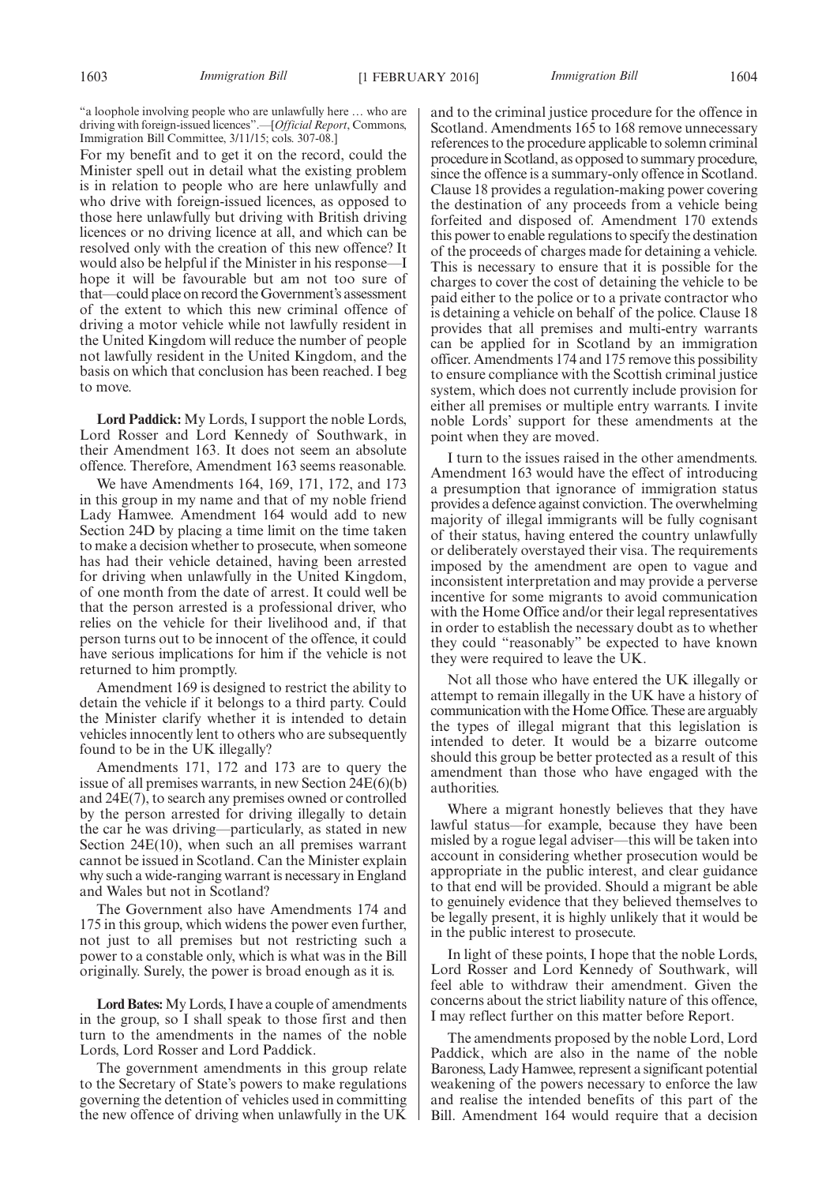"a loophole involving people who are unlawfully here … who are driving with foreign-issued licences".—[*Official Report*, Commons, Immigration Bill Committee, 3/11/15; cols. 307-08.]

For my benefit and to get it on the record, could the Minister spell out in detail what the existing problem is in relation to people who are here unlawfully and who drive with foreign-issued licences, as opposed to those here unlawfully but driving with British driving licences or no driving licence at all, and which can be resolved only with the creation of this new offence? It would also be helpful if the Minister in his response—I hope it will be favourable but am not too sure of that—could place on record the Government's assessment of the extent to which this new criminal offence of driving a motor vehicle while not lawfully resident in the United Kingdom will reduce the number of people not lawfully resident in the United Kingdom, and the basis on which that conclusion has been reached. I beg to move.

**Lord Paddick:** My Lords, I support the noble Lords, Lord Rosser and Lord Kennedy of Southwark, in their Amendment 163. It does not seem an absolute offence. Therefore, Amendment 163 seems reasonable.

We have Amendments 164, 169, 171, 172, and 173 in this group in my name and that of my noble friend Lady Hamwee. Amendment 164 would add to new Section 24D by placing a time limit on the time taken to make a decision whether to prosecute, when someone has had their vehicle detained, having been arrested for driving when unlawfully in the United Kingdom, of one month from the date of arrest. It could well be that the person arrested is a professional driver, who relies on the vehicle for their livelihood and, if that person turns out to be innocent of the offence, it could have serious implications for him if the vehicle is not returned to him promptly.

Amendment 169 is designed to restrict the ability to detain the vehicle if it belongs to a third party. Could the Minister clarify whether it is intended to detain vehicles innocently lent to others who are subsequently found to be in the UK illegally?

Amendments 171, 172 and 173 are to query the issue of all premises warrants, in new Section 24E(6)(b) and 24E(7), to search any premises owned or controlled by the person arrested for driving illegally to detain the car he was driving—particularly, as stated in new Section 24E(10), when such an all premises warrant cannot be issued in Scotland. Can the Minister explain why such a wide-ranging warrant is necessary in England and Wales but not in Scotland?

The Government also have Amendments 174 and 175 in this group, which widens the power even further, not just to all premises but not restricting such a power to a constable only, which is what was in the Bill originally. Surely, the power is broad enough as it is.

**Lord Bates:**My Lords, I have a couple of amendments in the group, so I shall speak to those first and then turn to the amendments in the names of the noble Lords, Lord Rosser and Lord Paddick.

The government amendments in this group relate to the Secretary of State's powers to make regulations governing the detention of vehicles used in committing the new offence of driving when unlawfully in the UK and to the criminal justice procedure for the offence in Scotland. Amendments 165 to 168 remove unnecessary references to the procedure applicable to solemn criminal procedure in Scotland, as opposed to summary procedure, since the offence is a summary-only offence in Scotland. Clause 18 provides a regulation-making power covering the destination of any proceeds from a vehicle being forfeited and disposed of. Amendment 170 extends this power to enable regulations to specify the destination of the proceeds of charges made for detaining a vehicle. This is necessary to ensure that it is possible for the charges to cover the cost of detaining the vehicle to be paid either to the police or to a private contractor who is detaining a vehicle on behalf of the police. Clause 18 provides that all premises and multi-entry warrants can be applied for in Scotland by an immigration officer. Amendments 174 and 175 remove this possibility to ensure compliance with the Scottish criminal justice system, which does not currently include provision for either all premises or multiple entry warrants. I invite noble Lords' support for these amendments at the point when they are moved.

I turn to the issues raised in the other amendments. Amendment 163 would have the effect of introducing a presumption that ignorance of immigration status provides a defence against conviction. The overwhelming majority of illegal immigrants will be fully cognisant of their status, having entered the country unlawfully or deliberately overstayed their visa. The requirements imposed by the amendment are open to vague and inconsistent interpretation and may provide a perverse incentive for some migrants to avoid communication with the Home Office and/or their legal representatives in order to establish the necessary doubt as to whether they could "reasonably" be expected to have known they were required to leave the UK.

Not all those who have entered the UK illegally or attempt to remain illegally in the UK have a history of communication with the Home Office. These are arguably the types of illegal migrant that this legislation is intended to deter. It would be a bizarre outcome should this group be better protected as a result of this amendment than those who have engaged with the authorities.

Where a migrant honestly believes that they have lawful status—for example, because they have been misled by a rogue legal adviser—this will be taken into account in considering whether prosecution would be appropriate in the public interest, and clear guidance to that end will be provided. Should a migrant be able to genuinely evidence that they believed themselves to be legally present, it is highly unlikely that it would be in the public interest to prosecute.

In light of these points, I hope that the noble Lords, Lord Rosser and Lord Kennedy of Southwark, will feel able to withdraw their amendment. Given the concerns about the strict liability nature of this offence, I may reflect further on this matter before Report.

The amendments proposed by the noble Lord, Lord Paddick, which are also in the name of the noble Baroness, Lady Hamwee, represent a significant potential weakening of the powers necessary to enforce the law and realise the intended benefits of this part of the Bill. Amendment 164 would require that a decision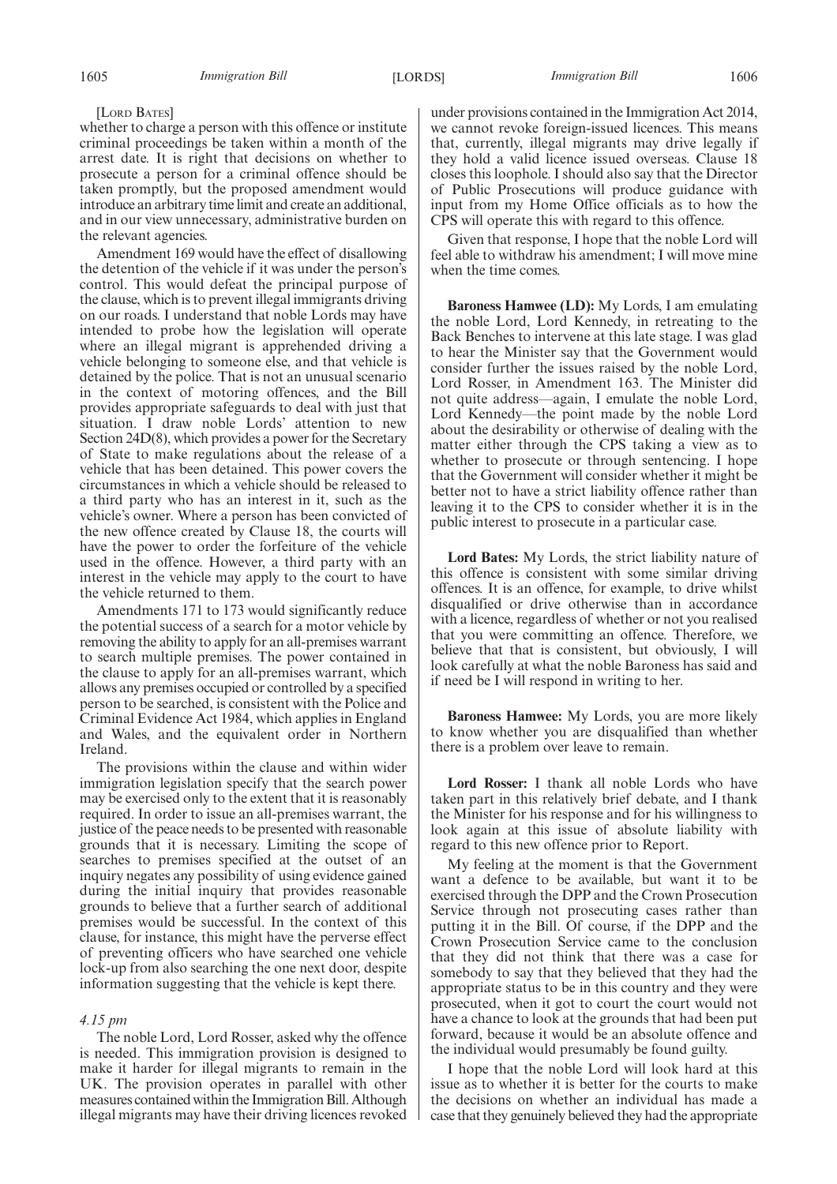#### [LORD BATES]

whether to charge a person with this offence or institute criminal proceedings be taken within a month of the arrest date. It is right that decisions on whether to prosecute a person for a criminal offence should be taken promptly, but the proposed amendment would introduce an arbitrary time limit and create an additional, and in our view unnecessary, administrative burden on the relevant agencies.

Amendment 169 would have the effect of disallowing the detention of the vehicle if it was under the person's control. This would defeat the principal purpose of the clause, which is to prevent illegal immigrants driving on our roads. I understand that noble Lords may have intended to probe how the legislation will operate where an illegal migrant is apprehended driving a vehicle belonging to someone else, and that vehicle is detained by the police. That is not an unusual scenario in the context of motoring offences, and the Bill provides appropriate safeguards to deal with just that situation. I draw noble Lords' attention to new Section 24D(8), which provides a power for the Secretary of State to make regulations about the release of a vehicle that has been detained. This power covers the circumstances in which a vehicle should be released to a third party who has an interest in it, such as the vehicle's owner. Where a person has been convicted of the new offence created by Clause 18, the courts will have the power to order the forfeiture of the vehicle used in the offence. However, a third party with an interest in the vehicle may apply to the court to have the vehicle returned to them.

Amendments 171 to 173 would significantly reduce the potential success of a search for a motor vehicle by removing the ability to apply for an all-premises warrant to search multiple premises. The power contained in the clause to apply for an all-premises warrant, which allows any premises occupied or controlled by a specified person to be searched, is consistent with the Police and Criminal Evidence Act 1984, which applies in England and Wales, and the equivalent order in Northern Ireland.

The provisions within the clause and within wider immigration legislation specify that the search power may be exercised only to the extent that it is reasonably required. In order to issue an all-premises warrant, the justice of the peace needs to be presented with reasonable grounds that it is necessary. Limiting the scope of searches to premises specified at the outset of an inquiry negates any possibility of using evidence gained during the initial inquiry that provides reasonable grounds to believe that a further search of additional premises would be successful. In the context of this clause, for instance, this might have the perverse effect of preventing officers who have searched one vehicle lock-up from also searching the one next door, despite information suggesting that the vehicle is kept there.

#### *4.15 pm*

The noble Lord, Lord Rosser, asked why the offence is needed. This immigration provision is designed to make it harder for illegal migrants to remain in the UK. The provision operates in parallel with other measures contained within the Immigration Bill. Although illegal migrants may have their driving licences revoked under provisions contained in the Immigration Act 2014, we cannot revoke foreign-issued licences. This means that, currently, illegal migrants may drive legally if they hold a valid licence issued overseas. Clause 18 closes this loophole. I should also say that the Director of Public Prosecutions will produce guidance with input from my Home Office officials as to how the CPS will operate this with regard to this offence.

Given that response, I hope that the noble Lord will feel able to withdraw his amendment; I will move mine when the time comes.

**Baroness Hamwee (LD):** My Lords, I am emulating the noble Lord, Lord Kennedy, in retreating to the Back Benches to intervene at this late stage. I was glad to hear the Minister say that the Government would consider further the issues raised by the noble Lord, Lord Rosser, in Amendment 163. The Minister did not quite address—again, I emulate the noble Lord, Lord Kennedy—the point made by the noble Lord about the desirability or otherwise of dealing with the matter either through the CPS taking a view as to whether to prosecute or through sentencing. I hope that the Government will consider whether it might be better not to have a strict liability offence rather than leaving it to the CPS to consider whether it is in the public interest to prosecute in a particular case.

**Lord Bates:** My Lords, the strict liability nature of this offence is consistent with some similar driving offences. It is an offence, for example, to drive whilst disqualified or drive otherwise than in accordance with a licence, regardless of whether or not you realised that you were committing an offence. Therefore, we believe that that is consistent, but obviously, I will look carefully at what the noble Baroness has said and if need be I will respond in writing to her.

**Baroness Hamwee:** My Lords, you are more likely to know whether you are disqualified than whether there is a problem over leave to remain.

**Lord Rosser:** I thank all noble Lords who have taken part in this relatively brief debate, and I thank the Minister for his response and for his willingness to look again at this issue of absolute liability with regard to this new offence prior to Report.

My feeling at the moment is that the Government want a defence to be available, but want it to be exercised through the DPP and the Crown Prosecution Service through not prosecuting cases rather than putting it in the Bill. Of course, if the DPP and the Crown Prosecution Service came to the conclusion that they did not think that there was a case for somebody to say that they believed that they had the appropriate status to be in this country and they were prosecuted, when it got to court the court would not have a chance to look at the grounds that had been put forward, because it would be an absolute offence and the individual would presumably be found guilty.

I hope that the noble Lord will look hard at this issue as to whether it is better for the courts to make the decisions on whether an individual has made a case that they genuinely believed they had the appropriate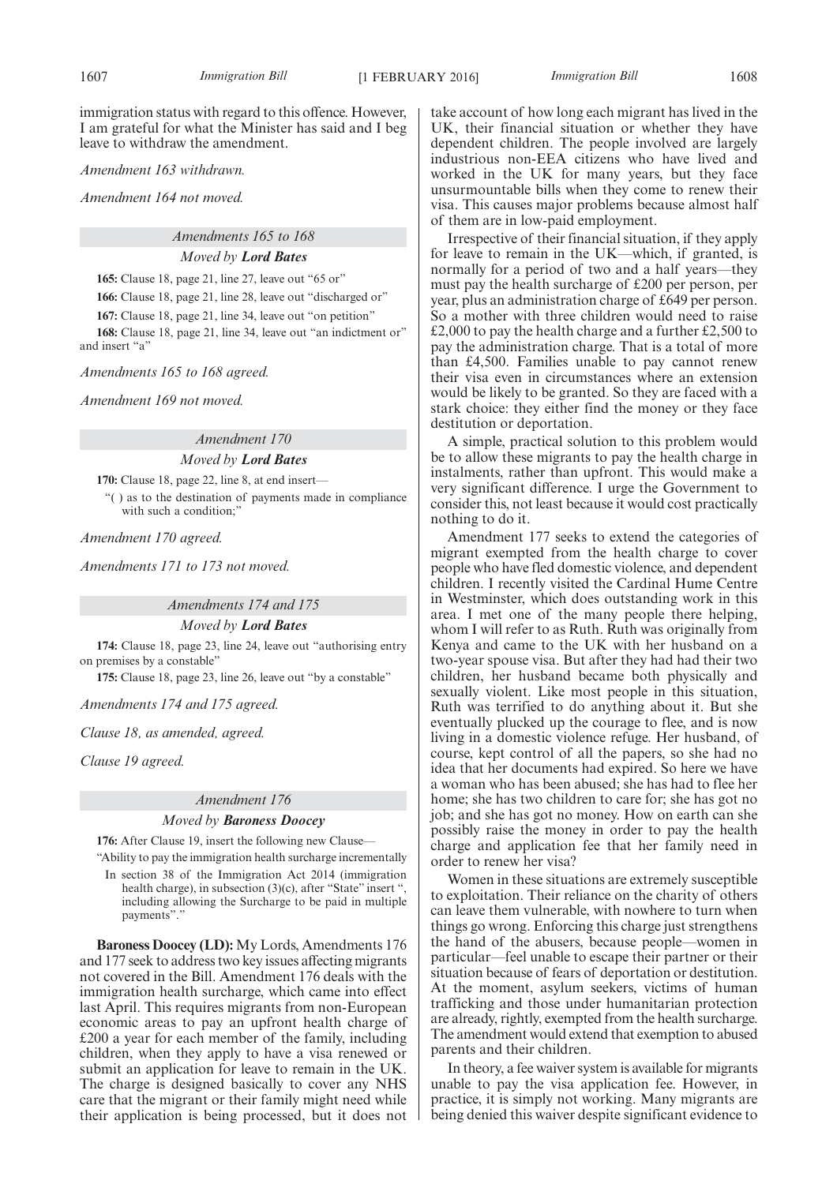immigration status with regard to this offence. However, I am grateful for what the Minister has said and I beg leave to withdraw the amendment.

*Amendment 163 withdrawn.*

*Amendment 164 not moved.*

*Amendments 165 to 168*

*Moved by Lord Bates*

**165:** Clause 18, page 21, line 27, leave out "65 or"

**166:** Clause 18, page 21, line 28, leave out "discharged or"

**167:** Clause 18, page 21, line 34, leave out "on petition"

**168:** Clause 18, page 21, line 34, leave out "an indictment or" and insert "a"

*Amendments 165 to 168 agreed.*

*Amendment 169 not moved.*

*Amendment 170*

#### *Moved by Lord Bates*

**170:** Clause 18, page 22, line 8, at end insert—

"( ) as to the destination of payments made in compliance with such a condition;"

*Amendment 170 agreed.*

*Amendments 171 to 173 not moved.*

*Amendments 174 and 175 Moved by Lord Bates*

**174:** Clause 18, page 23, line 24, leave out "authorising entry on premises by a constable"

**175:** Clause 18, page 23, line 26, leave out "by a constable"

*Amendments 174 and 175 agreed.*

*Clause 18, as amended, agreed.*

*Clause 19 agreed.*

#### *Amendment 176*

#### *Moved by Baroness Doocey*

**176:** After Clause 19, insert the following new Clause—

"Ability to pay the immigration health surcharge incrementally In section 38 of the Immigration Act 2014 (immigration health charge), in subsection (3)(c), after "State" insert ", including allowing the Surcharge to be paid in multiple payments"."

**Baroness Doocey (LD):** My Lords, Amendments 176 and 177 seek to address two key issues affecting migrants not covered in the Bill. Amendment 176 deals with the immigration health surcharge, which came into effect last April. This requires migrants from non-European economic areas to pay an upfront health charge of £200 a year for each member of the family, including children, when they apply to have a visa renewed or submit an application for leave to remain in the UK. The charge is designed basically to cover any NHS care that the migrant or their family might need while their application is being processed, but it does not take account of how long each migrant has lived in the UK, their financial situation or whether they have dependent children. The people involved are largely industrious non-EEA citizens who have lived and worked in the UK for many years, but they face unsurmountable bills when they come to renew their visa. This causes major problems because almost half of them are in low-paid employment.

Irrespective of their financial situation, if they apply for leave to remain in the UK—which, if granted, is normally for a period of two and a half years—they must pay the health surcharge of £200 per person, per year, plus an administration charge of £649 per person. So a mother with three children would need to raise £2,000 to pay the health charge and a further £2,500 to pay the administration charge. That is a total of more than £4,500. Families unable to pay cannot renew their visa even in circumstances where an extension would be likely to be granted. So they are faced with a stark choice: they either find the money or they face destitution or deportation.

A simple, practical solution to this problem would be to allow these migrants to pay the health charge in instalments, rather than upfront. This would make a very significant difference. I urge the Government to consider this, not least because it would cost practically nothing to do it.

Amendment 177 seeks to extend the categories of migrant exempted from the health charge to cover people who have fled domestic violence, and dependent children. I recently visited the Cardinal Hume Centre in Westminster, which does outstanding work in this area. I met one of the many people there helping, whom I will refer to as Ruth. Ruth was originally from Kenya and came to the UK with her husband on a two-year spouse visa. But after they had had their two children, her husband became both physically and sexually violent. Like most people in this situation, Ruth was terrified to do anything about it. But she eventually plucked up the courage to flee, and is now living in a domestic violence refuge. Her husband, of course, kept control of all the papers, so she had no idea that her documents had expired. So here we have a woman who has been abused; she has had to flee her home; she has two children to care for; she has got no job; and she has got no money. How on earth can she possibly raise the money in order to pay the health charge and application fee that her family need in order to renew her visa?

Women in these situations are extremely susceptible to exploitation. Their reliance on the charity of others can leave them vulnerable, with nowhere to turn when things go wrong. Enforcing this charge just strengthens the hand of the abusers, because people—women in particular—feel unable to escape their partner or their situation because of fears of deportation or destitution. At the moment, asylum seekers, victims of human trafficking and those under humanitarian protection are already, rightly, exempted from the health surcharge. The amendment would extend that exemption to abused parents and their children.

In theory, a fee waiver system is available for migrants unable to pay the visa application fee. However, in practice, it is simply not working. Many migrants are being denied this waiver despite significant evidence to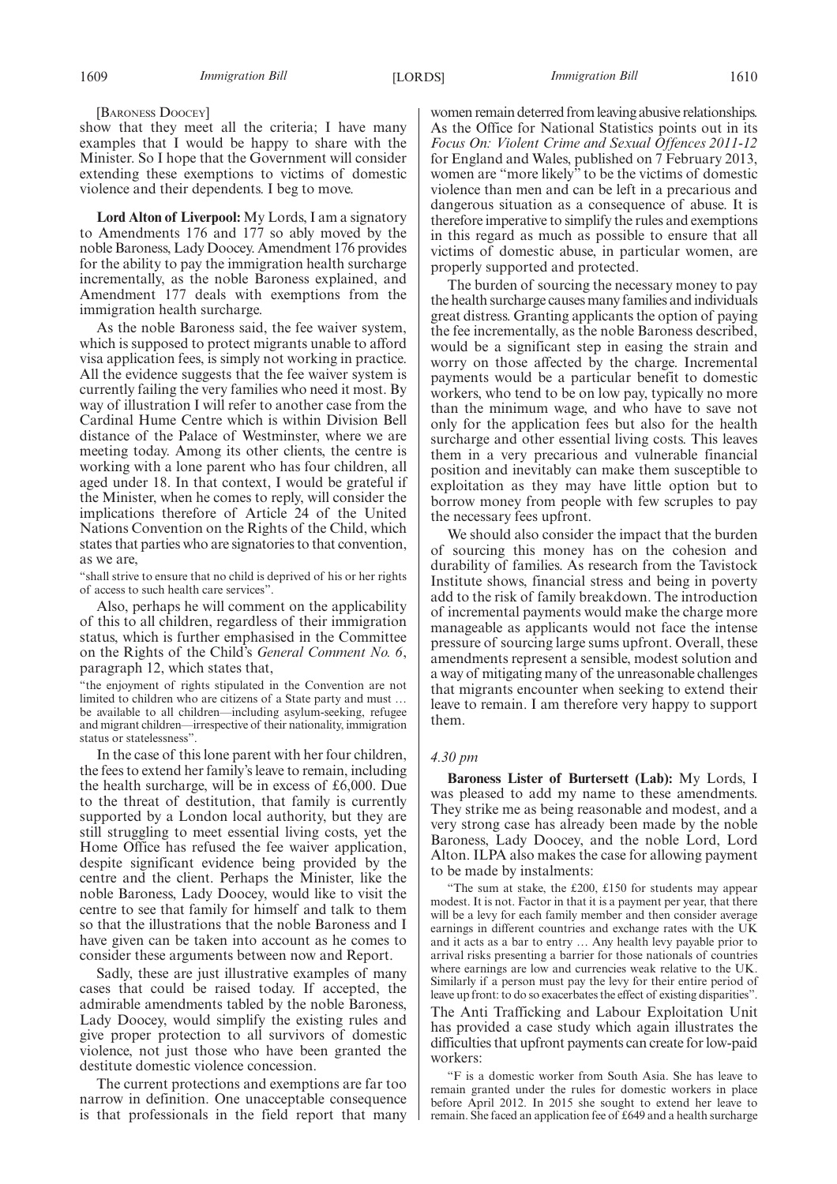[BARONESS DOOCEY]

show that they meet all the criteria; I have many examples that I would be happy to share with the Minister. So I hope that the Government will consider extending these exemptions to victims of domestic violence and their dependents. I beg to move.

**Lord Alton of Liverpool:** My Lords, I am a signatory to Amendments 176 and 177 so ably moved by the noble Baroness, Lady Doocey. Amendment 176 provides for the ability to pay the immigration health surcharge incrementally, as the noble Baroness explained, and Amendment 177 deals with exemptions from the immigration health surcharge.

As the noble Baroness said, the fee waiver system, which is supposed to protect migrants unable to afford visa application fees, is simply not working in practice. All the evidence suggests that the fee waiver system is currently failing the very families who need it most. By way of illustration I will refer to another case from the Cardinal Hume Centre which is within Division Bell distance of the Palace of Westminster, where we are meeting today. Among its other clients, the centre is working with a lone parent who has four children, all aged under 18. In that context, I would be grateful if the Minister, when he comes to reply, will consider the implications therefore of Article 24 of the United Nations Convention on the Rights of the Child, which states that parties who are signatories to that convention, as we are,

"shall strive to ensure that no child is deprived of his or her rights of access to such health care services".

Also, perhaps he will comment on the applicability of this to all children, regardless of their immigration status, which is further emphasised in the Committee on the Rights of the Child's *General Comment No. 6*, paragraph 12, which states that,

"the enjoyment of rights stipulated in the Convention are not limited to children who are citizens of a State party and must … be available to all children—including asylum-seeking, refugee and migrant children—irrespective of their nationality, immigration status or statelessness".

In the case of this lone parent with her four children, the fees to extend her family's leave to remain, including the health surcharge, will be in excess of £6,000. Due to the threat of destitution, that family is currently supported by a London local authority, but they are still struggling to meet essential living costs, yet the Home Office has refused the fee waiver application, despite significant evidence being provided by the centre and the client. Perhaps the Minister, like the noble Baroness, Lady Doocey, would like to visit the centre to see that family for himself and talk to them so that the illustrations that the noble Baroness and I have given can be taken into account as he comes to consider these arguments between now and Report.

Sadly, these are just illustrative examples of many cases that could be raised today. If accepted, the admirable amendments tabled by the noble Baroness, Lady Doocey, would simplify the existing rules and give proper protection to all survivors of domestic violence, not just those who have been granted the destitute domestic violence concession.

The current protections and exemptions are far too narrow in definition. One unacceptable consequence is that professionals in the field report that many women remain deterred from leaving abusive relationships. As the Office for National Statistics points out in its *Focus On: Violent Crime and Sexual Offences 2011-12* for England and Wales, published on 7 February 2013, women are "more likely" to be the victims of domestic violence than men and can be left in a precarious and dangerous situation as a consequence of abuse. It is therefore imperative to simplify the rules and exemptions in this regard as much as possible to ensure that all victims of domestic abuse, in particular women, are properly supported and protected.

The burden of sourcing the necessary money to pay the health surcharge causes many families and individuals great distress. Granting applicants the option of paying the fee incrementally, as the noble Baroness described, would be a significant step in easing the strain and worry on those affected by the charge. Incremental payments would be a particular benefit to domestic workers, who tend to be on low pay, typically no more than the minimum wage, and who have to save not only for the application fees but also for the health surcharge and other essential living costs. This leaves them in a very precarious and vulnerable financial position and inevitably can make them susceptible to exploitation as they may have little option but to borrow money from people with few scruples to pay the necessary fees upfront.

We should also consider the impact that the burden of sourcing this money has on the cohesion and durability of families. As research from the Tavistock Institute shows, financial stress and being in poverty add to the risk of family breakdown. The introduction of incremental payments would make the charge more manageable as applicants would not face the intense pressure of sourcing large sums upfront. Overall, these amendments represent a sensible, modest solution and a way of mitigating many of the unreasonable challenges that migrants encounter when seeking to extend their leave to remain. I am therefore very happy to support them.

#### *4.30 pm*

**Baroness Lister of Burtersett (Lab):** My Lords, I was pleased to add my name to these amendments. They strike me as being reasonable and modest, and a very strong case has already been made by the noble Baroness, Lady Doocey, and the noble Lord, Lord Alton. ILPA also makes the case for allowing payment to be made by instalments:

"The sum at stake, the £200, £150 for students may appear modest. It is not. Factor in that it is a payment per year, that there will be a levy for each family member and then consider average earnings in different countries and exchange rates with the UK and it acts as a bar to entry … Any health levy payable prior to arrival risks presenting a barrier for those nationals of countries where earnings are low and currencies weak relative to the UK. Similarly if a person must pay the levy for their entire period of leave up front: to do so exacerbates the effect of existing disparities". The Anti Trafficking and Labour Exploitation Unit has provided a case study which again illustrates the difficulties that upfront payments can create for low-paid workers:

"F is a domestic worker from South Asia. She has leave to remain granted under the rules for domestic workers in place before April 2012. In 2015 she sought to extend her leave to remain. She faced an application fee of £649 and a health surcharge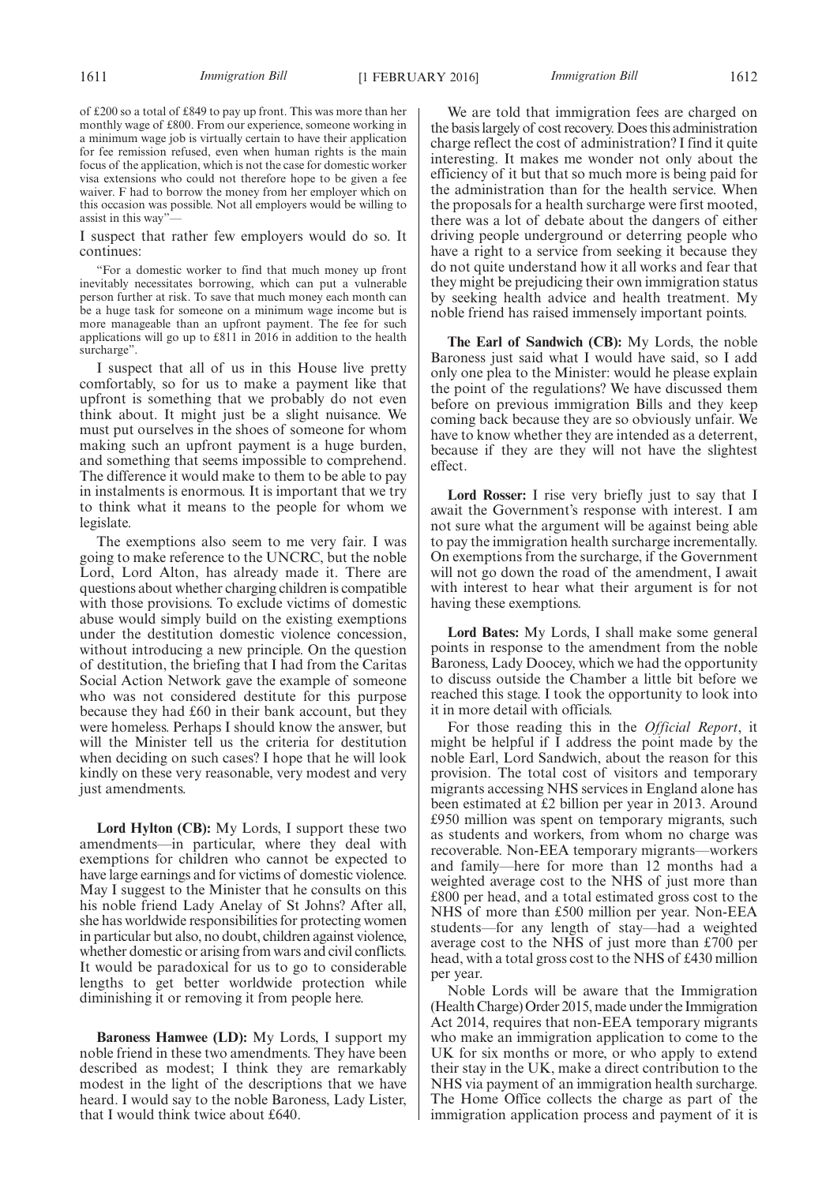of £200 so a total of £849 to pay up front. This was more than her monthly wage of £800. From our experience, someone working in a minimum wage job is virtually certain to have their application for fee remission refused, even when human rights is the main focus of the application, which is not the case for domestic worker visa extensions who could not therefore hope to be given a fee waiver. F had to borrow the money from her employer which on this occasion was possible. Not all employers would be willing to assist in this way"

I suspect that rather few employers would do so. It continues:

"For a domestic worker to find that much money up front inevitably necessitates borrowing, which can put a vulnerable person further at risk. To save that much money each month can be a huge task for someone on a minimum wage income but is more manageable than an upfront payment. The fee for such applications will go up to £811 in 2016 in addition to the health surcharge".

I suspect that all of us in this House live pretty comfortably, so for us to make a payment like that upfront is something that we probably do not even think about. It might just be a slight nuisance. We must put ourselves in the shoes of someone for whom making such an upfront payment is a huge burden, and something that seems impossible to comprehend. The difference it would make to them to be able to pay in instalments is enormous. It is important that we try to think what it means to the people for whom we legislate.

The exemptions also seem to me very fair. I was going to make reference to the UNCRC, but the noble Lord, Lord Alton, has already made it. There are questions about whether charging children is compatible with those provisions. To exclude victims of domestic abuse would simply build on the existing exemptions under the destitution domestic violence concession, without introducing a new principle. On the question of destitution, the briefing that I had from the Caritas Social Action Network gave the example of someone who was not considered destitute for this purpose because they had £60 in their bank account, but they were homeless. Perhaps I should know the answer, but will the Minister tell us the criteria for destitution when deciding on such cases? I hope that he will look kindly on these very reasonable, very modest and very just amendments.

**Lord Hylton (CB):** My Lords, I support these two amendments—in particular, where they deal with exemptions for children who cannot be expected to have large earnings and for victims of domestic violence. May I suggest to the Minister that he consults on this his noble friend Lady Anelay of St Johns? After all, she has worldwide responsibilities for protecting women in particular but also, no doubt, children against violence, whether domestic or arising from wars and civil conflicts. It would be paradoxical for us to go to considerable lengths to get better worldwide protection while diminishing it or removing it from people here.

**Baroness Hamwee (LD):** My Lords, I support my noble friend in these two amendments. They have been described as modest; I think they are remarkably modest in the light of the descriptions that we have heard. I would say to the noble Baroness, Lady Lister, that I would think twice about £640.

We are told that immigration fees are charged on the basis largely of cost recovery. Does this administration charge reflect the cost of administration? I find it quite interesting. It makes me wonder not only about the efficiency of it but that so much more is being paid for the administration than for the health service. When the proposals for a health surcharge were first mooted, there was a lot of debate about the dangers of either driving people underground or deterring people who have a right to a service from seeking it because they do not quite understand how it all works and fear that they might be prejudicing their own immigration status by seeking health advice and health treatment. My noble friend has raised immensely important points.

**The Earl of Sandwich (CB):** My Lords, the noble Baroness just said what I would have said, so I add only one plea to the Minister: would he please explain the point of the regulations? We have discussed them before on previous immigration Bills and they keep coming back because they are so obviously unfair. We have to know whether they are intended as a deterrent, because if they are they will not have the slightest effect.

**Lord Rosser:** I rise very briefly just to say that I await the Government's response with interest. I am not sure what the argument will be against being able to pay the immigration health surcharge incrementally. On exemptions from the surcharge, if the Government will not go down the road of the amendment, I await with interest to hear what their argument is for not having these exemptions.

**Lord Bates:** My Lords, I shall make some general points in response to the amendment from the noble Baroness, Lady Doocey, which we had the opportunity to discuss outside the Chamber a little bit before we reached this stage. I took the opportunity to look into it in more detail with officials.

For those reading this in the *Official Report*, it might be helpful if I address the point made by the noble Earl, Lord Sandwich, about the reason for this provision. The total cost of visitors and temporary migrants accessing NHS services in England alone has been estimated at £2 billion per year in 2013. Around £950 million was spent on temporary migrants, such as students and workers, from whom no charge was recoverable. Non-EEA temporary migrants—workers and family—here for more than 12 months had a weighted average cost to the NHS of just more than £800 per head, and a total estimated gross cost to the NHS of more than £500 million per year. Non-EEA students—for any length of stay—had a weighted average cost to the NHS of just more than £700 per head, with a total gross cost to the NHS of £430 million per year.

Noble Lords will be aware that the Immigration (Health Charge) Order 2015, made under the Immigration Act 2014, requires that non-EEA temporary migrants who make an immigration application to come to the UK for six months or more, or who apply to extend their stay in the UK, make a direct contribution to the NHS via payment of an immigration health surcharge. The Home Office collects the charge as part of the immigration application process and payment of it is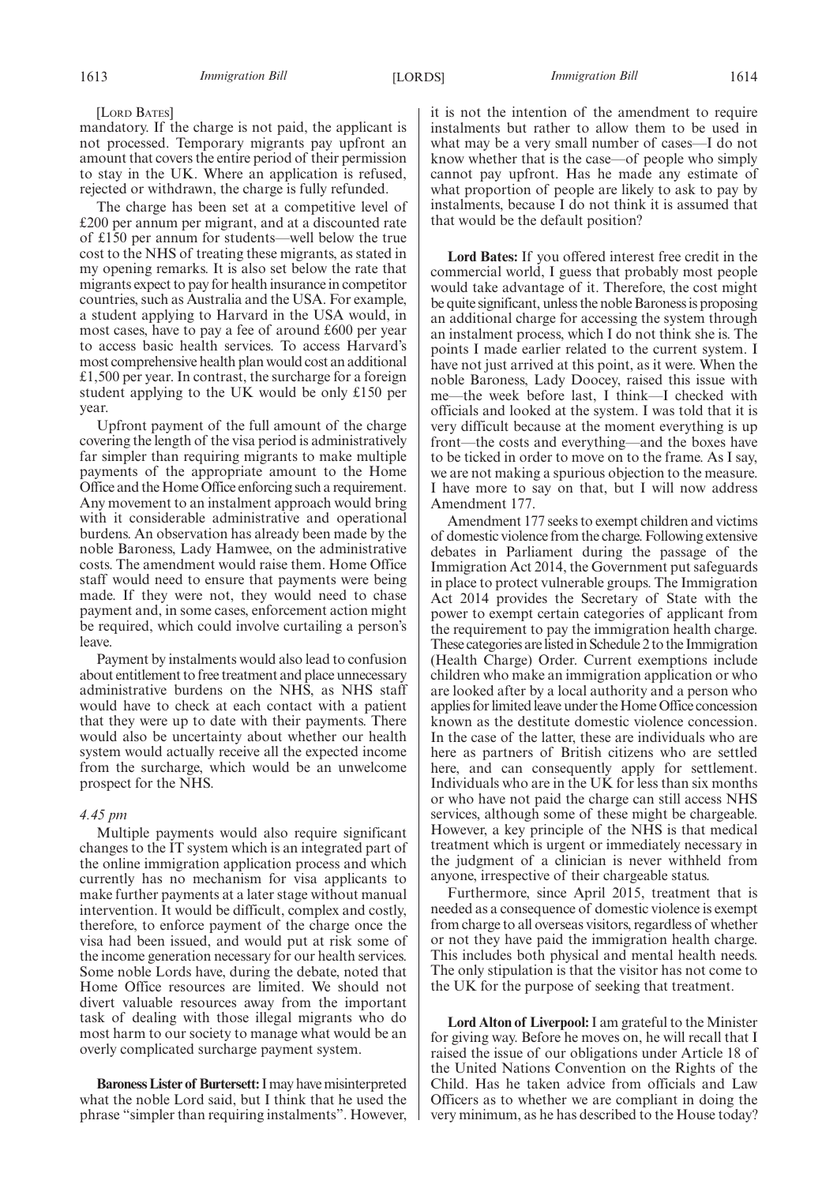mandatory. If the charge is not paid, the applicant is not processed. Temporary migrants pay upfront an amount that covers the entire period of their permission to stay in the UK. Where an application is refused, rejected or withdrawn, the charge is fully refunded.

The charge has been set at a competitive level of £200 per annum per migrant, and at a discounted rate of £150 per annum for students—well below the true cost to the NHS of treating these migrants, as stated in my opening remarks. It is also set below the rate that migrants expect to pay for health insurance in competitor countries, such as Australia and the USA. For example, a student applying to Harvard in the USA would, in most cases, have to pay a fee of around £600 per year to access basic health services. To access Harvard's most comprehensive health plan would cost an additional £1,500 per year. In contrast, the surcharge for a foreign student applying to the UK would be only £150 per year.

Upfront payment of the full amount of the charge covering the length of the visa period is administratively far simpler than requiring migrants to make multiple payments of the appropriate amount to the Home Office and the Home Office enforcing such a requirement. Any movement to an instalment approach would bring with it considerable administrative and operational burdens. An observation has already been made by the noble Baroness, Lady Hamwee, on the administrative costs. The amendment would raise them. Home Office staff would need to ensure that payments were being made. If they were not, they would need to chase payment and, in some cases, enforcement action might be required, which could involve curtailing a person's leave.

Payment by instalments would also lead to confusion about entitlement to free treatment and place unnecessary administrative burdens on the NHS, as NHS staff would have to check at each contact with a patient that they were up to date with their payments. There would also be uncertainty about whether our health system would actually receive all the expected income from the surcharge, which would be an unwelcome prospect for the NHS.

#### *4.45 pm*

Multiple payments would also require significant changes to the IT system which is an integrated part of the online immigration application process and which currently has no mechanism for visa applicants to make further payments at a later stage without manual intervention. It would be difficult, complex and costly, therefore, to enforce payment of the charge once the visa had been issued, and would put at risk some of the income generation necessary for our health services. Some noble Lords have, during the debate, noted that Home Office resources are limited. We should not divert valuable resources away from the important task of dealing with those illegal migrants who do most harm to our society to manage what would be an overly complicated surcharge payment system.

**Baroness Lister of Burtersett:**I may have misinterpreted what the noble Lord said, but I think that he used the phrase "simpler than requiring instalments". However, it is not the intention of the amendment to require instalments but rather to allow them to be used in what may be a very small number of cases—I do not know whether that is the case—of people who simply cannot pay upfront. Has he made any estimate of what proportion of people are likely to ask to pay by instalments, because I do not think it is assumed that that would be the default position?

**Lord Bates:** If you offered interest free credit in the commercial world, I guess that probably most people would take advantage of it. Therefore, the cost might be quite significant, unless the noble Baroness is proposing an additional charge for accessing the system through an instalment process, which I do not think she is. The points I made earlier related to the current system. I have not just arrived at this point, as it were. When the noble Baroness, Lady Doocey, raised this issue with me—the week before last, I think—I checked with officials and looked at the system. I was told that it is very difficult because at the moment everything is up front—the costs and everything—and the boxes have to be ticked in order to move on to the frame. As I say, we are not making a spurious objection to the measure. I have more to say on that, but I will now address Amendment 177.

Amendment 177 seeks to exempt children and victims of domestic violence from the charge. Following extensive debates in Parliament during the passage of the Immigration Act 2014, the Government put safeguards in place to protect vulnerable groups. The Immigration Act 2014 provides the Secretary of State with the power to exempt certain categories of applicant from the requirement to pay the immigration health charge. These categories arelistedin Schedule 2 to the Immigration (Health Charge) Order. Current exemptions include children who make an immigration application or who are looked after by a local authority and a person who applies for limited leave under the Home Office concession known as the destitute domestic violence concession. In the case of the latter, these are individuals who are here as partners of British citizens who are settled here, and can consequently apply for settlement. Individuals who are in the UK for less than six months or who have not paid the charge can still access NHS services, although some of these might be chargeable. However, a key principle of the NHS is that medical treatment which is urgent or immediately necessary in the judgment of a clinician is never withheld from anyone, irrespective of their chargeable status.

Furthermore, since April 2015, treatment that is needed as a consequence of domestic violence is exempt from charge to all overseas visitors, regardless of whether or not they have paid the immigration health charge. This includes both physical and mental health needs. The only stipulation is that the visitor has not come to the UK for the purpose of seeking that treatment.

**Lord Alton of Liverpool:**I am grateful to the Minister for giving way. Before he moves on, he will recall that I raised the issue of our obligations under Article 18 of the United Nations Convention on the Rights of the Child. Has he taken advice from officials and Law Officers as to whether we are compliant in doing the very minimum, as he has described to the House today?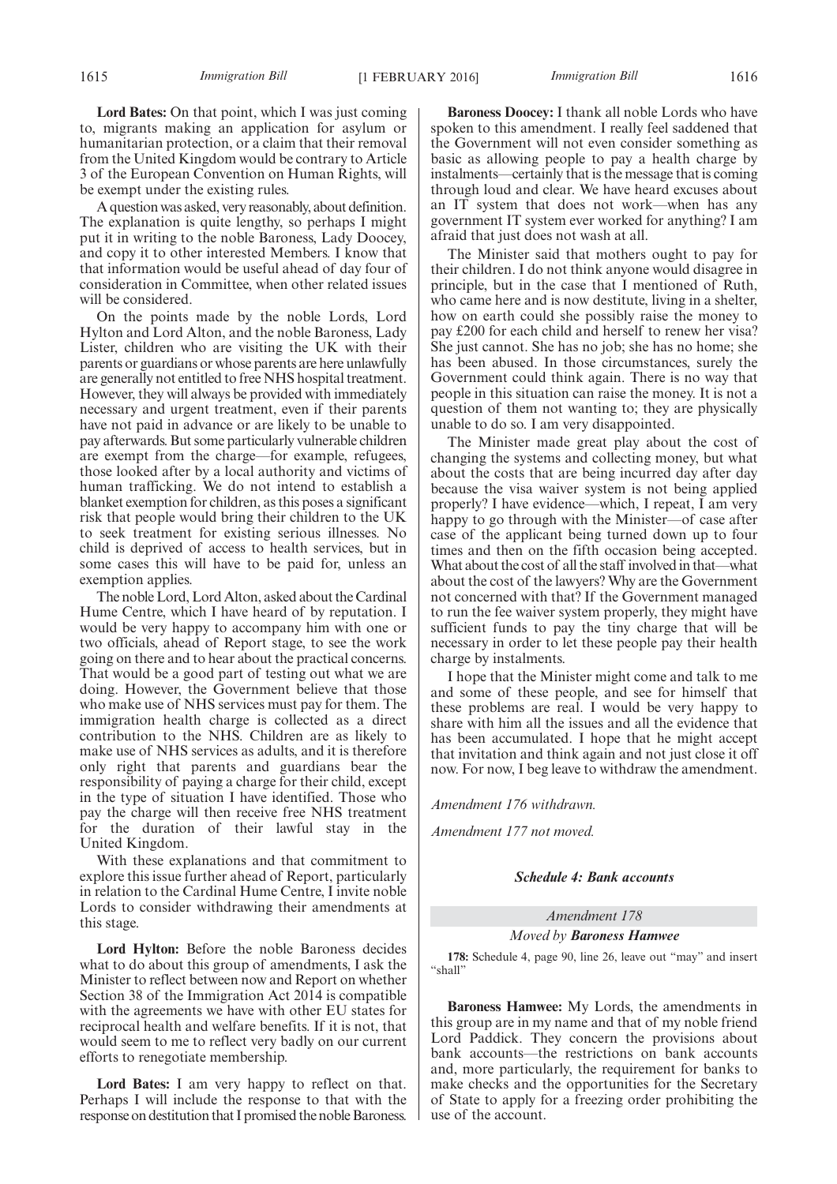**Lord Bates:** On that point, which I was just coming to, migrants making an application for asylum or humanitarian protection, or a claim that their removal from the United Kingdom would be contrary to Article 3 of the European Convention on Human Rights, will be exempt under the existing rules.

A question was asked, very reasonably, about definition. The explanation is quite lengthy, so perhaps I might put it in writing to the noble Baroness, Lady Doocey, and copy it to other interested Members. I know that that information would be useful ahead of day four of consideration in Committee, when other related issues will be considered.

On the points made by the noble Lords, Lord Hylton and Lord Alton, and the noble Baroness, Lady Lister, children who are visiting the UK with their parents or guardians or whose parents are here unlawfully are generally not entitled to free NHS hospital treatment. However, they will always be provided with immediately necessary and urgent treatment, even if their parents have not paid in advance or are likely to be unable to pay afterwards. But some particularly vulnerable children are exempt from the charge—for example, refugees, those looked after by a local authority and victims of human trafficking. We do not intend to establish a blanket exemption for children, as this poses a significant risk that people would bring their children to the UK to seek treatment for existing serious illnesses. No child is deprived of access to health services, but in some cases this will have to be paid for, unless an exemption applies.

The noble Lord, Lord Alton, asked about the Cardinal Hume Centre, which I have heard of by reputation. I would be very happy to accompany him with one or two officials, ahead of Report stage, to see the work going on there and to hear about the practical concerns. That would be a good part of testing out what we are doing. However, the Government believe that those who make use of NHS services must pay for them. The immigration health charge is collected as a direct contribution to the NHS. Children are as likely to make use of NHS services as adults, and it is therefore only right that parents and guardians bear the responsibility of paying a charge for their child, except in the type of situation I have identified. Those who pay the charge will then receive free NHS treatment for the duration of their lawful stay in the United Kingdom.

With these explanations and that commitment to explore this issue further ahead of Report, particularly in relation to the Cardinal Hume Centre, I invite noble Lords to consider withdrawing their amendments at this stage.

**Lord Hylton:** Before the noble Baroness decides what to do about this group of amendments, I ask the Minister to reflect between now and Report on whether Section 38 of the Immigration Act 2014 is compatible with the agreements we have with other EU states for reciprocal health and welfare benefits. If it is not, that would seem to me to reflect very badly on our current efforts to renegotiate membership.

**Lord Bates:** I am very happy to reflect on that. Perhaps I will include the response to that with the response on destitution that I promised the noble Baroness.

**Baroness Doocey:** I thank all noble Lords who have spoken to this amendment. I really feel saddened that the Government will not even consider something as basic as allowing people to pay a health charge by instalments—certainly that is the message that is coming through loud and clear. We have heard excuses about an IT system that does not work—when has any government IT system ever worked for anything? I am afraid that just does not wash at all.

The Minister said that mothers ought to pay for their children. I do not think anyone would disagree in principle, but in the case that I mentioned of Ruth, who came here and is now destitute, living in a shelter, how on earth could she possibly raise the money to pay £200 for each child and herself to renew her visa? She just cannot. She has no job; she has no home; she has been abused. In those circumstances, surely the Government could think again. There is no way that people in this situation can raise the money. It is not a question of them not wanting to; they are physically unable to do so. I am very disappointed.

The Minister made great play about the cost of changing the systems and collecting money, but what about the costs that are being incurred day after day because the visa waiver system is not being applied properly? I have evidence—which, I repeat, I am very happy to go through with the Minister—of case after case of the applicant being turned down up to four times and then on the fifth occasion being accepted. What about the cost of all the staff involved in that—what about the cost of the lawyers? Why are the Government not concerned with that? If the Government managed to run the fee waiver system properly, they might have sufficient funds to pay the tiny charge that will be necessary in order to let these people pay their health charge by instalments.

I hope that the Minister might come and talk to me and some of these people, and see for himself that these problems are real. I would be very happy to share with him all the issues and all the evidence that has been accumulated. I hope that he might accept that invitation and think again and not just close it off now. For now, I beg leave to withdraw the amendment.

*Amendment 176 withdrawn.*

*Amendment 177 not moved.*

#### *Schedule 4: Bank accounts*

#### *Amendment 178*

#### *Moved by Baroness Hamwee*

**178:** Schedule 4, page 90, line 26, leave out "may" and insert "shall"

**Baroness Hamwee:** My Lords, the amendments in this group are in my name and that of my noble friend Lord Paddick. They concern the provisions about bank accounts—the restrictions on bank accounts and, more particularly, the requirement for banks to make checks and the opportunities for the Secretary of State to apply for a freezing order prohibiting the use of the account.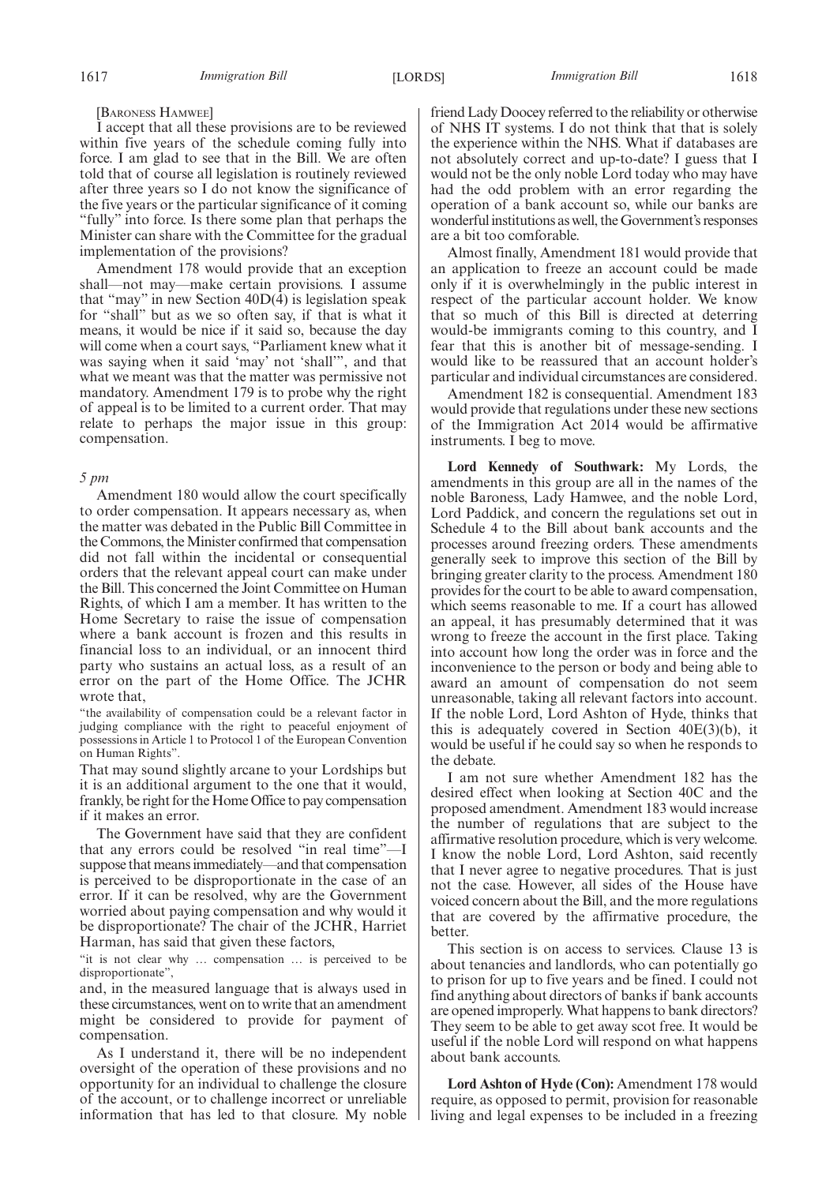#### [BARONESS HAMWEE]

I accept that all these provisions are to be reviewed within five years of the schedule coming fully into force. I am glad to see that in the Bill. We are often told that of course all legislation is routinely reviewed after three years so I do not know the significance of the five years or the particular significance of it coming "fully" into force. Is there some plan that perhaps the Minister can share with the Committee for the gradual implementation of the provisions?

Amendment 178 would provide that an exception shall—not may—make certain provisions. I assume that "may" in new Section 40D(4) is legislation speak for "shall" but as we so often say, if that is what it means, it would be nice if it said so, because the day will come when a court says, "Parliament knew what it was saying when it said 'may' not 'shall'", and that what we meant was that the matter was permissive not mandatory. Amendment 179 is to probe why the right of appeal is to be limited to a current order. That may relate to perhaps the major issue in this group: compensation.

#### *5 pm*

Amendment 180 would allow the court specifically to order compensation. It appears necessary as, when the matter was debated in the Public Bill Committee in the Commons, the Minister confirmed that compensation did not fall within the incidental or consequential orders that the relevant appeal court can make under the Bill. This concerned the Joint Committee on Human Rights, of which I am a member. It has written to the Home Secretary to raise the issue of compensation where a bank account is frozen and this results in financial loss to an individual, or an innocent third party who sustains an actual loss, as a result of an error on the part of the Home Office. The JCHR wrote that,

"the availability of compensation could be a relevant factor in judging compliance with the right to peaceful enjoyment of possessions in Article 1 to Protocol 1 of the European Convention on Human Rights".

That may sound slightly arcane to your Lordships but it is an additional argument to the one that it would, frankly, be right for the Home Office to pay compensation if it makes an error.

The Government have said that they are confident that any errors could be resolved "in real time"—I suppose that means immediately—and that compensation is perceived to be disproportionate in the case of an error. If it can be resolved, why are the Government worried about paying compensation and why would it be disproportionate? The chair of the JCHR, Harriet Harman, has said that given these factors,

"it is not clear why … compensation … is perceived to be disproportionate",

and, in the measured language that is always used in these circumstances, went on to write that an amendment might be considered to provide for payment of compensation.

As I understand it, there will be no independent oversight of the operation of these provisions and no opportunity for an individual to challenge the closure of the account, or to challenge incorrect or unreliable information that has led to that closure. My noble friend Lady Doocey referred to the reliability or otherwise of NHS IT systems. I do not think that that is solely the experience within the NHS. What if databases are not absolutely correct and up-to-date? I guess that I would not be the only noble Lord today who may have had the odd problem with an error regarding the operation of a bank account so, while our banks are wonderful institutions as well, the Government's responses are a bit too comforable.

Almost finally, Amendment 181 would provide that an application to freeze an account could be made only if it is overwhelmingly in the public interest in respect of the particular account holder. We know that so much of this Bill is directed at deterring would-be immigrants coming to this country, and I fear that this is another bit of message-sending. I would like to be reassured that an account holder's particular and individual circumstances are considered.

Amendment 182 is consequential. Amendment 183 would provide that regulations under these new sections of the Immigration Act 2014 would be affirmative instruments. I beg to move.

**Lord Kennedy of Southwark:** My Lords, the amendments in this group are all in the names of the noble Baroness, Lady Hamwee, and the noble Lord, Lord Paddick, and concern the regulations set out in Schedule 4 to the Bill about bank accounts and the processes around freezing orders. These amendments generally seek to improve this section of the Bill by bringing greater clarity to the process. Amendment 180 provides for the court to be able to award compensation, which seems reasonable to me. If a court has allowed an appeal, it has presumably determined that it was wrong to freeze the account in the first place. Taking into account how long the order was in force and the inconvenience to the person or body and being able to award an amount of compensation do not seem unreasonable, taking all relevant factors into account. If the noble Lord, Lord Ashton of Hyde, thinks that this is adequately covered in Section  $40E(3)(b)$ , it would be useful if he could say so when he responds to the debate.

I am not sure whether Amendment 182 has the desired effect when looking at Section 40C and the proposed amendment. Amendment 183 would increase the number of regulations that are subject to the affirmative resolution procedure, which is very welcome. I know the noble Lord, Lord Ashton, said recently that I never agree to negative procedures. That is just not the case. However, all sides of the House have voiced concern about the Bill, and the more regulations that are covered by the affirmative procedure, the better.

This section is on access to services. Clause 13 is about tenancies and landlords, who can potentially go to prison for up to five years and be fined. I could not find anything about directors of banks if bank accounts are opened improperly. What happens to bank directors? They seem to be able to get away scot free. It would be useful if the noble Lord will respond on what happens about bank accounts.

**Lord Ashton of Hyde (Con):** Amendment 178 would require, as opposed to permit, provision for reasonable living and legal expenses to be included in a freezing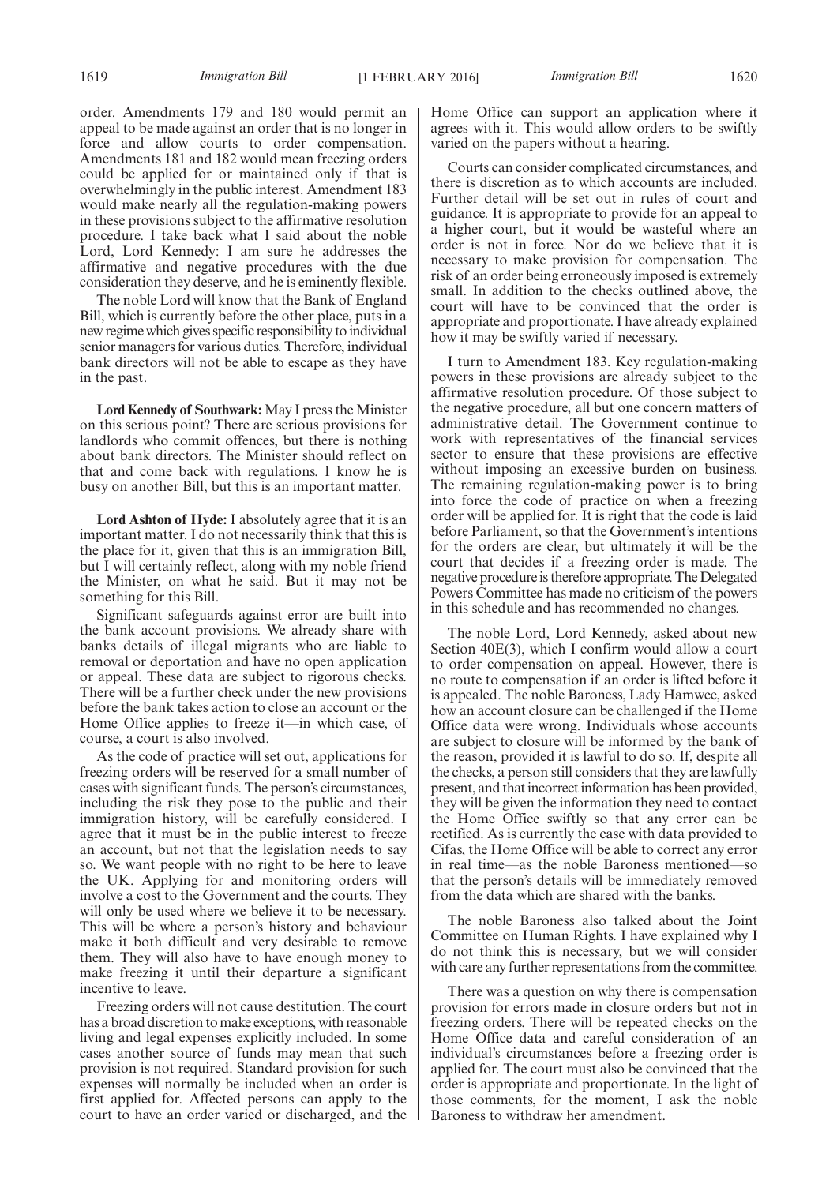order. Amendments 179 and 180 would permit an appeal to be made against an order that is no longer in force and allow courts to order compensation. Amendments 181 and 182 would mean freezing orders could be applied for or maintained only if that is overwhelmingly in the public interest. Amendment 183 would make nearly all the regulation-making powers in these provisions subject to the affirmative resolution procedure. I take back what I said about the noble Lord, Lord Kennedy: I am sure he addresses the affirmative and negative procedures with the due consideration they deserve, and he is eminently flexible.

The noble Lord will know that the Bank of England Bill, which is currently before the other place, puts in a new regime which gives specific responsibility to individual senior managers for various duties. Therefore, individual bank directors will not be able to escape as they have in the past.

**Lord Kennedy of Southwark:** May I press the Minister on this serious point? There are serious provisions for landlords who commit offences, but there is nothing about bank directors. The Minister should reflect on that and come back with regulations. I know he is busy on another Bill, but this is an important matter.

**Lord Ashton of Hyde:** I absolutely agree that it is an important matter. I do not necessarily think that this is the place for it, given that this is an immigration Bill, but I will certainly reflect, along with my noble friend the Minister, on what he said. But it may not be something for this Bill.

Significant safeguards against error are built into the bank account provisions. We already share with banks details of illegal migrants who are liable to removal or deportation and have no open application or appeal. These data are subject to rigorous checks. There will be a further check under the new provisions before the bank takes action to close an account or the Home Office applies to freeze it—in which case, of course, a court is also involved.

As the code of practice will set out, applications for freezing orders will be reserved for a small number of cases with significant funds. The person's circumstances, including the risk they pose to the public and their immigration history, will be carefully considered. I agree that it must be in the public interest to freeze an account, but not that the legislation needs to say so. We want people with no right to be here to leave the UK. Applying for and monitoring orders will involve a cost to the Government and the courts. They will only be used where we believe it to be necessary. This will be where a person's history and behaviour make it both difficult and very desirable to remove them. They will also have to have enough money to make freezing it until their departure a significant incentive to leave.

Freezing orders will not cause destitution. The court has a broad discretion to make exceptions, with reasonable living and legal expenses explicitly included. In some cases another source of funds may mean that such provision is not required. Standard provision for such expenses will normally be included when an order is first applied for. Affected persons can apply to the court to have an order varied or discharged, and the

Home Office can support an application where it agrees with it. This would allow orders to be swiftly varied on the papers without a hearing.

Courts can consider complicated circumstances, and there is discretion as to which accounts are included. Further detail will be set out in rules of court and guidance. It is appropriate to provide for an appeal to a higher court, but it would be wasteful where an order is not in force. Nor do we believe that it is necessary to make provision for compensation. The risk of an order being erroneously imposed is extremely small. In addition to the checks outlined above, the court will have to be convinced that the order is appropriate and proportionate. I have already explained how it may be swiftly varied if necessary.

I turn to Amendment 183. Key regulation-making powers in these provisions are already subject to the affirmative resolution procedure. Of those subject to the negative procedure, all but one concern matters of administrative detail. The Government continue to work with representatives of the financial services sector to ensure that these provisions are effective without imposing an excessive burden on business. The remaining regulation-making power is to bring into force the code of practice on when a freezing order will be applied for. It is right that the code is laid before Parliament, so that the Government's intentions for the orders are clear, but ultimately it will be the court that decides if a freezing order is made. The negative procedure is therefore appropriate. The Delegated Powers Committee has made no criticism of the powers in this schedule and has recommended no changes.

The noble Lord, Lord Kennedy, asked about new Section 40E(3), which I confirm would allow a court to order compensation on appeal. However, there is no route to compensation if an order is lifted before it is appealed. The noble Baroness, Lady Hamwee, asked how an account closure can be challenged if the Home Office data were wrong. Individuals whose accounts are subject to closure will be informed by the bank of the reason, provided it is lawful to do so. If, despite all the checks, a person still considers that they are lawfully present, and that incorrect information has been provided, they will be given the information they need to contact the Home Office swiftly so that any error can be rectified. As is currently the case with data provided to Cifas, the Home Office will be able to correct any error in real time—as the noble Baroness mentioned—so that the person's details will be immediately removed from the data which are shared with the banks.

The noble Baroness also talked about the Joint Committee on Human Rights. I have explained why I do not think this is necessary, but we will consider with care any further representations from the committee.

There was a question on why there is compensation provision for errors made in closure orders but not in freezing orders. There will be repeated checks on the Home Office data and careful consideration of an individual's circumstances before a freezing order is applied for. The court must also be convinced that the order is appropriate and proportionate. In the light of those comments, for the moment, I ask the noble Baroness to withdraw her amendment.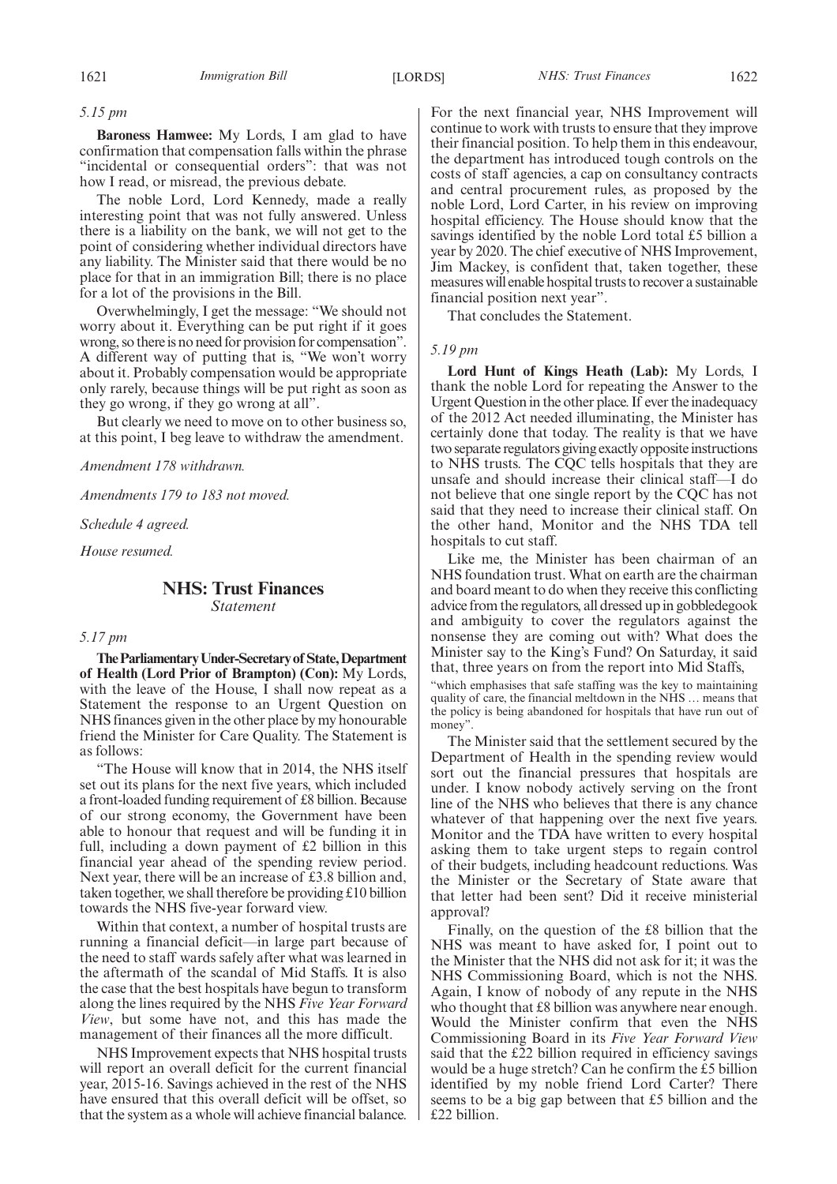*5.15 pm*

**Baroness Hamwee:** My Lords, I am glad to have confirmation that compensation falls within the phrase "incidental or consequential orders": that was not how I read, or misread, the previous debate.

The noble Lord, Lord Kennedy, made a really interesting point that was not fully answered. Unless there is a liability on the bank, we will not get to the point of considering whether individual directors have any liability. The Minister said that there would be no place for that in an immigration Bill; there is no place for a lot of the provisions in the Bill.

Overwhelmingly, I get the message: "We should not worry about it. Everything can be put right if it goes wrong, so there is no need for provision for compensation". A different way of putting that is, "We won't worry about it. Probably compensation would be appropriate only rarely, because things will be put right as soon as they go wrong, if they go wrong at all".

But clearly we need to move on to other business so, at this point, I beg leave to withdraw the amendment.

*Amendment 178 withdrawn.*

*Amendments 179 to 183 not moved.*

*Schedule 4 agreed.*

*House resumed.*

#### **NHS: Trust Finances** *Statement*

#### *5.17 pm*

**TheParliamentaryUnder-Secretaryof State,Department of Health (Lord Prior of Brampton) (Con):** My Lords, with the leave of the House, I shall now repeat as a Statement the response to an Urgent Question on NHS finances given in the other place by my honourable friend the Minister for Care Quality. The Statement is as follows:

"The House will know that in 2014, the NHS itself set out its plans for the next five years, which included a front-loaded funding requirement of £8 billion. Because of our strong economy, the Government have been able to honour that request and will be funding it in full, including a down payment of £2 billion in this financial year ahead of the spending review period. Next year, there will be an increase of £3.8 billion and, taken together, we shall therefore be providing £10 billion towards the NHS five-year forward view.

Within that context, a number of hospital trusts are running a financial deficit—in large part because of the need to staff wards safely after what was learned in the aftermath of the scandal of Mid Staffs. It is also the case that the best hospitals have begun to transform along the lines required by the NHS *Five Year Forward View*, but some have not, and this has made the management of their finances all the more difficult.

NHS Improvement expects that NHS hospital trusts will report an overall deficit for the current financial year, 2015-16. Savings achieved in the rest of the NHS have ensured that this overall deficit will be offset, so that the system as a whole will achieve financial balance. For the next financial year, NHS Improvement will continue to work with trusts to ensure that they improve their financial position. To help them in this endeavour, the department has introduced tough controls on the costs of staff agencies, a cap on consultancy contracts and central procurement rules, as proposed by the noble Lord, Lord Carter, in his review on improving hospital efficiency. The House should know that the savings identified by the noble Lord total £5 billion a year by 2020. The chief executive of NHS Improvement, Jim Mackey, is confident that, taken together, these measures will enable hospital trusts to recover a sustainable financial position next year".

That concludes the Statement.

#### *5.19 pm*

**Lord Hunt of Kings Heath (Lab):** My Lords, I thank the noble Lord for repeating the Answer to the Urgent Question in the other place. If ever the inadequacy of the 2012 Act needed illuminating, the Minister has certainly done that today. The reality is that we have two separate regulators giving exactly opposite instructions to NHS trusts. The CQC tells hospitals that they are unsafe and should increase their clinical staff—I do not believe that one single report by the CQC has not said that they need to increase their clinical staff. On the other hand, Monitor and the NHS TDA tell hospitals to cut staff.

Like me, the Minister has been chairman of an NHS foundation trust. What on earth are the chairman and board meant to do when they receive this conflicting advice from the regulators, all dressed up in gobbledegook and ambiguity to cover the regulators against the nonsense they are coming out with? What does the Minister say to the King's Fund? On Saturday, it said that, three years on from the report into Mid Staffs,

"which emphasises that safe staffing was the key to maintaining quality of care, the financial meltdown in the NHS … means that the policy is being abandoned for hospitals that have run out of money'

The Minister said that the settlement secured by the Department of Health in the spending review would sort out the financial pressures that hospitals are under. I know nobody actively serving on the front line of the NHS who believes that there is any chance whatever of that happening over the next five years. Monitor and the TDA have written to every hospital asking them to take urgent steps to regain control of their budgets, including headcount reductions. Was the Minister or the Secretary of State aware that that letter had been sent? Did it receive ministerial approval?

Finally, on the question of the £8 billion that the NHS was meant to have asked for, I point out to the Minister that the NHS did not ask for it; it was the NHS Commissioning Board, which is not the NHS. Again, I know of nobody of any repute in the NHS who thought that £8 billion was anywhere near enough. Would the Minister confirm that even the NHS Commissioning Board in its *Five Year Forward View* said that the £22 billion required in efficiency savings would be a huge stretch? Can he confirm the £5 billion identified by my noble friend Lord Carter? There seems to be a big gap between that £5 billion and the £22 billion.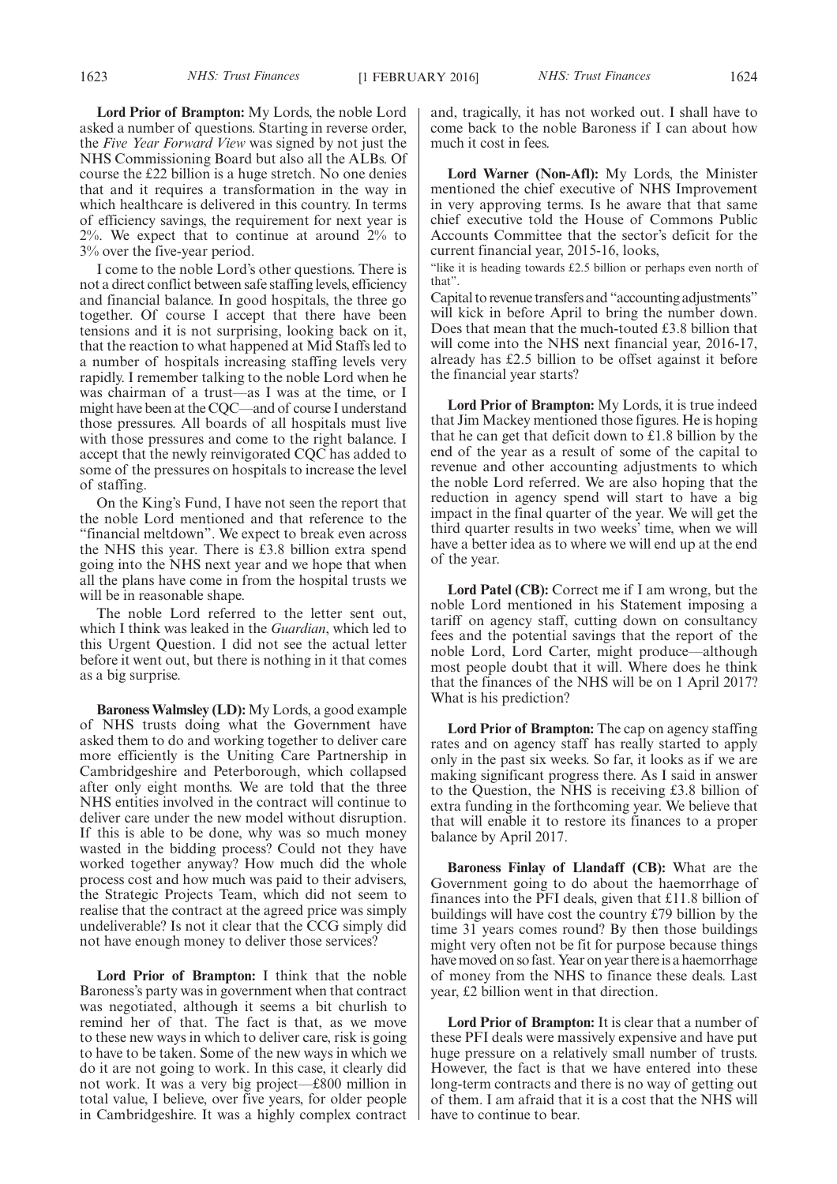**Lord Prior of Brampton:** My Lords, the noble Lord asked a number of questions. Starting in reverse order, the *Five Year Forward View* was signed by not just the NHS Commissioning Board but also all the ALBs. Of course the £22 billion is a huge stretch. No one denies that and it requires a transformation in the way in which healthcare is delivered in this country. In terms of efficiency savings, the requirement for next year is 2%. We expect that to continue at around 2% to 3% over the five-year period.

I come to the noble Lord's other questions. There is not a direct conflict between safe staffing levels, efficiency and financial balance. In good hospitals, the three go together. Of course I accept that there have been tensions and it is not surprising, looking back on it, that the reaction to what happened at Mid Staffs led to a number of hospitals increasing staffing levels very rapidly. I remember talking to the noble Lord when he was chairman of a trust—as I was at the time, or I might have been at the CQC—and of course I understand those pressures. All boards of all hospitals must live with those pressures and come to the right balance. I accept that the newly reinvigorated CQC has added to some of the pressures on hospitals to increase the level of staffing.

On the King's Fund, I have not seen the report that the noble Lord mentioned and that reference to the "financial meltdown". We expect to break even across the NHS this year. There is £3.8 billion extra spend going into the NHS next year and we hope that when all the plans have come in from the hospital trusts we will be in reasonable shape.

The noble Lord referred to the letter sent out, which I think was leaked in the *Guardian*, which led to this Urgent Question. I did not see the actual letter before it went out, but there is nothing in it that comes as a big surprise.

**Baroness Walmsley (LD):** My Lords, a good example of NHS trusts doing what the Government have asked them to do and working together to deliver care more efficiently is the Uniting Care Partnership in Cambridgeshire and Peterborough, which collapsed after only eight months. We are told that the three NHS entities involved in the contract will continue to deliver care under the new model without disruption. If this is able to be done, why was so much money wasted in the bidding process? Could not they have worked together anyway? How much did the whole process cost and how much was paid to their advisers, the Strategic Projects Team, which did not seem to realise that the contract at the agreed price was simply undeliverable? Is not it clear that the CCG simply did not have enough money to deliver those services?

**Lord Prior of Brampton:** I think that the noble Baroness's party was in government when that contract was negotiated, although it seems a bit churlish to remind her of that. The fact is that, as we move to these new ways in which to deliver care, risk is going to have to be taken. Some of the new ways in which we do it are not going to work. In this case, it clearly did not work. It was a very big project—£800 million in total value, I believe, over five years, for older people in Cambridgeshire. It was a highly complex contract and, tragically, it has not worked out. I shall have to come back to the noble Baroness if I can about how much it cost in fees.

**Lord Warner (Non-Afl):** My Lords, the Minister mentioned the chief executive of NHS Improvement in very approving terms. Is he aware that that same chief executive told the House of Commons Public Accounts Committee that the sector's deficit for the current financial year, 2015-16, looks,

"like it is heading towards £2.5 billion or perhaps even north of that".

Capital to revenue transfers and "accounting adjustments" will kick in before April to bring the number down. Does that mean that the much-touted £3.8 billion that will come into the NHS next financial year, 2016-17, already has £2.5 billion to be offset against it before the financial year starts?

**Lord Prior of Brampton:** My Lords, it is true indeed that Jim Mackey mentioned those figures. He is hoping that he can get that deficit down to £1.8 billion by the end of the year as a result of some of the capital to revenue and other accounting adjustments to which the noble Lord referred. We are also hoping that the reduction in agency spend will start to have a big impact in the final quarter of the year. We will get the third quarter results in two weeks' time, when we will have a better idea as to where we will end up at the end of the year.

**Lord Patel (CB):** Correct me if I am wrong, but the noble Lord mentioned in his Statement imposing a tariff on agency staff, cutting down on consultancy fees and the potential savings that the report of the noble Lord, Lord Carter, might produce—although most people doubt that it will. Where does he think that the finances of the NHS will be on 1 April 2017? What is his prediction?

**Lord Prior of Brampton:** The cap on agency staffing rates and on agency staff has really started to apply only in the past six weeks. So far, it looks as if we are making significant progress there. As I said in answer to the Question, the NHS is receiving £3.8 billion of extra funding in the forthcoming year. We believe that that will enable it to restore its finances to a proper balance by April 2017.

**Baroness Finlay of Llandaff (CB):** What are the Government going to do about the haemorrhage of finances into the PFI deals, given that £11.8 billion of buildings will have cost the country £79 billion by the time 31 years comes round? By then those buildings might very often not be fit for purpose because things have moved on so fast. Year on year there is a haemorrhage of money from the NHS to finance these deals. Last year, £2 billion went in that direction.

**Lord Prior of Brampton:** It is clear that a number of these PFI deals were massively expensive and have put huge pressure on a relatively small number of trusts. However, the fact is that we have entered into these long-term contracts and there is no way of getting out of them. I am afraid that it is a cost that the NHS will have to continue to bear.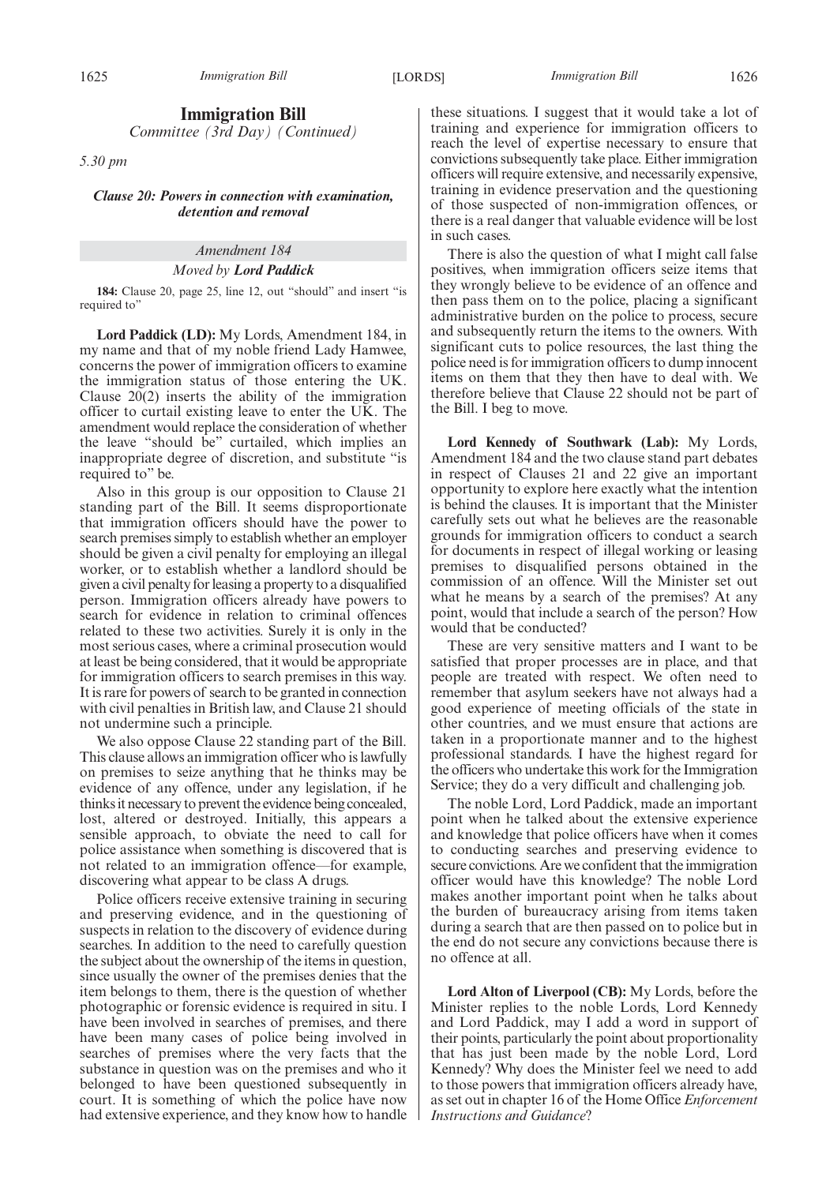#### **Immigration Bill**

*Committee (3rd Day) (Continued)*

*5.30 pm*

#### *Clause 20: Powers in connection with examination, detention and removal*

#### *Amendment 184*

#### *Moved by Lord Paddick*

**184:** Clause 20, page 25, line 12, out "should" and insert "is required to"

**Lord Paddick (LD):** My Lords, Amendment 184, in my name and that of my noble friend Lady Hamwee, concerns the power of immigration officers to examine the immigration status of those entering the UK. Clause 20(2) inserts the ability of the immigration officer to curtail existing leave to enter the UK. The amendment would replace the consideration of whether the leave "should be" curtailed, which implies an inappropriate degree of discretion, and substitute "is required to" be.

Also in this group is our opposition to Clause 21 standing part of the Bill. It seems disproportionate that immigration officers should have the power to search premises simply to establish whether an employer should be given a civil penalty for employing an illegal worker, or to establish whether a landlord should be given a civil penalty for leasing a property to a disqualified person. Immigration officers already have powers to search for evidence in relation to criminal offences related to these two activities. Surely it is only in the most serious cases, where a criminal prosecution would at least be being considered, that it would be appropriate for immigration officers to search premises in this way. It is rare for powers of search to be granted in connection with civil penalties in British law, and Clause 21 should not undermine such a principle.

We also oppose Clause 22 standing part of the Bill. This clause allows an immigration officer who is lawfully on premises to seize anything that he thinks may be evidence of any offence, under any legislation, if he thinks it necessary to prevent the evidence being concealed, lost, altered or destroyed. Initially, this appears a sensible approach, to obviate the need to call for police assistance when something is discovered that is not related to an immigration offence—for example, discovering what appear to be class A drugs.

Police officers receive extensive training in securing and preserving evidence, and in the questioning of suspects in relation to the discovery of evidence during searches. In addition to the need to carefully question the subject about the ownership of the items in question, since usually the owner of the premises denies that the item belongs to them, there is the question of whether photographic or forensic evidence is required in situ. I have been involved in searches of premises, and there have been many cases of police being involved in searches of premises where the very facts that the substance in question was on the premises and who it belonged to have been questioned subsequently in court. It is something of which the police have now had extensive experience, and they know how to handle these situations. I suggest that it would take a lot of training and experience for immigration officers to reach the level of expertise necessary to ensure that convictions subsequently take place. Either immigration officers will require extensive, and necessarily expensive, training in evidence preservation and the questioning of those suspected of non-immigration offences, or there is a real danger that valuable evidence will be lost in such cases.

There is also the question of what I might call false positives, when immigration officers seize items that they wrongly believe to be evidence of an offence and then pass them on to the police, placing a significant administrative burden on the police to process, secure and subsequently return the items to the owners. With significant cuts to police resources, the last thing the police need is for immigration officers to dump innocent items on them that they then have to deal with. We therefore believe that Clause 22 should not be part of the Bill. I beg to move.

**Lord Kennedy of Southwark (Lab):** My Lords, Amendment 184 and the two clause stand part debates in respect of Clauses 21 and 22 give an important opportunity to explore here exactly what the intention is behind the clauses. It is important that the Minister carefully sets out what he believes are the reasonable grounds for immigration officers to conduct a search for documents in respect of illegal working or leasing premises to disqualified persons obtained in the commission of an offence. Will the Minister set out what he means by a search of the premises? At any point, would that include a search of the person? How would that be conducted?

These are very sensitive matters and I want to be satisfied that proper processes are in place, and that people are treated with respect. We often need to remember that asylum seekers have not always had a good experience of meeting officials of the state in other countries, and we must ensure that actions are taken in a proportionate manner and to the highest professional standards. I have the highest regard for the officers who undertake this work for the Immigration Service; they do a very difficult and challenging job.

The noble Lord, Lord Paddick, made an important point when he talked about the extensive experience and knowledge that police officers have when it comes to conducting searches and preserving evidence to secure convictions. Are we confident that the immigration officer would have this knowledge? The noble Lord makes another important point when he talks about the burden of bureaucracy arising from items taken during a search that are then passed on to police but in the end do not secure any convictions because there is no offence at all.

**Lord Alton of Liverpool (CB):** My Lords, before the Minister replies to the noble Lords, Lord Kennedy and Lord Paddick, may I add a word in support of their points, particularly the point about proportionality that has just been made by the noble Lord, Lord Kennedy? Why does the Minister feel we need to add to those powers that immigration officers already have, as set out in chapter 16 of the Home Office *Enforcement Instructions and Guidance*?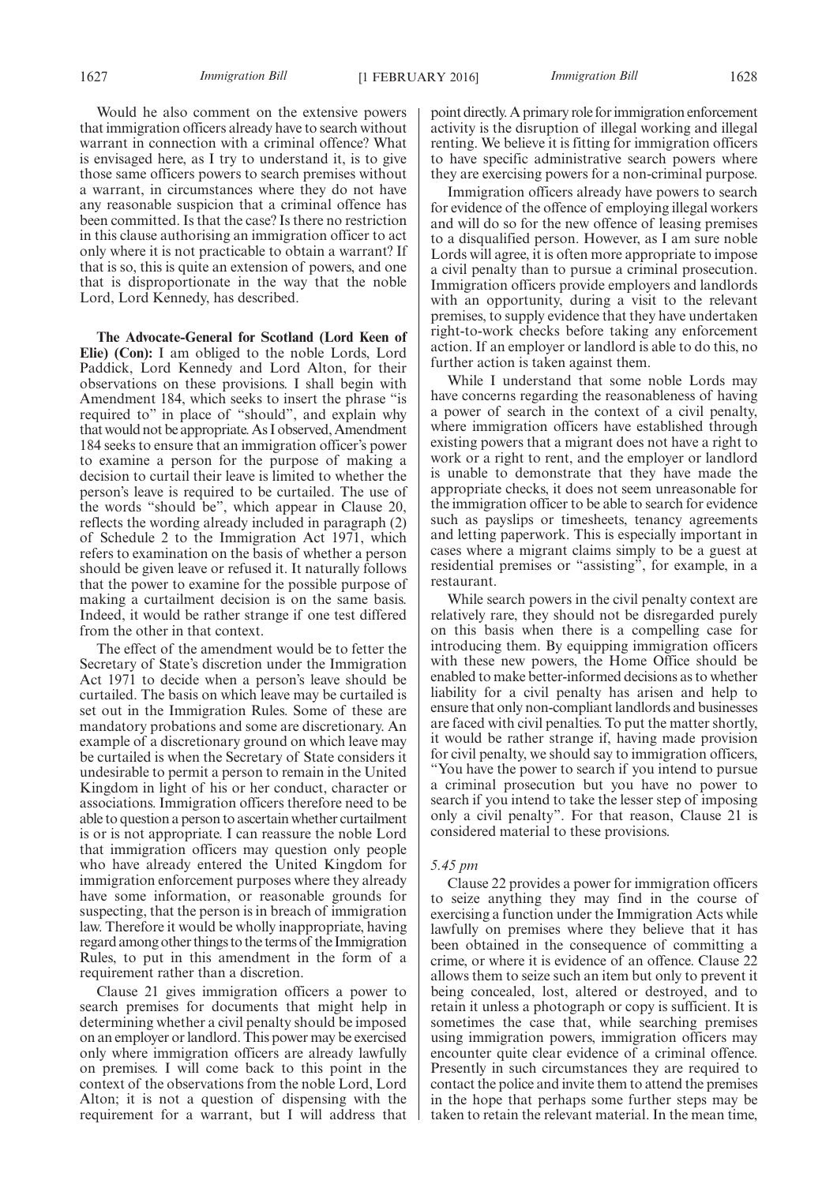Would he also comment on the extensive powers that immigration officers already have to search without warrant in connection with a criminal offence? What is envisaged here, as I try to understand it, is to give those same officers powers to search premises without a warrant, in circumstances where they do not have any reasonable suspicion that a criminal offence has been committed. Is that the case? Is there no restriction in this clause authorising an immigration officer to act only where it is not practicable to obtain a warrant? If that is so, this is quite an extension of powers, and one that is disproportionate in the way that the noble Lord, Lord Kennedy, has described.

**The Advocate-General for Scotland (Lord Keen of Elie) (Con):** I am obliged to the noble Lords, Lord Paddick, Lord Kennedy and Lord Alton, for their observations on these provisions. I shall begin with Amendment 184, which seeks to insert the phrase "is required to" in place of "should", and explain why that would not be appropriate. As I observed, Amendment 184 seeks to ensure that an immigration officer's power to examine a person for the purpose of making a decision to curtail their leave is limited to whether the person's leave is required to be curtailed. The use of the words "should be", which appear in Clause 20, reflects the wording already included in paragraph (2) of Schedule 2 to the Immigration Act 1971, which refers to examination on the basis of whether a person should be given leave or refused it. It naturally follows that the power to examine for the possible purpose of making a curtailment decision is on the same basis. Indeed, it would be rather strange if one test differed from the other in that context.

The effect of the amendment would be to fetter the Secretary of State's discretion under the Immigration Act 1971 to decide when a person's leave should be curtailed. The basis on which leave may be curtailed is set out in the Immigration Rules. Some of these are mandatory probations and some are discretionary. An example of a discretionary ground on which leave may be curtailed is when the Secretary of State considers it undesirable to permit a person to remain in the United Kingdom in light of his or her conduct, character or associations. Immigration officers therefore need to be able to question a person to ascertain whether curtailment is or is not appropriate. I can reassure the noble Lord that immigration officers may question only people who have already entered the United Kingdom for immigration enforcement purposes where they already have some information, or reasonable grounds for suspecting, that the person is in breach of immigration law. Therefore it would be wholly inappropriate, having regard among other things to the terms of the Immigration Rules, to put in this amendment in the form of a requirement rather than a discretion.

Clause 21 gives immigration officers a power to search premises for documents that might help in determining whether a civil penalty should be imposed on an employer or landlord. This power may be exercised only where immigration officers are already lawfully on premises. I will come back to this point in the context of the observations from the noble Lord, Lord Alton; it is not a question of dispensing with the requirement for a warrant, but I will address that point directly. A primary role for immigration enforcement activity is the disruption of illegal working and illegal renting. We believe it is fitting for immigration officers to have specific administrative search powers where they are exercising powers for a non-criminal purpose.

Immigration officers already have powers to search for evidence of the offence of employing illegal workers and will do so for the new offence of leasing premises to a disqualified person. However, as I am sure noble Lords will agree, it is often more appropriate to impose a civil penalty than to pursue a criminal prosecution. Immigration officers provide employers and landlords with an opportunity, during a visit to the relevant premises, to supply evidence that they have undertaken right-to-work checks before taking any enforcement action. If an employer or landlord is able to do this, no further action is taken against them.

While I understand that some noble Lords may have concerns regarding the reasonableness of having a power of search in the context of a civil penalty, where immigration officers have established through existing powers that a migrant does not have a right to work or a right to rent, and the employer or landlord is unable to demonstrate that they have made the appropriate checks, it does not seem unreasonable for the immigration officer to be able to search for evidence such as payslips or timesheets, tenancy agreements and letting paperwork. This is especially important in cases where a migrant claims simply to be a guest at residential premises or "assisting", for example, in a restaurant.

While search powers in the civil penalty context are relatively rare, they should not be disregarded purely on this basis when there is a compelling case for introducing them. By equipping immigration officers with these new powers, the Home Office should be enabled to make better-informed decisions as to whether liability for a civil penalty has arisen and help to ensure that only non-compliant landlords and businesses are faced with civil penalties. To put the matter shortly, it would be rather strange if, having made provision for civil penalty, we should say to immigration officers, "You have the power to search if you intend to pursue a criminal prosecution but you have no power to search if you intend to take the lesser step of imposing only a civil penalty". For that reason, Clause 21 is considered material to these provisions.

#### *5.45 pm*

Clause 22 provides a power for immigration officers to seize anything they may find in the course of exercising a function under the Immigration Acts while lawfully on premises where they believe that it has been obtained in the consequence of committing a crime, or where it is evidence of an offence. Clause 22 allows them to seize such an item but only to prevent it being concealed, lost, altered or destroyed, and to retain it unless a photograph or copy is sufficient. It is sometimes the case that, while searching premises using immigration powers, immigration officers may encounter quite clear evidence of a criminal offence. Presently in such circumstances they are required to contact the police and invite them to attend the premises in the hope that perhaps some further steps may be taken to retain the relevant material. In the mean time,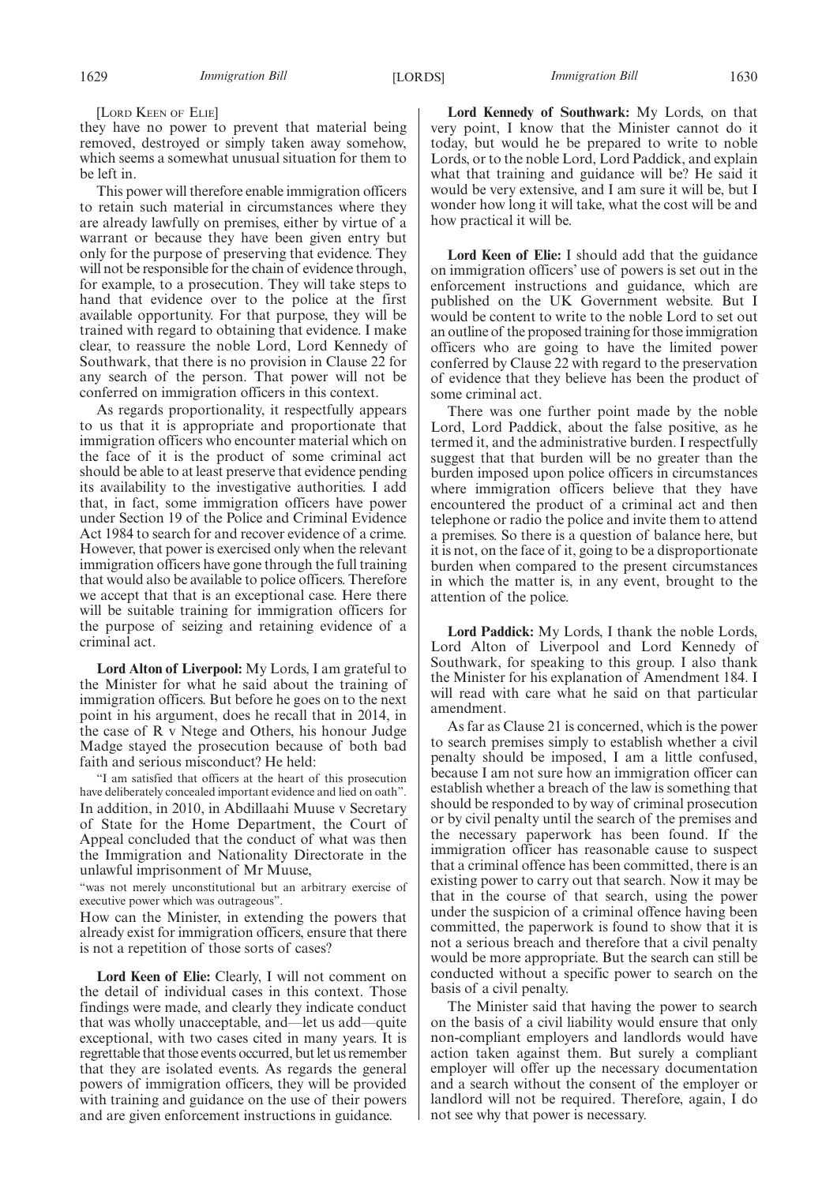[LORD KEEN OF ELIE]

they have no power to prevent that material being removed, destroyed or simply taken away somehow, which seems a somewhat unusual situation for them to be left in.

This power will therefore enable immigration officers to retain such material in circumstances where they are already lawfully on premises, either by virtue of a warrant or because they have been given entry but only for the purpose of preserving that evidence. They will not be responsible for the chain of evidence through, for example, to a prosecution. They will take steps to hand that evidence over to the police at the first available opportunity. For that purpose, they will be trained with regard to obtaining that evidence. I make clear, to reassure the noble Lord, Lord Kennedy of Southwark, that there is no provision in Clause 22 for any search of the person. That power will not be conferred on immigration officers in this context.

As regards proportionality, it respectfully appears to us that it is appropriate and proportionate that immigration officers who encounter material which on the face of it is the product of some criminal act should be able to at least preserve that evidence pending its availability to the investigative authorities. I add that, in fact, some immigration officers have power under Section 19 of the Police and Criminal Evidence Act 1984 to search for and recover evidence of a crime. However, that power is exercised only when the relevant immigration officers have gone through the full training that would also be available to police officers. Therefore we accept that that is an exceptional case. Here there will be suitable training for immigration officers for the purpose of seizing and retaining evidence of a criminal act.

**Lord Alton of Liverpool:** My Lords, I am grateful to the Minister for what he said about the training of immigration officers. But before he goes on to the next point in his argument, does he recall that in 2014, in the case of R v Ntege and Others, his honour Judge Madge stayed the prosecution because of both bad faith and serious misconduct? He held:

"I am satisfied that officers at the heart of this prosecution have deliberately concealed important evidence and lied on oath". In addition, in 2010, in Abdillaahi Muuse v Secretary of State for the Home Department, the Court of Appeal concluded that the conduct of what was then the Immigration and Nationality Directorate in the unlawful imprisonment of Mr Muuse,

"was not merely unconstitutional but an arbitrary exercise of executive power which was outrageous".

How can the Minister, in extending the powers that already exist for immigration officers, ensure that there is not a repetition of those sorts of cases?

**Lord Keen of Elie:** Clearly, I will not comment on the detail of individual cases in this context. Those findings were made, and clearly they indicate conduct that was wholly unacceptable, and—let us add—quite exceptional, with two cases cited in many years. It is regrettable that those events occurred, but let us remember that they are isolated events. As regards the general powers of immigration officers, they will be provided with training and guidance on the use of their powers and are given enforcement instructions in guidance.

**Lord Kennedy of Southwark:** My Lords, on that very point, I know that the Minister cannot do it today, but would he be prepared to write to noble Lords, or to the noble Lord, Lord Paddick, and explain what that training and guidance will be? He said it would be very extensive, and I am sure it will be, but I wonder how long it will take, what the cost will be and how practical it will be.

**Lord Keen of Elie:** I should add that the guidance on immigration officers' use of powers is set out in the enforcement instructions and guidance, which are published on the UK Government website. But I would be content to write to the noble Lord to set out an outline of the proposed training for those immigration officers who are going to have the limited power conferred by Clause 22 with regard to the preservation of evidence that they believe has been the product of some criminal act.

There was one further point made by the noble Lord, Lord Paddick, about the false positive, as he termed it, and the administrative burden. I respectfully suggest that that burden will be no greater than the burden imposed upon police officers in circumstances where immigration officers believe that they have encountered the product of a criminal act and then telephone or radio the police and invite them to attend a premises. So there is a question of balance here, but it is not, on the face of it, going to be a disproportionate burden when compared to the present circumstances in which the matter is, in any event, brought to the attention of the police.

**Lord Paddick:** My Lords, I thank the noble Lords, Lord Alton of Liverpool and Lord Kennedy of Southwark, for speaking to this group. I also thank the Minister for his explanation of Amendment 184. I will read with care what he said on that particular amendment.

As far as Clause 21 is concerned, which is the power to search premises simply to establish whether a civil penalty should be imposed, I am a little confused, because I am not sure how an immigration officer can establish whether a breach of the law is something that should be responded to by way of criminal prosecution or by civil penalty until the search of the premises and the necessary paperwork has been found. If the immigration officer has reasonable cause to suspect that a criminal offence has been committed, there is an existing power to carry out that search. Now it may be that in the course of that search, using the power under the suspicion of a criminal offence having been committed, the paperwork is found to show that it is not a serious breach and therefore that a civil penalty would be more appropriate. But the search can still be conducted without a specific power to search on the basis of a civil penalty.

The Minister said that having the power to search on the basis of a civil liability would ensure that only non-compliant employers and landlords would have action taken against them. But surely a compliant employer will offer up the necessary documentation and a search without the consent of the employer or landlord will not be required. Therefore, again, I do not see why that power is necessary.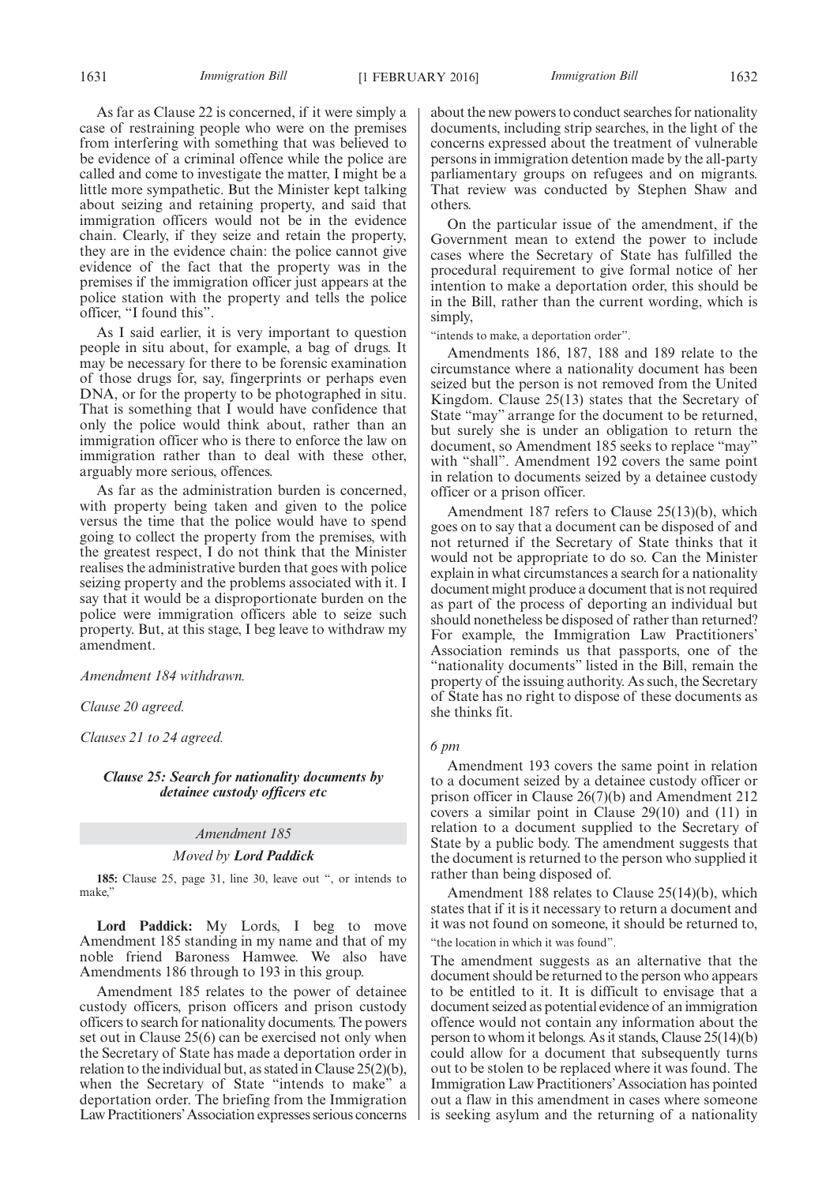As far as Clause 22 is concerned, if it were simply a case of restraining people who were on the premises from interfering with something that was believed to be evidence of a criminal offence while the police are called and come to investigate the matter, I might be a little more sympathetic. But the Minister kept talking about seizing and retaining property, and said that immigration officers would not be in the evidence chain. Clearly, if they seize and retain the property, they are in the evidence chain: the police cannot give evidence of the fact that the property was in the premises if the immigration officer just appears at the police station with the property and tells the police officer, "I found this".

As I said earlier, it is very important to question people in situ about, for example, a bag of drugs. It may be necessary for there to be forensic examination of those drugs for, say, fingerprints or perhaps even DNA, or for the property to be photographed in situ. That is something that I would have confidence that only the police would think about, rather than an immigration officer who is there to enforce the law on immigration rather than to deal with these other, arguably more serious, offences.

As far as the administration burden is concerned, with property being taken and given to the police versus the time that the police would have to spend going to collect the property from the premises, with the greatest respect, I do not think that the Minister realises the administrative burden that goes with police seizing property and the problems associated with it. I say that it would be a disproportionate burden on the police were immigration officers able to seize such property. But, at this stage, I beg leave to withdraw my amendment.

*Amendment 184 withdrawn.*

*Clause 20 agreed.*

*Clauses 21 to 24 agreed.*

*Clause 25: Search for nationality documents by detainee custody officers etc*

#### *Amendment 185*

#### *Moved by Lord Paddick*

**185:** Clause 25, page 31, line 30, leave out ", or intends to make,"

**Lord Paddick:** My Lords, I beg to move Amendment 185 standing in my name and that of my noble friend Baroness Hamwee. We also have Amendments 186 through to 193 in this group.

Amendment 185 relates to the power of detainee custody officers, prison officers and prison custody officers to search for nationality documents. The powers set out in Clause 25(6) can be exercised not only when the Secretary of State has made a deportation order in relation to the individual but, as stated in Clause 25(2)(b), when the Secretary of State "intends to make" a deportation order. The briefing from the Immigration Law Practitioners'Association expresses serious concerns about the new powers to conduct searches for nationality documents, including strip searches, in the light of the concerns expressed about the treatment of vulnerable persons in immigration detention made by the all-party parliamentary groups on refugees and on migrants. That review was conducted by Stephen Shaw and others.

On the particular issue of the amendment, if the Government mean to extend the power to include cases where the Secretary of State has fulfilled the procedural requirement to give formal notice of her intention to make a deportation order, this should be in the Bill, rather than the current wording, which is simply,

"intends to make, a deportation order".

Amendments 186, 187, 188 and 189 relate to the circumstance where a nationality document has been seized but the person is not removed from the United Kingdom. Clause 25(13) states that the Secretary of State "may" arrange for the document to be returned, but surely she is under an obligation to return the document, so Amendment 185 seeks to replace "may" with "shall". Amendment 192 covers the same point in relation to documents seized by a detainee custody officer or a prison officer.

Amendment 187 refers to Clause 25(13)(b), which goes on to say that a document can be disposed of and not returned if the Secretary of State thinks that it would not be appropriate to do so. Can the Minister explain in what circumstances a search for a nationality document might produce a document that is not required as part of the process of deporting an individual but should nonetheless be disposed of rather than returned? For example, the Immigration Law Practitioners' Association reminds us that passports, one of the "nationality documents" listed in the Bill, remain the property of the issuing authority. As such, the Secretary of State has no right to dispose of these documents as she thinks fit.

#### *6 pm*

Amendment 193 covers the same point in relation to a document seized by a detainee custody officer or prison officer in Clause 26(7)(b) and Amendment 212 covers a similar point in Clause 29(10) and (11) in relation to a document supplied to the Secretary of State by a public body. The amendment suggests that the document is returned to the person who supplied it rather than being disposed of.

Amendment 188 relates to Clause 25(14)(b), which states that if it is it necessary to return a document and it was not found on someone, it should be returned to, "the location in which it was found".

The amendment suggests as an alternative that the document should be returned to the person who appears to be entitled to it. It is difficult to envisage that a document seized as potential evidence of an immigration offence would not contain any information about the person to whom it belongs. As it stands, Clause 25(14)(b) could allow for a document that subsequently turns out to be stolen to be replaced where it was found. The Immigration Law Practitioners'Association has pointed out a flaw in this amendment in cases where someone is seeking asylum and the returning of a nationality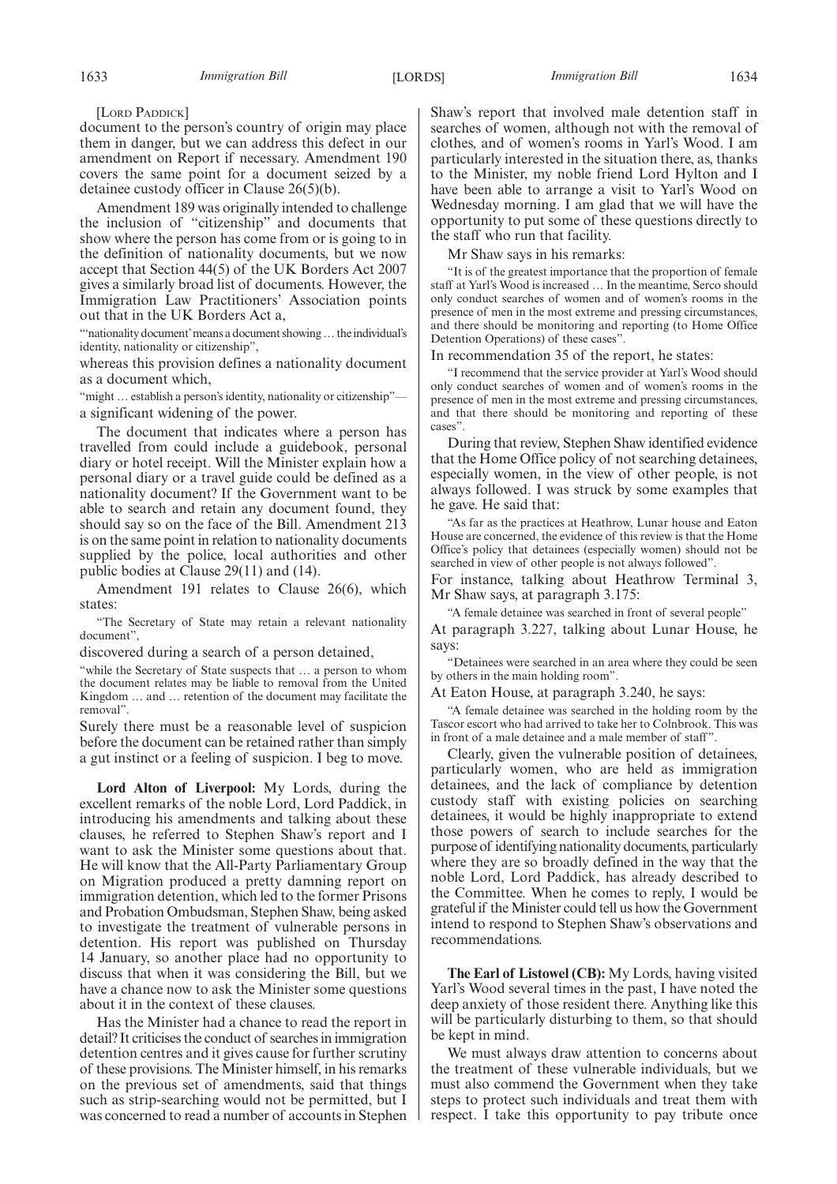[LORD PADDICK]

document to the person's country of origin may place them in danger, but we can address this defect in our amendment on Report if necessary. Amendment 190 covers the same point for a document seized by a detainee custody officer in Clause 26(5)(b).

Amendment 189 was originally intended to challenge the inclusion of "citizenship" and documents that show where the person has come from or is going to in the definition of nationality documents, but we now accept that Section 44(5) of the UK Borders Act 2007 gives a similarly broad list of documents. However, the Immigration Law Practitioners' Association points out that in the UK Borders Act a,

"inationality document' means a document showing ... the individual's identity, nationality or citizenship",

whereas this provision defines a nationality document as a document which,

"might ... establish a person's identity, nationality or citizenship"a significant widening of the power.

The document that indicates where a person has travelled from could include a guidebook, personal diary or hotel receipt. Will the Minister explain how a personal diary or a travel guide could be defined as a nationality document? If the Government want to be able to search and retain any document found, they should say so on the face of the Bill. Amendment 213 is on the same point in relation to nationality documents supplied by the police, local authorities and other public bodies at Clause 29(11) and (14).

Amendment 191 relates to Clause 26(6), which states:

"The Secretary of State may retain a relevant nationality document",

discovered during a search of a person detained,

"while the Secretary of State suspects that … a person to whom the document relates may be liable to removal from the United Kingdom … and … retention of the document may facilitate the removal".

Surely there must be a reasonable level of suspicion before the document can be retained rather than simply a gut instinct or a feeling of suspicion. I beg to move.

**Lord Alton of Liverpool:** My Lords, during the excellent remarks of the noble Lord, Lord Paddick, in introducing his amendments and talking about these clauses, he referred to Stephen Shaw's report and I want to ask the Minister some questions about that. He will know that the All-Party Parliamentary Group on Migration produced a pretty damning report on immigration detention, which led to the former Prisons and Probation Ombudsman, Stephen Shaw, being asked to investigate the treatment of vulnerable persons in detention. His report was published on Thursday 14 January, so another place had no opportunity to discuss that when it was considering the Bill, but we have a chance now to ask the Minister some questions about it in the context of these clauses.

Has the Minister had a chance to read the report in detail? It criticises the conduct of searches in immigration detention centres and it gives cause for further scrutiny of these provisions. The Minister himself, in his remarks on the previous set of amendments, said that things such as strip-searching would not be permitted, but I was concerned to read a number of accounts in Stephen Shaw's report that involved male detention staff in searches of women, although not with the removal of clothes, and of women's rooms in Yarl's Wood. I am particularly interested in the situation there, as, thanks to the Minister, my noble friend Lord Hylton and I have been able to arrange a visit to Yarl's Wood on Wednesday morning. I am glad that we will have the opportunity to put some of these questions directly to the staff who run that facility.

Mr Shaw says in his remarks:

"It is of the greatest importance that the proportion of female staff at Yarl's Wood is increased … In the meantime, Serco should only conduct searches of women and of women's rooms in the presence of men in the most extreme and pressing circumstances, and there should be monitoring and reporting (to Home Office Detention Operations) of these cases".

In recommendation 35 of the report, he states:

"I recommend that the service provider at Yarl's Wood should only conduct searches of women and of women's rooms in the presence of men in the most extreme and pressing circumstances, and that there should be monitoring and reporting of these cases".

During that review, Stephen Shaw identified evidence that the Home Office policy of not searching detainees, especially women, in the view of other people, is not always followed. I was struck by some examples that he gave. He said that:

"As far as the practices at Heathrow, Lunar house and Eaton House are concerned, the evidence of this review is that the Home Office's policy that detainees (especially women) should not be searched in view of other people is not always followed".

For instance, talking about Heathrow Terminal 3, Mr Shaw says, at paragraph 3.175:

"A female detainee was searched in front of several people" At paragraph 3.227, talking about Lunar House, he says:

"Detainees were searched in an area where they could be seen by others in the main holding room".

At Eaton House, at paragraph 3.240, he says:

"A female detainee was searched in the holding room by the Tascor escort who had arrived to take her to Colnbrook. This was in front of a male detainee and a male member of staff".

Clearly, given the vulnerable position of detainees, particularly women, who are held as immigration detainees, and the lack of compliance by detention custody staff with existing policies on searching detainees, it would be highly inappropriate to extend those powers of search to include searches for the purpose of identifying nationality documents, particularly where they are so broadly defined in the way that the noble Lord, Lord Paddick, has already described to the Committee. When he comes to reply, I would be grateful if theMinister could tell us how the Government intend to respond to Stephen Shaw's observations and recommendations.

**The Earl of Listowel (CB):** My Lords, having visited Yarl's Wood several times in the past, I have noted the deep anxiety of those resident there. Anything like this will be particularly disturbing to them, so that should be kept in mind.

We must always draw attention to concerns about the treatment of these vulnerable individuals, but we must also commend the Government when they take steps to protect such individuals and treat them with respect. I take this opportunity to pay tribute once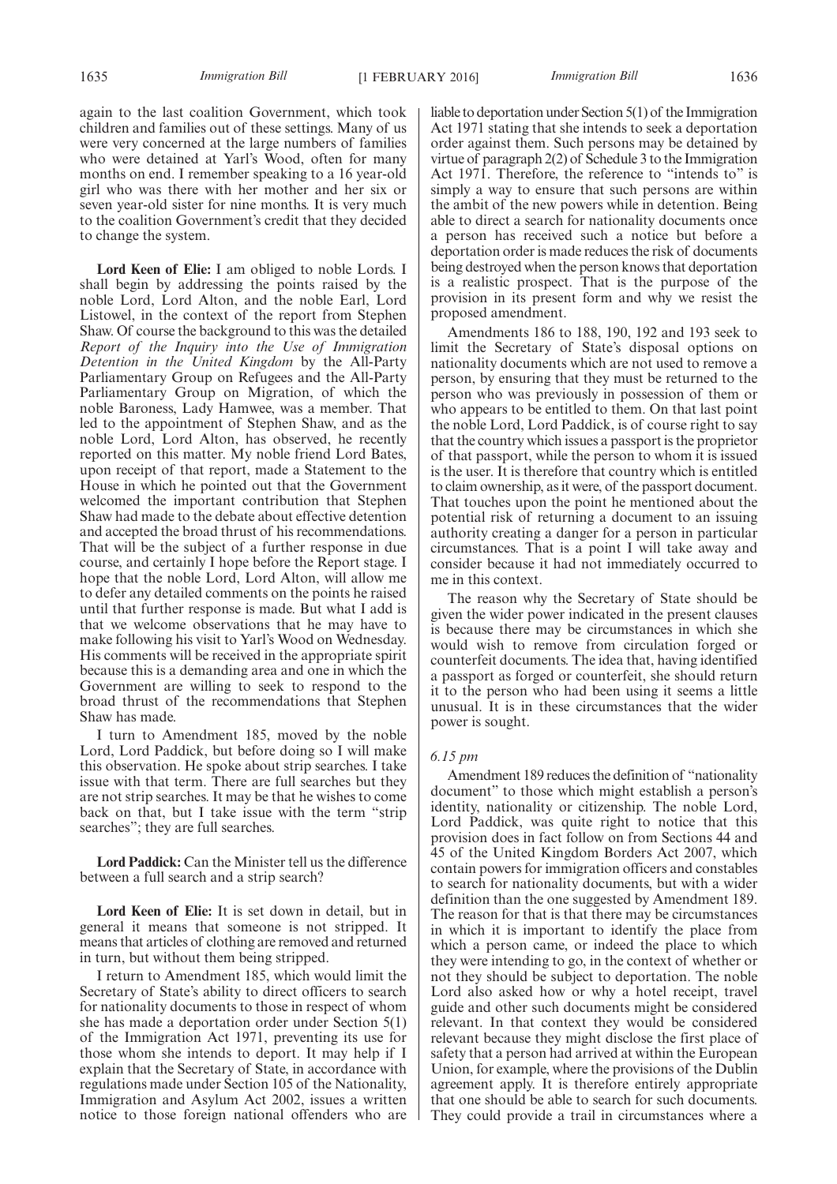again to the last coalition Government, which took children and families out of these settings. Many of us were very concerned at the large numbers of families who were detained at Yarl's Wood, often for many months on end. I remember speaking to a 16 year-old girl who was there with her mother and her six or seven year-old sister for nine months. It is very much to the coalition Government's credit that they decided to change the system.

**Lord Keen of Elie:** I am obliged to noble Lords. I shall begin by addressing the points raised by the noble Lord, Lord Alton, and the noble Earl, Lord Listowel, in the context of the report from Stephen Shaw. Of course the background to this was the detailed *Report of the Inquiry into the Use of Immigration Detention in the United Kingdom* by the All-Party Parliamentary Group on Refugees and the All-Party Parliamentary Group on Migration, of which the noble Baroness, Lady Hamwee, was a member. That led to the appointment of Stephen Shaw, and as the noble Lord, Lord Alton, has observed, he recently reported on this matter. My noble friend Lord Bates, upon receipt of that report, made a Statement to the House in which he pointed out that the Government welcomed the important contribution that Stephen Shaw had made to the debate about effective detention and accepted the broad thrust of his recommendations. That will be the subject of a further response in due course, and certainly I hope before the Report stage. I hope that the noble Lord, Lord Alton, will allow me to defer any detailed comments on the points he raised until that further response is made. But what I add is that we welcome observations that he may have to make following his visit to Yarl's Wood on Wednesday. His comments will be received in the appropriate spirit because this is a demanding area and one in which the Government are willing to seek to respond to the broad thrust of the recommendations that Stephen Shaw has made.

I turn to Amendment 185, moved by the noble Lord, Lord Paddick, but before doing so I will make this observation. He spoke about strip searches. I take issue with that term. There are full searches but they are not strip searches. It may be that he wishes to come back on that, but I take issue with the term "strip searches"; they are full searches.

**Lord Paddick:** Can the Minister tell us the difference between a full search and a strip search?

**Lord Keen of Elie:** It is set down in detail, but in general it means that someone is not stripped. It means that articles of clothing are removed and returned in turn, but without them being stripped.

I return to Amendment 185, which would limit the Secretary of State's ability to direct officers to search for nationality documents to those in respect of whom she has made a deportation order under Section 5(1) of the Immigration Act 1971, preventing its use for those whom she intends to deport. It may help if I explain that the Secretary of State, in accordance with regulations made under Section 105 of the Nationality, Immigration and Asylum Act 2002, issues a written notice to those foreign national offenders who are liable to deportation under Section 5(1) of the Immigration Act 1971 stating that she intends to seek a deportation order against them. Such persons may be detained by virtue of paragraph 2(2) of Schedule 3 to the Immigration Act 1971. Therefore, the reference to "intends to" is simply a way to ensure that such persons are within the ambit of the new powers while in detention. Being able to direct a search for nationality documents once a person has received such a notice but before a deportation order is made reduces the risk of documents being destroyed when the person knows that deportation is a realistic prospect. That is the purpose of the provision in its present form and why we resist the proposed amendment.

Amendments 186 to 188, 190, 192 and 193 seek to limit the Secretary of State's disposal options on nationality documents which are not used to remove a person, by ensuring that they must be returned to the person who was previously in possession of them or who appears to be entitled to them. On that last point the noble Lord, Lord Paddick, is of course right to say that the country which issues a passport is the proprietor of that passport, while the person to whom it is issued is the user. It is therefore that country which is entitled to claim ownership, as it were, of the passport document. That touches upon the point he mentioned about the potential risk of returning a document to an issuing authority creating a danger for a person in particular circumstances. That is a point I will take away and consider because it had not immediately occurred to me in this context.

The reason why the Secretary of State should be given the wider power indicated in the present clauses is because there may be circumstances in which she would wish to remove from circulation forged or counterfeit documents. The idea that, having identified a passport as forged or counterfeit, she should return it to the person who had been using it seems a little unusual. It is in these circumstances that the wider power is sought.

#### *6.15 pm*

Amendment 189 reduces the definition of "nationality document" to those which might establish a person's identity, nationality or citizenship. The noble Lord, Lord Paddick, was quite right to notice that this provision does in fact follow on from Sections 44 and 45 of the United Kingdom Borders Act 2007, which contain powers for immigration officers and constables to search for nationality documents, but with a wider definition than the one suggested by Amendment 189. The reason for that is that there may be circumstances in which it is important to identify the place from which a person came, or indeed the place to which they were intending to go, in the context of whether or not they should be subject to deportation. The noble Lord also asked how or why a hotel receipt, travel guide and other such documents might be considered relevant. In that context they would be considered relevant because they might disclose the first place of safety that a person had arrived at within the European Union, for example, where the provisions of the Dublin agreement apply. It is therefore entirely appropriate that one should be able to search for such documents. They could provide a trail in circumstances where a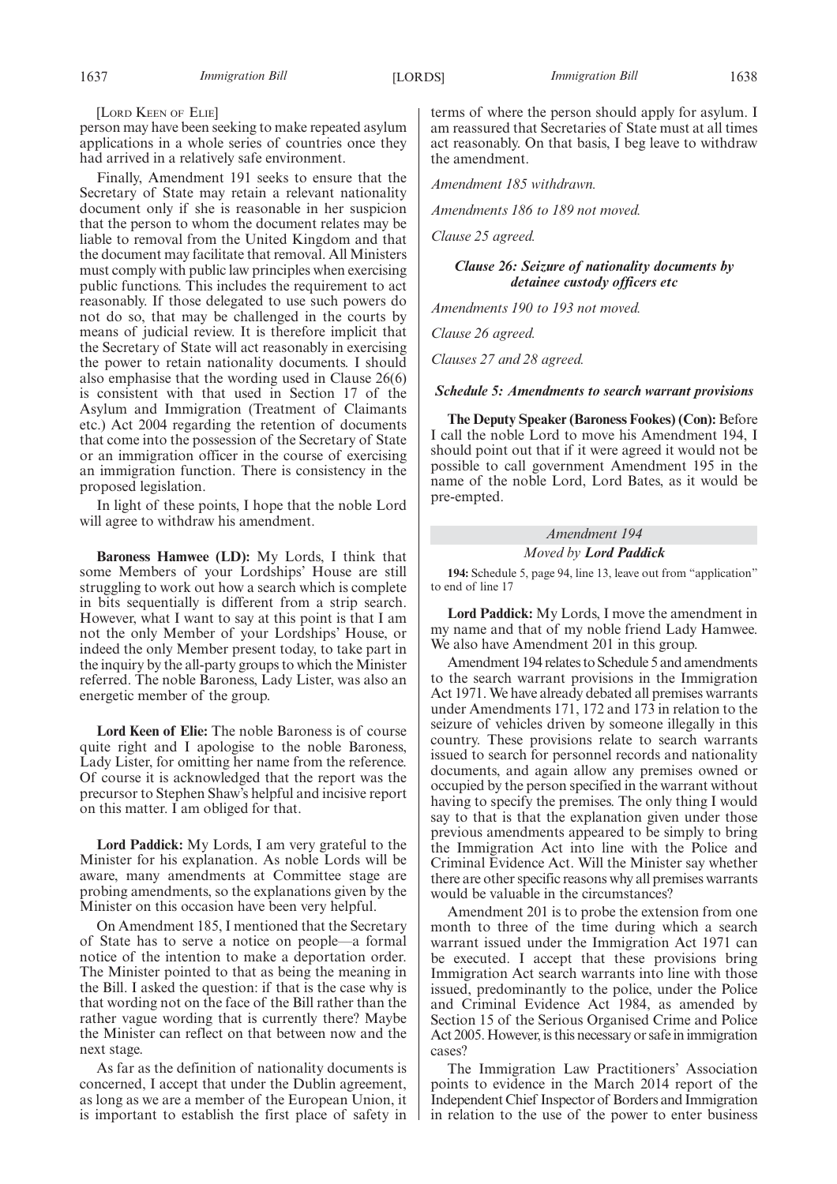[LORD KEEN OF ELIE]

person may have been seeking to make repeated asylum applications in a whole series of countries once they had arrived in a relatively safe environment.

Finally, Amendment 191 seeks to ensure that the Secretary of State may retain a relevant nationality document only if she is reasonable in her suspicion that the person to whom the document relates may be liable to removal from the United Kingdom and that the document may facilitate that removal. All Ministers must comply with public law principles when exercising public functions. This includes the requirement to act reasonably. If those delegated to use such powers do not do so, that may be challenged in the courts by means of judicial review. It is therefore implicit that the Secretary of State will act reasonably in exercising the power to retain nationality documents. I should also emphasise that the wording used in Clause 26(6) is consistent with that used in Section 17 of the Asylum and Immigration (Treatment of Claimants etc.) Act 2004 regarding the retention of documents that come into the possession of the Secretary of State or an immigration officer in the course of exercising an immigration function. There is consistency in the proposed legislation.

In light of these points, I hope that the noble Lord will agree to withdraw his amendment.

**Baroness Hamwee (LD):** My Lords, I think that some Members of your Lordships' House are still struggling to work out how a search which is complete in bits sequentially is different from a strip search. However, what I want to say at this point is that I am not the only Member of your Lordships' House, or indeed the only Member present today, to take part in the inquiry by the all-party groups to which the Minister referred. The noble Baroness, Lady Lister, was also an energetic member of the group.

**Lord Keen of Elie:** The noble Baroness is of course quite right and I apologise to the noble Baroness, Lady Lister, for omitting her name from the reference. Of course it is acknowledged that the report was the precursor to Stephen Shaw's helpful and incisive report on this matter. I am obliged for that.

**Lord Paddick:** My Lords, I am very grateful to the Minister for his explanation. As noble Lords will be aware, many amendments at Committee stage are probing amendments, so the explanations given by the Minister on this occasion have been very helpful.

On Amendment 185, I mentioned that the Secretary of State has to serve a notice on people—a formal notice of the intention to make a deportation order. The Minister pointed to that as being the meaning in the Bill. I asked the question: if that is the case why is that wording not on the face of the Bill rather than the rather vague wording that is currently there? Maybe the Minister can reflect on that between now and the next stage.

As far as the definition of nationality documents is concerned, I accept that under the Dublin agreement, as long as we are a member of the European Union, it is important to establish the first place of safety in terms of where the person should apply for asylum. I am reassured that Secretaries of State must at all times act reasonably. On that basis, I beg leave to withdraw the amendment.

*Amendment 185 withdrawn.*

*Amendments 186 to 189 not moved.*

*Clause 25 agreed.*

#### *Clause 26: Seizure of nationality documents by detainee custody officers etc*

*Amendments 190 to 193 not moved.*

*Clause 26 agreed.*

*Clauses 27 and 28 agreed.*

#### *Schedule 5: Amendments to search warrant provisions*

**The Deputy Speaker (Baroness Fookes) (Con):** Before I call the noble Lord to move his Amendment 194, I should point out that if it were agreed it would not be possible to call government Amendment 195 in the name of the noble Lord, Lord Bates, as it would be pre-empted.

#### *Amendment 194*

*Moved by Lord Paddick*

**194:** Schedule 5, page 94, line 13, leave out from "application" to end of line 17

**Lord Paddick:** My Lords, I move the amendment in my name and that of my noble friend Lady Hamwee. We also have Amendment 201 in this group.

Amendment 194 relates to Schedule 5 and amendments to the search warrant provisions in the Immigration Act 1971. We have already debated all premises warrants under Amendments 171, 172 and 173 in relation to the seizure of vehicles driven by someone illegally in this country. These provisions relate to search warrants issued to search for personnel records and nationality documents, and again allow any premises owned or occupied by the person specified in the warrant without having to specify the premises. The only thing I would say to that is that the explanation given under those previous amendments appeared to be simply to bring the Immigration Act into line with the Police and Criminal Evidence Act. Will the Minister say whether there are other specific reasons why all premises warrants would be valuable in the circumstances?

Amendment 201 is to probe the extension from one month to three of the time during which a search warrant issued under the Immigration Act 1971 can be executed. I accept that these provisions bring Immigration Act search warrants into line with those issued, predominantly to the police, under the Police and Criminal Evidence Act 1984, as amended by Section 15 of the Serious Organised Crime and Police Act 2005. However, is this necessary or safe in immigration cases?

The Immigration Law Practitioners' Association points to evidence in the March 2014 report of the Independent Chief Inspector of Borders and Immigration in relation to the use of the power to enter business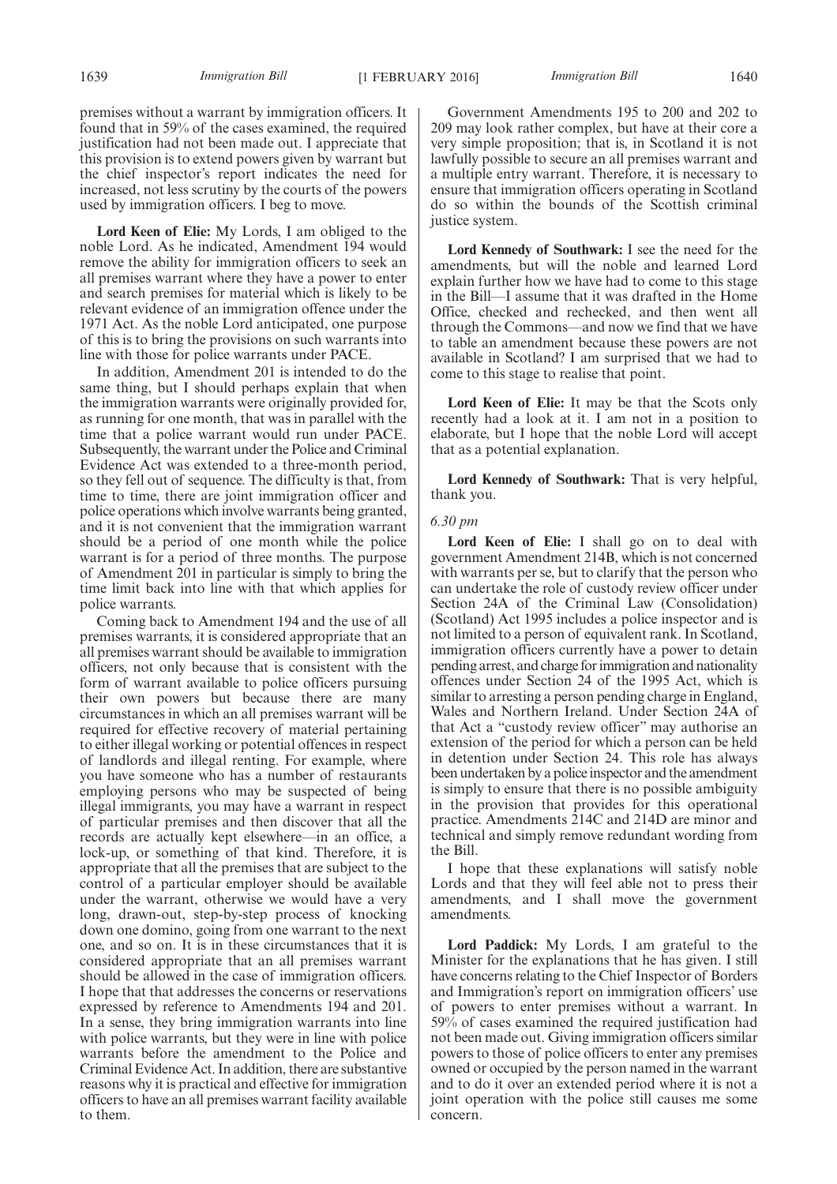premises without a warrant by immigration officers. It found that in 59% of the cases examined, the required justification had not been made out. I appreciate that this provision is to extend powers given by warrant but the chief inspector's report indicates the need for increased, not less scrutiny by the courts of the powers used by immigration officers. I beg to move.

**Lord Keen of Elie:** My Lords, I am obliged to the noble Lord. As he indicated, Amendment 194 would remove the ability for immigration officers to seek an all premises warrant where they have a power to enter and search premises for material which is likely to be relevant evidence of an immigration offence under the 1971 Act. As the noble Lord anticipated, one purpose of this is to bring the provisions on such warrants into line with those for police warrants under PACE.

In addition, Amendment 201 is intended to do the same thing, but I should perhaps explain that when the immigration warrants were originally provided for, as running for one month, that was in parallel with the time that a police warrant would run under PACE. Subsequently, the warrant under the Police and Criminal Evidence Act was extended to a three-month period, so they fell out of sequence. The difficulty is that, from time to time, there are joint immigration officer and police operations which involve warrants being granted, and it is not convenient that the immigration warrant should be a period of one month while the police warrant is for a period of three months. The purpose of Amendment  $\overline{2}01$  in particular is simply to bring the time limit back into line with that which applies for police warrants.

Coming back to Amendment 194 and the use of all premises warrants, it is considered appropriate that an all premises warrant should be available to immigration officers, not only because that is consistent with the form of warrant available to police officers pursuing their own powers but because there are many circumstances in which an all premises warrant will be required for effective recovery of material pertaining to either illegal working or potential offences in respect of landlords and illegal renting. For example, where you have someone who has a number of restaurants employing persons who may be suspected of being illegal immigrants, you may have a warrant in respect of particular premises and then discover that all the records are actually kept elsewhere—in an office, a lock-up, or something of that kind. Therefore, it is appropriate that all the premises that are subject to the control of a particular employer should be available under the warrant, otherwise we would have a very long, drawn-out, step-by-step process of knocking down one domino, going from one warrant to the next one, and so on. It is in these circumstances that it is considered appropriate that an all premises warrant should be allowed in the case of immigration officers. I hope that that addresses the concerns or reservations expressed by reference to Amendments 194 and 201. In a sense, they bring immigration warrants into line with police warrants, but they were in line with police warrants before the amendment to the Police and Criminal Evidence Act. In addition, there are substantive reasons why it is practical and effective for immigration officers to have an all premises warrant facility available to them.

Government Amendments 195 to 200 and 202 to 209 may look rather complex, but have at their core a very simple proposition; that is, in Scotland it is not lawfully possible to secure an all premises warrant and a multiple entry warrant. Therefore, it is necessary to ensure that immigration officers operating in Scotland do so within the bounds of the Scottish criminal justice system.

**Lord Kennedy of Southwark:** I see the need for the amendments, but will the noble and learned Lord explain further how we have had to come to this stage in the Bill—I assume that it was drafted in the Home Office, checked and rechecked, and then went all through the Commons—and now we find that we have to table an amendment because these powers are not available in Scotland? I am surprised that we had to come to this stage to realise that point.

**Lord Keen of Elie:** It may be that the Scots only recently had a look at it. I am not in a position to elaborate, but I hope that the noble Lord will accept that as a potential explanation.

**Lord Kennedy of Southwark:** That is very helpful, thank you.

#### *6.30 pm*

**Lord Keen of Elie:** I shall go on to deal with government Amendment 214B, which is not concerned with warrants per se, but to clarify that the person who can undertake the role of custody review officer under Section 24A of the Criminal Law (Consolidation) (Scotland) Act 1995 includes a police inspector and is not limited to a person of equivalent rank. In Scotland, immigration officers currently have a power to detain pending arrest, and charge forimmigration and nationality offences under Section 24 of the 1995 Act, which is similar to arresting a person pending charge in England, Wales and Northern Ireland. Under Section 24A of that Act a "custody review officer" may authorise an extension of the period for which a person can be held in detention under Section 24. This role has always been undertaken by a police inspector and the amendment is simply to ensure that there is no possible ambiguity in the provision that provides for this operational practice. Amendments 214C and 214D are minor and technical and simply remove redundant wording from the Bill.

I hope that these explanations will satisfy noble Lords and that they will feel able not to press their amendments, and I shall move the government amendments.

**Lord Paddick:** My Lords, I am grateful to the Minister for the explanations that he has given. I still have concerns relating to the Chief Inspector of Borders and Immigration's report on immigration officers' use of powers to enter premises without a warrant. In 59% of cases examined the required justification had not been made out. Giving immigration officers similar powers to those of police officers to enter any premises owned or occupied by the person named in the warrant and to do it over an extended period where it is not a joint operation with the police still causes me some concern.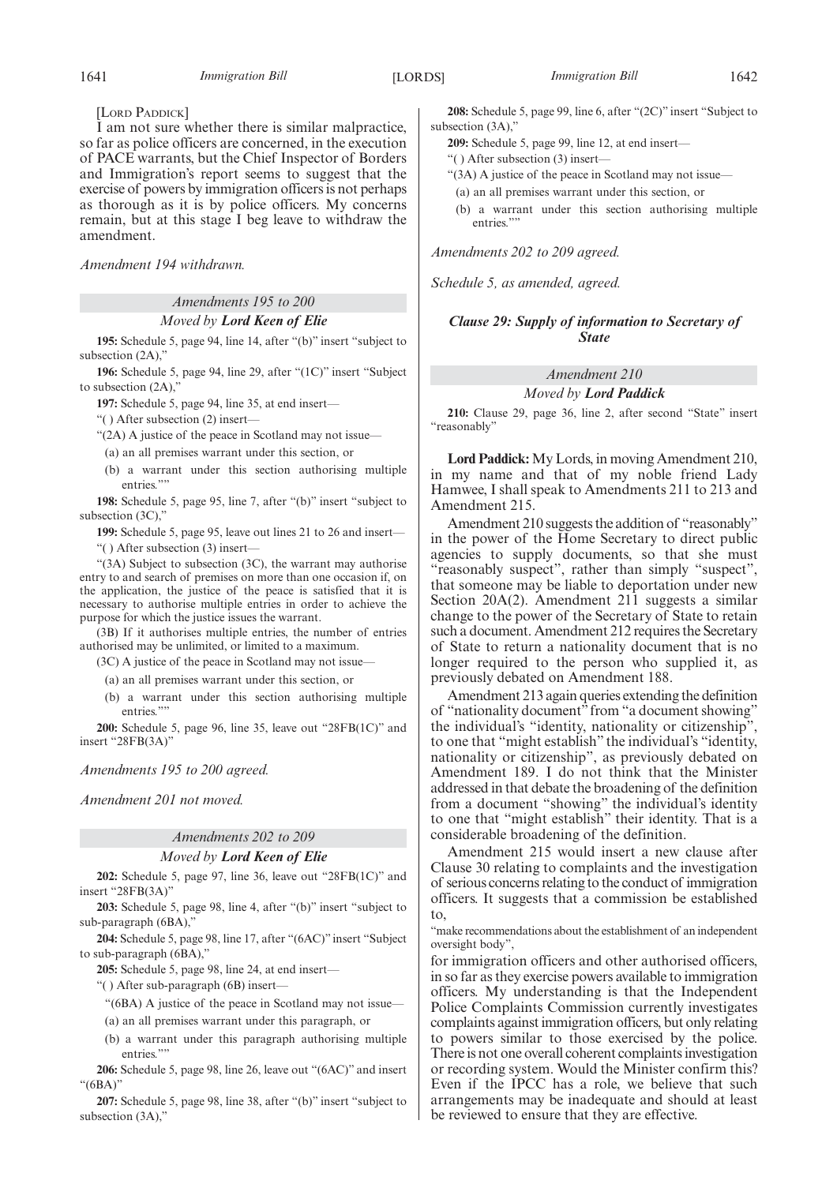[LORD PADDICK]

I am not sure whether there is similar malpractice, so far as police officers are concerned, in the execution of PACE warrants, but the Chief Inspector of Borders and Immigration's report seems to suggest that the exercise of powers by immigration officers is not perhaps as thorough as it is by police officers. My concerns remain, but at this stage I beg leave to withdraw the amendment.

*Amendment 194 withdrawn.*

#### *Amendments 195 to 200*

#### *Moved by Lord Keen of Elie*

**195:** Schedule 5, page 94, line 14, after "(b)" insert "subject to subsection (2A),'

**196:** Schedule 5, page 94, line 29, after "(1C)" insert "Subject to subsection (2A),"

**197:** Schedule 5, page 94, line 35, at end insert—

"( ) After subsection (2) insert—

"(2A) A justice of the peace in Scotland may not issue—

(a) an all premises warrant under this section, or

(b) a warrant under this section authorising multiple entries.""

**198:** Schedule 5, page 95, line 7, after "(b)" insert "subject to subsection (3C),"

**199:** Schedule 5, page 95, leave out lines 21 to 26 and insert—

"( ) After subsection (3) insert—

"(3A) Subject to subsection (3C), the warrant may authorise entry to and search of premises on more than one occasion if, on the application, the justice of the peace is satisfied that it is necessary to authorise multiple entries in order to achieve the purpose for which the justice issues the warrant.

(3B) If it authorises multiple entries, the number of entries authorised may be unlimited, or limited to a maximum.

(3C) A justice of the peace in Scotland may not issue—

- (a) an all premises warrant under this section, or
- (b) a warrant under this section authorising multiple entries."

**200:** Schedule 5, page 96, line 35, leave out "28FB(1C)" and insert "28FB(3A)"

*Amendments 195 to 200 agreed.*

*Amendment 201 not moved.*

#### *Amendments 202 to 209*

#### *Moved by Lord Keen of Elie*

**202:** Schedule 5, page 97, line 36, leave out "28FB(1C)" and insert "28FB(3A)"

**203:** Schedule 5, page 98, line 4, after "(b)" insert "subject to sub-paragraph (6BA),"

**204:** Schedule 5, page 98, line 17, after "(6AC)" insert "Subject to sub-paragraph (6BA),"

**205:** Schedule 5, page 98, line 24, at end insert—

"( ) After sub-paragraph (6B) insert—

"(6BA) A justice of the peace in Scotland may not issue—

(a) an all premises warrant under this paragraph, or

(b) a warrant under this paragraph authorising multiple entries.""

**206:** Schedule 5, page 98, line 26, leave out "(6AC)" and insert "(6BA)"

**207:** Schedule 5, page 98, line 38, after "(b)" insert "subject to subsection (3A),"

**208:** Schedule 5, page 99, line 6, after "(2C)" insert "Subject to subsection (3A),"

- **209:** Schedule 5, page 99, line 12, at end insert—
- "( ) After subsection (3) insert—
- "(3A) A justice of the peace in Scotland may not issue—
- (a) an all premises warrant under this section, or
- (b) a warrant under this section authorising multiple entries."

*Amendments 202 to 209 agreed.*

*Schedule 5, as amended, agreed.*

#### *Clause 29: Supply of information to Secretary of State*

#### *Amendment 210*

#### *Moved by Lord Paddick*

**210:** Clause 29, page 36, line 2, after second "State" insert "reasonably"

**Lord Paddick:**My Lords, in moving Amendment 210, in my name and that of my noble friend Lady Hamwee, I shall speak to Amendments 211 to 213 and Amendment 215.

Amendment 210 suggests the addition of "reasonably" in the power of the Home Secretary to direct public agencies to supply documents, so that she must "reasonably suspect", rather than simply "suspect", that someone may be liable to deportation under new Section 20A(2). Amendment 211 suggests a similar change to the power of the Secretary of State to retain such a document. Amendment 212 requires the Secretary of State to return a nationality document that is no longer required to the person who supplied it, as previously debated on Amendment 188.

Amendment 213 again queries extending the definition of "nationality document" from "a document showing" the individual's "identity, nationality or citizenship", to one that "might establish" the individual's "identity, nationality or citizenship", as previously debated on Amendment 189. I do not think that the Minister addressed in that debate the broadening of the definition from a document "showing" the individual's identity to one that "might establish" their identity. That is a considerable broadening of the definition.

Amendment 215 would insert a new clause after Clause 30 relating to complaints and the investigation of serious concerns relating to the conduct of immigration officers. It suggests that a commission be established to,

"make recommendations about the establishment of an independent oversight body",

for immigration officers and other authorised officers, in so far as they exercise powers available to immigration officers. My understanding is that the Independent Police Complaints Commission currently investigates complaints against immigration officers, but only relating to powers similar to those exercised by the police. There is not one overall coherent complaints investigation or recording system. Would the Minister confirm this? Even if the IPCC has a role, we believe that such arrangements may be inadequate and should at least be reviewed to ensure that they are effective.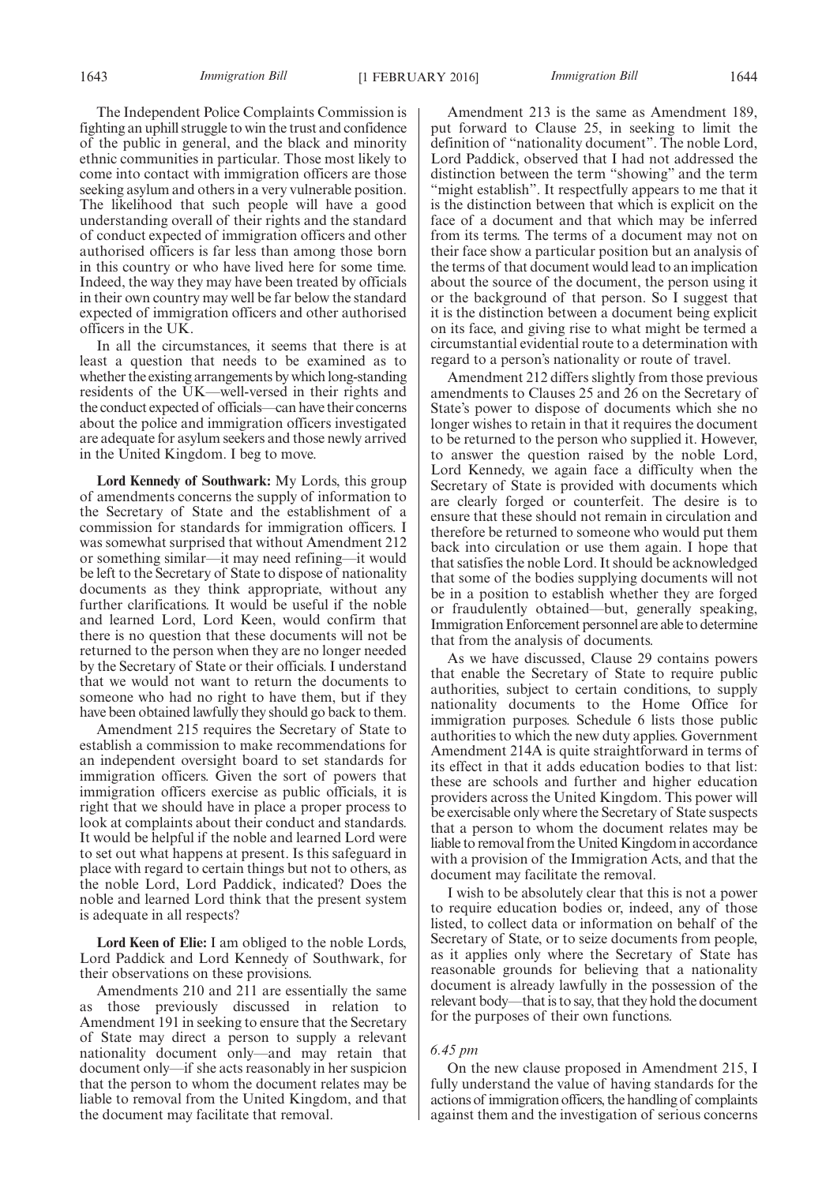The Independent Police Complaints Commission is fighting an uphill struggle to win the trust and confidence of the public in general, and the black and minority ethnic communities in particular. Those most likely to come into contact with immigration officers are those seeking asylum and others in a very vulnerable position. The likelihood that such people will have a good understanding overall of their rights and the standard of conduct expected of immigration officers and other authorised officers is far less than among those born in this country or who have lived here for some time. Indeed, the way they may have been treated by officials in their own country may well be far below the standard expected of immigration officers and other authorised officers in the UK.

In all the circumstances, it seems that there is at least a question that needs to be examined as to whether the existing arrangements by which long-standing residents of the UK—well-versed in their rights and the conduct expected of officials—can have their concerns about the police and immigration officers investigated are adequate for asylum seekers and those newly arrived in the United Kingdom. I beg to move.

**Lord Kennedy of Southwark:** My Lords, this group of amendments concerns the supply of information to the Secretary of State and the establishment of a commission for standards for immigration officers. I was somewhat surprised that without Amendment 212 or something similar—it may need refining—it would be left to the Secretary of State to dispose of nationality documents as they think appropriate, without any further clarifications. It would be useful if the noble and learned Lord, Lord Keen, would confirm that there is no question that these documents will not be returned to the person when they are no longer needed by the Secretary of State or their officials. I understand that we would not want to return the documents to someone who had no right to have them, but if they have been obtained lawfully they should go back to them.

Amendment 215 requires the Secretary of State to establish a commission to make recommendations for an independent oversight board to set standards for immigration officers. Given the sort of powers that immigration officers exercise as public officials, it is right that we should have in place a proper process to look at complaints about their conduct and standards. It would be helpful if the noble and learned Lord were to set out what happens at present. Is this safeguard in place with regard to certain things but not to others, as the noble Lord, Lord Paddick, indicated? Does the noble and learned Lord think that the present system is adequate in all respects?

**Lord Keen of Elie:** I am obliged to the noble Lords, Lord Paddick and Lord Kennedy of Southwark, for their observations on these provisions.

Amendments 210 and 211 are essentially the same as those previously discussed in relation to Amendment 191 in seeking to ensure that the Secretary of State may direct a person to supply a relevant nationality document only—and may retain that document only—if she acts reasonably in her suspicion that the person to whom the document relates may be liable to removal from the United Kingdom, and that the document may facilitate that removal.

Amendment 213 is the same as Amendment 189, put forward to Clause 25, in seeking to limit the definition of "nationality document". The noble Lord, Lord Paddick, observed that I had not addressed the distinction between the term "showing" and the term "might establish". It respectfully appears to me that it is the distinction between that which is explicit on the face of a document and that which may be inferred from its terms. The terms of a document may not on their face show a particular position but an analysis of the terms of that document would lead to an implication about the source of the document, the person using it or the background of that person. So I suggest that it is the distinction between a document being explicit on its face, and giving rise to what might be termed a circumstantial evidential route to a determination with regard to a person's nationality or route of travel.

Amendment 212 differs slightly from those previous amendments to Clauses 25 and 26 on the Secretary of State's power to dispose of documents which she no longer wishes to retain in that it requires the document to be returned to the person who supplied it. However, to answer the question raised by the noble Lord, Lord Kennedy, we again face a difficulty when the Secretary of State is provided with documents which are clearly forged or counterfeit. The desire is to ensure that these should not remain in circulation and therefore be returned to someone who would put them back into circulation or use them again. I hope that that satisfies the noble Lord. It should be acknowledged that some of the bodies supplying documents will not be in a position to establish whether they are forged or fraudulently obtained—but, generally speaking, Immigration Enforcement personnel are able to determine that from the analysis of documents.

As we have discussed, Clause 29 contains powers that enable the Secretary of State to require public authorities, subject to certain conditions, to supply nationality documents to the Home Office for immigration purposes. Schedule 6 lists those public authorities to which the new duty applies. Government Amendment 214A is quite straightforward in terms of its effect in that it adds education bodies to that list: these are schools and further and higher education providers across the United Kingdom. This power will be exercisable only where the Secretary of State suspects that a person to whom the document relates may be liable to removal from the United Kingdom in accordance with a provision of the Immigration Acts, and that the document may facilitate the removal.

I wish to be absolutely clear that this is not a power to require education bodies or, indeed, any of those listed, to collect data or information on behalf of the Secretary of State, or to seize documents from people, as it applies only where the Secretary of State has reasonable grounds for believing that a nationality document is already lawfully in the possession of the relevant body—that is to say, that they hold the document for the purposes of their own functions.

#### *6.45 pm*

On the new clause proposed in Amendment 215, I fully understand the value of having standards for the actions of immigration officers, the handling of complaints against them and the investigation of serious concerns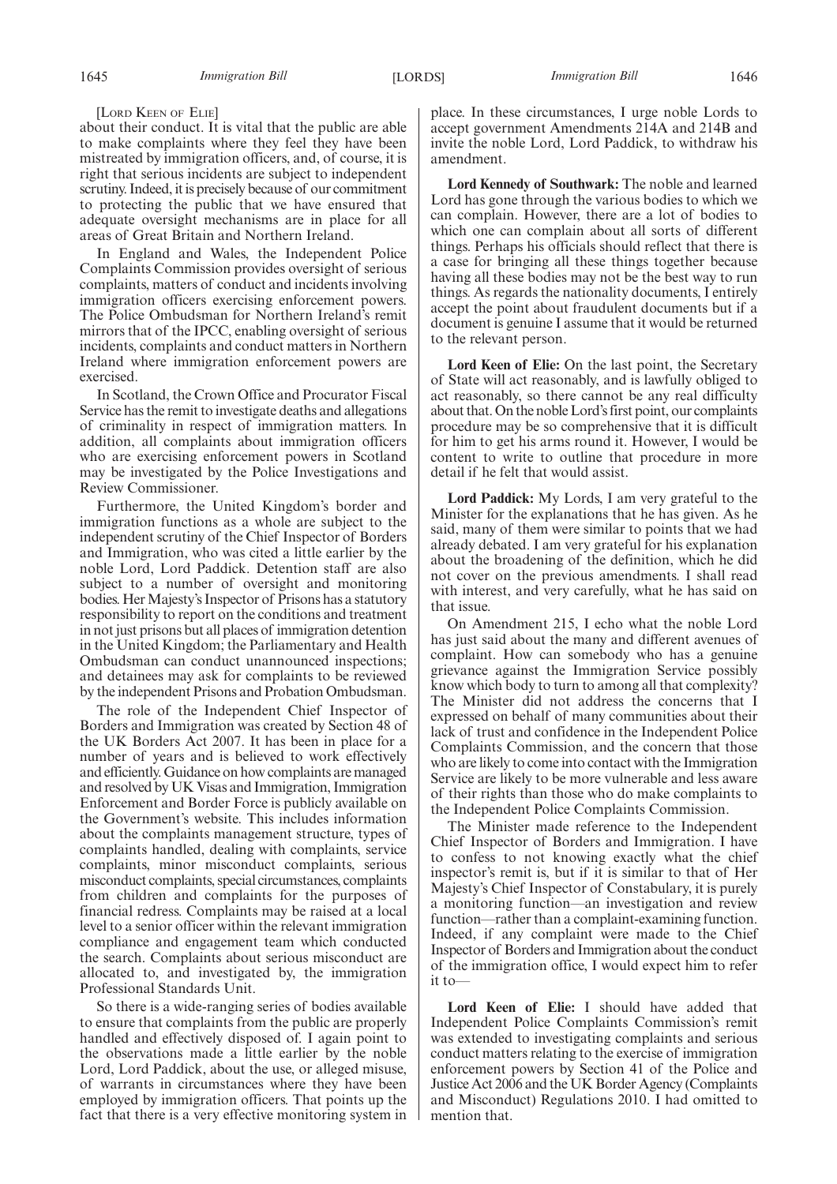[LORD KEEN OF ELIE]

about their conduct. It is vital that the public are able to make complaints where they feel they have been mistreated by immigration officers, and, of course, it is right that serious incidents are subject to independent scrutiny. Indeed, it is precisely because of our commitment to protecting the public that we have ensured that adequate oversight mechanisms are in place for all areas of Great Britain and Northern Ireland.

In England and Wales, the Independent Police Complaints Commission provides oversight of serious complaints, matters of conduct and incidents involving immigration officers exercising enforcement powers. The Police Ombudsman for Northern Ireland's remit mirrors that of the IPCC, enabling oversight of serious incidents, complaints and conduct matters in Northern Ireland where immigration enforcement powers are exercised.

In Scotland, the Crown Office and Procurator Fiscal Service has the remit to investigate deaths and allegations of criminality in respect of immigration matters. In addition, all complaints about immigration officers who are exercising enforcement powers in Scotland may be investigated by the Police Investigations and Review Commissioner.

Furthermore, the United Kingdom's border and immigration functions as a whole are subject to the independent scrutiny of the Chief Inspector of Borders and Immigration, who was cited a little earlier by the noble Lord, Lord Paddick. Detention staff are also subject to a number of oversight and monitoring bodies. Her Majesty's Inspector of Prisons has a statutory responsibility to report on the conditions and treatment in not just prisons but all places of immigration detention in the United Kingdom; the Parliamentary and Health Ombudsman can conduct unannounced inspections; and detainees may ask for complaints to be reviewed by the independent Prisons and Probation Ombudsman.

The role of the Independent Chief Inspector of Borders and Immigration was created by Section 48 of the UK Borders Act 2007. It has been in place for a number of years and is believed to work effectively and efficiently. Guidance on how complaints are managed and resolved by UK Visas and Immigration, Immigration Enforcement and Border Force is publicly available on the Government's website. This includes information about the complaints management structure, types of complaints handled, dealing with complaints, service complaints, minor misconduct complaints, serious misconduct complaints, special circumstances, complaints from children and complaints for the purposes of financial redress. Complaints may be raised at a local level to a senior officer within the relevant immigration compliance and engagement team which conducted the search. Complaints about serious misconduct are allocated to, and investigated by, the immigration Professional Standards Unit.

So there is a wide-ranging series of bodies available to ensure that complaints from the public are properly handled and effectively disposed of. I again point to the observations made a little earlier by the noble Lord, Lord Paddick, about the use, or alleged misuse, of warrants in circumstances where they have been employed by immigration officers. That points up the fact that there is a very effective monitoring system in place. In these circumstances, I urge noble Lords to accept government Amendments 214A and 214B and invite the noble Lord, Lord Paddick, to withdraw his amendment.

**Lord Kennedy of Southwark:** The noble and learned Lord has gone through the various bodies to which we can complain. However, there are a lot of bodies to which one can complain about all sorts of different things. Perhaps his officials should reflect that there is a case for bringing all these things together because having all these bodies may not be the best way to run things. As regards the nationality documents, I entirely accept the point about fraudulent documents but if a document is genuine I assume that it would be returned to the relevant person.

**Lord Keen of Elie:** On the last point, the Secretary of State will act reasonably, and is lawfully obliged to act reasonably, so there cannot be any real difficulty about that. On the noble Lord's first point, our complaints procedure may be so comprehensive that it is difficult for him to get his arms round it. However, I would be content to write to outline that procedure in more detail if he felt that would assist.

**Lord Paddick:** My Lords, I am very grateful to the Minister for the explanations that he has given. As he said, many of them were similar to points that we had already debated. I am very grateful for his explanation about the broadening of the definition, which he did not cover on the previous amendments. I shall read with interest, and very carefully, what he has said on that issue.

On Amendment 215, I echo what the noble Lord has just said about the many and different avenues of complaint. How can somebody who has a genuine grievance against the Immigration Service possibly know which body to turn to among all that complexity? The Minister did not address the concerns that I expressed on behalf of many communities about their lack of trust and confidence in the Independent Police Complaints Commission, and the concern that those who are likely to come into contact with the Immigration Service are likely to be more vulnerable and less aware of their rights than those who do make complaints to the Independent Police Complaints Commission.

The Minister made reference to the Independent Chief Inspector of Borders and Immigration. I have to confess to not knowing exactly what the chief inspector's remit is, but if it is similar to that of Her Majesty's Chief Inspector of Constabulary, it is purely a monitoring function—an investigation and review function—rather than a complaint-examining function. Indeed, if any complaint were made to the Chief Inspector of Borders and Immigration about the conduct of the immigration office, I would expect him to refer it to—

**Lord Keen of Elie:** I should have added that Independent Police Complaints Commission's remit was extended to investigating complaints and serious conduct matters relating to the exercise of immigration enforcement powers by Section 41 of the Police and Justice Act 2006 and the UK Border Agency (Complaints and Misconduct) Regulations 2010. I had omitted to mention that.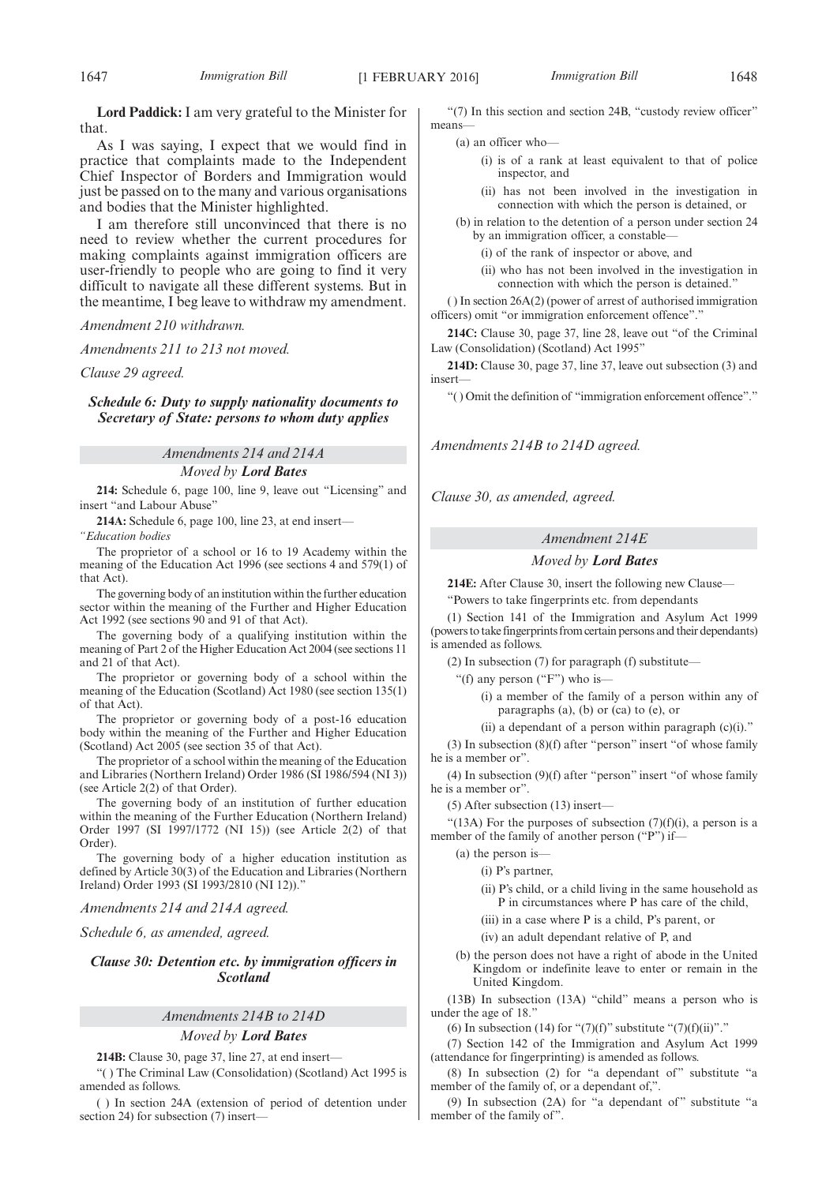**Lord Paddick:** I am very grateful to the Minister for that.

As I was saying, I expect that we would find in practice that complaints made to the Independent Chief Inspector of Borders and Immigration would just be passed on to the many and various organisations and bodies that the Minister highlighted.

I am therefore still unconvinced that there is no need to review whether the current procedures for making complaints against immigration officers are user-friendly to people who are going to find it very difficult to navigate all these different systems. But in the meantime, I beg leave to withdraw my amendment.

*Amendment 210 withdrawn.*

*Amendments 211 to 213 not moved.*

*Clause 29 agreed.*

*Schedule 6: Duty to supply nationality documents to Secretary of State: persons to whom duty applies*

*Amendments 214 and 214A*

*Moved by Lord Bates*

**214:** Schedule 6, page 100, line 9, leave out "Licensing" and insert "and Labour Abuse"

**214A:** Schedule 6, page 100, line 23, at end insert—

*"Education bodies*

The proprietor of a school or 16 to 19 Academy within the meaning of the Education Act 1996 (see sections 4 and 579(1) of that Act).

The governing body of an institution within the further education sector within the meaning of the Further and Higher Education Act 1992 (see sections 90 and 91 of that Act).

The governing body of a qualifying institution within the meaning of Part 2 of the Higher Education Act 2004 (see sections 11 and 21 of that Act).

The proprietor or governing body of a school within the meaning of the Education (Scotland) Act 1980 (see section 135(1) of that Act).

The proprietor or governing body of a post-16 education body within the meaning of the Further and Higher Education (Scotland) Act 2005 (see section 35 of that Act).

The proprietor of a school within the meaning of the Education and Libraries (Northern Ireland) Order 1986 (SI 1986/594 (NI 3)) (see Article 2(2) of that Order).

The governing body of an institution of further education within the meaning of the Further Education (Northern Ireland) Order 1997 (SI 1997/1772 (NI 15)) (see Article 2(2) of that Order).

The governing body of a higher education institution as defined by Article 30(3) of the Education and Libraries (Northern Ireland) Order 1993 (SI 1993/2810 (NI 12))."

## *Amendments 214 and 214A agreed.*

*Schedule 6, as amended, agreed.*

## *Clause 30: Detention etc. by immigration officers in Scotland*

## *Amendments 214B to 214D*

## *Moved by Lord Bates*

**214B:** Clause 30, page 37, line 27, at end insert—

"( ) The Criminal Law (Consolidation) (Scotland) Act 1995 is amended as follows.

( ) In section 24A (extension of period of detention under section 24) for subsection (7) insert—

"(7) In this section and section 24B, "custody review officer" means—

- (a) an officer who—
	- (i) is of a rank at least equivalent to that of police inspector, and
	- (ii) has not been involved in the investigation in connection with which the person is detained, or
- (b) in relation to the detention of a person under section 24 by an immigration officer, a constable—
	- (i) of the rank of inspector or above, and
	- (ii) who has not been involved in the investigation in connection with which the person is detained."

( ) In section 26A(2) (power of arrest of authorised immigration officers) omit "or immigration enforcement offence"."

**214C:** Clause 30, page 37, line 28, leave out "of the Criminal Law (Consolidation) (Scotland) Act 1995"

**214D:** Clause 30, page 37, line 37, leave out subsection (3) and insert—

"( ) Omit the definition of "immigration enforcement offence"."

*Amendments 214B to 214D agreed.*

*Clause 30, as amended, agreed.*

## *Amendment 214E*

## *Moved by Lord Bates*

**214E:** After Clause 30, insert the following new Clause—

"Powers to take fingerprints etc. from dependants

(1) Section 141 of the Immigration and Asylum Act 1999 (powers to take fingerprints from certain persons and their dependants) is amended as follows.

(2) In subsection (7) for paragraph (f) substitute—

"(f) any person ("F") who is—

(i) a member of the family of a person within any of paragraphs  $(a)$ ,  $(b)$  or  $(ca)$  to  $(e)$ , or

(ii) a dependant of a person within paragraph (c)(i)."

(3) In subsection (8)(f) after "person" insert "of whose family he is a member or".

(4) In subsection (9)(f) after "person" insert "of whose family he is a member or".

(5) After subsection (13) insert—

"(13A) For the purposes of subsection  $(7)(f)(i)$ , a person is a member of the family of another person ("P") if-

- (a) the person is—
	- (i) P's partner,

(ii) P's child, or a child living in the same household as P in circumstances where P has care of the child,

(iii) in a case where P is a child, P's parent, or

(iv) an adult dependant relative of P, and

(b) the person does not have a right of abode in the United Kingdom or indefinite leave to enter or remain in the United Kingdom.

(13B) In subsection (13A) "child" means a person who is under the age of 18."

(6) In subsection (14) for " $(7)(f)$ " substitute " $(7)(f)(ii)$ "."

(7) Section 142 of the Immigration and Asylum Act 1999 (attendance for fingerprinting) is amended as follows.

(8) In subsection (2) for "a dependant of" substitute "a member of the family of, or a dependant of,".

(9) In subsection  $(2A)$  for "a dependant of" substitute "a member of the family of".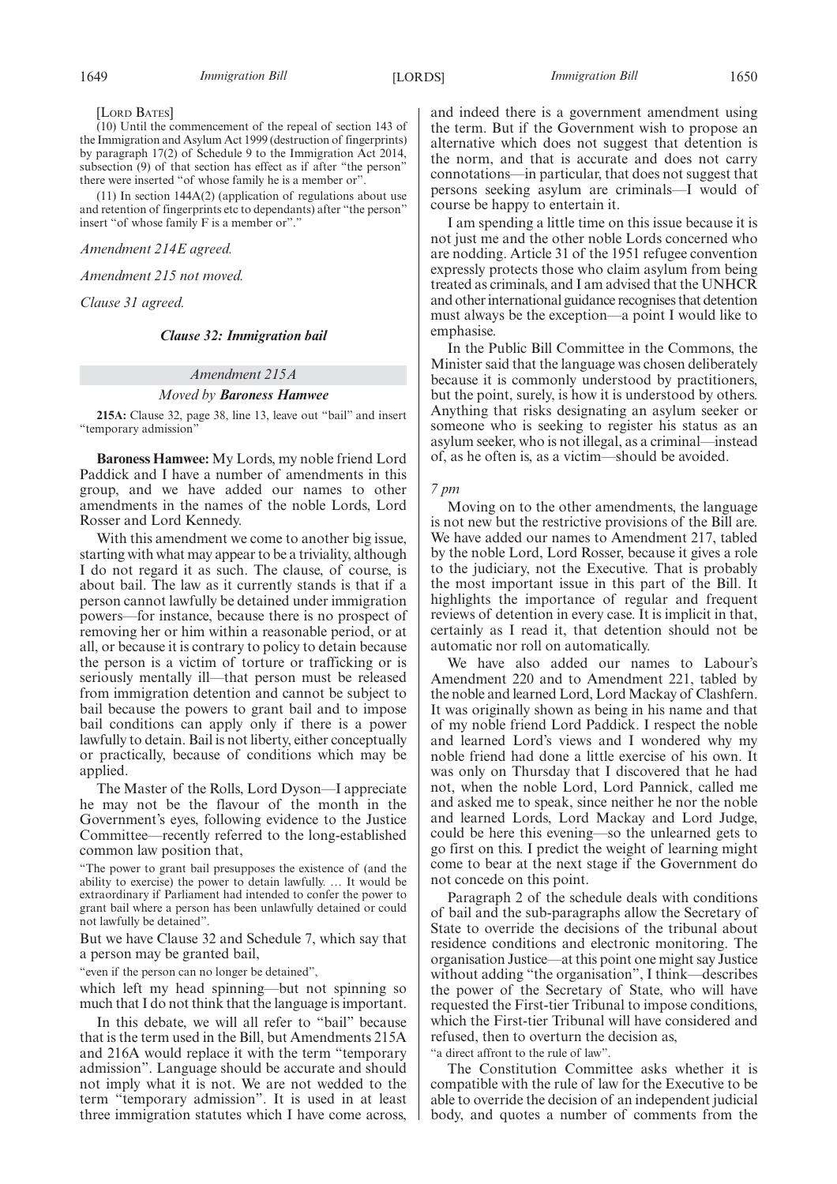[LORD BATES]

(10) Until the commencement of the repeal of section 143 of the Immigration and Asylum Act 1999 (destruction of fingerprints) by paragraph 17(2) of Schedule 9 to the Immigration Act 2014, subsection (9) of that section has effect as if after "the person" there were inserted "of whose family he is a member or".

(11) In section 144A(2) (application of regulations about use and retention of fingerprints etc to dependants) after "the person" insert "of whose family F is a member or"."

*Amendment 214E agreed.*

*Amendment 215 not moved.*

*Clause 31 agreed.*

## *Clause 32: Immigration bail*

## *Amendment 215A*

## *Moved by Baroness Hamwee*

**215A:** Clause 32, page 38, line 13, leave out "bail" and insert "temporary admission"

**Baroness Hamwee:** My Lords, my noble friend Lord Paddick and I have a number of amendments in this group, and we have added our names to other amendments in the names of the noble Lords, Lord Rosser and Lord Kennedy.

With this amendment we come to another big issue, starting with what may appear to be a triviality, although I do not regard it as such. The clause, of course, is about bail. The law as it currently stands is that if a person cannot lawfully be detained under immigration powers—for instance, because there is no prospect of removing her or him within a reasonable period, or at all, or because it is contrary to policy to detain because the person is a victim of torture or trafficking or is seriously mentally ill—that person must be released from immigration detention and cannot be subject to bail because the powers to grant bail and to impose bail conditions can apply only if there is a power lawfully to detain. Bail is not liberty, either conceptually or practically, because of conditions which may be applied.

The Master of the Rolls, Lord Dyson—I appreciate he may not be the flavour of the month in the Government's eyes, following evidence to the Justice Committee—recently referred to the long-established common law position that,

"The power to grant bail presupposes the existence of (and the ability to exercise) the power to detain lawfully. … It would be extraordinary if Parliament had intended to confer the power to grant bail where a person has been unlawfully detained or could not lawfully be detained".

But we have Clause 32 and Schedule 7, which say that a person may be granted bail,

"even if the person can no longer be detained",

which left my head spinning—but not spinning so much that I do not think that the language is important.

In this debate, we will all refer to "bail" because that is the term used in the Bill, but Amendments 215A and 216A would replace it with the term "temporary admission". Language should be accurate and should not imply what it is not. We are not wedded to the term "temporary admission". It is used in at least three immigration statutes which I have come across,

and indeed there is a government amendment using the term. But if the Government wish to propose an alternative which does not suggest that detention is the norm, and that is accurate and does not carry connotations—in particular, that does not suggest that persons seeking asylum are criminals—I would of course be happy to entertain it.

I am spending a little time on this issue because it is not just me and the other noble Lords concerned who are nodding. Article 31 of the 1951 refugee convention expressly protects those who claim asylum from being treated as criminals, and I am advised that the UNHCR and other international guidance recognises that detention must always be the exception—a point I would like to emphasise.

In the Public Bill Committee in the Commons, the Minister said that the language was chosen deliberately because it is commonly understood by practitioners, but the point, surely, is how it is understood by others. Anything that risks designating an asylum seeker or someone who is seeking to register his status as an asylum seeker, who is not illegal, as a criminal—instead of, as he often is, as a victim—should be avoided.

#### *7 pm*

Moving on to the other amendments, the language is not new but the restrictive provisions of the Bill are. We have added our names to Amendment 217, tabled by the noble Lord, Lord Rosser, because it gives a role to the judiciary, not the Executive. That is probably the most important issue in this part of the Bill. It highlights the importance of regular and frequent reviews of detention in every case. It is implicit in that, certainly as I read it, that detention should not be automatic nor roll on automatically.

We have also added our names to Labour's Amendment 220 and to Amendment 221, tabled by the noble and learned Lord, Lord Mackay of Clashfern. It was originally shown as being in his name and that of my noble friend Lord Paddick. I respect the noble and learned Lord's views and I wondered why my noble friend had done a little exercise of his own. It was only on Thursday that I discovered that he had not, when the noble Lord, Lord Pannick, called me and asked me to speak, since neither he nor the noble and learned Lords, Lord Mackay and Lord Judge, could be here this evening—so the unlearned gets to go first on this. I predict the weight of learning might come to bear at the next stage if the Government do not concede on this point.

Paragraph 2 of the schedule deals with conditions of bail and the sub-paragraphs allow the Secretary of State to override the decisions of the tribunal about residence conditions and electronic monitoring. The organisation Justice—at this point one might say Justice without adding "the organisation", I think—describes the power of the Secretary of State, who will have requested the First-tier Tribunal to impose conditions, which the First-tier Tribunal will have considered and refused, then to overturn the decision as,

"a direct affront to the rule of law".

The Constitution Committee asks whether it is compatible with the rule of law for the Executive to be able to override the decision of an independent judicial body, and quotes a number of comments from the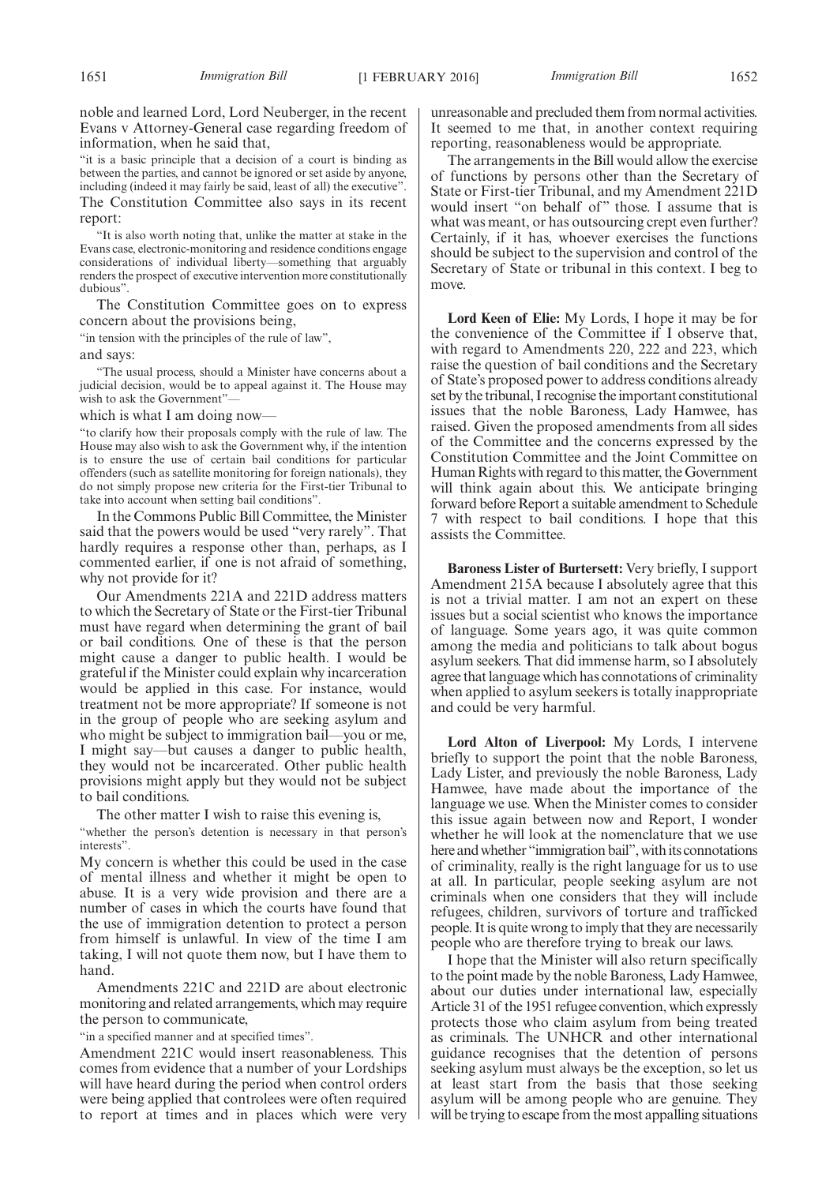noble and learned Lord, Lord Neuberger, in the recent Evans v Attorney-General case regarding freedom of information, when he said that,

"it is a basic principle that a decision of a court is binding as between the parties, and cannot be ignored or set aside by anyone, including (indeed it may fairly be said, least of all) the executive". The Constitution Committee also says in its recent report:

"It is also worth noting that, unlike the matter at stake in the Evans case, electronic-monitoring and residence conditions engage considerations of individual liberty—something that arguably renders the prospect of executive intervention more constitutionally dubious".

The Constitution Committee goes on to express concern about the provisions being,

"in tension with the principles of the rule of law",

and says:

"The usual process, should a Minister have concerns about a judicial decision, would be to appeal against it. The House may wish to ask the Government"—

which is what I am doing now—

"to clarify how their proposals comply with the rule of law. The House may also wish to ask the Government why, if the intention is to ensure the use of certain bail conditions for particular offenders (such as satellite monitoring for foreign nationals), they do not simply propose new criteria for the First-tier Tribunal to take into account when setting bail conditions".

In the Commons Public Bill Committee, the Minister said that the powers would be used "very rarely". That hardly requires a response other than, perhaps, as I commented earlier, if one is not afraid of something, why not provide for it?

Our Amendments 221A and 221D address matters to which the Secretary of State or the First-tier Tribunal must have regard when determining the grant of bail or bail conditions. One of these is that the person might cause a danger to public health. I would be grateful if the Minister could explain why incarceration would be applied in this case. For instance, would treatment not be more appropriate? If someone is not in the group of people who are seeking asylum and who might be subject to immigration bail—you or me, I might say—but causes a danger to public health, they would not be incarcerated. Other public health provisions might apply but they would not be subject to bail conditions.

The other matter I wish to raise this evening is,

"whether the person's detention is necessary in that person's interests".

My concern is whether this could be used in the case of mental illness and whether it might be open to abuse. It is a very wide provision and there are a number of cases in which the courts have found that the use of immigration detention to protect a person from himself is unlawful. In view of the time I am taking, I will not quote them now, but I have them to hand.

Amendments 221C and 221D are about electronic monitoring and related arrangements, which may require the person to communicate,

"in a specified manner and at specified times".

Amendment 221C would insert reasonableness. This comes from evidence that a number of your Lordships will have heard during the period when control orders were being applied that controlees were often required to report at times and in places which were very unreasonable and precluded them from normal activities. It seemed to me that, in another context requiring reporting, reasonableness would be appropriate.

The arrangements in the Bill would allow the exercise of functions by persons other than the Secretary of State or First-tier Tribunal, and my Amendment 221D would insert "on behalf of" those. I assume that is what was meant, or has outsourcing crept even further? Certainly, if it has, whoever exercises the functions should be subject to the supervision and control of the Secretary of State or tribunal in this context. I beg to move.

**Lord Keen of Elie:** My Lords, I hope it may be for the convenience of the Committee if I observe that, with regard to Amendments 220, 222 and 223, which raise the question of bail conditions and the Secretary of State's proposed power to address conditions already set by the tribunal, I recognise the important constitutional issues that the noble Baroness, Lady Hamwee, has raised. Given the proposed amendments from all sides of the Committee and the concerns expressed by the Constitution Committee and the Joint Committee on Human Rights with regard to this matter, the Government will think again about this. We anticipate bringing forward before Report a suitable amendment to Schedule 7 with respect to bail conditions. I hope that this assists the Committee.

**Baroness Lister of Burtersett:** Very briefly, I support Amendment 215A because I absolutely agree that this is not a trivial matter. I am not an expert on these issues but a social scientist who knows the importance of language. Some years ago, it was quite common among the media and politicians to talk about bogus asylum seekers. That did immense harm, so I absolutely agree that language which has connotations of criminality when applied to asylum seekers is totally inappropriate and could be very harmful.

**Lord Alton of Liverpool:** My Lords, I intervene briefly to support the point that the noble Baroness, Lady Lister, and previously the noble Baroness, Lady Hamwee, have made about the importance of the language we use. When the Minister comes to consider this issue again between now and Report, I wonder whether he will look at the nomenclature that we use here and whether "immigration bail", with its connotations of criminality, really is the right language for us to use at all. In particular, people seeking asylum are not criminals when one considers that they will include refugees, children, survivors of torture and trafficked people. It is quite wrong to imply that they are necessarily people who are therefore trying to break our laws.

I hope that the Minister will also return specifically to the point made by the noble Baroness, Lady Hamwee, about our duties under international law, especially Article 31 of the 1951 refugee convention, which expressly protects those who claim asylum from being treated as criminals. The UNHCR and other international guidance recognises that the detention of persons seeking asylum must always be the exception, so let us at least start from the basis that those seeking asylum will be among people who are genuine. They will be trying to escape from the most appalling situations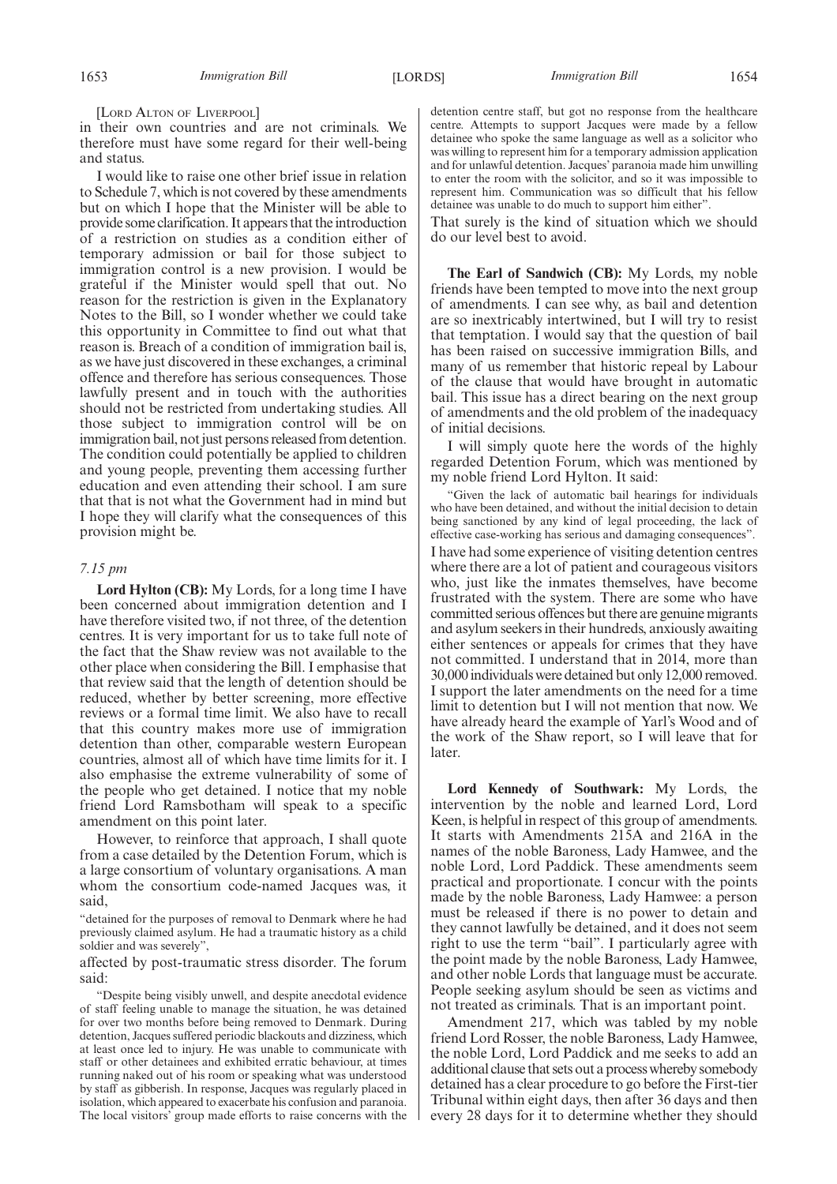[LORD ALTON OF LIVERPOOL]

in their own countries and are not criminals. We therefore must have some regard for their well-being and status.

I would like to raise one other brief issue in relation to Schedule 7, which is not covered by these amendments but on which I hope that the Minister will be able to provide some clarification. It appears that the introduction of a restriction on studies as a condition either of temporary admission or bail for those subject to immigration control is a new provision. I would be grateful if the Minister would spell that out. No reason for the restriction is given in the Explanatory Notes to the Bill, so I wonder whether we could take this opportunity in Committee to find out what that reason is. Breach of a condition of immigration bail is, as we have just discovered in these exchanges, a criminal offence and therefore has serious consequences. Those lawfully present and in touch with the authorities should not be restricted from undertaking studies. All those subject to immigration control will be on immigration bail, not just persons released from detention. The condition could potentially be applied to children and young people, preventing them accessing further education and even attending their school. I am sure that that is not what the Government had in mind but I hope they will clarify what the consequences of this provision might be.

## *7.15 pm*

**Lord Hylton (CB):** My Lords, for a long time I have been concerned about immigration detention and I have therefore visited two, if not three, of the detention centres. It is very important for us to take full note of the fact that the Shaw review was not available to the other place when considering the Bill. I emphasise that that review said that the length of detention should be reduced, whether by better screening, more effective reviews or a formal time limit. We also have to recall that this country makes more use of immigration detention than other, comparable western European countries, almost all of which have time limits for it. I also emphasise the extreme vulnerability of some of the people who get detained. I notice that my noble friend Lord Ramsbotham will speak to a specific amendment on this point later.

However, to reinforce that approach, I shall quote from a case detailed by the Detention Forum, which is a large consortium of voluntary organisations. A man whom the consortium code-named Jacques was, it said,

"detained for the purposes of removal to Denmark where he had previously claimed asylum. He had a traumatic history as a child soldier and was severely",

affected by post-traumatic stress disorder. The forum said:

"Despite being visibly unwell, and despite anecdotal evidence of staff feeling unable to manage the situation, he was detained for over two months before being removed to Denmark. During detention, Jacques suffered periodic blackouts and dizziness, which at least once led to injury. He was unable to communicate with staff or other detainees and exhibited erratic behaviour, at times running naked out of his room or speaking what was understood by staff as gibberish. In response, Jacques was regularly placed in isolation, which appeared to exacerbate his confusion and paranoia. The local visitors' group made efforts to raise concerns with the detention centre staff, but got no response from the healthcare centre. Attempts to support Jacques were made by a fellow detainee who spoke the same language as well as a solicitor who was willing to represent him for a temporary admission application and for unlawful detention. Jacques' paranoia made him unwilling to enter the room with the solicitor, and so it was impossible to represent him. Communication was so difficult that his fellow detainee was unable to do much to support him either".

That surely is the kind of situation which we should do our level best to avoid.

**The Earl of Sandwich (CB):** My Lords, my noble friends have been tempted to move into the next group of amendments. I can see why, as bail and detention are so inextricably intertwined, but I will try to resist that temptation. I would say that the question of bail has been raised on successive immigration Bills, and many of us remember that historic repeal by Labour of the clause that would have brought in automatic bail. This issue has a direct bearing on the next group of amendments and the old problem of the inadequacy of initial decisions.

I will simply quote here the words of the highly regarded Detention Forum, which was mentioned by my noble friend Lord Hylton. It said:

"Given the lack of automatic bail hearings for individuals who have been detained, and without the initial decision to detain being sanctioned by any kind of legal proceeding, the lack of effective case-working has serious and damaging consequences". I have had some experience of visiting detention centres where there are a lot of patient and courageous visitors who, just like the inmates themselves, have become frustrated with the system. There are some who have committed serious offences but there are genuine migrants and asylum seekers in their hundreds, anxiously awaiting either sentences or appeals for crimes that they have not committed. I understand that in 2014, more than 30,000 individuals were detained but only 12,000 removed. I support the later amendments on the need for a time limit to detention but I will not mention that now. We have already heard the example of Yarl's Wood and of the work of the Shaw report, so I will leave that for later.

**Lord Kennedy of Southwark:** My Lords, the intervention by the noble and learned Lord, Lord Keen, is helpful in respect of this group of amendments. It starts with Amendments 215A and 216A in the names of the noble Baroness, Lady Hamwee, and the noble Lord, Lord Paddick. These amendments seem practical and proportionate. I concur with the points made by the noble Baroness, Lady Hamwee: a person must be released if there is no power to detain and they cannot lawfully be detained, and it does not seem right to use the term "bail". I particularly agree with the point made by the noble Baroness, Lady Hamwee, and other noble Lords that language must be accurate. People seeking asylum should be seen as victims and not treated as criminals. That is an important point.

Amendment 217, which was tabled by my noble friend Lord Rosser, the noble Baroness, Lady Hamwee, the noble Lord, Lord Paddick and me seeks to add an additional clause that sets out a process whereby somebody detained has a clear procedure to go before the First-tier Tribunal within eight days, then after 36 days and then every 28 days for it to determine whether they should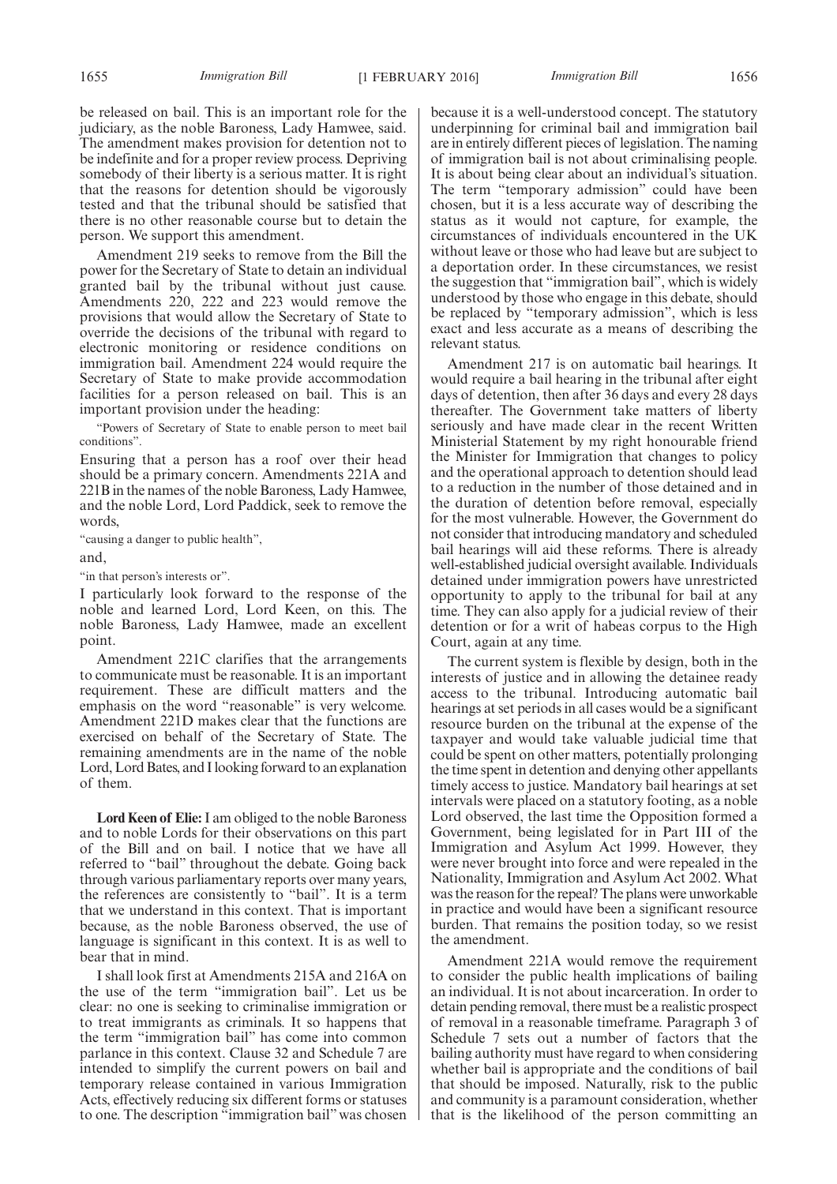be released on bail. This is an important role for the judiciary, as the noble Baroness, Lady Hamwee, said. The amendment makes provision for detention not to be indefinite and for a proper review process. Depriving somebody of their liberty is a serious matter. It is right that the reasons for detention should be vigorously tested and that the tribunal should be satisfied that there is no other reasonable course but to detain the person. We support this amendment.

Amendment 219 seeks to remove from the Bill the power for the Secretary of State to detain an individual granted bail by the tribunal without just cause. Amendments 220, 222 and 223 would remove the provisions that would allow the Secretary of State to override the decisions of the tribunal with regard to electronic monitoring or residence conditions on immigration bail. Amendment 224 would require the Secretary of State to make provide accommodation facilities for a person released on bail. This is an important provision under the heading:

"Powers of Secretary of State to enable person to meet bail conditions".

Ensuring that a person has a roof over their head should be a primary concern. Amendments 221A and 221B in the names of the noble Baroness, Lady Hamwee, and the noble Lord, Lord Paddick, seek to remove the words,

"causing a danger to public health", and,

"in that person's interests or".

I particularly look forward to the response of the noble and learned Lord, Lord Keen, on this. The noble Baroness, Lady Hamwee, made an excellent point.

Amendment 221C clarifies that the arrangements to communicate must be reasonable. It is an important requirement. These are difficult matters and the emphasis on the word "reasonable" is very welcome. Amendment 221D makes clear that the functions are exercised on behalf of the Secretary of State. The remaining amendments are in the name of the noble Lord, Lord Bates, and I looking forward to an explanation of them.

**Lord Keen of Elie:**I am obliged to the noble Baroness and to noble Lords for their observations on this part of the Bill and on bail. I notice that we have all referred to "bail" throughout the debate. Going back through various parliamentary reports over many years, the references are consistently to "bail". It is a term that we understand in this context. That is important because, as the noble Baroness observed, the use of language is significant in this context. It is as well to bear that in mind.

I shall look first at Amendments 215A and 216A on the use of the term "immigration bail". Let us be clear: no one is seeking to criminalise immigration or to treat immigrants as criminals. It so happens that the term "immigration bail" has come into common parlance in this context. Clause 32 and Schedule 7 are intended to simplify the current powers on bail and temporary release contained in various Immigration Acts, effectively reducing six different forms or statuses to one. The description "immigration bail" was chosen because it is a well-understood concept. The statutory underpinning for criminal bail and immigration bail are in entirely different pieces of legislation. The naming of immigration bail is not about criminalising people. It is about being clear about an individual's situation. The term "temporary admission" could have been chosen, but it is a less accurate way of describing the status as it would not capture, for example, the circumstances of individuals encountered in the UK without leave or those who had leave but are subject to a deportation order. In these circumstances, we resist the suggestion that "immigration bail", which is widely understood by those who engage in this debate, should be replaced by "temporary admission", which is less exact and less accurate as a means of describing the relevant status.

Amendment 217 is on automatic bail hearings. It would require a bail hearing in the tribunal after eight days of detention, then after 36 days and every 28 days thereafter. The Government take matters of liberty seriously and have made clear in the recent Written Ministerial Statement by my right honourable friend the Minister for Immigration that changes to policy and the operational approach to detention should lead to a reduction in the number of those detained and in the duration of detention before removal, especially for the most vulnerable. However, the Government do not consider that introducing mandatory and scheduled bail hearings will aid these reforms. There is already well-established judicial oversight available. Individuals detained under immigration powers have unrestricted opportunity to apply to the tribunal for bail at any time. They can also apply for a judicial review of their detention or for a writ of habeas corpus to the High Court, again at any time.

The current system is flexible by design, both in the interests of justice and in allowing the detainee ready access to the tribunal. Introducing automatic bail hearings at set periods in all cases would be a significant resource burden on the tribunal at the expense of the taxpayer and would take valuable judicial time that could be spent on other matters, potentially prolonging the time spent in detention and denying other appellants timely access to justice. Mandatory bail hearings at set intervals were placed on a statutory footing, as a noble Lord observed, the last time the Opposition formed a Government, being legislated for in Part III of the Immigration and Asylum Act 1999. However, they were never brought into force and were repealed in the Nationality, Immigration and Asylum Act 2002. What was the reason for the repeal? The plans were unworkable in practice and would have been a significant resource burden. That remains the position today, so we resist the amendment.

Amendment 221A would remove the requirement to consider the public health implications of bailing an individual. It is not about incarceration. In order to detain pending removal, there must be a realistic prospect of removal in a reasonable timeframe. Paragraph 3 of Schedule 7 sets out a number of factors that the bailing authority must have regard to when considering whether bail is appropriate and the conditions of bail that should be imposed. Naturally, risk to the public and community is a paramount consideration, whether that is the likelihood of the person committing an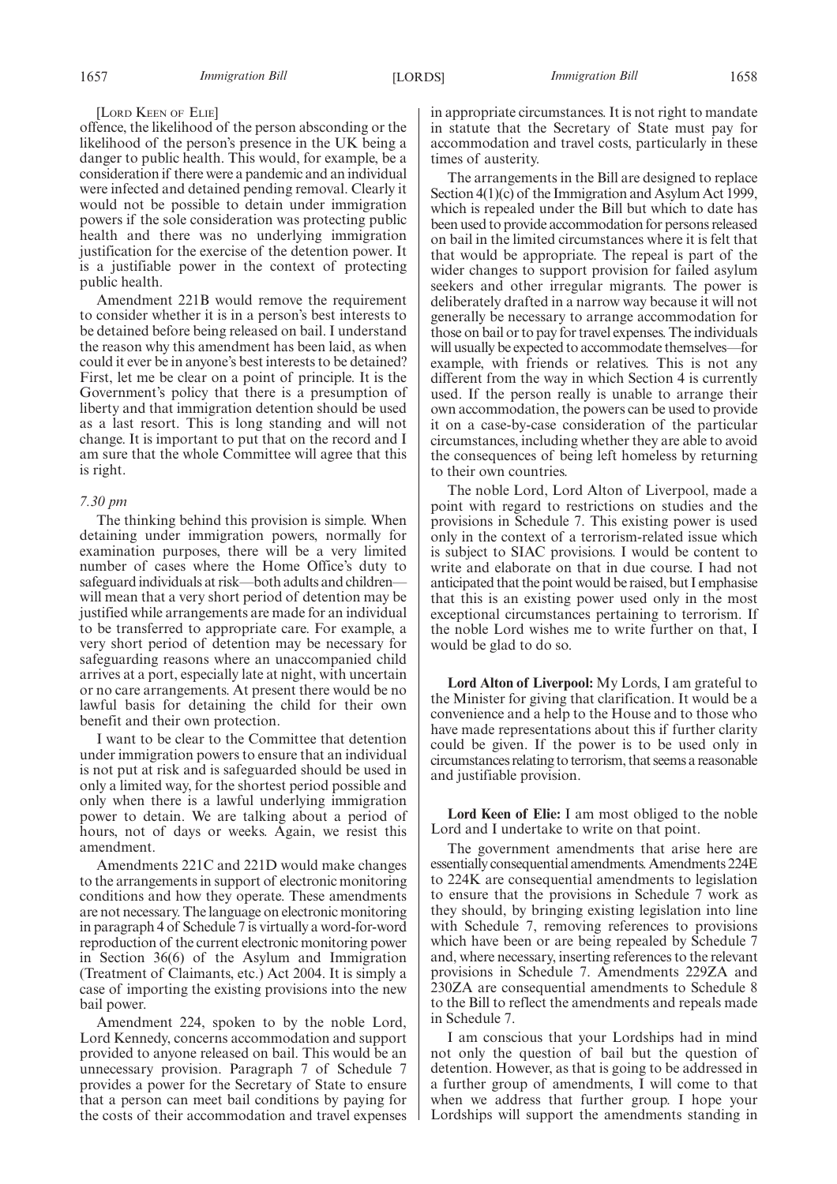### [LORD KEEN OF ELIE]

offence, the likelihood of the person absconding or the likelihood of the person's presence in the UK being a danger to public health. This would, for example, be a consideration if there were a pandemic and an individual were infected and detained pending removal. Clearly it would not be possible to detain under immigration powers if the sole consideration was protecting public health and there was no underlying immigration justification for the exercise of the detention power. It is a justifiable power in the context of protecting public health.

Amendment 221B would remove the requirement to consider whether it is in a person's best interests to be detained before being released on bail. I understand the reason why this amendment has been laid, as when could it ever be in anyone's best interests to be detained? First, let me be clear on a point of principle. It is the Government's policy that there is a presumption of liberty and that immigration detention should be used as a last resort. This is long standing and will not change. It is important to put that on the record and I am sure that the whole Committee will agree that this is right.

## *7.30 pm*

The thinking behind this provision is simple. When detaining under immigration powers, normally for examination purposes, there will be a very limited number of cases where the Home Office's duty to safeguard individuals at risk—both adults and children will mean that a very short period of detention may be justified while arrangements are made for an individual to be transferred to appropriate care. For example, a very short period of detention may be necessary for safeguarding reasons where an unaccompanied child arrives at a port, especially late at night, with uncertain or no care arrangements. At present there would be no lawful basis for detaining the child for their own benefit and their own protection.

I want to be clear to the Committee that detention under immigration powers to ensure that an individual is not put at risk and is safeguarded should be used in only a limited way, for the shortest period possible and only when there is a lawful underlying immigration power to detain. We are talking about a period of hours, not of days or weeks. Again, we resist this amendment.

Amendments 221C and 221D would make changes to the arrangements in support of electronic monitoring conditions and how they operate. These amendments are not necessary. The language on electronic monitoring in paragraph 4 of Schedule 7 is virtually a word-for-word reproduction of the current electronic monitoring power in Section 36(6) of the Asylum and Immigration (Treatment of Claimants, etc.) Act 2004. It is simply a case of importing the existing provisions into the new bail power.

Amendment 224, spoken to by the noble Lord, Lord Kennedy, concerns accommodation and support provided to anyone released on bail. This would be an unnecessary provision. Paragraph 7 of Schedule 7 provides a power for the Secretary of State to ensure that a person can meet bail conditions by paying for the costs of their accommodation and travel expenses

in appropriate circumstances. It is not right to mandate in statute that the Secretary of State must pay for accommodation and travel costs, particularly in these times of austerity.

The arrangements in the Bill are designed to replace Section 4(1)(c) of the Immigration and Asylum Act 1999, which is repealed under the Bill but which to date has been used to provide accommodation for persons released on bail in the limited circumstances where it is felt that that would be appropriate. The repeal is part of the wider changes to support provision for failed asylum seekers and other irregular migrants. The power is deliberately drafted in a narrow way because it will not generally be necessary to arrange accommodation for those on bail or to pay for travel expenses. The individuals will usually be expected to accommodate themselves—for example, with friends or relatives. This is not any different from the way in which Section 4 is currently used. If the person really is unable to arrange their own accommodation, the powers can be used to provide it on a case-by-case consideration of the particular circumstances, including whether they are able to avoid the consequences of being left homeless by returning to their own countries.

The noble Lord, Lord Alton of Liverpool, made a point with regard to restrictions on studies and the provisions in Schedule 7. This existing power is used only in the context of a terrorism-related issue which is subject to SIAC provisions. I would be content to write and elaborate on that in due course. I had not anticipated that the point would be raised, but I emphasise that this is an existing power used only in the most exceptional circumstances pertaining to terrorism. If the noble Lord wishes me to write further on that, I would be glad to do so.

**Lord Alton of Liverpool:** My Lords, I am grateful to the Minister for giving that clarification. It would be a convenience and a help to the House and to those who have made representations about this if further clarity could be given. If the power is to be used only in circumstances relating to terrorism, that seems a reasonable and justifiable provision.

**Lord Keen of Elie:** I am most obliged to the noble Lord and I undertake to write on that point.

The government amendments that arise here are essentially consequential amendments. Amendments 224E to 224K are consequential amendments to legislation to ensure that the provisions in Schedule 7 work as they should, by bringing existing legislation into line with Schedule 7, removing references to provisions which have been or are being repealed by Schedule 7 and, where necessary, inserting references to the relevant provisions in Schedule 7. Amendments 229ZA and 230ZA are consequential amendments to Schedule 8 to the Bill to reflect the amendments and repeals made in Schedule 7.

I am conscious that your Lordships had in mind not only the question of bail but the question of detention. However, as that is going to be addressed in a further group of amendments, I will come to that when we address that further group. I hope your Lordships will support the amendments standing in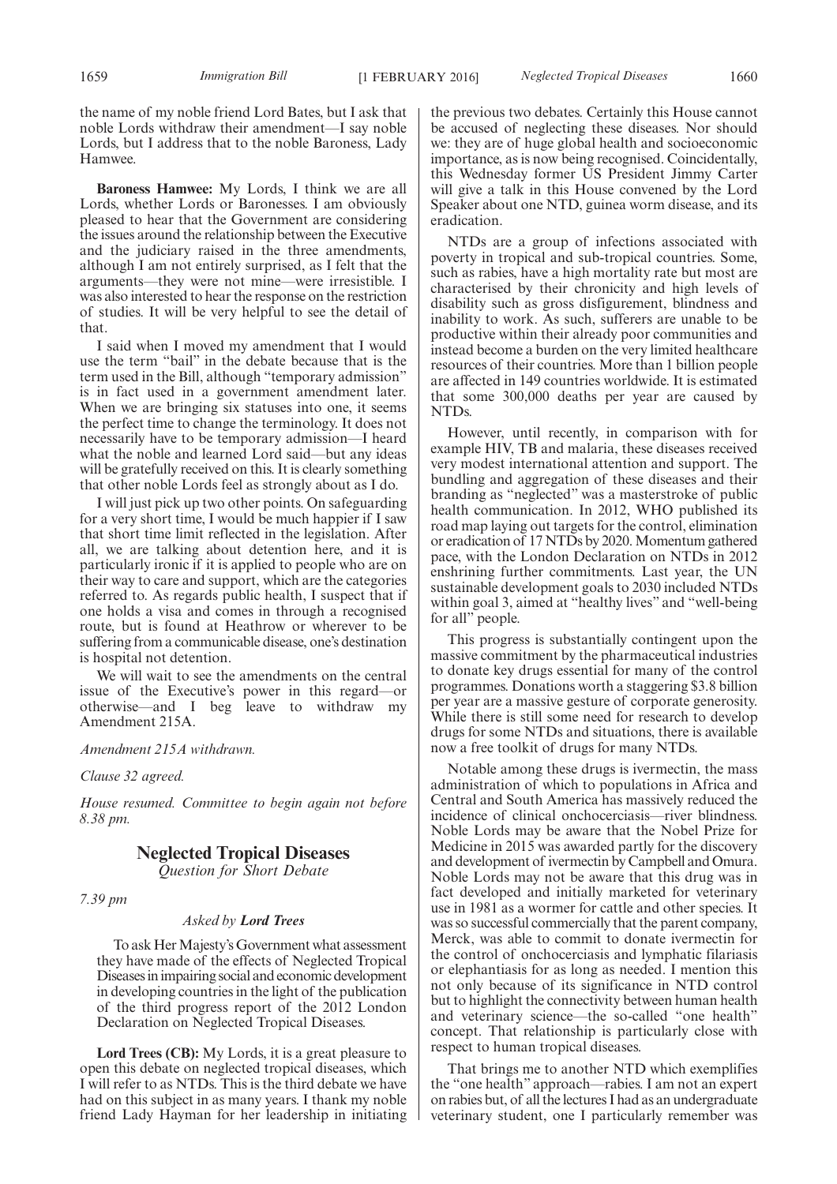the name of my noble friend Lord Bates, but I ask that noble Lords withdraw their amendment—I say noble Lords, but I address that to the noble Baroness, Lady Hamwee.

**Baroness Hamwee:** My Lords, I think we are all Lords, whether Lords or Baronesses. I am obviously pleased to hear that the Government are considering the issues around the relationship between the Executive and the judiciary raised in the three amendments, although I am not entirely surprised, as I felt that the arguments—they were not mine—were irresistible. I was also interested to hear the response on the restriction of studies. It will be very helpful to see the detail of that.

I said when I moved my amendment that I would use the term "bail" in the debate because that is the term used in the Bill, although "temporary admission" is in fact used in a government amendment later. When we are bringing six statuses into one, it seems the perfect time to change the terminology. It does not necessarily have to be temporary admission—I heard what the noble and learned Lord said—but any ideas will be gratefully received on this. It is clearly something that other noble Lords feel as strongly about as I do.

I will just pick up two other points. On safeguarding for a very short time, I would be much happier if I saw that short time limit reflected in the legislation. After all, we are talking about detention here, and it is particularly ironic if it is applied to people who are on their way to care and support, which are the categories referred to. As regards public health, I suspect that if one holds a visa and comes in through a recognised route, but is found at Heathrow or wherever to be suffering from a communicable disease, one's destination is hospital not detention.

We will wait to see the amendments on the central issue of the Executive's power in this regard—or otherwise—and I beg leave to withdraw my Amendment 215A.

*Amendment 215A withdrawn.*

*Clause 32 agreed.*

*House resumed. Committee to begin again not before 8.38 pm.*

## **Neglected Tropical Diseases**

*Question for Short Debate*

## *7.39 pm*

## *Asked by Lord Trees*

To ask Her Majesty's Government what assessment they have made of the effects of Neglected Tropical Diseasesinimpairing social and economic development in developing countries in the light of the publication of the third progress report of the 2012 London Declaration on Neglected Tropical Diseases.

**Lord Trees (CB):** My Lords, it is a great pleasure to open this debate on neglected tropical diseases, which I will refer to as NTDs. This is the third debate we have had on this subject in as many years. I thank my noble friend Lady Hayman for her leadership in initiating the previous two debates. Certainly this House cannot be accused of neglecting these diseases. Nor should we: they are of huge global health and socioeconomic importance, as is now being recognised. Coincidentally, this Wednesday former US President Jimmy Carter will give a talk in this House convened by the Lord Speaker about one NTD, guinea worm disease, and its eradication.

NTDs are a group of infections associated with poverty in tropical and sub-tropical countries. Some, such as rabies, have a high mortality rate but most are characterised by their chronicity and high levels of disability such as gross disfigurement, blindness and inability to work. As such, sufferers are unable to be productive within their already poor communities and instead become a burden on the very limited healthcare resources of their countries. More than 1 billion people are affected in 149 countries worldwide. It is estimated that some 300,000 deaths per year are caused by NTDs.

However, until recently, in comparison with for example HIV, TB and malaria, these diseases received very modest international attention and support. The bundling and aggregation of these diseases and their branding as "neglected" was a masterstroke of public health communication. In 2012, WHO published its road map laying out targets for the control, elimination or eradication of 17 NTDs by 2020. Momentum gathered pace, with the London Declaration on NTDs in 2012 enshrining further commitments. Last year, the UN sustainable development goals to 2030 included NTDs within goal 3, aimed at "healthy lives" and "well-being" for all" people.

This progress is substantially contingent upon the massive commitment by the pharmaceutical industries to donate key drugs essential for many of the control programmes. Donations worth a staggering \$3.8 billion per year are a massive gesture of corporate generosity. While there is still some need for research to develop drugs for some NTDs and situations, there is available now a free toolkit of drugs for many NTDs.

Notable among these drugs is ivermectin, the mass administration of which to populations in Africa and Central and South America has massively reduced the incidence of clinical onchocerciasis—river blindness. Noble Lords may be aware that the Nobel Prize for Medicine in 2015 was awarded partly for the discovery and development of ivermectin by Campbell and Omura. Noble Lords may not be aware that this drug was in fact developed and initially marketed for veterinary use in 1981 as a wormer for cattle and other species. It was so successful commercially that the parent company, Merck, was able to commit to donate ivermectin for the control of onchocerciasis and lymphatic filariasis or elephantiasis for as long as needed. I mention this not only because of its significance in NTD control but to highlight the connectivity between human health and veterinary science—the so-called "one health" concept. That relationship is particularly close with respect to human tropical diseases.

That brings me to another NTD which exemplifies the "one health" approach—rabies. I am not an expert on rabies but, of all the lectures I had as an undergraduate veterinary student, one I particularly remember was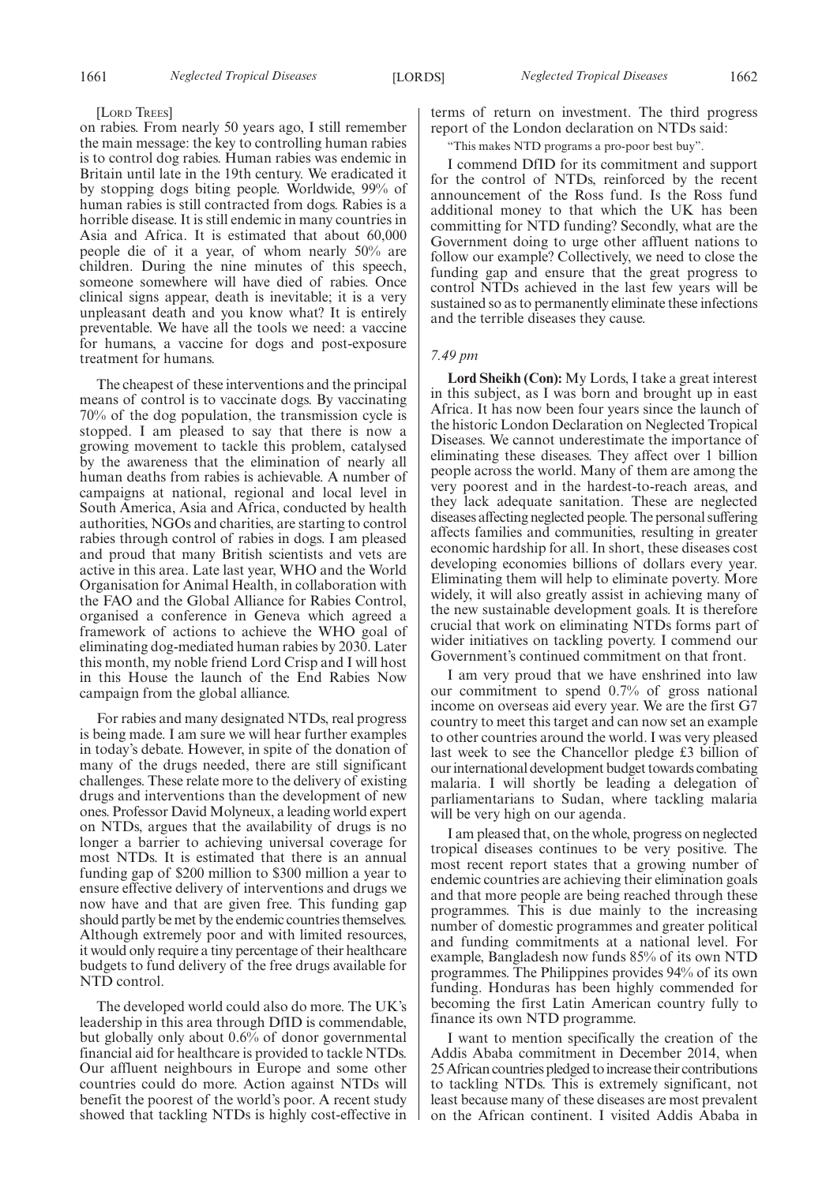## [LORD TREES]

on rabies. From nearly 50 years ago, I still remember the main message: the key to controlling human rabies is to control dog rabies. Human rabies was endemic in Britain until late in the 19th century. We eradicated it by stopping dogs biting people. Worldwide, 99% of human rabies is still contracted from dogs. Rabies is a horrible disease. It is still endemic in many countries in Asia and Africa. It is estimated that about 60,000 people die of it a year, of whom nearly 50% are children. During the nine minutes of this speech, someone somewhere will have died of rabies. Once clinical signs appear, death is inevitable; it is a very unpleasant death and you know what? It is entirely preventable. We have all the tools we need: a vaccine for humans, a vaccine for dogs and post-exposure treatment for humans.

The cheapest of these interventions and the principal means of control is to vaccinate dogs. By vaccinating 70% of the dog population, the transmission cycle is stopped. I am pleased to say that there is now a growing movement to tackle this problem, catalysed by the awareness that the elimination of nearly all human deaths from rabies is achievable. A number of campaigns at national, regional and local level in South America, Asia and Africa, conducted by health authorities, NGOs and charities, are starting to control rabies through control of rabies in dogs. I am pleased and proud that many British scientists and vets are active in this area. Late last year, WHO and the World Organisation for Animal Health, in collaboration with the FAO and the Global Alliance for Rabies Control, organised a conference in Geneva which agreed a framework of actions to achieve the WHO goal of eliminating dog-mediated human rabies by 2030. Later this month, my noble friend Lord Crisp and I will host in this House the launch of the End Rabies Now campaign from the global alliance.

For rabies and many designated NTDs, real progress is being made. I am sure we will hear further examples in today's debate. However, in spite of the donation of many of the drugs needed, there are still significant challenges. These relate more to the delivery of existing drugs and interventions than the development of new ones. Professor David Molyneux, a leading world expert on NTDs, argues that the availability of drugs is no longer a barrier to achieving universal coverage for most NTDs. It is estimated that there is an annual funding gap of \$200 million to \$300 million a year to ensure effective delivery of interventions and drugs we now have and that are given free. This funding gap should partly be met by the endemic countries themselves. Although extremely poor and with limited resources, it would only require a tiny percentage of their healthcare budgets to fund delivery of the free drugs available for NTD control.

The developed world could also do more. The UK's leadership in this area through DfID is commendable, but globally only about 0.6% of donor governmental financial aid for healthcare is provided to tackle NTDs. Our affluent neighbours in Europe and some other countries could do more. Action against NTDs will benefit the poorest of the world's poor. A recent study showed that tackling NTDs is highly cost-effective in terms of return on investment. The third progress report of the London declaration on NTDs said:

"This makes NTD programs a pro-poor best buy".

I commend DfID for its commitment and support for the control of NTDs, reinforced by the recent announcement of the Ross fund. Is the Ross fund additional money to that which the UK has been committing for NTD funding? Secondly, what are the Government doing to urge other affluent nations to follow our example? Collectively, we need to close the funding gap and ensure that the great progress to control NTDs achieved in the last few years will be sustained so as to permanently eliminate these infections and the terrible diseases they cause.

#### *7.49 pm*

**Lord Sheikh (Con):** My Lords, I take a great interest in this subject, as I was born and brought up in east Africa. It has now been four years since the launch of the historic London Declaration on Neglected Tropical Diseases. We cannot underestimate the importance of eliminating these diseases. They affect over 1 billion people across the world. Many of them are among the very poorest and in the hardest-to-reach areas, and they lack adequate sanitation. These are neglected diseases affecting neglected people. The personal suffering affects families and communities, resulting in greater economic hardship for all. In short, these diseases cost developing economies billions of dollars every year. Eliminating them will help to eliminate poverty. More widely, it will also greatly assist in achieving many of the new sustainable development goals. It is therefore crucial that work on eliminating NTDs forms part of wider initiatives on tackling poverty. I commend our Government's continued commitment on that front.

I am very proud that we have enshrined into law our commitment to spend 0.7% of gross national income on overseas aid every year. We are the first G7 country to meet this target and can now set an example to other countries around the world. I was very pleased last week to see the Chancellor pledge £3 billion of our international development budget towards combating malaria. I will shortly be leading a delegation of parliamentarians to Sudan, where tackling malaria will be very high on our agenda.

I am pleased that, on the whole, progress on neglected tropical diseases continues to be very positive. The most recent report states that a growing number of endemic countries are achieving their elimination goals and that more people are being reached through these programmes. This is due mainly to the increasing number of domestic programmes and greater political and funding commitments at a national level. For example, Bangladesh now funds 85% of its own NTD programmes. The Philippines provides 94% of its own funding. Honduras has been highly commended for becoming the first Latin American country fully to finance its own NTD programme.

I want to mention specifically the creation of the Addis Ababa commitment in December 2014, when 25 African countries pledged to increase their contributions to tackling NTDs. This is extremely significant, not least because many of these diseases are most prevalent on the African continent. I visited Addis Ababa in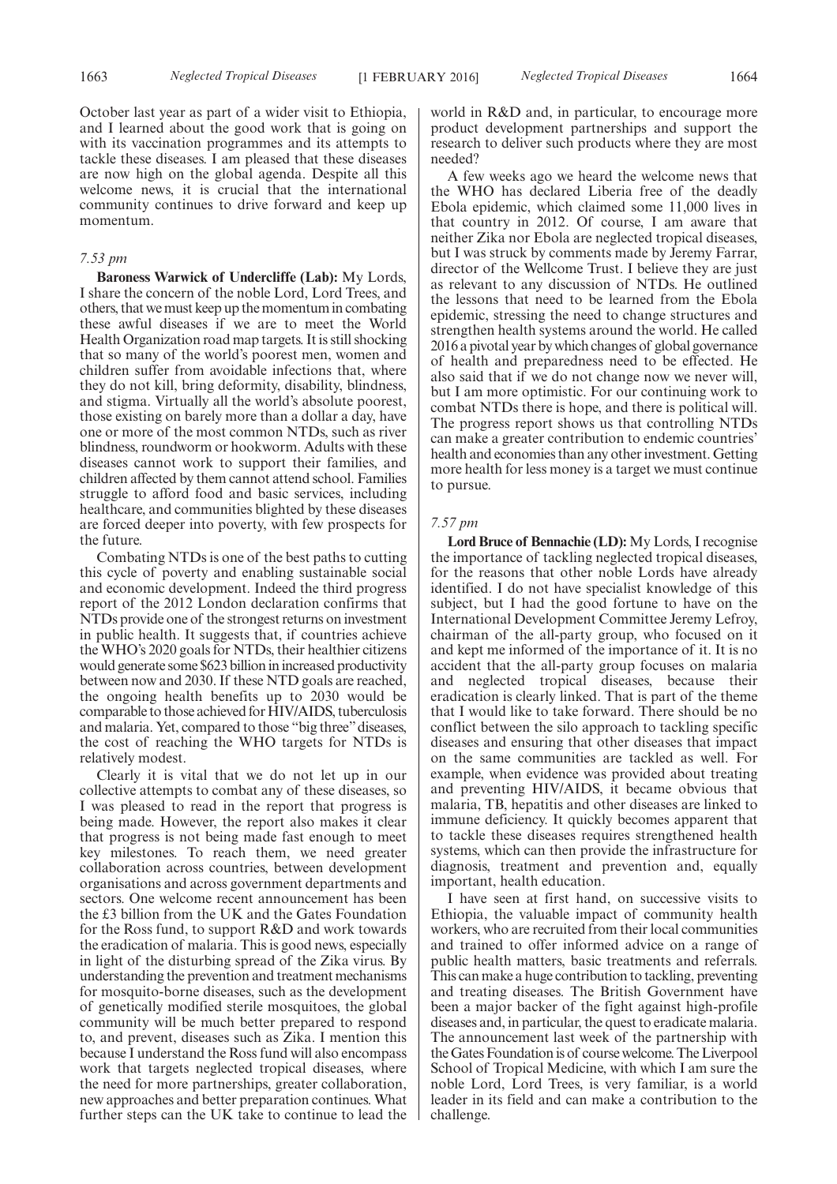October last year as part of a wider visit to Ethiopia, and I learned about the good work that is going on with its vaccination programmes and its attempts to tackle these diseases. I am pleased that these diseases are now high on the global agenda. Despite all this welcome news, it is crucial that the international community continues to drive forward and keep up momentum.

## *7.53 pm*

**Baroness Warwick of Undercliffe (Lab):** My Lords, I share the concern of the noble Lord, Lord Trees, and others, that we must keep up the momentum in combating these awful diseases if we are to meet the World Health Organization road map targets. It is still shocking that so many of the world's poorest men, women and children suffer from avoidable infections that, where they do not kill, bring deformity, disability, blindness, and stigma. Virtually all the world's absolute poorest, those existing on barely more than a dollar a day, have one or more of the most common NTDs, such as river blindness, roundworm or hookworm. Adults with these diseases cannot work to support their families, and children affected by them cannot attend school. Families struggle to afford food and basic services, including healthcare, and communities blighted by these diseases are forced deeper into poverty, with few prospects for the future.

Combating NTDs is one of the best paths to cutting this cycle of poverty and enabling sustainable social and economic development. Indeed the third progress report of the 2012 London declaration confirms that NTDs provide one of the strongest returns on investment in public health. It suggests that, if countries achieve the WHO's 2020 goals for NTDs, their healthier citizens would generate some \$623 billion in increased productivity between now and 2030. If these NTD goals are reached, the ongoing health benefits up to 2030 would be comparable to those achieved for HIV/AIDS, tuberculosis and malaria. Yet, compared to those "big three" diseases, the cost of reaching the WHO targets for NTDs is relatively modest.

Clearly it is vital that we do not let up in our collective attempts to combat any of these diseases, so I was pleased to read in the report that progress is being made. However, the report also makes it clear that progress is not being made fast enough to meet key milestones. To reach them, we need greater collaboration across countries, between development organisations and across government departments and sectors. One welcome recent announcement has been the £3 billion from the UK and the Gates Foundation for the Ross fund, to support R&D and work towards the eradication of malaria. This is good news, especially in light of the disturbing spread of the Zika virus. By understanding the prevention and treatment mechanisms for mosquito-borne diseases, such as the development of genetically modified sterile mosquitoes, the global community will be much better prepared to respond to, and prevent, diseases such as Zika. I mention this because I understand the Ross fund will also encompass work that targets neglected tropical diseases, where the need for more partnerships, greater collaboration, new approaches and better preparation continues. What further steps can the UK take to continue to lead the world in R&D and, in particular, to encourage more product development partnerships and support the research to deliver such products where they are most needed?

A few weeks ago we heard the welcome news that the WHO has declared Liberia free of the deadly Ebola epidemic, which claimed some 11,000 lives in that country in 2012. Of course, I am aware that neither Zika nor Ebola are neglected tropical diseases, but I was struck by comments made by Jeremy Farrar, director of the Wellcome Trust. I believe they are just as relevant to any discussion of NTDs. He outlined the lessons that need to be learned from the Ebola epidemic, stressing the need to change structures and strengthen health systems around the world. He called 2016 a pivotal year by which changes of global governance of health and preparedness need to be effected. He also said that if we do not change now we never will, but I am more optimistic. For our continuing work to combat NTDs there is hope, and there is political will. The progress report shows us that controlling NTDs can make a greater contribution to endemic countries' health and economies than any other investment. Getting more health for less money is a target we must continue to pursue.

## *7.57 pm*

**Lord Bruce of Bennachie (LD):** My Lords, I recognise the importance of tackling neglected tropical diseases, for the reasons that other noble Lords have already identified. I do not have specialist knowledge of this subject, but I had the good fortune to have on the International Development Committee Jeremy Lefroy, chairman of the all-party group, who focused on it and kept me informed of the importance of it. It is no accident that the all-party group focuses on malaria and neglected tropical diseases, because their eradication is clearly linked. That is part of the theme that I would like to take forward. There should be no conflict between the silo approach to tackling specific diseases and ensuring that other diseases that impact on the same communities are tackled as well. For example, when evidence was provided about treating and preventing HIV/AIDS, it became obvious that malaria, TB, hepatitis and other diseases are linked to immune deficiency. It quickly becomes apparent that to tackle these diseases requires strengthened health systems, which can then provide the infrastructure for diagnosis, treatment and prevention and, equally important, health education.

I have seen at first hand, on successive visits to Ethiopia, the valuable impact of community health workers, who are recruited from their local communities and trained to offer informed advice on a range of public health matters, basic treatments and referrals. This can make a huge contribution to tackling, preventing and treating diseases. The British Government have been a major backer of the fight against high-profile diseases and, in particular, the quest to eradicate malaria. The announcement last week of the partnership with the Gates Foundation is of course welcome. The Liverpool School of Tropical Medicine, with which I am sure the noble Lord, Lord Trees, is very familiar, is a world leader in its field and can make a contribution to the challenge.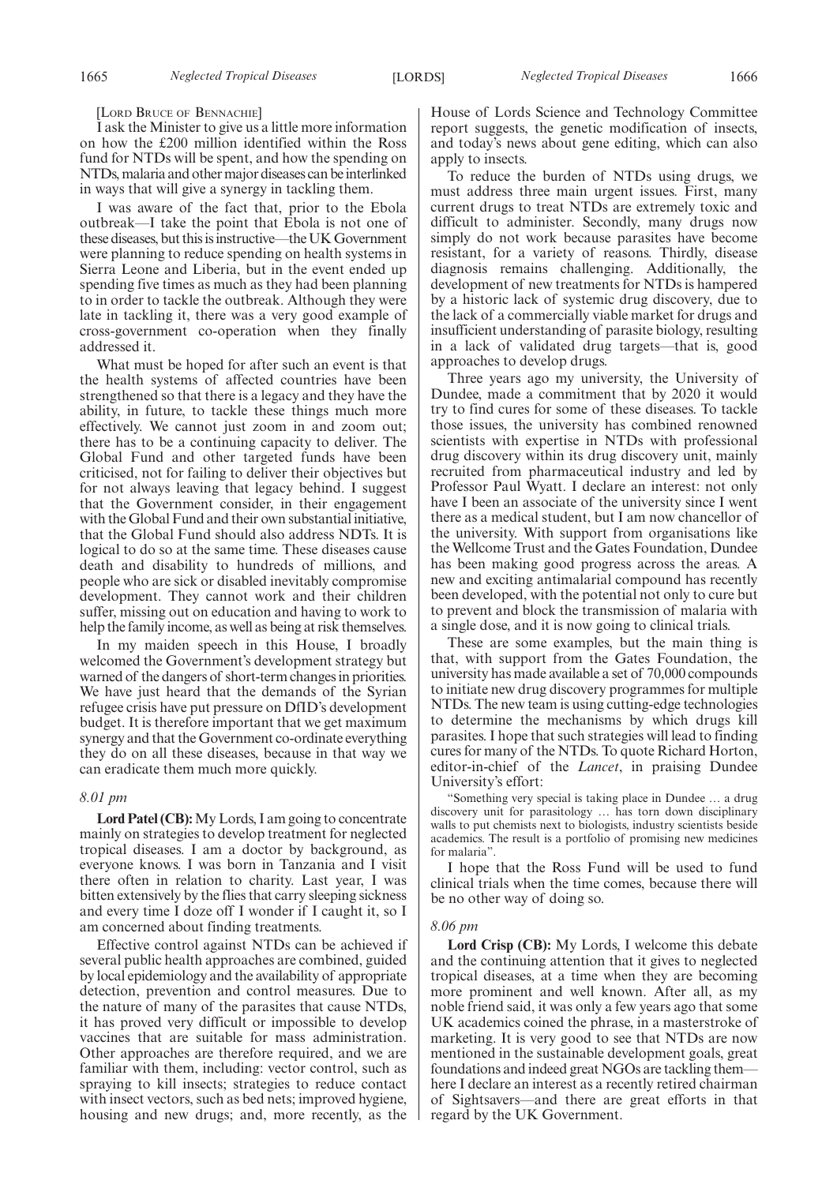[LORD BRUCE OF BENNACHIE]

I ask the Minister to give us a little more information on how the £200 million identified within the Ross fund for NTDs will be spent, and how the spending on NTDs, malaria and other major diseases can be interlinked in ways that will give a synergy in tackling them.

I was aware of the fact that, prior to the Ebola outbreak—I take the point that Ebola is not one of these diseases, but this is instructive—the UK Government were planning to reduce spending on health systems in Sierra Leone and Liberia, but in the event ended up spending five times as much as they had been planning to in order to tackle the outbreak. Although they were late in tackling it, there was a very good example of cross-government co-operation when they finally addressed it.

What must be hoped for after such an event is that the health systems of affected countries have been strengthened so that there is a legacy and they have the ability, in future, to tackle these things much more effectively. We cannot just zoom in and zoom out; there has to be a continuing capacity to deliver. The Global Fund and other targeted funds have been criticised, not for failing to deliver their objectives but for not always leaving that legacy behind. I suggest that the Government consider, in their engagement with the Global Fund and their own substantial initiative, that the Global Fund should also address NDTs. It is logical to do so at the same time. These diseases cause death and disability to hundreds of millions, and people who are sick or disabled inevitably compromise development. They cannot work and their children suffer, missing out on education and having to work to help the family income, as well as being at risk themselves.

In my maiden speech in this House, I broadly welcomed the Government's development strategy but warned of the dangers of short-term changes in priorities. We have just heard that the demands of the Syrian refugee crisis have put pressure on DfID's development budget. It is therefore important that we get maximum synergy and that the Government co-ordinate everything they do on all these diseases, because in that way we can eradicate them much more quickly.

## *8.01 pm*

**Lord Patel (CB):**My Lords, I am going to concentrate mainly on strategies to develop treatment for neglected tropical diseases. I am a doctor by background, as everyone knows. I was born in Tanzania and I visit there often in relation to charity. Last year, I was bitten extensively by the flies that carry sleeping sickness and every time I doze off I wonder if I caught it, so I am concerned about finding treatments.

Effective control against NTDs can be achieved if several public health approaches are combined, guided by local epidemiology and the availability of appropriate detection, prevention and control measures. Due to the nature of many of the parasites that cause NTDs, it has proved very difficult or impossible to develop vaccines that are suitable for mass administration. Other approaches are therefore required, and we are familiar with them, including: vector control, such as spraying to kill insects; strategies to reduce contact with insect vectors, such as bed nets; improved hygiene, housing and new drugs; and, more recently, as the House of Lords Science and Technology Committee report suggests, the genetic modification of insects, and today's news about gene editing, which can also apply to insects.

To reduce the burden of NTDs using drugs, we must address three main urgent issues. First, many current drugs to treat NTDs are extremely toxic and difficult to administer. Secondly, many drugs now simply do not work because parasites have become resistant, for a variety of reasons. Thirdly, disease diagnosis remains challenging. Additionally, the development of new treatments for NTDs is hampered by a historic lack of systemic drug discovery, due to the lack of a commercially viable market for drugs and insufficient understanding of parasite biology, resulting in a lack of validated drug targets—that is, good approaches to develop drugs.

Three years ago my university, the University of Dundee, made a commitment that by 2020 it would try to find cures for some of these diseases. To tackle those issues, the university has combined renowned scientists with expertise in NTDs with professional drug discovery within its drug discovery unit, mainly recruited from pharmaceutical industry and led by Professor Paul Wyatt. I declare an interest: not only have I been an associate of the university since I went there as a medical student, but I am now chancellor of the university. With support from organisations like the Wellcome Trust and the Gates Foundation, Dundee has been making good progress across the areas. A new and exciting antimalarial compound has recently been developed, with the potential not only to cure but to prevent and block the transmission of malaria with a single dose, and it is now going to clinical trials.

These are some examples, but the main thing is that, with support from the Gates Foundation, the university has made available a set of 70,000 compounds to initiate new drug discovery programmes for multiple NTDs. The new team is using cutting-edge technologies to determine the mechanisms by which drugs kill parasites. I hope that such strategies will lead to finding cures for many of the NTDs. To quote Richard Horton, editor-in-chief of the *Lancet*, in praising Dundee University's effort:

"Something very special is taking place in Dundee … a drug discovery unit for parasitology … has torn down disciplinary walls to put chemists next to biologists, industry scientists beside academics. The result is a portfolio of promising new medicines for malaria".

I hope that the Ross Fund will be used to fund clinical trials when the time comes, because there will be no other way of doing so.

#### *8.06 pm*

**Lord Crisp (CB):** My Lords, I welcome this debate and the continuing attention that it gives to neglected tropical diseases, at a time when they are becoming more prominent and well known. After all, as my noble friend said, it was only a few years ago that some UK academics coined the phrase, in a masterstroke of marketing. It is very good to see that NTDs are now mentioned in the sustainable development goals, great foundations and indeed great NGOs are tackling them here I declare an interest as a recently retired chairman of Sightsavers—and there are great efforts in that regard by the UK Government.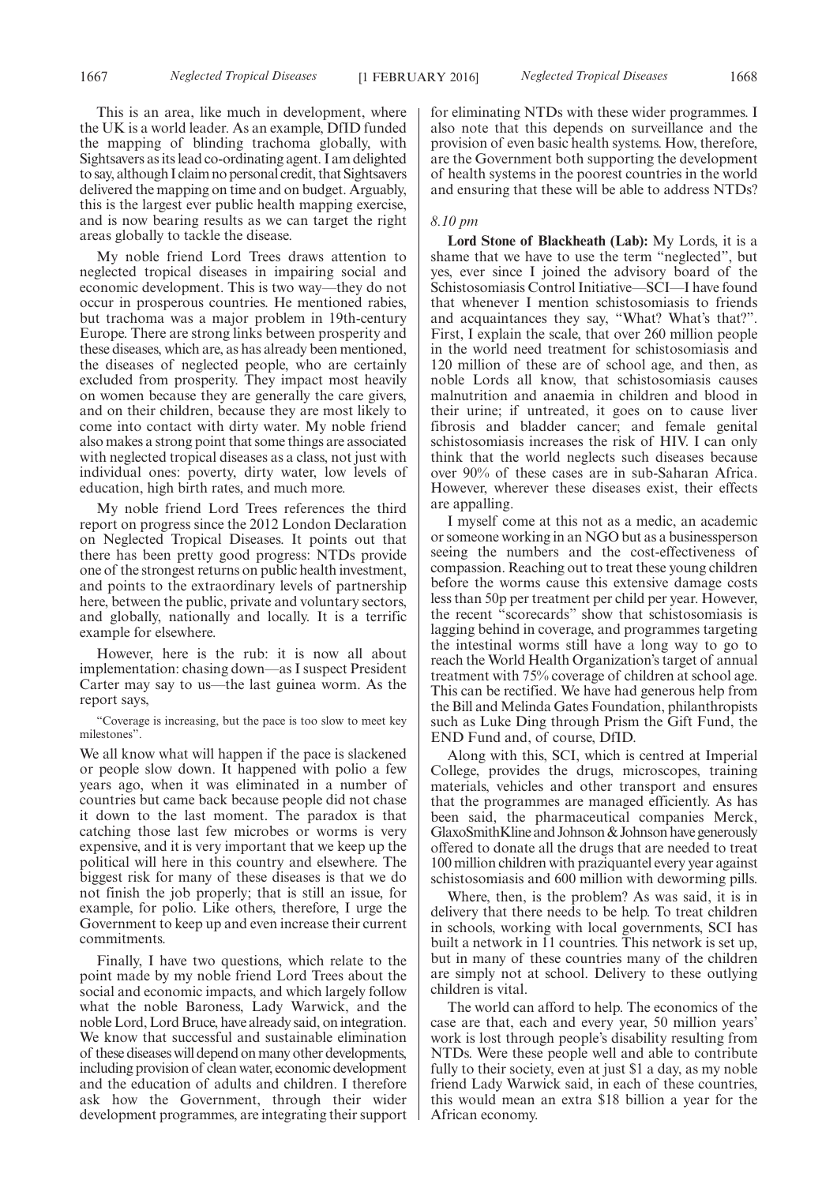This is an area, like much in development, where the UK is a world leader. As an example, DfID funded the mapping of blinding trachoma globally, with Sightsavers as its lead co-ordinating agent. I am delighted to say, although I claim no personal credit, that Sightsavers delivered the mapping on time and on budget. Arguably, this is the largest ever public health mapping exercise, and is now bearing results as we can target the right areas globally to tackle the disease.

My noble friend Lord Trees draws attention to neglected tropical diseases in impairing social and economic development. This is two way—they do not occur in prosperous countries. He mentioned rabies, but trachoma was a major problem in 19th-century Europe. There are strong links between prosperity and these diseases, which are, as has already been mentioned, the diseases of neglected people, who are certainly excluded from prosperity. They impact most heavily on women because they are generally the care givers, and on their children, because they are most likely to come into contact with dirty water. My noble friend also makes a strong point that some things are associated with neglected tropical diseases as a class, not just with individual ones: poverty, dirty water, low levels of education, high birth rates, and much more.

My noble friend Lord Trees references the third report on progress since the 2012 London Declaration on Neglected Tropical Diseases. It points out that there has been pretty good progress: NTDs provide one of the strongest returns on public health investment, and points to the extraordinary levels of partnership here, between the public, private and voluntary sectors, and globally, nationally and locally. It is a terrific example for elsewhere.

However, here is the rub: it is now all about implementation: chasing down—as I suspect President Carter may say to us—the last guinea worm. As the report says,

"Coverage is increasing, but the pace is too slow to meet key milestones".

We all know what will happen if the pace is slackened or people slow down. It happened with polio a few years ago, when it was eliminated in a number of countries but came back because people did not chase it down to the last moment. The paradox is that catching those last few microbes or worms is very expensive, and it is very important that we keep up the political will here in this country and elsewhere. The biggest risk for many of these diseases is that we do not finish the job properly; that is still an issue, for example, for polio. Like others, therefore, I urge the Government to keep up and even increase their current commitments.

Finally, I have two questions, which relate to the point made by my noble friend Lord Trees about the social and economic impacts, and which largely follow what the noble Baroness, Lady Warwick, and the noble Lord, Lord Bruce, have already said, on integration. We know that successful and sustainable elimination of these diseases will depend on many other developments, including provision of clean water, economic development and the education of adults and children. I therefore ask how the Government, through their wider development programmes, are integrating their support for eliminating NTDs with these wider programmes. I also note that this depends on surveillance and the provision of even basic health systems. How, therefore, are the Government both supporting the development of health systems in the poorest countries in the world and ensuring that these will be able to address NTDs?

## *8.10 pm*

**Lord Stone of Blackheath (Lab):** My Lords, it is a shame that we have to use the term "neglected", but yes, ever since I joined the advisory board of the Schistosomiasis Control Initiative—SCI—I have found that whenever I mention schistosomiasis to friends and acquaintances they say, "What? What's that?". First, I explain the scale, that over 260 million people in the world need treatment for schistosomiasis and 120 million of these are of school age, and then, as noble Lords all know, that schistosomiasis causes malnutrition and anaemia in children and blood in their urine; if untreated, it goes on to cause liver fibrosis and bladder cancer; and female genital schistosomiasis increases the risk of HIV. I can only think that the world neglects such diseases because over 90% of these cases are in sub-Saharan Africa. However, wherever these diseases exist, their effects are appalling.

I myself come at this not as a medic, an academic or someone working in an NGO but as a businessperson seeing the numbers and the cost-effectiveness of compassion. Reaching out to treat these young children before the worms cause this extensive damage costs less than 50p per treatment per child per year. However, the recent "scorecards" show that schistosomiasis is lagging behind in coverage, and programmes targeting the intestinal worms still have a long way to go to reach the World Health Organization's target of annual treatment with 75% coverage of children at school age. This can be rectified. We have had generous help from the Bill and Melinda Gates Foundation, philanthropists such as Luke Ding through Prism the Gift Fund, the END Fund and, of course, DfID.

Along with this, SCI, which is centred at Imperial College, provides the drugs, microscopes, training materials, vehicles and other transport and ensures that the programmes are managed efficiently. As has been said, the pharmaceutical companies Merck, GlaxoSmithKline and Johnson & Johnson have generously offered to donate all the drugs that are needed to treat 100 million children with praziquantel every year against schistosomiasis and 600 million with deworming pills.

Where, then, is the problem? As was said, it is in delivery that there needs to be help. To treat children in schools, working with local governments, SCI has built a network in 11 countries. This network is set up, but in many of these countries many of the children are simply not at school. Delivery to these outlying children is vital.

The world can afford to help. The economics of the case are that, each and every year, 50 million years' work is lost through people's disability resulting from NTDs. Were these people well and able to contribute fully to their society, even at just \$1 a day, as my noble friend Lady Warwick said, in each of these countries, this would mean an extra \$18 billion a year for the African economy.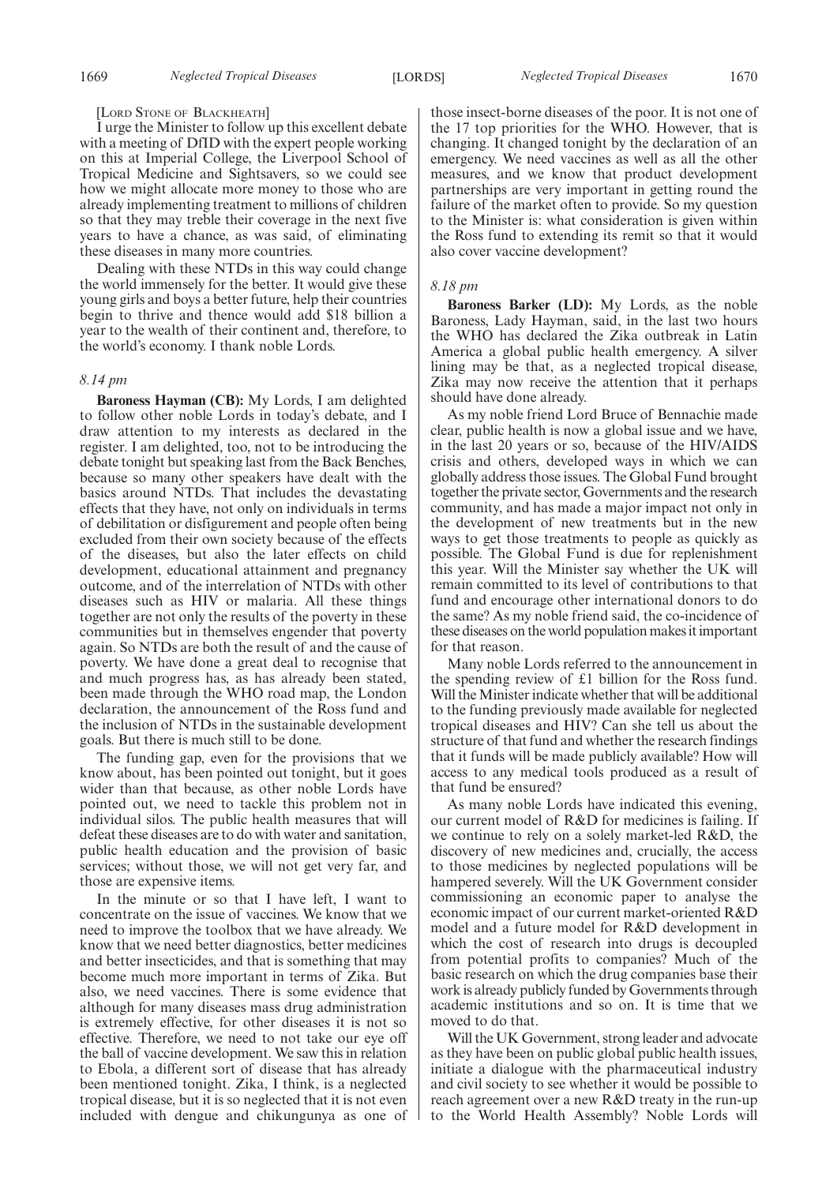#### [LORD STONE OF BLACKHEATH]

I urge the Minister to follow up this excellent debate with a meeting of DfID with the expert people working on this at Imperial College, the Liverpool School of Tropical Medicine and Sightsavers, so we could see how we might allocate more money to those who are already implementing treatment to millions of children so that they may treble their coverage in the next five years to have a chance, as was said, of eliminating these diseases in many more countries.

Dealing with these NTDs in this way could change the world immensely for the better. It would give these young girls and boys a better future, help their countries begin to thrive and thence would add \$18 billion a year to the wealth of their continent and, therefore, to the world's economy. I thank noble Lords.

#### *8.14 pm*

**Baroness Hayman (CB):** My Lords, I am delighted to follow other noble Lords in today's debate, and I draw attention to my interests as declared in the register. I am delighted, too, not to be introducing the debate tonight but speaking last from the Back Benches, because so many other speakers have dealt with the basics around NTDs. That includes the devastating effects that they have, not only on individuals in terms of debilitation or disfigurement and people often being excluded from their own society because of the effects of the diseases, but also the later effects on child development, educational attainment and pregnancy outcome, and of the interrelation of NTDs with other diseases such as HIV or malaria. All these things together are not only the results of the poverty in these communities but in themselves engender that poverty again. So NTDs are both the result of and the cause of poverty. We have done a great deal to recognise that and much progress has, as has already been stated, been made through the WHO road map, the London declaration, the announcement of the Ross fund and the inclusion of NTDs in the sustainable development goals. But there is much still to be done.

The funding gap, even for the provisions that we know about, has been pointed out tonight, but it goes wider than that because, as other noble Lords have pointed out, we need to tackle this problem not in individual silos. The public health measures that will defeat these diseases are to do with water and sanitation, public health education and the provision of basic services; without those, we will not get very far, and those are expensive items.

In the minute or so that I have left, I want to concentrate on the issue of vaccines. We know that we need to improve the toolbox that we have already. We know that we need better diagnostics, better medicines and better insecticides, and that is something that may become much more important in terms of Zika. But also, we need vaccines. There is some evidence that although for many diseases mass drug administration is extremely effective, for other diseases it is not so effective. Therefore, we need to not take our eye off the ball of vaccine development. We saw this in relation to Ebola, a different sort of disease that has already been mentioned tonight. Zika, I think, is a neglected tropical disease, but it is so neglected that it is not even included with dengue and chikungunya as one of those insect-borne diseases of the poor. It is not one of the 17 top priorities for the WHO. However, that is changing. It changed tonight by the declaration of an emergency. We need vaccines as well as all the other measures, and we know that product development partnerships are very important in getting round the failure of the market often to provide. So my question to the Minister is: what consideration is given within the Ross fund to extending its remit so that it would also cover vaccine development?

## *8.18 pm*

**Baroness Barker (LD):** My Lords, as the noble Baroness, Lady Hayman, said, in the last two hours the WHO has declared the Zika outbreak in Latin America a global public health emergency. A silver lining may be that, as a neglected tropical disease, Zika may now receive the attention that it perhaps should have done already.

As my noble friend Lord Bruce of Bennachie made clear, public health is now a global issue and we have, in the last 20 years or so, because of the HIV/AIDS crisis and others, developed ways in which we can globally address those issues. The Global Fund brought together the private sector, Governments and the research community, and has made a major impact not only in the development of new treatments but in the new ways to get those treatments to people as quickly as possible. The Global Fund is due for replenishment this year. Will the Minister say whether the UK will remain committed to its level of contributions to that fund and encourage other international donors to do the same? As my noble friend said, the co-incidence of these diseases on the world population makes it important for that reason.

Many noble Lords referred to the announcement in the spending review of £1 billion for the Ross fund. Will the Minister indicate whether that will be additional to the funding previously made available for neglected tropical diseases and HIV? Can she tell us about the structure of that fund and whether the research findings that it funds will be made publicly available? How will access to any medical tools produced as a result of that fund be ensured?

As many noble Lords have indicated this evening, our current model of R&D for medicines is failing. If we continue to rely on a solely market-led R&D, the discovery of new medicines and, crucially, the access to those medicines by neglected populations will be hampered severely. Will the UK Government consider commissioning an economic paper to analyse the economic impact of our current market-oriented R&D model and a future model for R&D development in which the cost of research into drugs is decoupled from potential profits to companies? Much of the basic research on which the drug companies base their work is already publicly funded by Governments through academic institutions and so on. It is time that we moved to do that.

Will the UK Government, strong leader and advocate as they have been on public global public health issues, initiate a dialogue with the pharmaceutical industry and civil society to see whether it would be possible to reach agreement over a new R&D treaty in the run-up to the World Health Assembly? Noble Lords will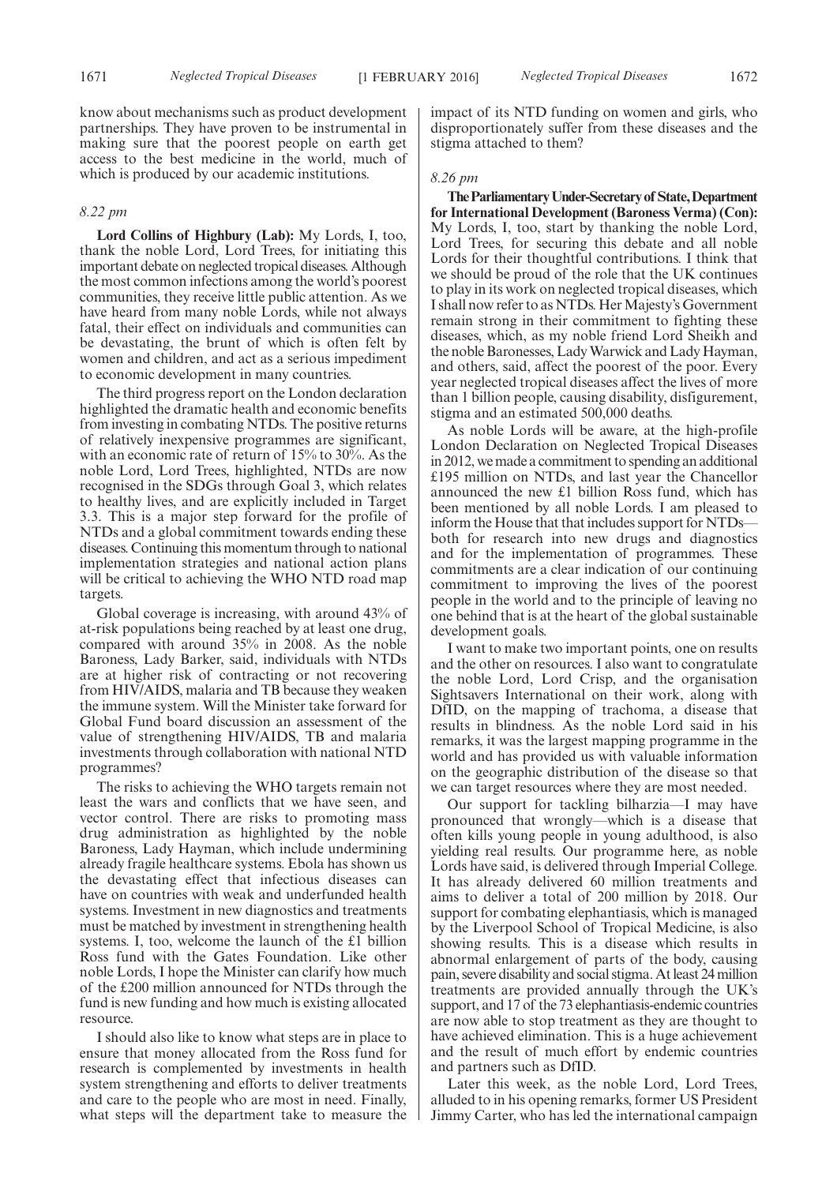know about mechanisms such as product development partnerships. They have proven to be instrumental in making sure that the poorest people on earth get access to the best medicine in the world, much of which is produced by our academic institutions.

## *8.22 pm*

**Lord Collins of Highbury (Lab):** My Lords, I, too, thank the noble Lord, Lord Trees, for initiating this important debate on neglected tropical diseases. Although the most common infections among the world's poorest communities, they receive little public attention. As we have heard from many noble Lords, while not always fatal, their effect on individuals and communities can be devastating, the brunt of which is often felt by women and children, and act as a serious impediment to economic development in many countries.

The third progress report on the London declaration highlighted the dramatic health and economic benefits from investing in combating NTDs. The positive returns of relatively inexpensive programmes are significant, with an economic rate of return of 15% to 30%. As the noble Lord, Lord Trees, highlighted, NTDs are now recognised in the SDGs through Goal 3, which relates to healthy lives, and are explicitly included in Target 3.3. This is a major step forward for the profile of NTDs and a global commitment towards ending these diseases. Continuing this momentum through to national implementation strategies and national action plans will be critical to achieving the WHO NTD road map targets.

Global coverage is increasing, with around 43% of at-risk populations being reached by at least one drug, compared with around 35% in 2008. As the noble Baroness, Lady Barker, said, individuals with NTDs are at higher risk of contracting or not recovering from HIV/AIDS, malaria and TB because they weaken the immune system. Will the Minister take forward for Global Fund board discussion an assessment of the value of strengthening HIV/AIDS, TB and malaria investments through collaboration with national NTD programmes?

The risks to achieving the WHO targets remain not least the wars and conflicts that we have seen, and vector control. There are risks to promoting mass drug administration as highlighted by the noble Baroness, Lady Hayman, which include undermining already fragile healthcare systems. Ebola has shown us the devastating effect that infectious diseases can have on countries with weak and underfunded health systems. Investment in new diagnostics and treatments must be matched by investment in strengthening health systems. I, too, welcome the launch of the £1 billion Ross fund with the Gates Foundation. Like other noble Lords, I hope the Minister can clarify how much of the £200 million announced for NTDs through the fund is new funding and how much is existing allocated resource.

I should also like to know what steps are in place to ensure that money allocated from the Ross fund for research is complemented by investments in health system strengthening and efforts to deliver treatments and care to the people who are most in need. Finally, what steps will the department take to measure the impact of its NTD funding on women and girls, who disproportionately suffer from these diseases and the stigma attached to them?

## *8.26 pm*

**TheParliamentaryUnder-Secretaryof State,Department for International Development (Baroness Verma) (Con):** My Lords, I, too, start by thanking the noble Lord, Lord Trees, for securing this debate and all noble Lords for their thoughtful contributions. I think that we should be proud of the role that the UK continues to play in its work on neglected tropical diseases, which I shall now refer to as NTDs. Her Majesty's Government remain strong in their commitment to fighting these diseases, which, as my noble friend Lord Sheikh and the noble Baronesses, LadyWarwick and Lady Hayman, and others, said, affect the poorest of the poor. Every year neglected tropical diseases affect the lives of more than 1 billion people, causing disability, disfigurement, stigma and an estimated 500,000 deaths.

As noble Lords will be aware, at the high-profile London Declaration on Neglected Tropical Diseases in 2012, we made a commitment to spending an additional £195 million on NTDs, and last year the Chancellor announced the new £1 billion Ross fund, which has been mentioned by all noble Lords. I am pleased to inform the House that that includes support for NTDs both for research into new drugs and diagnostics and for the implementation of programmes. These commitments are a clear indication of our continuing commitment to improving the lives of the poorest people in the world and to the principle of leaving no one behind that is at the heart of the global sustainable development goals.

I want to make two important points, one on results and the other on resources. I also want to congratulate the noble Lord, Lord Crisp, and the organisation Sightsavers International on their work, along with DfID, on the mapping of trachoma, a disease that results in blindness. As the noble Lord said in his remarks, it was the largest mapping programme in the world and has provided us with valuable information on the geographic distribution of the disease so that we can target resources where they are most needed.

Our support for tackling bilharzia—I may have pronounced that wrongly—which is a disease that often kills young people in young adulthood, is also yielding real results. Our programme here, as noble Lords have said, is delivered through Imperial College. It has already delivered 60 million treatments and aims to deliver a total of 200 million by 2018. Our support for combating elephantiasis, which is managed by the Liverpool School of Tropical Medicine, is also showing results. This is a disease which results in abnormal enlargement of parts of the body, causing pain, severe disability and social stigma. At least 24 million treatments are provided annually through the UK's support, and 17 of the 73 elephantiasis-endemic countries are now able to stop treatment as they are thought to have achieved elimination. This is a huge achievement and the result of much effort by endemic countries and partners such as DfID.

Later this week, as the noble Lord, Lord Trees, alluded to in his opening remarks, former US President Jimmy Carter, who has led the international campaign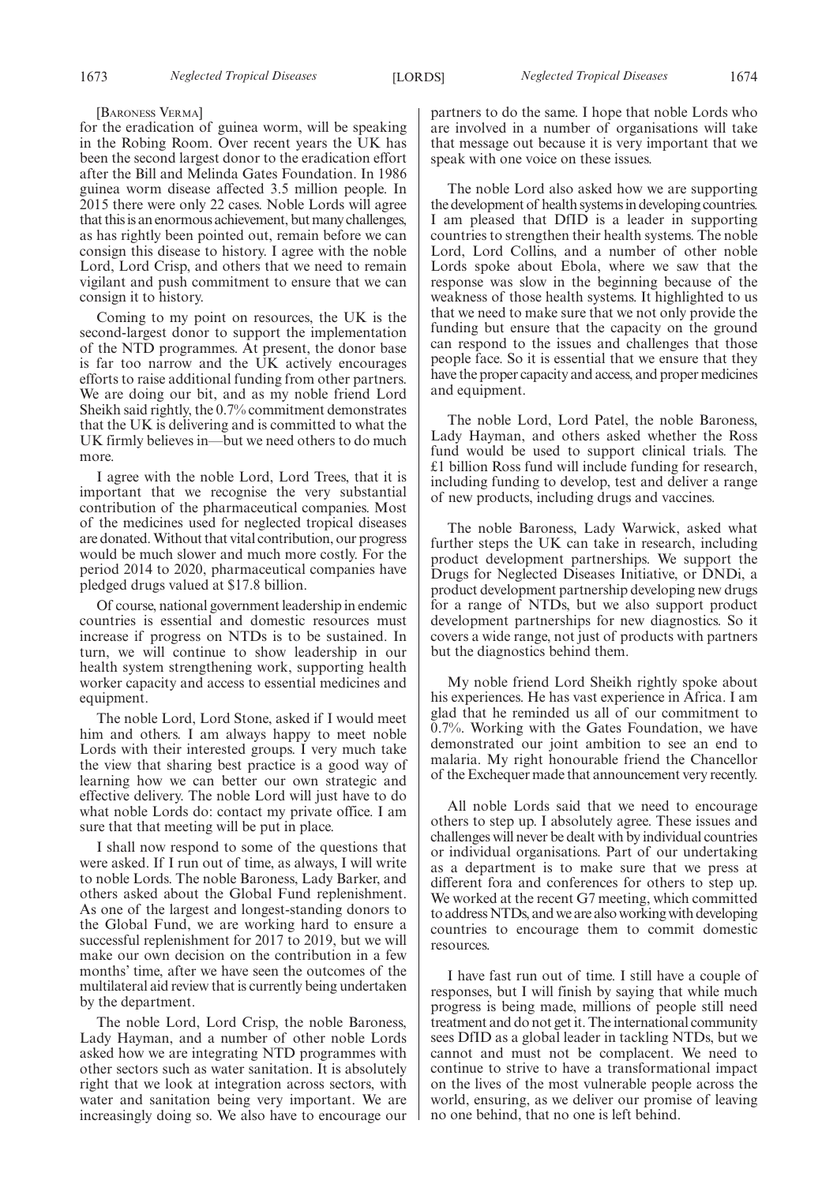[BARONESS VERMA]

for the eradication of guinea worm, will be speaking in the Robing Room. Over recent years the UK has been the second largest donor to the eradication effort after the Bill and Melinda Gates Foundation. In 1986 guinea worm disease affected 3.5 million people. In 2015 there were only 22 cases. Noble Lords will agree that this is an enormous achievement, but many challenges, as has rightly been pointed out, remain before we can consign this disease to history. I agree with the noble Lord, Lord Crisp, and others that we need to remain vigilant and push commitment to ensure that we can consign it to history.

Coming to my point on resources, the UK is the second-largest donor to support the implementation of the NTD programmes. At present, the donor base is far too narrow and the UK actively encourages efforts to raise additional funding from other partners. We are doing our bit, and as my noble friend Lord Sheikh said rightly, the 0.7% commitment demonstrates that the UK is delivering and is committed to what the UK firmly believes in—but we need others to do much more.

I agree with the noble Lord, Lord Trees, that it is important that we recognise the very substantial contribution of the pharmaceutical companies. Most of the medicines used for neglected tropical diseases are donated.Without that vital contribution, our progress would be much slower and much more costly. For the period 2014 to 2020, pharmaceutical companies have pledged drugs valued at \$17.8 billion.

Of course, national government leadership in endemic countries is essential and domestic resources must increase if progress on NTDs is to be sustained. In turn, we will continue to show leadership in our health system strengthening work, supporting health worker capacity and access to essential medicines and equipment.

The noble Lord, Lord Stone, asked if I would meet him and others. I am always happy to meet noble Lords with their interested groups. I very much take the view that sharing best practice is a good way of learning how we can better our own strategic and effective delivery. The noble Lord will just have to do what noble Lords do: contact my private office. I am sure that that meeting will be put in place.

I shall now respond to some of the questions that were asked. If I run out of time, as always, I will write to noble Lords. The noble Baroness, Lady Barker, and others asked about the Global Fund replenishment. As one of the largest and longest-standing donors to the Global Fund, we are working hard to ensure a successful replenishment for 2017 to 2019, but we will make our own decision on the contribution in a few months' time, after we have seen the outcomes of the multilateral aid review that is currently being undertaken by the department.

The noble Lord, Lord Crisp, the noble Baroness, Lady Hayman, and a number of other noble Lords asked how we are integrating NTD programmes with other sectors such as water sanitation. It is absolutely right that we look at integration across sectors, with water and sanitation being very important. We are increasingly doing so. We also have to encourage our

partners to do the same. I hope that noble Lords who are involved in a number of organisations will take that message out because it is very important that we speak with one voice on these issues.

The noble Lord also asked how we are supporting the development of health systems in developing countries. I am pleased that DfID is a leader in supporting countries to strengthen their health systems. The noble Lord, Lord Collins, and a number of other noble Lords spoke about Ebola, where we saw that the response was slow in the beginning because of the weakness of those health systems. It highlighted to us that we need to make sure that we not only provide the funding but ensure that the capacity on the ground can respond to the issues and challenges that those people face. So it is essential that we ensure that they have the proper capacity and access, and proper medicines and equipment.

The noble Lord, Lord Patel, the noble Baroness, Lady Hayman, and others asked whether the Ross fund would be used to support clinical trials. The £1 billion Ross fund will include funding for research, including funding to develop, test and deliver a range of new products, including drugs and vaccines.

The noble Baroness, Lady Warwick, asked what further steps the UK can take in research, including product development partnerships. We support the Drugs for Neglected Diseases Initiative, or DNDi, a product development partnership developing new drugs for a range of NTDs, but we also support product development partnerships for new diagnostics. So it covers a wide range, not just of products with partners but the diagnostics behind them.

My noble friend Lord Sheikh rightly spoke about his experiences. He has vast experience in Africa. I am glad that he reminded us all of our commitment to 0.7%. Working with the Gates Foundation, we have demonstrated our joint ambition to see an end to malaria. My right honourable friend the Chancellor of the Exchequer made that announcement very recently.

All noble Lords said that we need to encourage others to step up. I absolutely agree. These issues and challenges will never be dealt with by individual countries or individual organisations. Part of our undertaking as a department is to make sure that we press at different fora and conferences for others to step up. We worked at the recent G7 meeting, which committed to addressNTDs, and we are also working with developing countries to encourage them to commit domestic resources.

I have fast run out of time. I still have a couple of responses, but I will finish by saying that while much progress is being made, millions of people still need treatment and do not get it. The international community sees DfID as a global leader in tackling NTDs, but we cannot and must not be complacent. We need to continue to strive to have a transformational impact on the lives of the most vulnerable people across the world, ensuring, as we deliver our promise of leaving no one behind, that no one is left behind.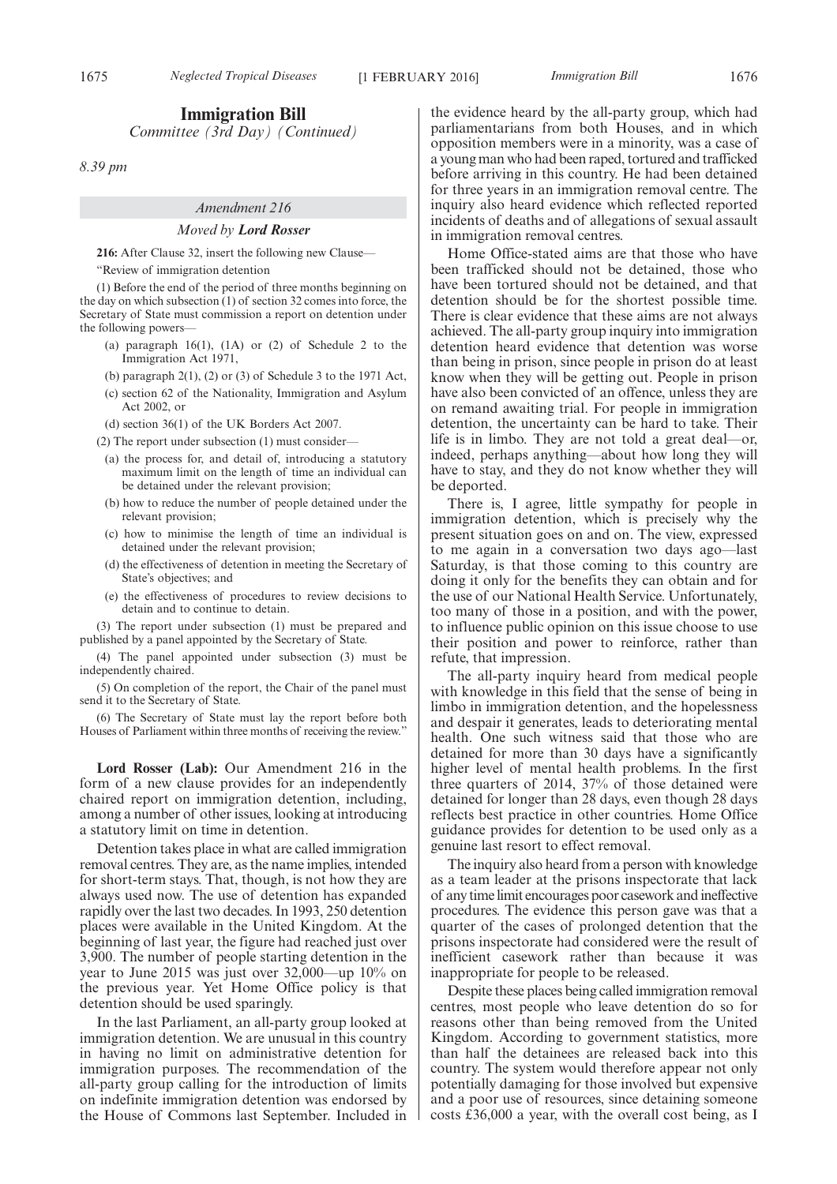# **Immigration Bill**

*Committee (3rd Day) (Continued)*

*8.39 pm*

## *Amendment 216*

## *Moved by Lord Rosser*

**216:** After Clause 32, insert the following new Clause—

"Review of immigration detention

(1) Before the end of the period of three months beginning on the day on which subsection (1) of section 32 comes into force, the Secretary of State must commission a report on detention under the following powers-

- (a) paragraph 16(1), (1A) or (2) of Schedule 2 to the Immigration Act 1971,
- (b) paragraph  $2(1)$ ,  $(2)$  or  $(3)$  of Schedule 3 to the 1971 Act,
- (c) section 62 of the Nationality, Immigration and Asylum Act 2002, or

(d) section 36(1) of the UK Borders Act 2007.

- (2) The report under subsection (1) must consider—
	- (a) the process for, and detail of, introducing a statutory maximum limit on the length of time an individual can be detained under the relevant provision;
	- (b) how to reduce the number of people detained under the relevant provision;
	- (c) how to minimise the length of time an individual is detained under the relevant provision;
	- (d) the effectiveness of detention in meeting the Secretary of State's objectives; and
	- (e) the effectiveness of procedures to review decisions to detain and to continue to detain.

(3) The report under subsection (1) must be prepared and published by a panel appointed by the Secretary of State.

(4) The panel appointed under subsection (3) must be independently chaired.

(5) On completion of the report, the Chair of the panel must send it to the Secretary of State.

(6) The Secretary of State must lay the report before both Houses of Parliament within three months of receiving the review."

**Lord Rosser (Lab):** Our Amendment 216 in the form of a new clause provides for an independently chaired report on immigration detention, including, among a number of other issues, looking at introducing a statutory limit on time in detention.

Detention takes place in what are called immigration removal centres. They are, as the name implies, intended for short-term stays. That, though, is not how they are always used now. The use of detention has expanded rapidly over the last two decades. In 1993, 250 detention places were available in the United Kingdom. At the beginning of last year, the figure had reached just over 3,900. The number of people starting detention in the year to June 2015 was just over 32,000—up 10% on the previous year. Yet Home Office policy is that detention should be used sparingly.

In the last Parliament, an all-party group looked at immigration detention. We are unusual in this country in having no limit on administrative detention for immigration purposes. The recommendation of the all-party group calling for the introduction of limits on indefinite immigration detention was endorsed by the House of Commons last September. Included in the evidence heard by the all-party group, which had parliamentarians from both Houses, and in which opposition members were in a minority, was a case of a young man who had been raped, tortured and trafficked before arriving in this country. He had been detained for three years in an immigration removal centre. The inquiry also heard evidence which reflected reported incidents of deaths and of allegations of sexual assault in immigration removal centres.

Home Office-stated aims are that those who have been trafficked should not be detained, those who have been tortured should not be detained, and that detention should be for the shortest possible time. There is clear evidence that these aims are not always achieved. The all-party group inquiry into immigration detention heard evidence that detention was worse than being in prison, since people in prison do at least know when they will be getting out. People in prison have also been convicted of an offence, unless they are on remand awaiting trial. For people in immigration detention, the uncertainty can be hard to take. Their life is in limbo. They are not told a great deal—or, indeed, perhaps anything—about how long they will have to stay, and they do not know whether they will be deported.

There is, I agree, little sympathy for people in immigration detention, which is precisely why the present situation goes on and on. The view, expressed to me again in a conversation two days ago—last Saturday, is that those coming to this country are doing it only for the benefits they can obtain and for the use of our National Health Service. Unfortunately, too many of those in a position, and with the power, to influence public opinion on this issue choose to use their position and power to reinforce, rather than refute, that impression.

The all-party inquiry heard from medical people with knowledge in this field that the sense of being in limbo in immigration detention, and the hopelessness and despair it generates, leads to deteriorating mental health. One such witness said that those who are detained for more than 30 days have a significantly higher level of mental health problems. In the first three quarters of 2014, 37% of those detained were detained for longer than 28 days, even though 28 days reflects best practice in other countries. Home Office guidance provides for detention to be used only as a genuine last resort to effect removal.

The inquiry also heard from a person with knowledge as a team leader at the prisons inspectorate that lack of any time limit encourages poor casework and ineffective procedures. The evidence this person gave was that a quarter of the cases of prolonged detention that the prisons inspectorate had considered were the result of inefficient casework rather than because it was inappropriate for people to be released.

Despite these places being called immigration removal centres, most people who leave detention do so for reasons other than being removed from the United Kingdom. According to government statistics, more than half the detainees are released back into this country. The system would therefore appear not only potentially damaging for those involved but expensive and a poor use of resources, since detaining someone costs £36,000 a year, with the overall cost being, as I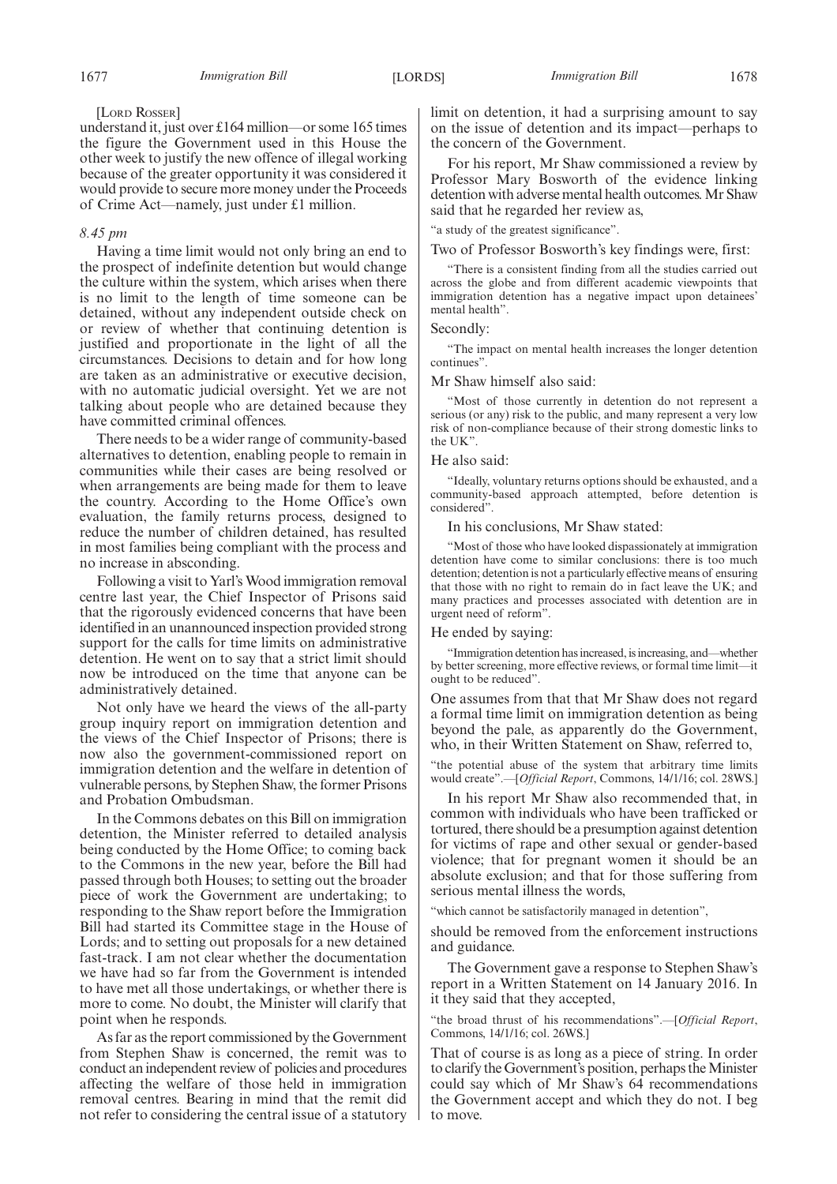#### [LORD ROSSER]

understand it, just over £164 million—or some 165 times the figure the Government used in this House the other week to justify the new offence of illegal working because of the greater opportunity it was considered it would provide to secure more money under the Proceeds of Crime Act—namely, just under £1 million.

#### *8.45 pm*

Having a time limit would not only bring an end to the prospect of indefinite detention but would change the culture within the system, which arises when there is no limit to the length of time someone can be detained, without any independent outside check on or review of whether that continuing detention is justified and proportionate in the light of all the circumstances. Decisions to detain and for how long are taken as an administrative or executive decision, with no automatic judicial oversight. Yet we are not talking about people who are detained because they have committed criminal offences.

There needs to be a wider range of community-based alternatives to detention, enabling people to remain in communities while their cases are being resolved or when arrangements are being made for them to leave the country. According to the Home Office's own evaluation, the family returns process, designed to reduce the number of children detained, has resulted in most families being compliant with the process and no increase in absconding.

Following a visit to Yarl's Wood immigration removal centre last year, the Chief Inspector of Prisons said that the rigorously evidenced concerns that have been identified in an unannounced inspection provided strong support for the calls for time limits on administrative detention. He went on to say that a strict limit should now be introduced on the time that anyone can be administratively detained.

Not only have we heard the views of the all-party group inquiry report on immigration detention and the views of the Chief Inspector of Prisons; there is now also the government-commissioned report on immigration detention and the welfare in detention of vulnerable persons, by Stephen Shaw, the former Prisons and Probation Ombudsman.

In the Commons debates on this Bill on immigration detention, the Minister referred to detailed analysis being conducted by the Home Office; to coming back to the Commons in the new year, before the Bill had passed through both Houses; to setting out the broader piece of work the Government are undertaking; to responding to the Shaw report before the Immigration Bill had started its Committee stage in the House of Lords; and to setting out proposals for a new detained fast-track. I am not clear whether the documentation we have had so far from the Government is intended to have met all those undertakings, or whether there is more to come. No doubt, the Minister will clarify that point when he responds.

As far as the report commissioned by the Government from Stephen Shaw is concerned, the remit was to conduct an independent review of policies and procedures affecting the welfare of those held in immigration removal centres. Bearing in mind that the remit did not refer to considering the central issue of a statutory limit on detention, it had a surprising amount to say on the issue of detention and its impact—perhaps to the concern of the Government.

For his report, Mr Shaw commissioned a review by Professor Mary Bosworth of the evidence linking detention with adverse mental health outcomes.Mr Shaw said that he regarded her review as,

"a study of the greatest significance".

Two of Professor Bosworth's key findings were, first:

"There is a consistent finding from all the studies carried out across the globe and from different academic viewpoints that immigration detention has a negative impact upon detainees' mental health".

## Secondly:

"The impact on mental health increases the longer detention continues".

#### Mr Shaw himself also said:

"Most of those currently in detention do not represent a serious (or any) risk to the public, and many represent a very low risk of non-compliance because of their strong domestic links to the UK".

#### He also said:

"Ideally, voluntary returns options should be exhausted, and a community-based approach attempted, before detention is considered".

#### In his conclusions, Mr Shaw stated:

"Most of those who have looked dispassionately at immigration detention have come to similar conclusions: there is too much detention; detention is not a particularly effective means of ensuring that those with no right to remain do in fact leave the UK; and many practices and processes associated with detention are in urgent need of reform".

#### He ended by saying:

"Immigration detention has increased, is increasing, and—whether by better screening, more effective reviews, or formal time limit—it ought to be reduced".

One assumes from that that Mr Shaw does not regard a formal time limit on immigration detention as being beyond the pale, as apparently do the Government, who, in their Written Statement on Shaw, referred to,

"the potential abuse of the system that arbitrary time limits would create".—[*Official Report*, Commons, 14/1/16; col. 28WS.]

In his report Mr Shaw also recommended that, in common with individuals who have been trafficked or tortured, there should be a presumption against detention for victims of rape and other sexual or gender-based violence; that for pregnant women it should be an absolute exclusion; and that for those suffering from serious mental illness the words,

"which cannot be satisfactorily managed in detention",

should be removed from the enforcement instructions and guidance.

The Government gave a response to Stephen Shaw's report in a Written Statement on 14 January 2016. In it they said that they accepted,

"the broad thrust of his recommendations".—[*Official Report*, Commons, 14/1/16; col. 26WS.]

That of course is as long as a piece of string. In order to clarify the Government's position, perhaps theMinister could say which of Mr Shaw's 64 recommendations the Government accept and which they do not. I beg to move.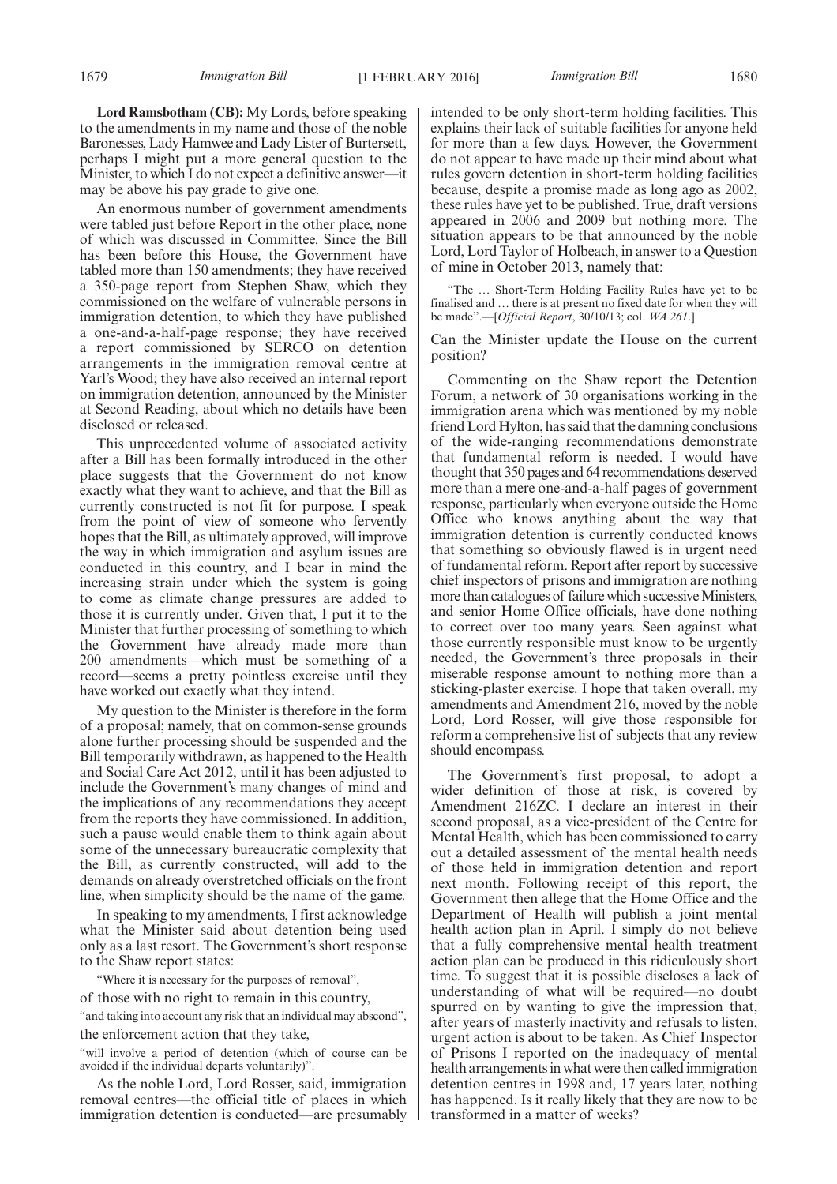**Lord Ramsbotham (CB):** My Lords, before speaking to the amendments in my name and those of the noble Baronesses, Lady Hamwee and Lady Lister of Burtersett, perhaps I might put a more general question to the Minister, to which I do not expect a definitive answer—it may be above his pay grade to give one.

An enormous number of government amendments were tabled just before Report in the other place, none of which was discussed in Committee. Since the Bill has been before this House, the Government have tabled more than 150 amendments; they have received a 350-page report from Stephen Shaw, which they commissioned on the welfare of vulnerable persons in immigration detention, to which they have published a one-and-a-half-page response; they have received a report commissioned by SERCO on detention arrangements in the immigration removal centre at Yarl's Wood; they have also received an internal report on immigration detention, announced by the Minister at Second Reading, about which no details have been disclosed or released.

This unprecedented volume of associated activity after a Bill has been formally introduced in the other place suggests that the Government do not know exactly what they want to achieve, and that the Bill as currently constructed is not fit for purpose. I speak from the point of view of someone who fervently hopes that the Bill, as ultimately approved, will improve the way in which immigration and asylum issues are conducted in this country, and I bear in mind the increasing strain under which the system is going to come as climate change pressures are added to those it is currently under. Given that, I put it to the Minister that further processing of something to which the Government have already made more than 200 amendments—which must be something of a record—seems a pretty pointless exercise until they have worked out exactly what they intend.

My question to the Minister is therefore in the form of a proposal; namely, that on common-sense grounds alone further processing should be suspended and the Bill temporarily withdrawn, as happened to the Health and Social Care Act 2012, until it has been adjusted to include the Government's many changes of mind and the implications of any recommendations they accept from the reports they have commissioned. In addition, such a pause would enable them to think again about some of the unnecessary bureaucratic complexity that the Bill, as currently constructed, will add to the demands on already overstretched officials on the front line, when simplicity should be the name of the game.

In speaking to my amendments, I first acknowledge what the Minister said about detention being used only as a last resort. The Government's short response to the Shaw report states:

"Where it is necessary for the purposes of removal",

of those with no right to remain in this country,

"and taking into account any risk that an individual may abscond", the enforcement action that they take,

"will involve a period of detention (which of course can be avoided if the individual departs voluntarily)".

As the noble Lord, Lord Rosser, said, immigration removal centres—the official title of places in which immigration detention is conducted—are presumably intended to be only short-term holding facilities. This explains their lack of suitable facilities for anyone held for more than a few days. However, the Government do not appear to have made up their mind about what rules govern detention in short-term holding facilities because, despite a promise made as long ago as 2002, these rules have yet to be published. True, draft versions appeared in 2006 and 2009 but nothing more. The situation appears to be that announced by the noble Lord, Lord Taylor of Holbeach, in answer to a Question of mine in October 2013, namely that:

"The … Short-Term Holding Facility Rules have yet to be finalised and … there is at present no fixed date for when they will be made".—[*Official Report*, 30/10/13; col. *WA 261*.]

Can the Minister update the House on the current position?

Commenting on the Shaw report the Detention Forum, a network of 30 organisations working in the immigration arena which was mentioned by my noble friend Lord Hylton, has said that the damning conclusions of the wide-ranging recommendations demonstrate that fundamental reform is needed. I would have thought that 350 pages and 64 recommendations deserved more than a mere one-and-a-half pages of government response, particularly when everyone outside the Home Office who knows anything about the way that immigration detention is currently conducted knows that something so obviously flawed is in urgent need of fundamental reform. Report after report by successive chief inspectors of prisons and immigration are nothing more than catalogues of failure which successive Ministers, and senior Home Office officials, have done nothing to correct over too many years. Seen against what those currently responsible must know to be urgently needed, the Government's three proposals in their miserable response amount to nothing more than a sticking-plaster exercise. I hope that taken overall, my amendments and Amendment 216, moved by the noble Lord, Lord Rosser, will give those responsible for reform a comprehensive list of subjects that any review should encompass.

The Government's first proposal, to adopt a wider definition of those at risk, is covered by Amendment 216ZC. I declare an interest in their second proposal, as a vice-president of the Centre for Mental Health, which has been commissioned to carry out a detailed assessment of the mental health needs of those held in immigration detention and report next month. Following receipt of this report, the Government then allege that the Home Office and the Department of Health will publish a joint mental health action plan in April. I simply do not believe that a fully comprehensive mental health treatment action plan can be produced in this ridiculously short time. To suggest that it is possible discloses a lack of understanding of what will be required—no doubt spurred on by wanting to give the impression that, after years of masterly inactivity and refusals to listen, urgent action is about to be taken. As Chief Inspector of Prisons I reported on the inadequacy of mental health arrangements in what were then called immigration detention centres in 1998 and, 17 years later, nothing has happened. Is it really likely that they are now to be transformed in a matter of weeks?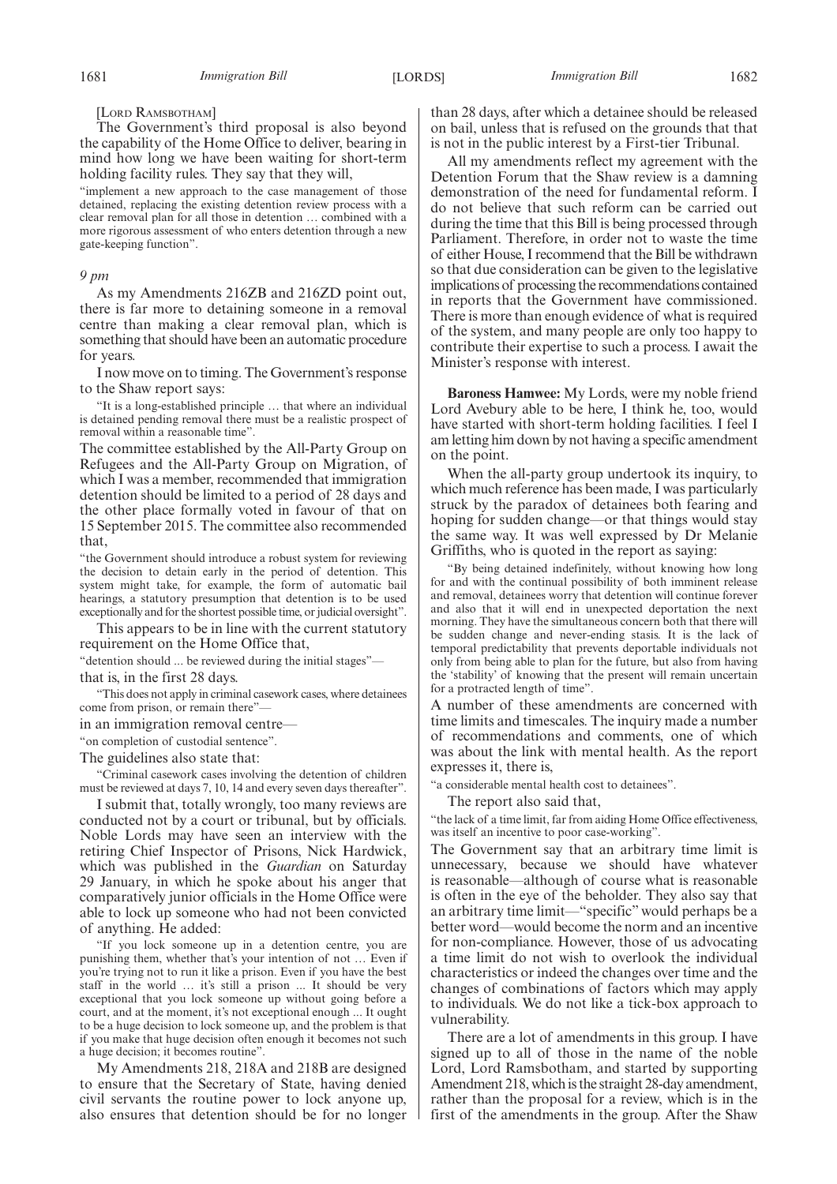## [LORD RAMSBOTHAM]

The Government's third proposal is also beyond the capability of the Home Office to deliver, bearing in mind how long we have been waiting for short-term holding facility rules. They say that they will,

"implement a new approach to the case management of those detained, replacing the existing detention review process with a clear removal plan for all those in detention … combined with a more rigorous assessment of who enters detention through a new gate-keeping function".

#### *9 pm*

As my Amendments 216ZB and 216ZD point out, there is far more to detaining someone in a removal centre than making a clear removal plan, which is something that should have been an automatic procedure for years.

I now move on to timing. The Government's response to the Shaw report says:

"It is a long-established principle … that where an individual is detained pending removal there must be a realistic prospect of removal within a reasonable time".

The committee established by the All-Party Group on Refugees and the All-Party Group on Migration, of which I was a member, recommended that immigration detention should be limited to a period of 28 days and the other place formally voted in favour of that on 15 September 2015. The committee also recommended that,

"the Government should introduce a robust system for reviewing the decision to detain early in the period of detention. This system might take, for example, the form of automatic bail hearings, a statutory presumption that detention is to be used exceptionally and for the shortest possible time, or judicial oversight".

This appears to be in line with the current statutory requirement on the Home Office that,

"detention should ... be reviewed during the initial stages" that is, in the first 28 days.

"This does not apply in criminal casework cases, where detainees come from prison, or remain there"

in an immigration removal centre—

"on completion of custodial sentence".

The guidelines also state that:

"Criminal casework cases involving the detention of children must be reviewed at days 7, 10, 14 and every seven days thereafter".

I submit that, totally wrongly, too many reviews are conducted not by a court or tribunal, but by officials. Noble Lords may have seen an interview with the retiring Chief Inspector of Prisons, Nick Hardwick, which was published in the *Guardian* on Saturday 29 January, in which he spoke about his anger that comparatively junior officials in the Home Office were able to lock up someone who had not been convicted of anything. He added:

"If you lock someone up in a detention centre, you are punishing them, whether that's your intention of not … Even if you're trying not to run it like a prison. Even if you have the best staff in the world … it's still a prison ... It should be very exceptional that you lock someone up without going before a court, and at the moment, it's not exceptional enough ... It ought to be a huge decision to lock someone up, and the problem is that if you make that huge decision often enough it becomes not such a huge decision; it becomes routine".

My Amendments 218, 218A and 218B are designed to ensure that the Secretary of State, having denied civil servants the routine power to lock anyone up, also ensures that detention should be for no longer than 28 days, after which a detainee should be released on bail, unless that is refused on the grounds that that is not in the public interest by a First-tier Tribunal.

All my amendments reflect my agreement with the Detention Forum that the Shaw review is a damning demonstration of the need for fundamental reform. I do not believe that such reform can be carried out during the time that this Bill is being processed through Parliament. Therefore, in order not to waste the time of either House, I recommend that the Bill be withdrawn so that due consideration can be given to the legislative implications of processing the recommendations contained in reports that the Government have commissioned. There is more than enough evidence of what is required of the system, and many people are only too happy to contribute their expertise to such a process. I await the Minister's response with interest.

**Baroness Hamwee:** My Lords, were my noble friend Lord Avebury able to be here, I think he, too, would have started with short-term holding facilities. I feel I am letting him down by not having a specific amendment on the point.

When the all-party group undertook its inquiry, to which much reference has been made, I was particularly struck by the paradox of detainees both fearing and hoping for sudden change—or that things would stay the same way. It was well expressed by Dr Melanie Griffiths, who is quoted in the report as saying:

"By being detained indefinitely, without knowing how long for and with the continual possibility of both imminent release and removal, detainees worry that detention will continue forever and also that it will end in unexpected deportation the next morning. They have the simultaneous concern both that there will be sudden change and never-ending stasis. It is the lack of temporal predictability that prevents deportable individuals not only from being able to plan for the future, but also from having the 'stability' of knowing that the present will remain uncertain for a protracted length of time".

A number of these amendments are concerned with time limits and timescales. The inquiry made a number of recommendations and comments, one of which was about the link with mental health. As the report expresses it, there is,

"a considerable mental health cost to detainees".

The report also said that,

"the lack of a time limit, far from aiding Home Office effectiveness, was itself an incentive to poor case-working".

The Government say that an arbitrary time limit is unnecessary, because we should have whatever is reasonable—although of course what is reasonable is often in the eye of the beholder. They also say that an arbitrary time limit—"specific" would perhaps be a better word—would become the norm and an incentive for non-compliance. However, those of us advocating a time limit do not wish to overlook the individual characteristics or indeed the changes over time and the changes of combinations of factors which may apply to individuals. We do not like a tick-box approach to vulnerability.

There are a lot of amendments in this group. I have signed up to all of those in the name of the noble Lord, Lord Ramsbotham, and started by supporting Amendment 218, which is the straight 28-day amendment, rather than the proposal for a review, which is in the first of the amendments in the group. After the Shaw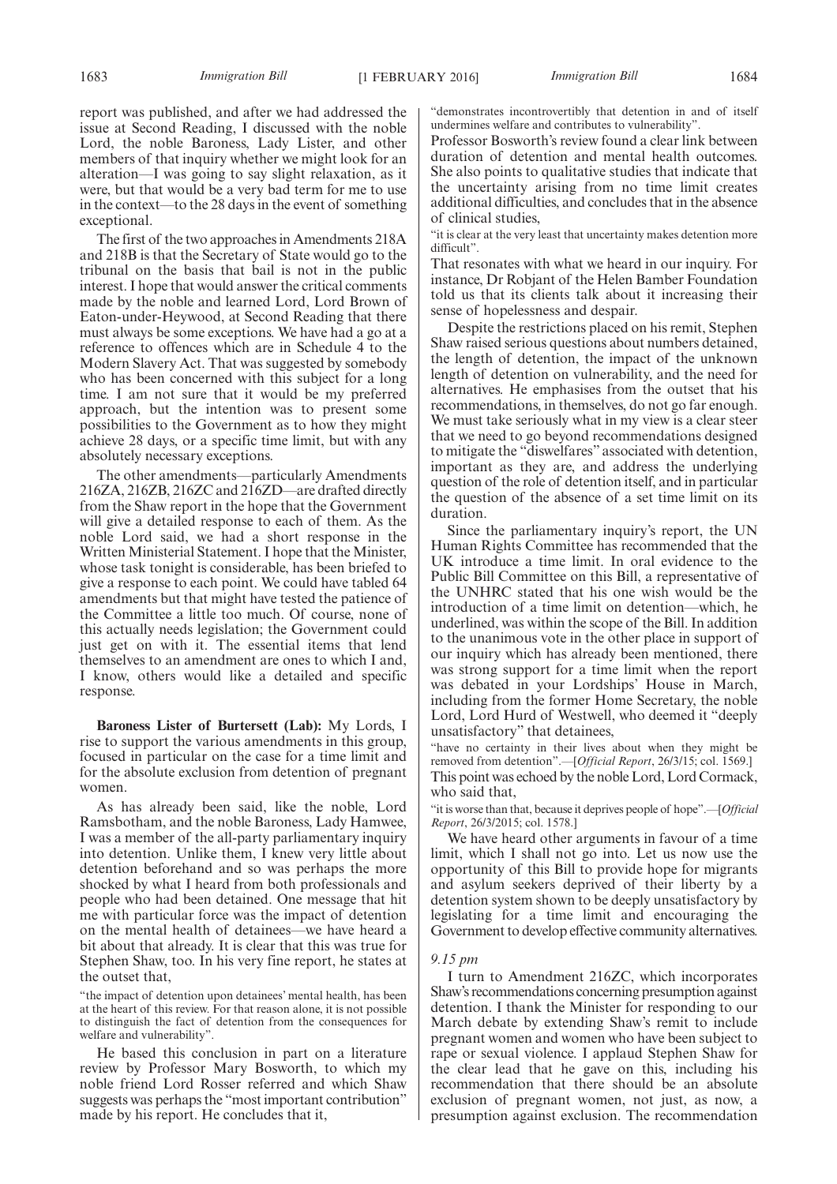report was published, and after we had addressed the issue at Second Reading, I discussed with the noble Lord, the noble Baroness, Lady Lister, and other members of that inquiry whether we might look for an alteration—I was going to say slight relaxation, as it were, but that would be a very bad term for me to use in the context—to the 28 days in the event of something exceptional.

The first of the two approaches in Amendments 218A and 218B is that the Secretary of State would go to the tribunal on the basis that bail is not in the public interest. I hope that would answer the critical comments made by the noble and learned Lord, Lord Brown of Eaton-under-Heywood, at Second Reading that there must always be some exceptions. We have had a go at a reference to offences which are in Schedule 4 to the Modern Slavery Act. That was suggested by somebody who has been concerned with this subject for a long time. I am not sure that it would be my preferred approach, but the intention was to present some possibilities to the Government as to how they might achieve 28 days, or a specific time limit, but with any absolutely necessary exceptions.

The other amendments—particularly Amendments 216ZA, 216ZB, 216ZC and 216ZD—are drafted directly from the Shaw report in the hope that the Government will give a detailed response to each of them. As the noble Lord said, we had a short response in the Written Ministerial Statement. I hope that the Minister, whose task tonight is considerable, has been briefed to give a response to each point. We could have tabled 64 amendments but that might have tested the patience of the Committee a little too much. Of course, none of this actually needs legislation; the Government could just get on with it. The essential items that lend themselves to an amendment are ones to which I and, I know, others would like a detailed and specific response.

**Baroness Lister of Burtersett (Lab):** My Lords, I rise to support the various amendments in this group, focused in particular on the case for a time limit and for the absolute exclusion from detention of pregnant women.

As has already been said, like the noble, Lord Ramsbotham, and the noble Baroness, Lady Hamwee, I was a member of the all-party parliamentary inquiry into detention. Unlike them, I knew very little about detention beforehand and so was perhaps the more shocked by what I heard from both professionals and people who had been detained. One message that hit me with particular force was the impact of detention on the mental health of detainees—we have heard a bit about that already. It is clear that this was true for Stephen Shaw, too. In his very fine report, he states at the outset that,

"the impact of detention upon detainees' mental health, has been at the heart of this review. For that reason alone, it is not possible to distinguish the fact of detention from the consequences for welfare and vulnerability".

He based this conclusion in part on a literature review by Professor Mary Bosworth, to which my noble friend Lord Rosser referred and which Shaw suggests was perhaps the "most important contribution" made by his report. He concludes that it,

"demonstrates incontrovertibly that detention in and of itself undermines welfare and contributes to vulnerability".

Professor Bosworth's review found a clear link between duration of detention and mental health outcomes. She also points to qualitative studies that indicate that the uncertainty arising from no time limit creates additional difficulties, and concludes that in the absence of clinical studies,

"it is clear at the very least that uncertainty makes detention more difficult".

That resonates with what we heard in our inquiry. For instance, Dr Robjant of the Helen Bamber Foundation told us that its clients talk about it increasing their sense of hopelessness and despair.

Despite the restrictions placed on his remit, Stephen Shaw raised serious questions about numbers detained, the length of detention, the impact of the unknown length of detention on vulnerability, and the need for alternatives. He emphasises from the outset that his recommendations, in themselves, do not go far enough. We must take seriously what in my view is a clear steer that we need to go beyond recommendations designed to mitigate the "diswelfares" associated with detention, important as they are, and address the underlying question of the role of detention itself, and in particular the question of the absence of a set time limit on its duration.

Since the parliamentary inquiry's report, the UN Human Rights Committee has recommended that the UK introduce a time limit. In oral evidence to the Public Bill Committee on this Bill, a representative of the UNHRC stated that his one wish would be the introduction of a time limit on detention—which, he underlined, was within the scope of the Bill. In addition to the unanimous vote in the other place in support of our inquiry which has already been mentioned, there was strong support for a time limit when the report was debated in your Lordships' House in March, including from the former Home Secretary, the noble Lord, Lord Hurd of Westwell, who deemed it "deeply unsatisfactory" that detainees,

"have no certainty in their lives about when they might be removed from detention".—[*Official Report*, 26/3/15; col. 1569.] This point was echoed by the noble Lord, Lord Cormack, who said that,

"it is worse than that, because it deprives people of hope".—[*Official Report*, 26/3/2015; col. 1578.]

We have heard other arguments in favour of a time limit, which I shall not go into. Let us now use the opportunity of this Bill to provide hope for migrants and asylum seekers deprived of their liberty by a detention system shown to be deeply unsatisfactory by legislating for a time limit and encouraging the Government to develop effective community alternatives.

## *9.15 pm*

I turn to Amendment 216ZC, which incorporates Shaw's recommendations concerning presumption against detention. I thank the Minister for responding to our March debate by extending Shaw's remit to include pregnant women and women who have been subject to rape or sexual violence. I applaud Stephen Shaw for the clear lead that he gave on this, including his recommendation that there should be an absolute exclusion of pregnant women, not just, as now, a presumption against exclusion. The recommendation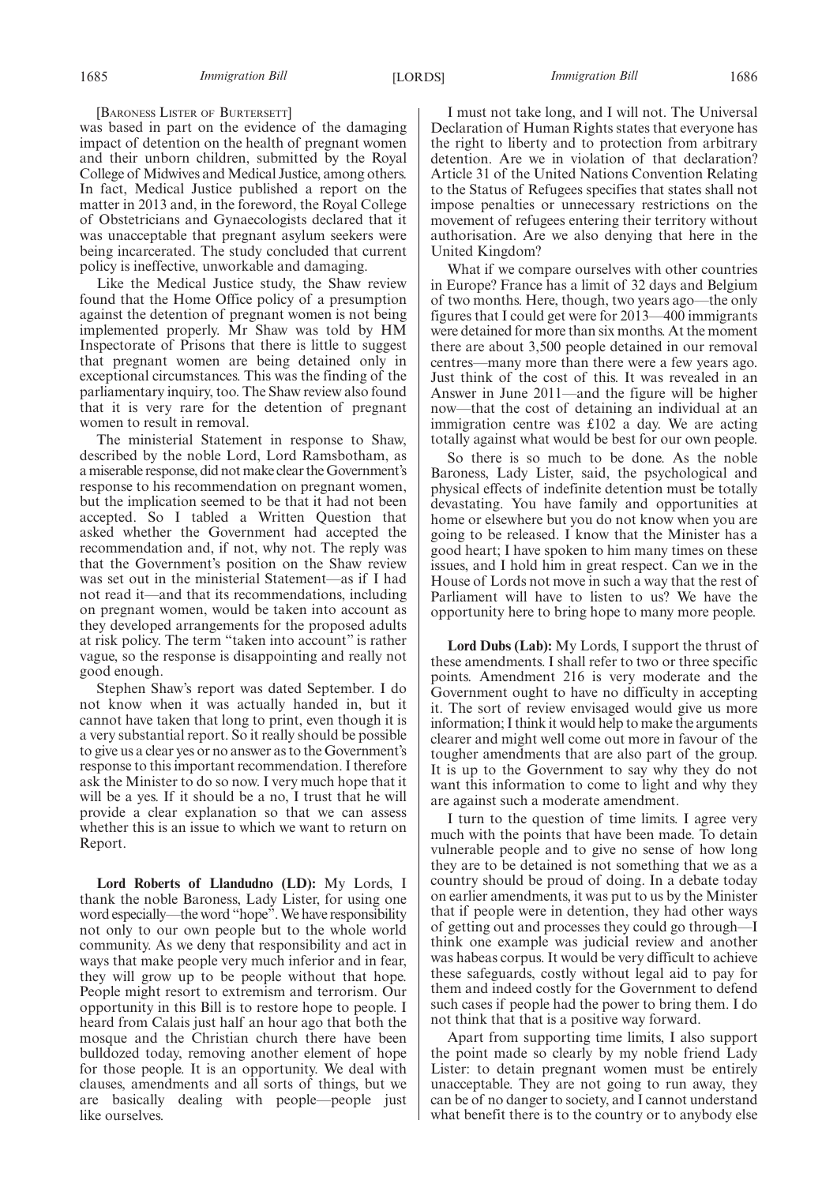[BARONESS LISTER OF BURTERSETT]

was based in part on the evidence of the damaging impact of detention on the health of pregnant women and their unborn children, submitted by the Royal College of Midwives and Medical Justice, among others. In fact, Medical Justice published a report on the matter in 2013 and, in the foreword, the Royal College of Obstetricians and Gynaecologists declared that it was unacceptable that pregnant asylum seekers were being incarcerated. The study concluded that current policy is ineffective, unworkable and damaging.

Like the Medical Justice study, the Shaw review found that the Home Office policy of a presumption against the detention of pregnant women is not being implemented properly. Mr Shaw was told by HM Inspectorate of Prisons that there is little to suggest that pregnant women are being detained only in exceptional circumstances. This was the finding of the parliamentary inquiry, too. The Shaw review also found that it is very rare for the detention of pregnant women to result in removal.

The ministerial Statement in response to Shaw, described by the noble Lord, Lord Ramsbotham, as a miserable response, did not make clear the Government's response to his recommendation on pregnant women, but the implication seemed to be that it had not been accepted. So I tabled a Written Question that asked whether the Government had accepted the recommendation and, if not, why not. The reply was that the Government's position on the Shaw review was set out in the ministerial Statement—as if I had not read it—and that its recommendations, including on pregnant women, would be taken into account as they developed arrangements for the proposed adults at risk policy. The term "taken into account" is rather vague, so the response is disappointing and really not good enough.

Stephen Shaw's report was dated September. I do not know when it was actually handed in, but it cannot have taken that long to print, even though it is a very substantial report. So it really should be possible to give us a clear yes or no answer as to the Government's response to this important recommendation. I therefore ask the Minister to do so now. I very much hope that it will be a yes. If it should be a no, I trust that he will provide a clear explanation so that we can assess whether this is an issue to which we want to return on Report.

**Lord Roberts of Llandudno (LD):** My Lords, I thank the noble Baroness, Lady Lister, for using one word especially—the word "hope". We have responsibility not only to our own people but to the whole world community. As we deny that responsibility and act in ways that make people very much inferior and in fear, they will grow up to be people without that hope. People might resort to extremism and terrorism. Our opportunity in this Bill is to restore hope to people. I heard from Calais just half an hour ago that both the mosque and the Christian church there have been bulldozed today, removing another element of hope for those people. It is an opportunity. We deal with clauses, amendments and all sorts of things, but we are basically dealing with people—people just like ourselves.

I must not take long, and I will not. The Universal Declaration of Human Rights states that everyone has the right to liberty and to protection from arbitrary detention. Are we in violation of that declaration? Article 31 of the United Nations Convention Relating to the Status of Refugees specifies that states shall not impose penalties or unnecessary restrictions on the movement of refugees entering their territory without authorisation. Are we also denying that here in the United Kingdom?

What if we compare ourselves with other countries in Europe? France has a limit of 32 days and Belgium of two months. Here, though, two years ago—the only figures that I could get were for 2013—400 immigrants were detained for more than six months. At the moment there are about 3,500 people detained in our removal centres—many more than there were a few years ago. Just think of the cost of this. It was revealed in an Answer in June 2011—and the figure will be higher now—that the cost of detaining an individual at an immigration centre was £102 a day. We are acting totally against what would be best for our own people.

So there is so much to be done. As the noble Baroness, Lady Lister, said, the psychological and physical effects of indefinite detention must be totally devastating. You have family and opportunities at home or elsewhere but you do not know when you are going to be released. I know that the Minister has a good heart; I have spoken to him many times on these issues, and I hold him in great respect. Can we in the House of Lords not move in such a way that the rest of Parliament will have to listen to us? We have the opportunity here to bring hope to many more people.

**Lord Dubs (Lab):** My Lords, I support the thrust of these amendments. I shall refer to two or three specific points. Amendment 216 is very moderate and the Government ought to have no difficulty in accepting it. The sort of review envisaged would give us more information; I think it would help to make the arguments clearer and might well come out more in favour of the tougher amendments that are also part of the group. It is up to the Government to say why they do not want this information to come to light and why they are against such a moderate amendment.

I turn to the question of time limits. I agree very much with the points that have been made. To detain vulnerable people and to give no sense of how long they are to be detained is not something that we as a country should be proud of doing. In a debate today on earlier amendments, it was put to us by the Minister that if people were in detention, they had other ways of getting out and processes they could go through—I think one example was judicial review and another was habeas corpus. It would be very difficult to achieve these safeguards, costly without legal aid to pay for them and indeed costly for the Government to defend such cases if people had the power to bring them. I do not think that that is a positive way forward.

Apart from supporting time limits, I also support the point made so clearly by my noble friend Lady Lister: to detain pregnant women must be entirely unacceptable. They are not going to run away, they can be of no danger to society, and I cannot understand what benefit there is to the country or to anybody else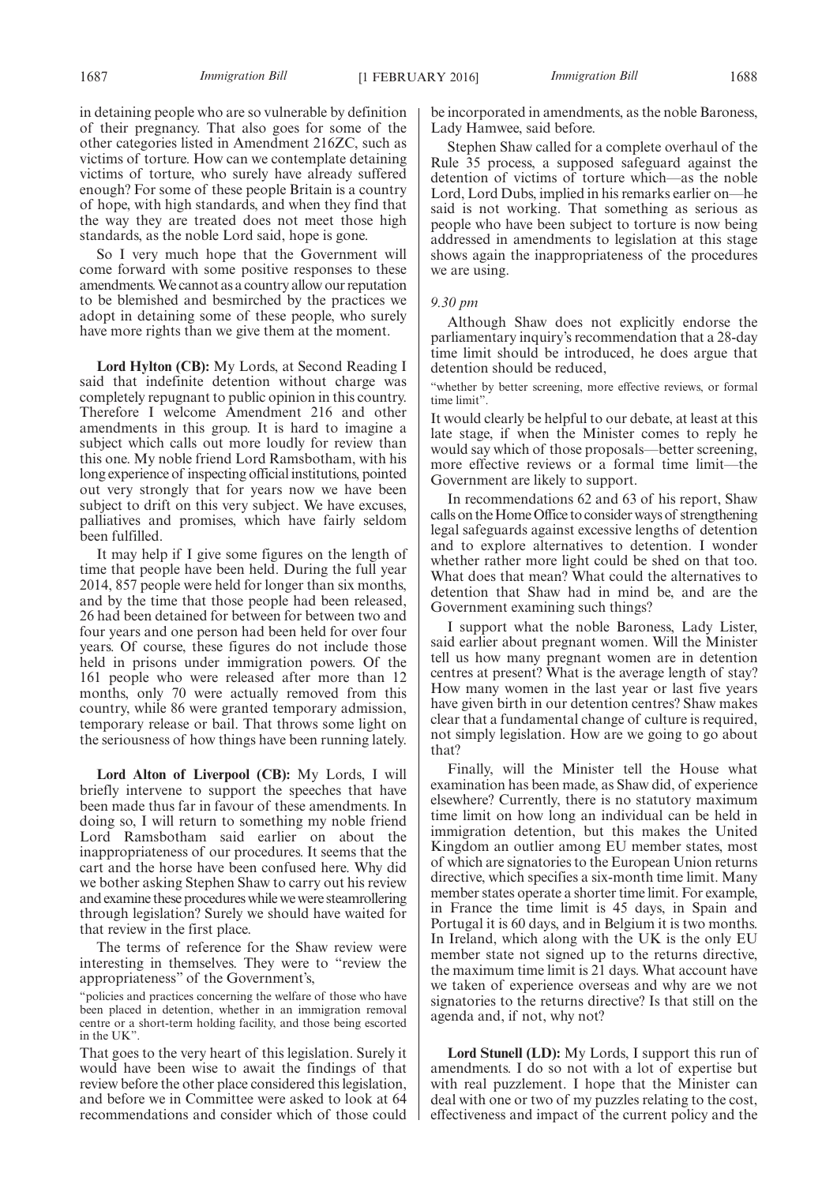in detaining people who are so vulnerable by definition of their pregnancy. That also goes for some of the other categories listed in Amendment 216ZC, such as victims of torture. How can we contemplate detaining victims of torture, who surely have already suffered enough? For some of these people Britain is a country of hope, with high standards, and when they find that the way they are treated does not meet those high standards, as the noble Lord said, hope is gone.

So I very much hope that the Government will come forward with some positive responses to these amendments.We cannot as a country allow our reputation to be blemished and besmirched by the practices we adopt in detaining some of these people, who surely have more rights than we give them at the moment.

**Lord Hylton (CB):** My Lords, at Second Reading I said that indefinite detention without charge was completely repugnant to public opinion in this country. Therefore I welcome Amendment 216 and other amendments in this group. It is hard to imagine a subject which calls out more loudly for review than this one. My noble friend Lord Ramsbotham, with his long experience of inspecting official institutions, pointed out very strongly that for years now we have been subject to drift on this very subject. We have excuses, palliatives and promises, which have fairly seldom been fulfilled.

It may help if I give some figures on the length of time that people have been held. During the full year 2014, 857 people were held for longer than six months, and by the time that those people had been released, 26 had been detained for between for between two and four years and one person had been held for over four years. Of course, these figures do not include those held in prisons under immigration powers. Of the 161 people who were released after more than 12 months, only 70 were actually removed from this country, while 86 were granted temporary admission, temporary release or bail. That throws some light on the seriousness of how things have been running lately.

**Lord Alton of Liverpool (CB):** My Lords, I will briefly intervene to support the speeches that have been made thus far in favour of these amendments. In doing so, I will return to something my noble friend Lord Ramsbotham said earlier on about the inappropriateness of our procedures. It seems that the cart and the horse have been confused here. Why did we bother asking Stephen Shaw to carry out his review and examine these procedures while we were steamrollering through legislation? Surely we should have waited for that review in the first place.

The terms of reference for the Shaw review were interesting in themselves. They were to "review the appropriateness" of the Government's,

"policies and practices concerning the welfare of those who have been placed in detention, whether in an immigration removal centre or a short-term holding facility, and those being escorted in the UK".

That goes to the very heart of this legislation. Surely it would have been wise to await the findings of that review before the other place considered this legislation, and before we in Committee were asked to look at 64 recommendations and consider which of those could be incorporated in amendments, as the noble Baroness, Lady Hamwee, said before.

Stephen Shaw called for a complete overhaul of the Rule 35 process, a supposed safeguard against the detention of victims of torture which—as the noble Lord, Lord Dubs, implied in his remarks earlier on—he said is not working. That something as serious as people who have been subject to torture is now being addressed in amendments to legislation at this stage shows again the inappropriateness of the procedures we are using.

## *9.30 pm*

Although Shaw does not explicitly endorse the parliamentary inquiry's recommendation that a 28-day time limit should be introduced, he does argue that detention should be reduced,

"whether by better screening, more effective reviews, or formal time limit".

It would clearly be helpful to our debate, at least at this late stage, if when the Minister comes to reply he would say which of those proposals—better screening, more effective reviews or a formal time limit—the Government are likely to support.

In recommendations 62 and 63 of his report, Shaw calls on the Home Office to consider ways of strengthening legal safeguards against excessive lengths of detention and to explore alternatives to detention. I wonder whether rather more light could be shed on that too. What does that mean? What could the alternatives to detention that Shaw had in mind be, and are the Government examining such things?

I support what the noble Baroness, Lady Lister, said earlier about pregnant women. Will the Minister tell us how many pregnant women are in detention centres at present? What is the average length of stay? How many women in the last year or last five years have given birth in our detention centres? Shaw makes clear that a fundamental change of culture is required, not simply legislation. How are we going to go about that?

Finally, will the Minister tell the House what examination has been made, as Shaw did, of experience elsewhere? Currently, there is no statutory maximum time limit on how long an individual can be held in immigration detention, but this makes the United Kingdom an outlier among EU member states, most of which are signatories to the European Union returns directive, which specifies a six-month time limit. Many member states operate a shorter time limit. For example, in France the time limit is 45 days, in Spain and Portugal it is 60 days, and in Belgium it is two months. In Ireland, which along with the UK is the only EU member state not signed up to the returns directive, the maximum time limit is 21 days. What account have we taken of experience overseas and why are we not signatories to the returns directive? Is that still on the agenda and, if not, why not?

**Lord Stunell (LD):** My Lords, I support this run of amendments. I do so not with a lot of expertise but with real puzzlement. I hope that the Minister can deal with one or two of my puzzles relating to the cost, effectiveness and impact of the current policy and the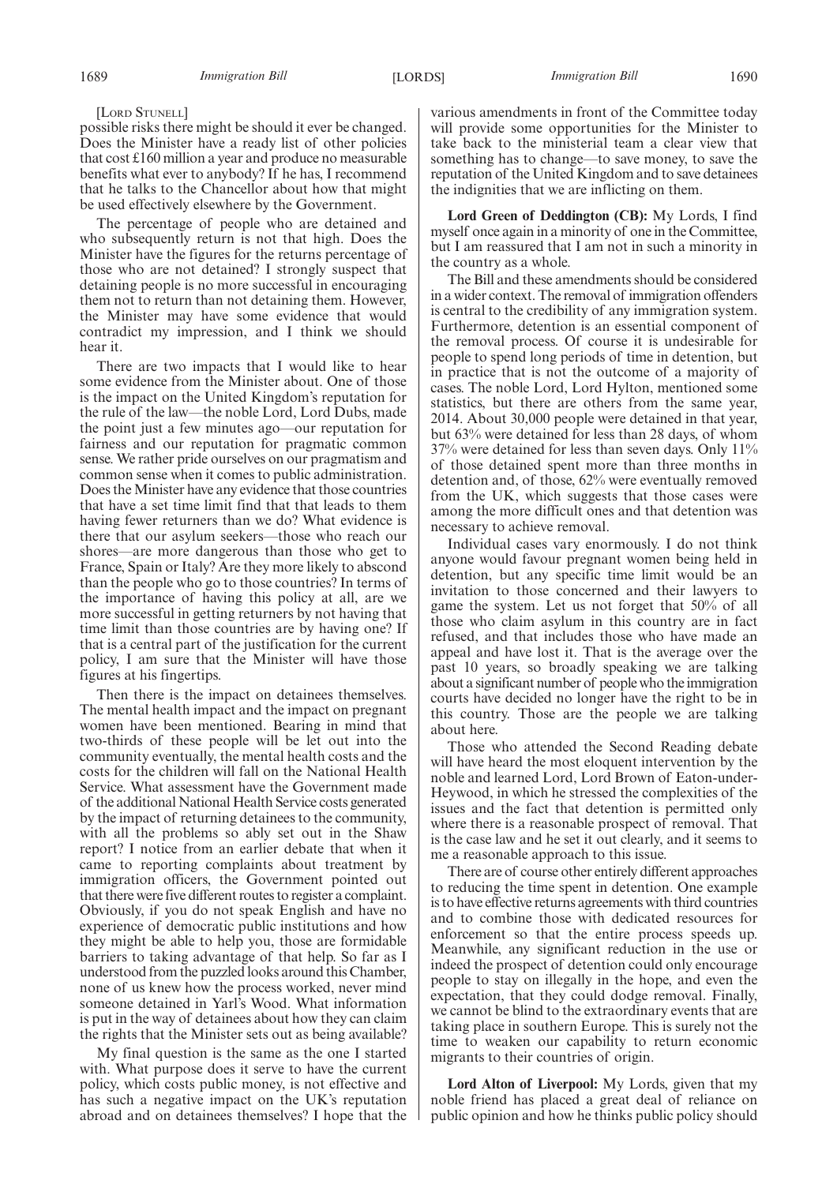[LORD STUNELL]

possible risks there might be should it ever be changed. Does the Minister have a ready list of other policies that cost £160 million a year and produce no measurable benefits what ever to anybody? If he has, I recommend that he talks to the Chancellor about how that might be used effectively elsewhere by the Government.

The percentage of people who are detained and who subsequently return is not that high. Does the Minister have the figures for the returns percentage of those who are not detained? I strongly suspect that detaining people is no more successful in encouraging them not to return than not detaining them. However, the Minister may have some evidence that would contradict my impression, and I think we should hear it.

There are two impacts that I would like to hear some evidence from the Minister about. One of those is the impact on the United Kingdom's reputation for the rule of the law—the noble Lord, Lord Dubs, made the point just a few minutes ago—our reputation for fairness and our reputation for pragmatic common sense. We rather pride ourselves on our pragmatism and common sense when it comes to public administration. Does the Minister have any evidence that those countries that have a set time limit find that that leads to them having fewer returners than we do? What evidence is there that our asylum seekers—those who reach our shores—are more dangerous than those who get to France, Spain or Italy? Are they more likely to abscond than the people who go to those countries? In terms of the importance of having this policy at all, are we more successful in getting returners by not having that time limit than those countries are by having one? If that is a central part of the justification for the current policy, I am sure that the Minister will have those figures at his fingertips.

Then there is the impact on detainees themselves. The mental health impact and the impact on pregnant women have been mentioned. Bearing in mind that two-thirds of these people will be let out into the community eventually, the mental health costs and the costs for the children will fall on the National Health Service. What assessment have the Government made of the additional National Health Service costs generated by the impact of returning detainees to the community, with all the problems so ably set out in the Shaw report? I notice from an earlier debate that when it came to reporting complaints about treatment by immigration officers, the Government pointed out that there were five different routes to register a complaint. Obviously, if you do not speak English and have no experience of democratic public institutions and how they might be able to help you, those are formidable barriers to taking advantage of that help. So far as I understood from the puzzled looks around this Chamber, none of us knew how the process worked, never mind someone detained in Yarl's Wood. What information is put in the way of detainees about how they can claim the rights that the Minister sets out as being available?

My final question is the same as the one I started with. What purpose does it serve to have the current policy, which costs public money, is not effective and has such a negative impact on the UK's reputation abroad and on detainees themselves? I hope that the various amendments in front of the Committee today will provide some opportunities for the Minister to take back to the ministerial team a clear view that something has to change—to save money, to save the reputation of the United Kingdom and to save detainees the indignities that we are inflicting on them.

**Lord Green of Deddington (CB):** My Lords, I find myself once again in a minority of one in the Committee, but I am reassured that I am not in such a minority in the country as a whole.

The Bill and these amendments should be considered in a wider context. The removal of immigration offenders is central to the credibility of any immigration system. Furthermore, detention is an essential component of the removal process. Of course it is undesirable for people to spend long periods of time in detention, but in practice that is not the outcome of a majority of cases. The noble Lord, Lord Hylton, mentioned some statistics, but there are others from the same year, 2014. About 30,000 people were detained in that year, but 63% were detained for less than 28 days, of whom 37% were detained for less than seven days. Only 11% of those detained spent more than three months in detention and, of those, 62% were eventually removed from the UK, which suggests that those cases were among the more difficult ones and that detention was necessary to achieve removal.

Individual cases vary enormously. I do not think anyone would favour pregnant women being held in detention, but any specific time limit would be an invitation to those concerned and their lawyers to game the system. Let us not forget that 50% of all those who claim asylum in this country are in fact refused, and that includes those who have made an appeal and have lost it. That is the average over the past 10 years, so broadly speaking we are talking about a significant number of people who the immigration courts have decided no longer have the right to be in this country. Those are the people we are talking about here.

Those who attended the Second Reading debate will have heard the most eloquent intervention by the noble and learned Lord, Lord Brown of Eaton-under-Heywood, in which he stressed the complexities of the issues and the fact that detention is permitted only where there is a reasonable prospect of removal. That is the case law and he set it out clearly, and it seems to me a reasonable approach to this issue.

There are of course other entirely different approaches to reducing the time spent in detention. One example is to have effective returns agreements with third countries and to combine those with dedicated resources for enforcement so that the entire process speeds up. Meanwhile, any significant reduction in the use or indeed the prospect of detention could only encourage people to stay on illegally in the hope, and even the expectation, that they could dodge removal. Finally, we cannot be blind to the extraordinary events that are taking place in southern Europe. This is surely not the time to weaken our capability to return economic migrants to their countries of origin.

**Lord Alton of Liverpool:** My Lords, given that my noble friend has placed a great deal of reliance on public opinion and how he thinks public policy should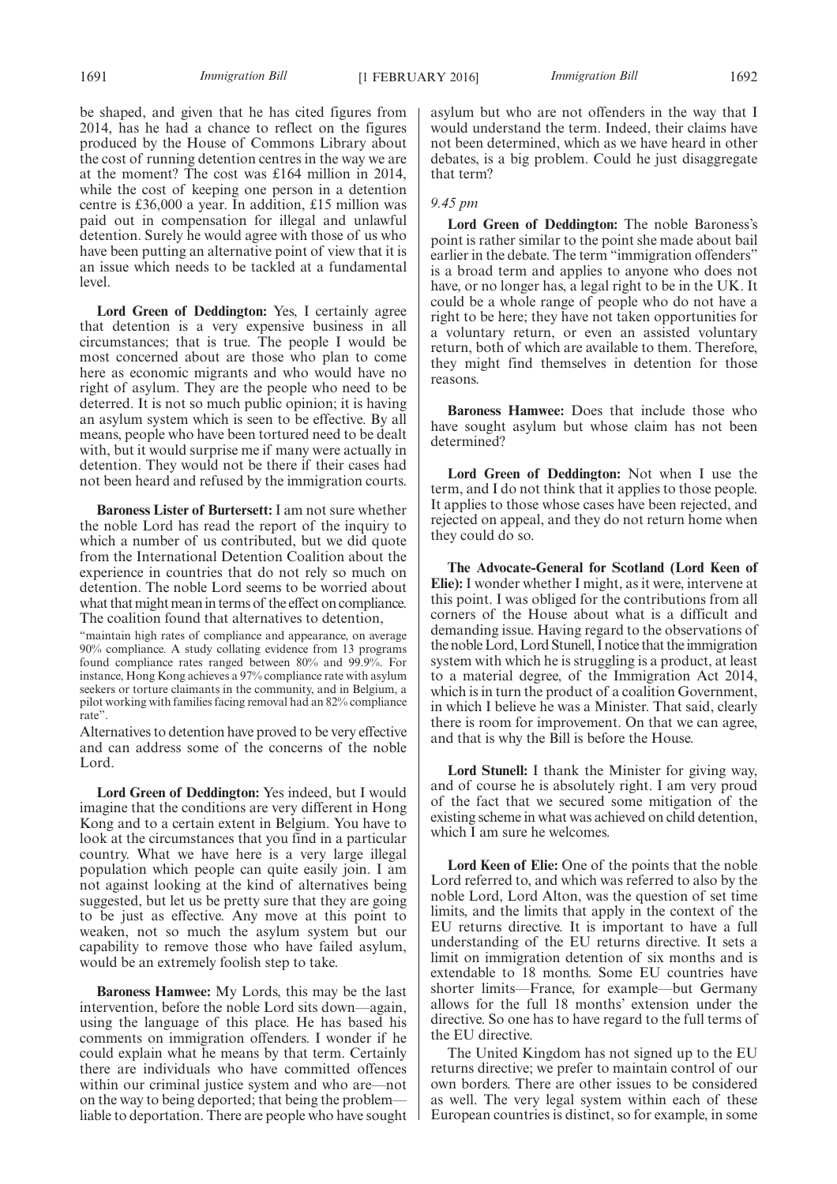be shaped, and given that he has cited figures from 2014, has he had a chance to reflect on the figures produced by the House of Commons Library about the cost of running detention centres in the way we are at the moment? The cost was £164 million in 2014, while the cost of keeping one person in a detention centre is £36,000 a year. In addition, £15 million was paid out in compensation for illegal and unlawful detention. Surely he would agree with those of us who have been putting an alternative point of view that it is an issue which needs to be tackled at a fundamental level.

**Lord Green of Deddington:** Yes, I certainly agree that detention is a very expensive business in all circumstances; that is true. The people I would be most concerned about are those who plan to come here as economic migrants and who would have no right of asylum. They are the people who need to be deterred. It is not so much public opinion; it is having an asylum system which is seen to be effective. By all means, people who have been tortured need to be dealt with, but it would surprise me if many were actually in detention. They would not be there if their cases had not been heard and refused by the immigration courts.

**Baroness Lister of Burtersett:** I am not sure whether the noble Lord has read the report of the inquiry to which a number of us contributed, but we did quote from the International Detention Coalition about the experience in countries that do not rely so much on detention. The noble Lord seems to be worried about what that might mean in terms of the effect on compliance. The coalition found that alternatives to detention,

"maintain high rates of compliance and appearance, on average 90% compliance. A study collating evidence from 13 programs found compliance rates ranged between 80% and 99.9%. For instance, Hong Kong achieves a 97% compliance rate with asylum seekers or torture claimants in the community, and in Belgium, a pilot working with families facing removal had an 82% compliance rate".

Alternatives to detention have proved to be very effective and can address some of the concerns of the noble Lord.

**Lord Green of Deddington:** Yes indeed, but I would imagine that the conditions are very different in Hong Kong and to a certain extent in Belgium. You have to look at the circumstances that you find in a particular country. What we have here is a very large illegal population which people can quite easily join. I am not against looking at the kind of alternatives being suggested, but let us be pretty sure that they are going to be just as effective. Any move at this point to weaken, not so much the asylum system but our capability to remove those who have failed asylum, would be an extremely foolish step to take.

**Baroness Hamwee:** My Lords, this may be the last intervention, before the noble Lord sits down—again, using the language of this place. He has based his comments on immigration offenders. I wonder if he could explain what he means by that term. Certainly there are individuals who have committed offences within our criminal justice system and who are—not on the way to being deported; that being the problem liable to deportation. There are people who have sought asylum but who are not offenders in the way that I would understand the term. Indeed, their claims have not been determined, which as we have heard in other debates, is a big problem. Could he just disaggregate that term?

## *9.45 pm*

**Lord Green of Deddington:** The noble Baroness's point is rather similar to the point she made about bail earlier in the debate. The term "immigration offenders" is a broad term and applies to anyone who does not have, or no longer has, a legal right to be in the UK. It could be a whole range of people who do not have a right to be here; they have not taken opportunities for a voluntary return, or even an assisted voluntary return, both of which are available to them. Therefore, they might find themselves in detention for those reasons.

**Baroness Hamwee:** Does that include those who have sought asylum but whose claim has not been determined?

**Lord Green of Deddington:** Not when I use the term, and I do not think that it applies to those people. It applies to those whose cases have been rejected, and rejected on appeal, and they do not return home when they could do so.

**The Advocate-General for Scotland (Lord Keen of Elie):** I wonder whether I might, as it were, intervene at this point. I was obliged for the contributions from all corners of the House about what is a difficult and demanding issue. Having regard to the observations of the noble Lord, Lord Stunell, I notice that the immigration system with which he is struggling is a product, at least to a material degree, of the Immigration Act 2014, which is in turn the product of a coalition Government, in which I believe he was a Minister. That said, clearly there is room for improvement. On that we can agree, and that is why the Bill is before the House.

**Lord Stunell:** I thank the Minister for giving way, and of course he is absolutely right. I am very proud of the fact that we secured some mitigation of the existing scheme in what was achieved on child detention, which I am sure he welcomes.

**Lord Keen of Elie:** One of the points that the noble Lord referred to, and which was referred to also by the noble Lord, Lord Alton, was the question of set time limits, and the limits that apply in the context of the EU returns directive. It is important to have a full understanding of the EU returns directive. It sets a limit on immigration detention of six months and is extendable to 18 months. Some EU countries have shorter limits—France, for example—but Germany allows for the full 18 months' extension under the directive. So one has to have regard to the full terms of the EU directive.

The United Kingdom has not signed up to the EU returns directive; we prefer to maintain control of our own borders. There are other issues to be considered as well. The very legal system within each of these European countries is distinct, so for example, in some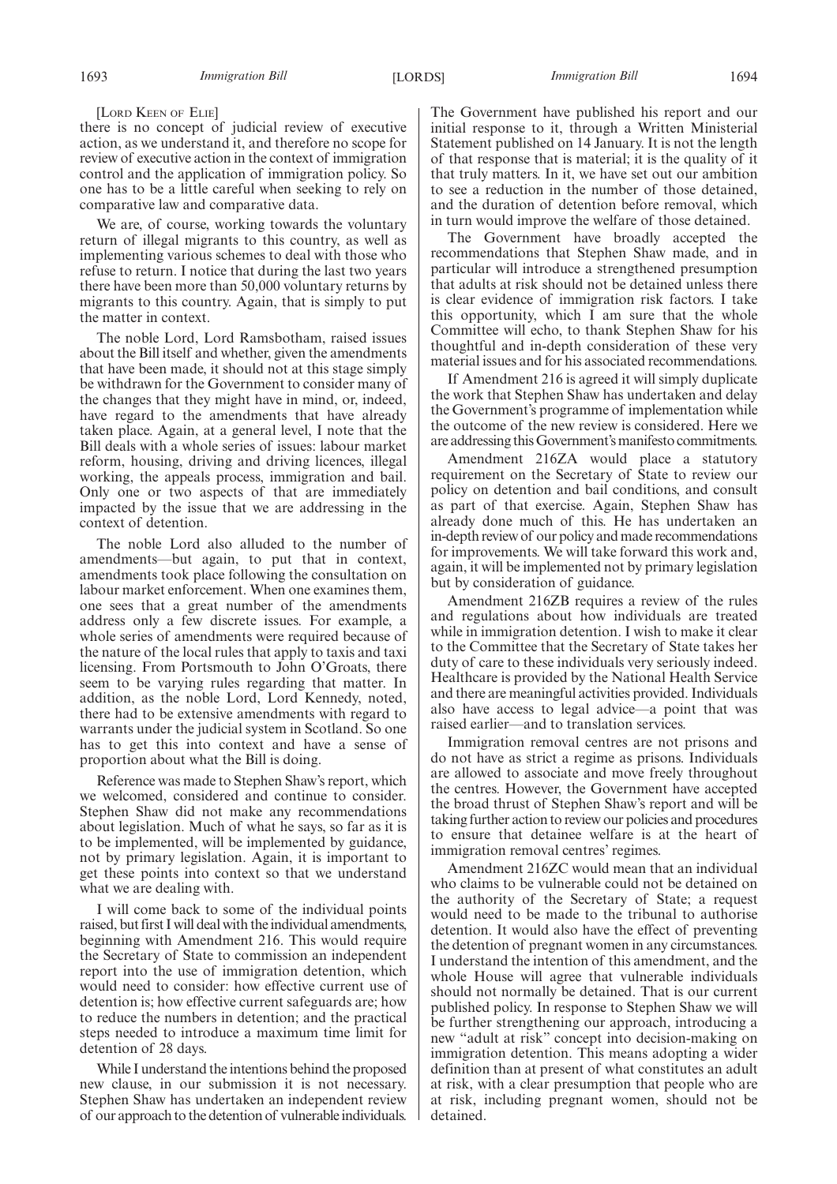[LORD KEEN OF ELIE]

there is no concept of judicial review of executive action, as we understand it, and therefore no scope for review of executive action in the context of immigration control and the application of immigration policy. So one has to be a little careful when seeking to rely on comparative law and comparative data.

We are, of course, working towards the voluntary return of illegal migrants to this country, as well as implementing various schemes to deal with those who refuse to return. I notice that during the last two years there have been more than 50,000 voluntary returns by migrants to this country. Again, that is simply to put the matter in context.

The noble Lord, Lord Ramsbotham, raised issues about the Bill itself and whether, given the amendments that have been made, it should not at this stage simply be withdrawn for the Government to consider many of the changes that they might have in mind, or, indeed, have regard to the amendments that have already taken place. Again, at a general level, I note that the Bill deals with a whole series of issues: labour market reform, housing, driving and driving licences, illegal working, the appeals process, immigration and bail. Only one or two aspects of that are immediately impacted by the issue that we are addressing in the context of detention.

The noble Lord also alluded to the number of amendments—but again, to put that in context, amendments took place following the consultation on labour market enforcement. When one examines them, one sees that a great number of the amendments address only a few discrete issues. For example, a whole series of amendments were required because of the nature of the local rules that apply to taxis and taxi licensing. From Portsmouth to John O'Groats, there seem to be varying rules regarding that matter. In addition, as the noble Lord, Lord Kennedy, noted, there had to be extensive amendments with regard to warrants under the judicial system in Scotland. So one has to get this into context and have a sense of proportion about what the Bill is doing.

Reference was made to Stephen Shaw's report, which we welcomed, considered and continue to consider. Stephen Shaw did not make any recommendations about legislation. Much of what he says, so far as it is to be implemented, will be implemented by guidance, not by primary legislation. Again, it is important to get these points into context so that we understand what we are dealing with.

I will come back to some of the individual points raised, but first I will deal with the individual amendments, beginning with Amendment 216. This would require the Secretary of State to commission an independent report into the use of immigration detention, which would need to consider: how effective current use of detention is; how effective current safeguards are; how to reduce the numbers in detention; and the practical steps needed to introduce a maximum time limit for detention of 28 days.

While I understand the intentions behind the proposed new clause, in our submission it is not necessary. Stephen Shaw has undertaken an independent review of our approach to the detention of vulnerable individuals. The Government have published his report and our initial response to it, through a Written Ministerial Statement published on 14 January. It is not the length of that response that is material; it is the quality of it that truly matters. In it, we have set out our ambition to see a reduction in the number of those detained, and the duration of detention before removal, which in turn would improve the welfare of those detained.

The Government have broadly accepted the recommendations that Stephen Shaw made, and in particular will introduce a strengthened presumption that adults at risk should not be detained unless there is clear evidence of immigration risk factors. I take this opportunity, which I am sure that the whole Committee will echo, to thank Stephen Shaw for his thoughtful and in-depth consideration of these very material issues and for his associated recommendations.

If Amendment 216 is agreed it will simply duplicate the work that Stephen Shaw has undertaken and delay the Government's programme of implementation while the outcome of the new review is considered. Here we are addressing thisGovernment'smanifesto commitments.

Amendment 216ZA would place a statutory requirement on the Secretary of State to review our policy on detention and bail conditions, and consult as part of that exercise. Again, Stephen Shaw has already done much of this. He has undertaken an in-depth review of our policy and made recommendations for improvements. We will take forward this work and, again, it will be implemented not by primary legislation but by consideration of guidance.

Amendment 216ZB requires a review of the rules and regulations about how individuals are treated while in immigration detention. I wish to make it clear to the Committee that the Secretary of State takes her duty of care to these individuals very seriously indeed. Healthcare is provided by the National Health Service and there are meaningful activities provided. Individuals also have access to legal advice—a point that was raised earlier—and to translation services.

Immigration removal centres are not prisons and do not have as strict a regime as prisons. Individuals are allowed to associate and move freely throughout the centres. However, the Government have accepted the broad thrust of Stephen Shaw's report and will be taking further action to review our policies and procedures to ensure that detainee welfare is at the heart of immigration removal centres' regimes.

Amendment 216ZC would mean that an individual who claims to be vulnerable could not be detained on the authority of the Secretary of State; a request would need to be made to the tribunal to authorise detention. It would also have the effect of preventing the detention of pregnant women in any circumstances. I understand the intention of this amendment, and the whole House will agree that vulnerable individuals should not normally be detained. That is our current published policy. In response to Stephen Shaw we will be further strengthening our approach, introducing a new "adult at risk" concept into decision-making on immigration detention. This means adopting a wider definition than at present of what constitutes an adult at risk, with a clear presumption that people who are at risk, including pregnant women, should not be detained.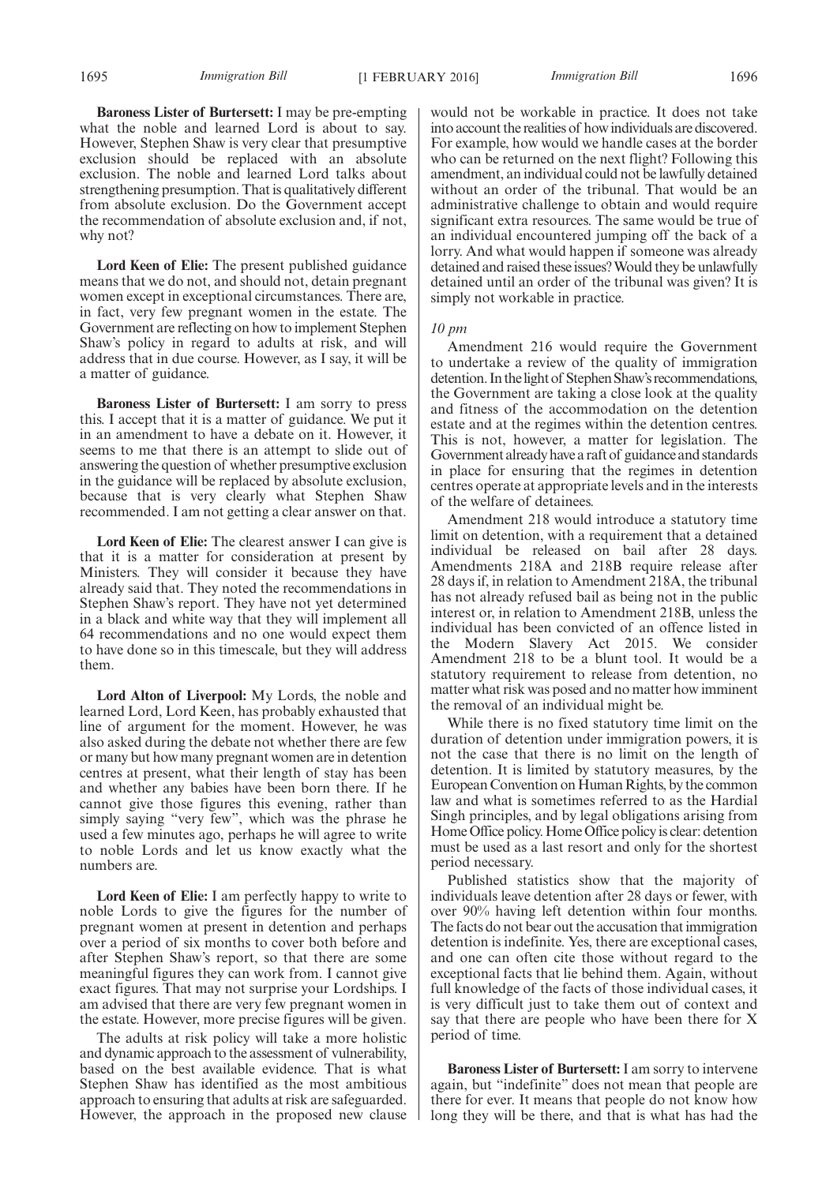**Baroness Lister of Burtersett:** I may be pre-empting what the noble and learned Lord is about to say. However, Stephen Shaw is very clear that presumptive exclusion should be replaced with an absolute exclusion. The noble and learned Lord talks about strengthening presumption. That is qualitatively different from absolute exclusion. Do the Government accept the recommendation of absolute exclusion and, if not, why not?

**Lord Keen of Elie:** The present published guidance means that we do not, and should not, detain pregnant women except in exceptional circumstances. There are, in fact, very few pregnant women in the estate. The Government are reflecting on how to implement Stephen Shaw's policy in regard to adults at risk, and will address that in due course. However, as I say, it will be a matter of guidance.

**Baroness Lister of Burtersett:** I am sorry to press this. I accept that it is a matter of guidance. We put it in an amendment to have a debate on it. However, it seems to me that there is an attempt to slide out of answering the question of whether presumptive exclusion in the guidance will be replaced by absolute exclusion, because that is very clearly what Stephen Shaw recommended. I am not getting a clear answer on that.

**Lord Keen of Elie:** The clearest answer I can give is that it is a matter for consideration at present by Ministers. They will consider it because they have already said that. They noted the recommendations in Stephen Shaw's report. They have not yet determined in a black and white way that they will implement all 64 recommendations and no one would expect them to have done so in this timescale, but they will address them.

**Lord Alton of Liverpool:** My Lords, the noble and learned Lord, Lord Keen, has probably exhausted that line of argument for the moment. However, he was also asked during the debate not whether there are few or many but how many pregnant women are in detention centres at present, what their length of stay has been and whether any babies have been born there. If he cannot give those figures this evening, rather than simply saying "very few", which was the phrase he used a few minutes ago, perhaps he will agree to write to noble Lords and let us know exactly what the numbers are.

**Lord Keen of Elie:** I am perfectly happy to write to noble Lords to give the figures for the number of pregnant women at present in detention and perhaps over a period of six months to cover both before and after Stephen Shaw's report, so that there are some meaningful figures they can work from. I cannot give exact figures. That may not surprise your Lordships. I am advised that there are very few pregnant women in the estate. However, more precise figures will be given.

The adults at risk policy will take a more holistic and dynamic approach to the assessment of vulnerability, based on the best available evidence. That is what Stephen Shaw has identified as the most ambitious approach to ensuring that adults at risk are safeguarded. However, the approach in the proposed new clause would not be workable in practice. It does not take into account the realities of howindividuals are discovered. For example, how would we handle cases at the border who can be returned on the next flight? Following this amendment, an individual could not be lawfully detained without an order of the tribunal. That would be an administrative challenge to obtain and would require significant extra resources. The same would be true of an individual encountered jumping off the back of a lorry. And what would happen if someone was already detained and raised these issues?Would they be unlawfully detained until an order of the tribunal was given? It is simply not workable in practice.

## *10 pm*

Amendment 216 would require the Government to undertake a review of the quality of immigration detention. In the light of Stephen Shaw's recommendations, the Government are taking a close look at the quality and fitness of the accommodation on the detention estate and at the regimes within the detention centres. This is not, however, a matter for legislation. The Government already have a raft of guidance and standards in place for ensuring that the regimes in detention centres operate at appropriate levels and in the interests of the welfare of detainees.

Amendment 218 would introduce a statutory time limit on detention, with a requirement that a detained individual be released on bail after 28 days. Amendments 218A and 218B require release after 28 days if, in relation to Amendment 218A, the tribunal has not already refused bail as being not in the public interest or, in relation to Amendment 218B, unless the individual has been convicted of an offence listed in the Modern Slavery Act 2015. We consider Amendment 218 to be a blunt tool. It would be a statutory requirement to release from detention, no matter what risk was posed and no matter how imminent the removal of an individual might be.

While there is no fixed statutory time limit on the duration of detention under immigration powers, it is not the case that there is no limit on the length of detention. It is limited by statutory measures, by the European Convention on Human Rights, by the common law and what is sometimes referred to as the Hardial Singh principles, and by legal obligations arising from Home Office policy. Home Office policy is clear: detention must be used as a last resort and only for the shortest period necessary.

Published statistics show that the majority of individuals leave detention after 28 days or fewer, with over 90% having left detention within four months. The facts do not bear out the accusation that immigration detention is indefinite. Yes, there are exceptional cases, and one can often cite those without regard to the exceptional facts that lie behind them. Again, without full knowledge of the facts of those individual cases, it is very difficult just to take them out of context and say that there are people who have been there for X period of time.

**Baroness Lister of Burtersett:**I am sorry to intervene again, but "indefinite" does not mean that people are there for ever. It means that people do not know how long they will be there, and that is what has had the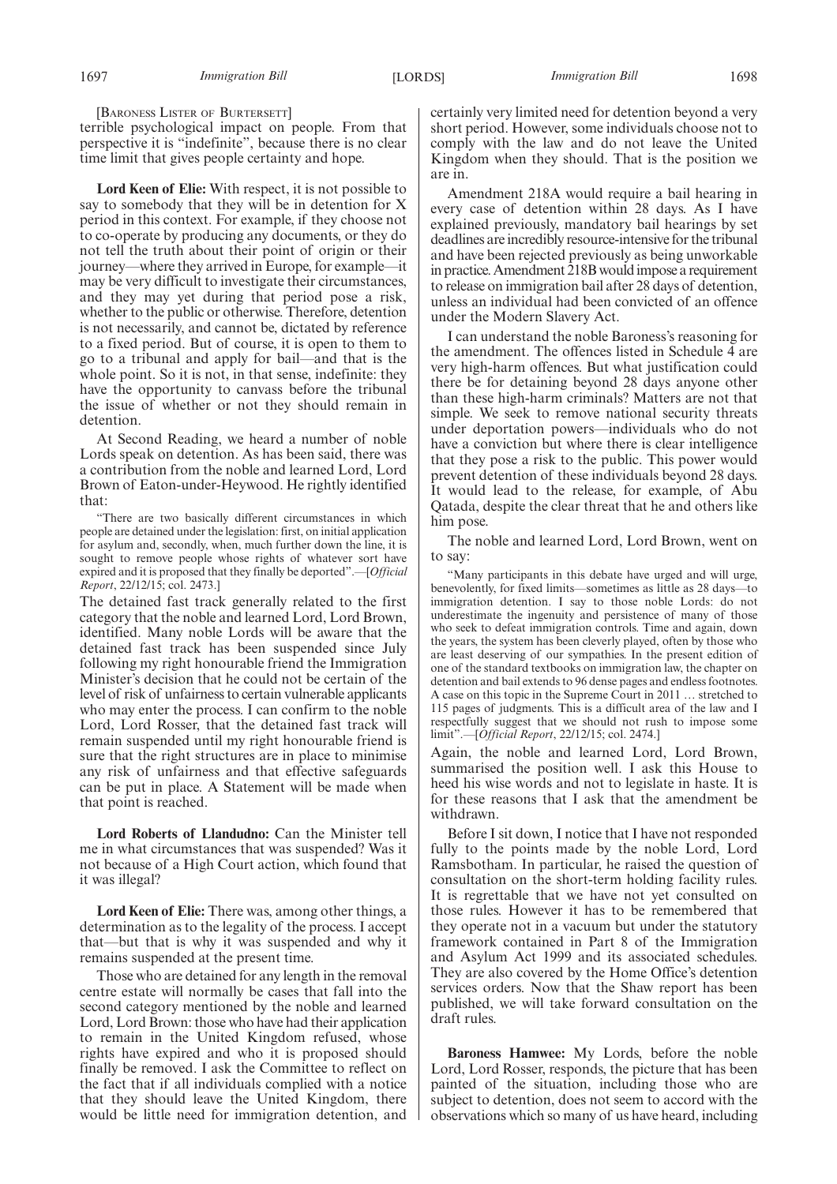[BARONESS LISTER OF BURTERSETT]

terrible psychological impact on people. From that perspective it is "indefinite", because there is no clear time limit that gives people certainty and hope.

**Lord Keen of Elie:** With respect, it is not possible to say to somebody that they will be in detention for X period in this context. For example, if they choose not to co-operate by producing any documents, or they do not tell the truth about their point of origin or their journey—where they arrived in Europe, for example—it may be very difficult to investigate their circumstances, and they may yet during that period pose a risk, whether to the public or otherwise. Therefore, detention is not necessarily, and cannot be, dictated by reference to a fixed period. But of course, it is open to them to go to a tribunal and apply for bail—and that is the whole point. So it is not, in that sense, indefinite: they have the opportunity to canvass before the tribunal the issue of whether or not they should remain in detention.

At Second Reading, we heard a number of noble Lords speak on detention. As has been said, there was a contribution from the noble and learned Lord, Lord Brown of Eaton-under-Heywood. He rightly identified that:

"There are two basically different circumstances in which people are detained under the legislation: first, on initial application for asylum and, secondly, when, much further down the line, it is sought to remove people whose rights of whatever sort have expired and it is proposed that they finally be deported".—[*Official Report*, 22/12/15; col. 2473.]

The detained fast track generally related to the first category that the noble and learned Lord, Lord Brown, identified. Many noble Lords will be aware that the detained fast track has been suspended since July following my right honourable friend the Immigration Minister's decision that he could not be certain of the level of risk of unfairness to certain vulnerable applicants who may enter the process. I can confirm to the noble Lord, Lord Rosser, that the detained fast track will remain suspended until my right honourable friend is sure that the right structures are in place to minimise any risk of unfairness and that effective safeguards can be put in place. A Statement will be made when that point is reached.

**Lord Roberts of Llandudno:** Can the Minister tell me in what circumstances that was suspended? Was it not because of a High Court action, which found that it was illegal?

**Lord Keen of Elie:** There was, among other things, a determination as to the legality of the process. I accept that—but that is why it was suspended and why it remains suspended at the present time.

Those who are detained for any length in the removal centre estate will normally be cases that fall into the second category mentioned by the noble and learned Lord, Lord Brown: those who have had their application to remain in the United Kingdom refused, whose rights have expired and who it is proposed should finally be removed. I ask the Committee to reflect on the fact that if all individuals complied with a notice that they should leave the United Kingdom, there would be little need for immigration detention, and certainly very limited need for detention beyond a very short period. However, some individuals choose not to comply with the law and do not leave the United Kingdom when they should. That is the position we are in.

Amendment 218A would require a bail hearing in every case of detention within 28 days. As I have explained previously, mandatory bail hearings by set deadlines are incredibly resource-intensive for the tribunal and have been rejected previously as being unworkable in practice. Amendment 218B wouldimpose a requirement to release on immigration bail after 28 days of detention, unless an individual had been convicted of an offence under the Modern Slavery Act.

I can understand the noble Baroness's reasoning for the amendment. The offences listed in Schedule 4 are very high-harm offences. But what justification could there be for detaining beyond 28 days anyone other than these high-harm criminals? Matters are not that simple. We seek to remove national security threats under deportation powers—individuals who do not have a conviction but where there is clear intelligence that they pose a risk to the public. This power would prevent detention of these individuals beyond 28 days. It would lead to the release, for example, of Abu Qatada, despite the clear threat that he and others like him pose.

The noble and learned Lord, Lord Brown, went on to say:

"Many participants in this debate have urged and will urge, benevolently, for fixed limits—sometimes as little as 28 days—to immigration detention. I say to those noble Lords: do not underestimate the ingenuity and persistence of many of those who seek to defeat immigration controls. Time and again, down the years, the system has been cleverly played, often by those who are least deserving of our sympathies. In the present edition of one of the standard textbooks on immigration law, the chapter on detention and bail extends to 96 dense pages and endless footnotes. A case on this topic in the Supreme Court in 2011 … stretched to 115 pages of judgments. This is a difficult area of the law and I respectfully suggest that we should not rush to impose some limit".—[*Official Report*, 22/12/15; col. 2474.]

Again, the noble and learned Lord, Lord Brown, summarised the position well. I ask this House to heed his wise words and not to legislate in haste. It is for these reasons that I ask that the amendment be withdrawn.

Before I sit down, I notice that I have not responded fully to the points made by the noble Lord, Lord Ramsbotham. In particular, he raised the question of consultation on the short-term holding facility rules. It is regrettable that we have not yet consulted on those rules. However it has to be remembered that they operate not in a vacuum but under the statutory framework contained in Part 8 of the Immigration and Asylum Act 1999 and its associated schedules. They are also covered by the Home Office's detention services orders. Now that the Shaw report has been published, we will take forward consultation on the draft rules.

**Baroness Hamwee:** My Lords, before the noble Lord, Lord Rosser, responds, the picture that has been painted of the situation, including those who are subject to detention, does not seem to accord with the observations which so many of us have heard, including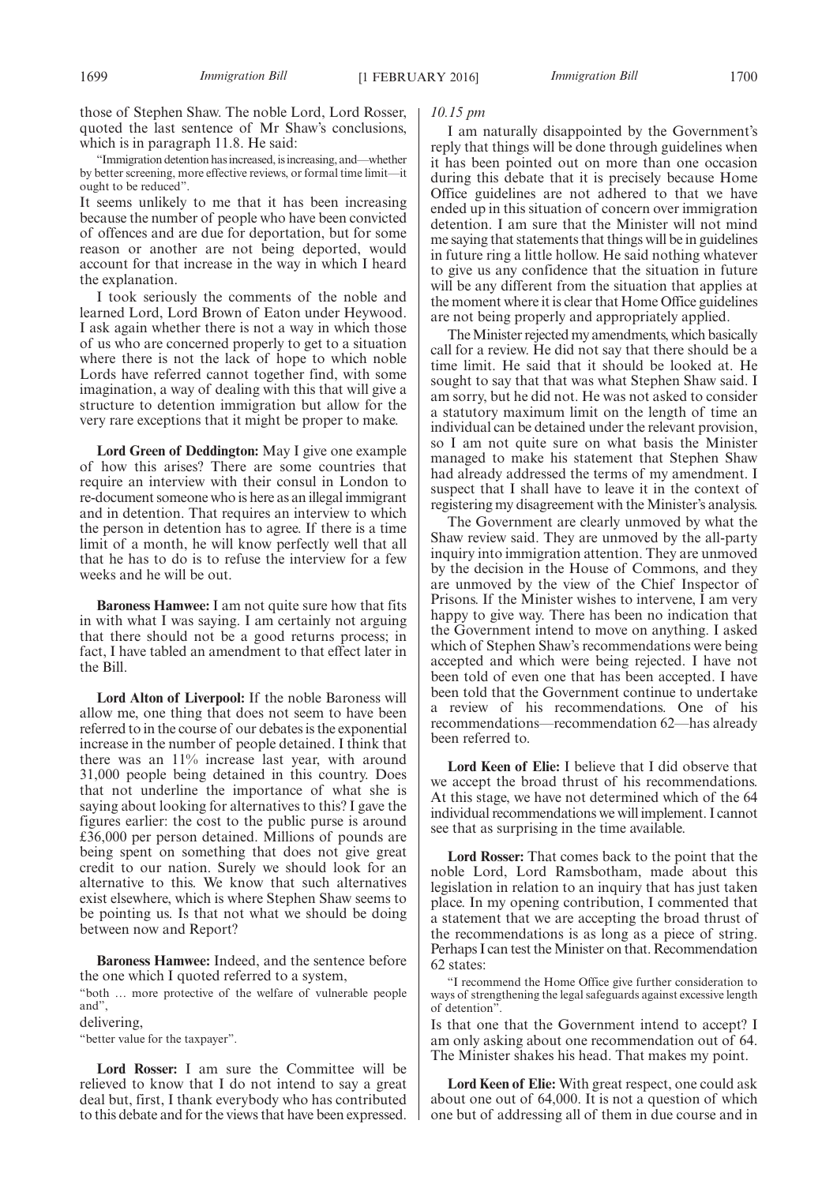those of Stephen Shaw. The noble Lord, Lord Rosser, quoted the last sentence of Mr Shaw's conclusions, which is in paragraph 11.8. He said:

"Immigration detention has increased, is increasing, and—whether by better screening, more effective reviews, or formal time limit—it ought to be reduced".

It seems unlikely to me that it has been increasing because the number of people who have been convicted of offences and are due for deportation, but for some reason or another are not being deported, would account for that increase in the way in which I heard the explanation.

I took seriously the comments of the noble and learned Lord, Lord Brown of Eaton under Heywood. I ask again whether there is not a way in which those of us who are concerned properly to get to a situation where there is not the lack of hope to which noble Lords have referred cannot together find, with some imagination, a way of dealing with this that will give a structure to detention immigration but allow for the very rare exceptions that it might be proper to make.

**Lord Green of Deddington:** May I give one example of how this arises? There are some countries that require an interview with their consul in London to re-document someone who is here as an illegal immigrant and in detention. That requires an interview to which the person in detention has to agree. If there is a time limit of a month, he will know perfectly well that all that he has to do is to refuse the interview for a few weeks and he will be out.

**Baroness Hamwee:** I am not quite sure how that fits in with what I was saying. I am certainly not arguing that there should not be a good returns process; in fact, I have tabled an amendment to that effect later in the Bill.

**Lord Alton of Liverpool:** If the noble Baroness will allow me, one thing that does not seem to have been referred to in the course of our debates is the exponential increase in the number of people detained. I think that there was an 11% increase last year, with around 31,000 people being detained in this country. Does that not underline the importance of what she is saying about looking for alternatives to this? I gave the figures earlier: the cost to the public purse is around £36,000 per person detained. Millions of pounds are being spent on something that does not give great credit to our nation. Surely we should look for an alternative to this. We know that such alternatives exist elsewhere, which is where Stephen Shaw seems to be pointing us. Is that not what we should be doing between now and Report?

**Baroness Hamwee:** Indeed, and the sentence before the one which I quoted referred to a system,

"both … more protective of the welfare of vulnerable people and",

delivering,

"better value for the taxpayer".

**Lord Rosser:** I am sure the Committee will be relieved to know that I do not intend to say a great deal but, first, I thank everybody who has contributed to this debate and for the views that have been expressed.

## *10.15 pm*

I am naturally disappointed by the Government's reply that things will be done through guidelines when it has been pointed out on more than one occasion during this debate that it is precisely because Home Office guidelines are not adhered to that we have ended up in this situation of concern over immigration detention. I am sure that the Minister will not mind me saying that statements that things will be in guidelines in future ring a little hollow. He said nothing whatever to give us any confidence that the situation in future will be any different from the situation that applies at the moment where it is clear that Home Office guidelines are not being properly and appropriately applied.

The Minister rejected my amendments, which basically call for a review. He did not say that there should be a time limit. He said that it should be looked at. He sought to say that that was what Stephen Shaw said. I am sorry, but he did not. He was not asked to consider a statutory maximum limit on the length of time an individual can be detained under the relevant provision, so I am not quite sure on what basis the Minister managed to make his statement that Stephen Shaw had already addressed the terms of my amendment. I suspect that I shall have to leave it in the context of registering my disagreement with the Minister's analysis.

The Government are clearly unmoved by what the Shaw review said. They are unmoved by the all-party inquiry into immigration attention. They are unmoved by the decision in the House of Commons, and they are unmoved by the view of the Chief Inspector of Prisons. If the Minister wishes to intervene, I am very happy to give way. There has been no indication that the Government intend to move on anything. I asked which of Stephen Shaw's recommendations were being accepted and which were being rejected. I have not been told of even one that has been accepted. I have been told that the Government continue to undertake a review of his recommendations. One of his recommendations—recommendation 62—has already been referred to.

**Lord Keen of Elie:** I believe that I did observe that we accept the broad thrust of his recommendations. At this stage, we have not determined which of the 64 individual recommendations we will implement. I cannot see that as surprising in the time available.

**Lord Rosser:** That comes back to the point that the noble Lord, Lord Ramsbotham, made about this legislation in relation to an inquiry that has just taken place. In my opening contribution, I commented that a statement that we are accepting the broad thrust of the recommendations is as long as a piece of string. Perhaps I can test the Minister on that. Recommendation 62 states:

"I recommend the Home Office give further consideration to ways of strengthening the legal safeguards against excessive length of detention".

Is that one that the Government intend to accept? I am only asking about one recommendation out of 64. The Minister shakes his head. That makes my point.

**Lord Keen of Elie:** With great respect, one could ask about one out of 64,000. It is not a question of which one but of addressing all of them in due course and in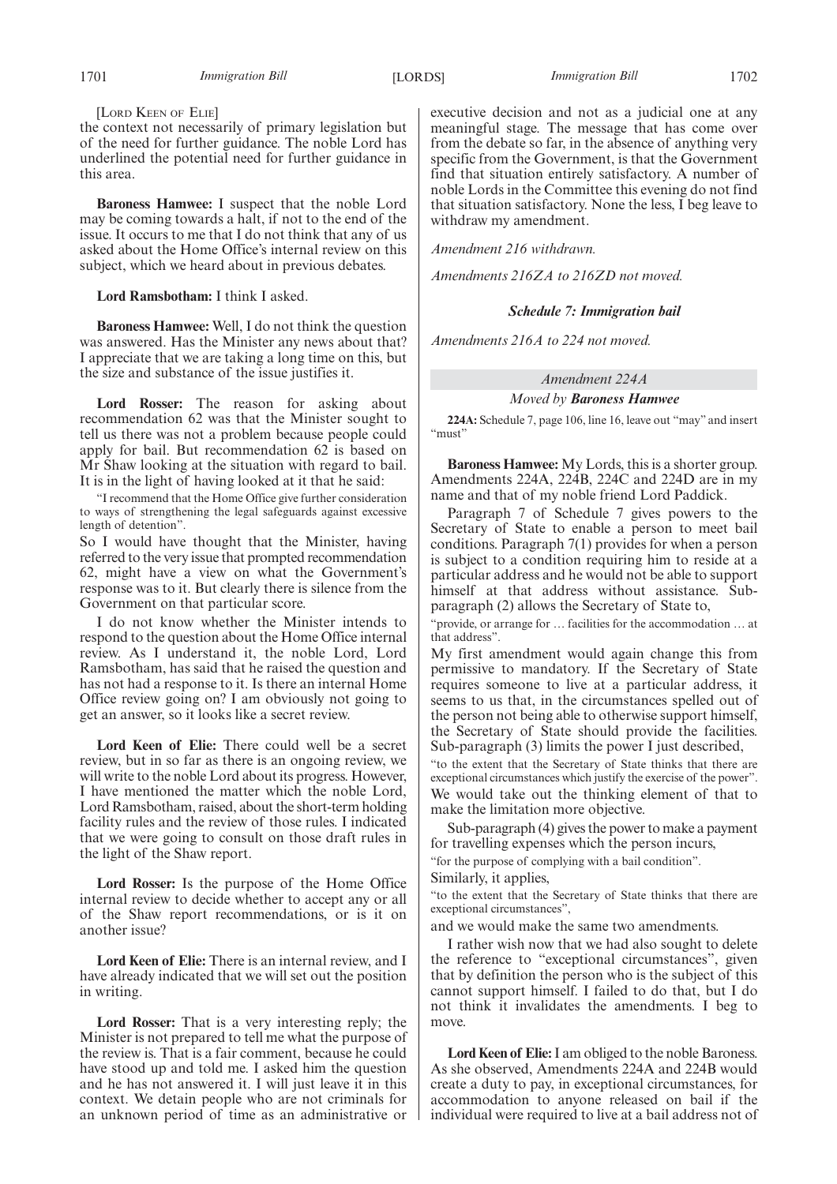[LORD KEEN OF ELIE]

the context not necessarily of primary legislation but of the need for further guidance. The noble Lord has underlined the potential need for further guidance in this area.

**Baroness Hamwee:** I suspect that the noble Lord may be coming towards a halt, if not to the end of the issue. It occurs to me that I do not think that any of us asked about the Home Office's internal review on this subject, which we heard about in previous debates.

**Lord Ramsbotham:** I think I asked.

**Baroness Hamwee:** Well, I do not think the question was answered. Has the Minister any news about that? I appreciate that we are taking a long time on this, but the size and substance of the issue justifies it.

**Lord Rosser:** The reason for asking about recommendation 62 was that the Minister sought to tell us there was not a problem because people could apply for bail. But recommendation 62 is based on Mr Shaw looking at the situation with regard to bail. It is in the light of having looked at it that he said:

"I recommend that the Home Office give further consideration to ways of strengthening the legal safeguards against excessive length of detention".

So I would have thought that the Minister, having referred to the very issue that prompted recommendation 62, might have a view on what the Government's response was to it. But clearly there is silence from the Government on that particular score.

I do not know whether the Minister intends to respond to the question about the Home Office internal review. As I understand it, the noble Lord, Lord Ramsbotham, has said that he raised the question and has not had a response to it. Is there an internal Home Office review going on? I am obviously not going to get an answer, so it looks like a secret review.

**Lord Keen of Elie:** There could well be a secret review, but in so far as there is an ongoing review, we will write to the noble Lord about its progress. However, I have mentioned the matter which the noble Lord, Lord Ramsbotham, raised, about the short-term holding facility rules and the review of those rules. I indicated that we were going to consult on those draft rules in the light of the Shaw report.

**Lord Rosser:** Is the purpose of the Home Office internal review to decide whether to accept any or all of the Shaw report recommendations, or is it on another issue?

**Lord Keen of Elie:** There is an internal review, and I have already indicated that we will set out the position in writing.

**Lord Rosser:** That is a very interesting reply; the Minister is not prepared to tell me what the purpose of the review is. That is a fair comment, because he could have stood up and told me. I asked him the question and he has not answered it. I will just leave it in this context. We detain people who are not criminals for an unknown period of time as an administrative or executive decision and not as a judicial one at any meaningful stage. The message that has come over from the debate so far, in the absence of anything very specific from the Government, is that the Government find that situation entirely satisfactory. A number of noble Lords in the Committee this evening do not find that situation satisfactory. None the less, I beg leave to withdraw my amendment.

*Amendment 216 withdrawn.*

*Amendments 216ZA to 216ZD not moved.*

#### *Schedule 7: Immigration bail*

*Amendments 216A to 224 not moved.*

## *Amendment 224A*

*Moved by Baroness Hamwee*

**224A:** Schedule 7, page 106, line 16, leave out "may" and insert "must"

**Baroness Hamwee:** My Lords, this is a shorter group. Amendments 224A, 224B, 224C and 224D are in my name and that of my noble friend Lord Paddick.

Paragraph 7 of Schedule 7 gives powers to the Secretary of State to enable a person to meet bail conditions. Paragraph 7(1) provides for when a person is subject to a condition requiring him to reside at a particular address and he would not be able to support himself at that address without assistance. Subparagraph (2) allows the Secretary of State to,

"provide, or arrange for … facilities for the accommodation … at that address".

My first amendment would again change this from permissive to mandatory. If the Secretary of State requires someone to live at a particular address, it seems to us that, in the circumstances spelled out of the person not being able to otherwise support himself, the Secretary of State should provide the facilities. Sub-paragraph (3) limits the power I just described,

"to the extent that the Secretary of State thinks that there are exceptional circumstances which justify the exercise of the power". We would take out the thinking element of that to make the limitation more objective.

Sub-paragraph (4) gives the power to make a payment for travelling expenses which the person incurs,

"for the purpose of complying with a bail condition".

Similarly, it applies,

"to the extent that the Secretary of State thinks that there are exceptional circumstances",

and we would make the same two amendments.

I rather wish now that we had also sought to delete the reference to "exceptional circumstances", given that by definition the person who is the subject of this cannot support himself. I failed to do that, but I do not think it invalidates the amendments. I beg to move.

**Lord Keen of Elie:**I am obliged to the noble Baroness. As she observed, Amendments 224A and 224B would create a duty to pay, in exceptional circumstances, for accommodation to anyone released on bail if the individual were required to live at a bail address not of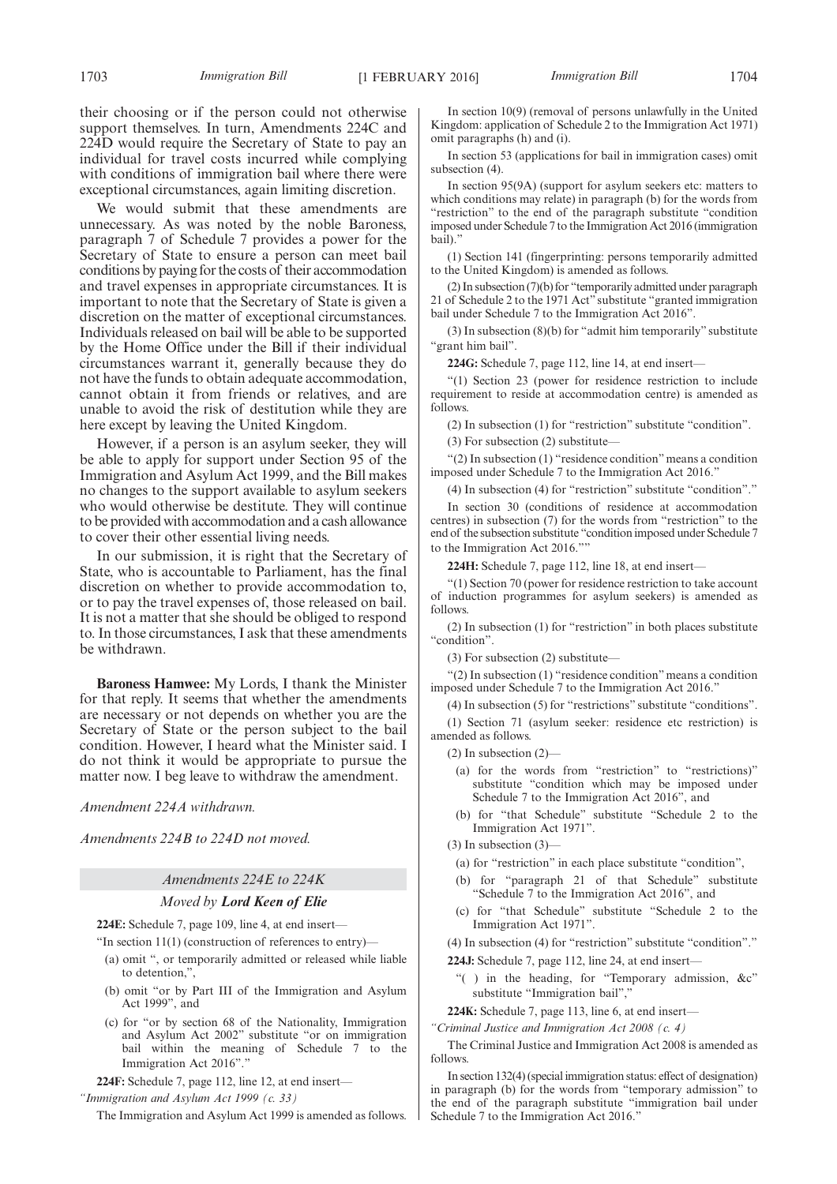their choosing or if the person could not otherwise support themselves. In turn, Amendments 224C and 224D would require the Secretary of State to pay an individual for travel costs incurred while complying with conditions of immigration bail where there were exceptional circumstances, again limiting discretion.

We would submit that these amendments are unnecessary. As was noted by the noble Baroness, paragraph 7 of Schedule 7 provides a power for the Secretary of State to ensure a person can meet bail conditions by paying for the costs of their accommodation and travel expenses in appropriate circumstances. It is important to note that the Secretary of State is given a discretion on the matter of exceptional circumstances. Individuals released on bail will be able to be supported by the Home Office under the Bill if their individual circumstances warrant it, generally because they do not have the funds to obtain adequate accommodation, cannot obtain it from friends or relatives, and are unable to avoid the risk of destitution while they are here except by leaving the United Kingdom.

However, if a person is an asylum seeker, they will be able to apply for support under Section 95 of the Immigration and Asylum Act 1999, and the Bill makes no changes to the support available to asylum seekers who would otherwise be destitute. They will continue to be provided with accommodation and a cash allowance to cover their other essential living needs.

In our submission, it is right that the Secretary of State, who is accountable to Parliament, has the final discretion on whether to provide accommodation to, or to pay the travel expenses of, those released on bail. It is not a matter that she should be obliged to respond to. In those circumstances, I ask that these amendments be withdrawn.

**Baroness Hamwee:** My Lords, I thank the Minister for that reply. It seems that whether the amendments are necessary or not depends on whether you are the Secretary of State or the person subject to the bail condition. However, I heard what the Minister said. I do not think it would be appropriate to pursue the matter now. I beg leave to withdraw the amendment.

*Amendment 224A withdrawn.*

*Amendments 224B to 224D not moved.*

#### *Amendments 224E to 224K*

#### *Moved by Lord Keen of Elie*

**224E:** Schedule 7, page 109, line 4, at end insert—

"In section  $11(1)$  (construction of references to entry)—

- (a) omit ", or temporarily admitted or released while liable to detention,",
- (b) omit "or by Part III of the Immigration and Asylum Act 1999", and
- (c) for "or by section 68 of the Nationality, Immigration and Asylum Act 2002" substitute "or on immigration bail within the meaning of Schedule 7 to the Immigration Act 2016"."

**224F:** Schedule 7, page 112, line 12, at end insert—

The Immigration and Asylum Act 1999 is amended as follows.

In section 10(9) (removal of persons unlawfully in the United Kingdom: application of Schedule 2 to the Immigration Act 1971)

omit paragraphs (h) and (i). In section 53 (applications for bail in immigration cases) omit subsection (4).

In section 95(9A) (support for asylum seekers etc: matters to which conditions may relate) in paragraph (b) for the words from "restriction" to the end of the paragraph substitute "condition imposed under Schedule 7 to the Immigration Act 2016 (immigration bail)."

(1) Section 141 (fingerprinting: persons temporarily admitted to the United Kingdom) is amended as follows.

(2) In subsection (7)(b) for "temporarily admitted under paragraph 21 of Schedule 2 to the 1971 Act" substitute "granted immigration bail under Schedule 7 to the Immigration Act 2016".

(3) In subsection (8)(b) for "admit him temporarily" substitute "grant him bail".

**224G:** Schedule 7, page 112, line 14, at end insert—

"(1) Section 23 (power for residence restriction to include requirement to reside at accommodation centre) is amended as follows.

(2) In subsection (1) for "restriction" substitute "condition".

 $(3)$  For subsection  $(2)$  substitute-

"(2) In subsection (1) "residence condition" means a condition imposed under Schedule 7 to the Immigration Act 2016."

(4) In subsection (4) for "restriction" substitute "condition"."

In section 30 (conditions of residence at accommodation centres) in subsection (7) for the words from "restriction" to the end of the subsection substitute "condition imposed under Schedule 7 to the Immigration Act 2016.""

**224H:** Schedule 7, page 112, line 18, at end insert—

"(1) Section 70 (power for residence restriction to take account of induction programmes for asylum seekers) is amended as follows.

(2) In subsection (1) for "restriction" in both places substitute "condition".

(3) For subsection (2) substitute—

"(2) In subsection (1) "residence condition" means a condition imposed under Schedule 7 to the Immigration Act 2016."

(4) In subsection (5) for "restrictions" substitute "conditions".

(1) Section 71 (asylum seeker: residence etc restriction) is amended as follows.

(2) In subsection (2)—

- (a) for the words from "restriction" to "restrictions)" substitute "condition which may be imposed under Schedule 7 to the Immigration Act 2016", and
- (b) for "that Schedule" substitute "Schedule 2 to the Immigration Act 1971".

(3) In subsection (3)—

- (a) for "restriction" in each place substitute "condition",
- (b) for "paragraph 21 of that Schedule" substitute "Schedule 7 to the Immigration Act 2016", and
- (c) for "that Schedule" substitute "Schedule 2 to the Immigration Act 1971".

(4) In subsection (4) for "restriction" substitute "condition"."

- **224J:** Schedule 7, page 112, line 24, at end insert—
	- "( ) in the heading, for "Temporary admission, &c" substitute "Immigration bail","

**224K:** Schedule 7, page 113, line 6, at end insert—

*"Criminal Justice and Immigration Act 2008 (c. 4)*

The Criminal Justice and Immigration Act 2008 is amended as follows.

In section 132(4) (special immigration status: effect of designation) in paragraph (b) for the words from "temporary admission" to the end of the paragraph substitute "immigration bail under Schedule 7 to the Immigration Act 2016."

*<sup>&</sup>quot;Immigration and Asylum Act 1999 (c. 33)*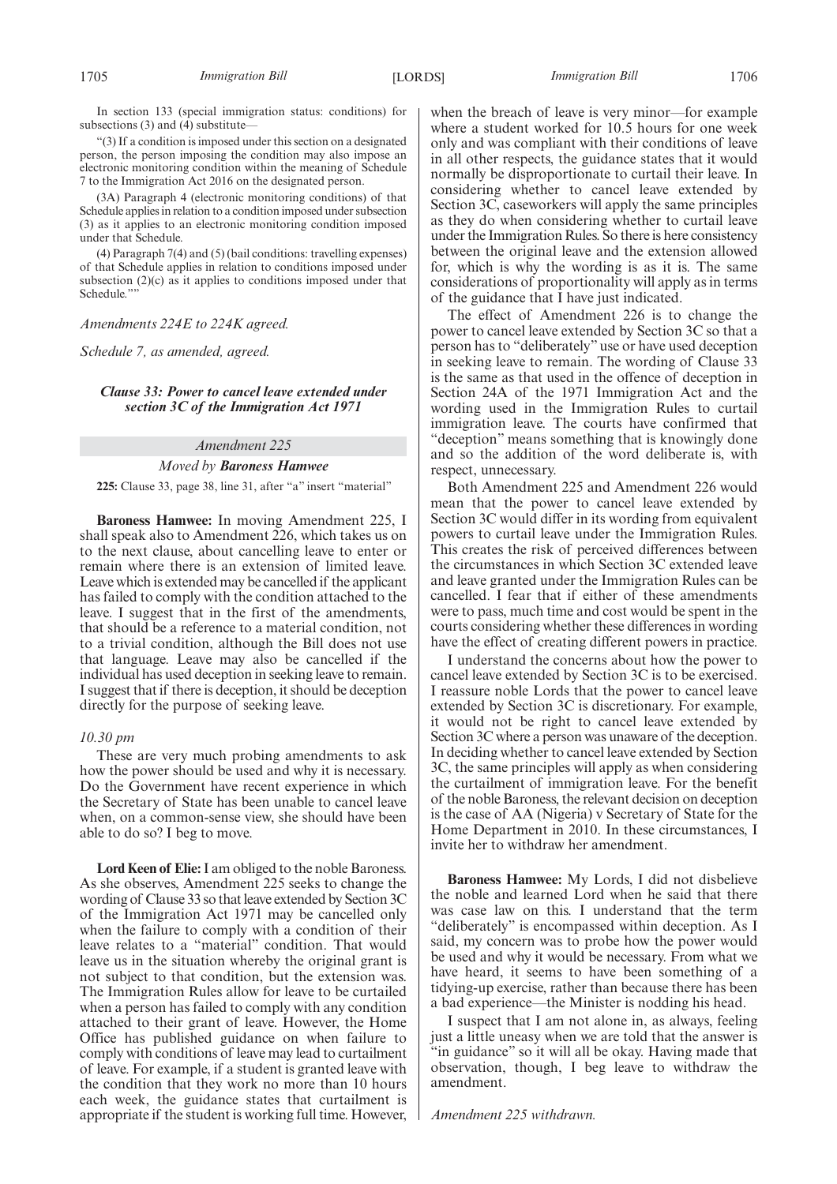In section 133 (special immigration status: conditions) for subsections  $(3)$  and  $(4)$  substitute

"(3) If a condition is imposed under this section on a designated person, the person imposing the condition may also impose an electronic monitoring condition within the meaning of Schedule 7 to the Immigration Act 2016 on the designated person.

(3A) Paragraph 4 (electronic monitoring conditions) of that Schedule applies in relation to a condition imposed under subsection (3) as it applies to an electronic monitoring condition imposed under that Schedule.

(4) Paragraph 7(4) and (5) (bail conditions: travelling expenses) of that Schedule applies in relation to conditions imposed under subsection (2)(c) as it applies to conditions imposed under that Schedule."

## *Amendments 224E to 224K agreed.*

*Schedule 7, as amended, agreed.*

## *Clause 33: Power to cancel leave extended under section 3C of the Immigration Act 1971*

## *Amendment 225*

## *Moved by Baroness Hamwee*

**225:** Clause 33, page 38, line 31, after "a" insert "material"

**Baroness Hamwee:** In moving Amendment 225, I shall speak also to Amendment  $\tilde{226}$ , which takes us on to the next clause, about cancelling leave to enter or remain where there is an extension of limited leave. Leave which is extended may be cancelled if the applicant has failed to comply with the condition attached to the leave. I suggest that in the first of the amendments, that should be a reference to a material condition, not to a trivial condition, although the Bill does not use that language. Leave may also be cancelled if the individual has used deception in seeking leave to remain. I suggest that if there is deception, it should be deception directly for the purpose of seeking leave.

## *10.30 pm*

These are very much probing amendments to ask how the power should be used and why it is necessary. Do the Government have recent experience in which the Secretary of State has been unable to cancel leave when, on a common-sense view, she should have been able to do so? I beg to move.

**Lord Keen of Elie:**I am obliged to the noble Baroness. As she observes, Amendment 225 seeks to change the wording of Clause 33 so that leave extended by Section 3C of the Immigration Act 1971 may be cancelled only when the failure to comply with a condition of their leave relates to a "material" condition. That would leave us in the situation whereby the original grant is not subject to that condition, but the extension was. The Immigration Rules allow for leave to be curtailed when a person has failed to comply with any condition attached to their grant of leave. However, the Home Office has published guidance on when failure to comply with conditions of leave may lead to curtailment of leave. For example, if a student is granted leave with the condition that they work no more than 10 hours each week, the guidance states that curtailment is appropriate if the student is working full time. However, when the breach of leave is very minor—for example where a student worked for 10.5 hours for one week only and was compliant with their conditions of leave in all other respects, the guidance states that it would normally be disproportionate to curtail their leave. In considering whether to cancel leave extended by Section 3C, caseworkers will apply the same principles as they do when considering whether to curtail leave under the Immigration Rules. So there is here consistency between the original leave and the extension allowed for, which is why the wording is as it is. The same considerations of proportionality will apply as in terms of the guidance that I have just indicated.

The effect of Amendment 226 is to change the power to cancel leave extended by Section 3C so that a person has to "deliberately" use or have used deception in seeking leave to remain. The wording of Clause 33 is the same as that used in the offence of deception in Section 24A of the 1971 Immigration Act and the wording used in the Immigration Rules to curtail immigration leave. The courts have confirmed that "deception" means something that is knowingly done and so the addition of the word deliberate is, with respect, unnecessary.

Both Amendment 225 and Amendment 226 would mean that the power to cancel leave extended by Section 3C would differ in its wording from equivalent powers to curtail leave under the Immigration Rules. This creates the risk of perceived differences between the circumstances in which Section 3C extended leave and leave granted under the Immigration Rules can be cancelled. I fear that if either of these amendments were to pass, much time and cost would be spent in the courts considering whether these differences in wording have the effect of creating different powers in practice.

I understand the concerns about how the power to cancel leave extended by Section 3C is to be exercised. I reassure noble Lords that the power to cancel leave extended by Section 3C is discretionary. For example, it would not be right to cancel leave extended by Section 3C where a person was unaware of the deception. In deciding whether to cancel leave extended by Section 3C, the same principles will apply as when considering the curtailment of immigration leave. For the benefit of the noble Baroness, the relevant decision on deception is the case of AA (Nigeria) v Secretary of State for the Home Department in 2010. In these circumstances, I invite her to withdraw her amendment.

**Baroness Hamwee:** My Lords, I did not disbelieve the noble and learned Lord when he said that there was case law on this. I understand that the term "deliberately" is encompassed within deception. As I said, my concern was to probe how the power would be used and why it would be necessary. From what we have heard, it seems to have been something of a tidying-up exercise, rather than because there has been a bad experience—the Minister is nodding his head.

I suspect that I am not alone in, as always, feeling just a little uneasy when we are told that the answer is "in guidance" so it will all be okay. Having made that observation, though, I beg leave to withdraw the amendment.

*Amendment 225 withdrawn.*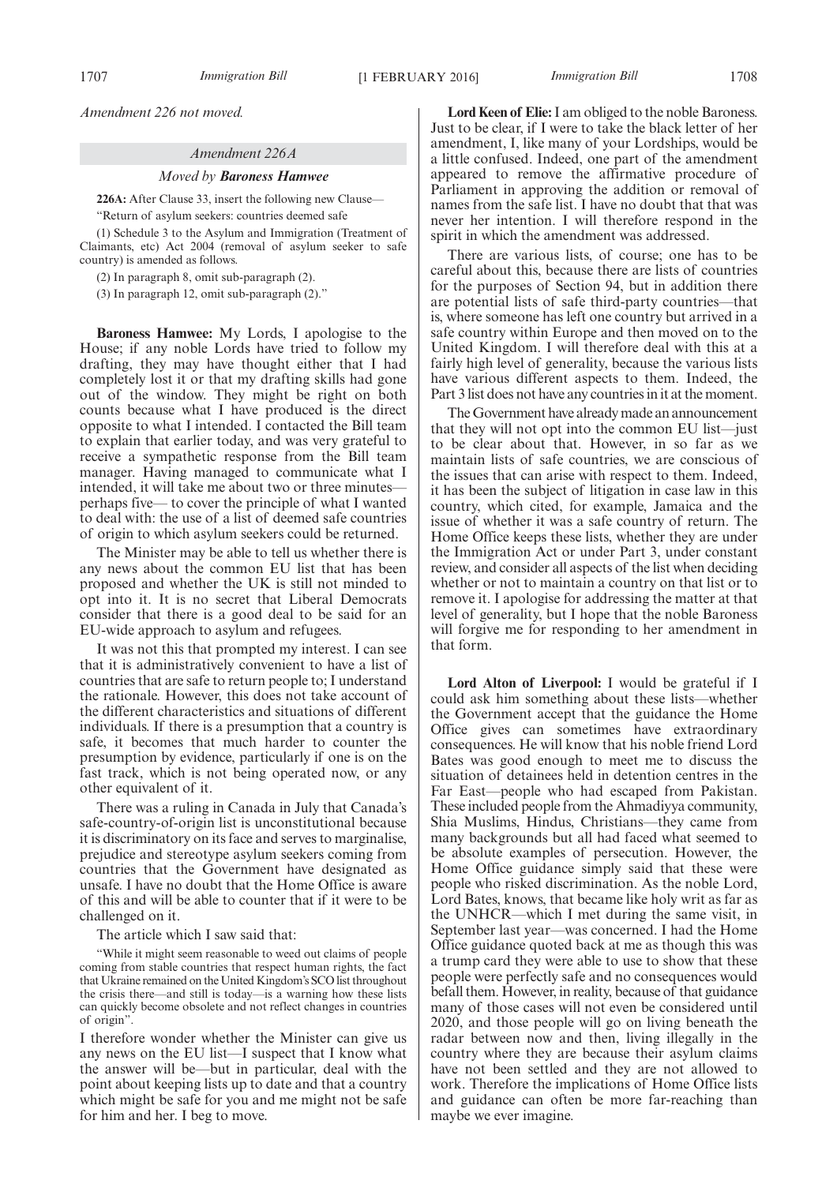*Amendment 226 not moved.*

#### *Amendment 226A*

## *Moved by Baroness Hamwee*

**226A:** After Clause 33, insert the following new Clause—

"Return of asylum seekers: countries deemed safe

(1) Schedule 3 to the Asylum and Immigration (Treatment of Claimants, etc) Act 2004 (removal of asylum seeker to safe country) is amended as follows.

(2) In paragraph 8, omit sub-paragraph (2).

(3) In paragraph 12, omit sub-paragraph (2)."

**Baroness Hamwee:** My Lords, I apologise to the House; if any noble Lords have tried to follow my drafting, they may have thought either that I had completely lost it or that my drafting skills had gone out of the window. They might be right on both counts because what I have produced is the direct opposite to what I intended. I contacted the Bill team to explain that earlier today, and was very grateful to receive a sympathetic response from the Bill team manager. Having managed to communicate what I intended, it will take me about two or three minutes perhaps five— to cover the principle of what I wanted to deal with: the use of a list of deemed safe countries of origin to which asylum seekers could be returned.

The Minister may be able to tell us whether there is any news about the common EU list that has been proposed and whether the UK is still not minded to opt into it. It is no secret that Liberal Democrats consider that there is a good deal to be said for an EU-wide approach to asylum and refugees.

It was not this that prompted my interest. I can see that it is administratively convenient to have a list of countries that are safe to return people to; I understand the rationale. However, this does not take account of the different characteristics and situations of different individuals. If there is a presumption that a country is safe, it becomes that much harder to counter the presumption by evidence, particularly if one is on the fast track, which is not being operated now, or any other equivalent of it.

There was a ruling in Canada in July that Canada's safe-country-of-origin list is unconstitutional because it is discriminatory on its face and serves to marginalise, prejudice and stereotype asylum seekers coming from countries that the Government have designated as unsafe. I have no doubt that the Home Office is aware of this and will be able to counter that if it were to be challenged on it.

The article which I saw said that:

"While it might seem reasonable to weed out claims of people coming from stable countries that respect human rights, the fact that Ukraine remained on the United Kingdom's SCO list throughout the crisis there—and still is today—is a warning how these lists can quickly become obsolete and not reflect changes in countries of origin".

I therefore wonder whether the Minister can give us any news on the EU list—I suspect that I know what the answer will be—but in particular, deal with the point about keeping lists up to date and that a country which might be safe for you and me might not be safe for him and her. I beg to move.

**Lord Keen of Elie:**I am obliged to the noble Baroness. Just to be clear, if I were to take the black letter of her amendment, I, like many of your Lordships, would be a little confused. Indeed, one part of the amendment appeared to remove the affirmative procedure of Parliament in approving the addition or removal of names from the safe list. I have no doubt that that was never her intention. I will therefore respond in the spirit in which the amendment was addressed.

There are various lists, of course; one has to be careful about this, because there are lists of countries for the purposes of Section 94, but in addition there are potential lists of safe third-party countries—that is, where someone has left one country but arrived in a safe country within Europe and then moved on to the United Kingdom. I will therefore deal with this at a fairly high level of generality, because the various lists have various different aspects to them. Indeed, the Part 3 list does not have any countries in it at the moment.

The Government have already made an announcement that they will not opt into the common EU list—just to be clear about that. However, in so far as we maintain lists of safe countries, we are conscious of the issues that can arise with respect to them. Indeed, it has been the subject of litigation in case law in this country, which cited, for example, Jamaica and the issue of whether it was a safe country of return. The Home Office keeps these lists, whether they are under the Immigration Act or under Part 3, under constant review, and consider all aspects of the list when deciding whether or not to maintain a country on that list or to remove it. I apologise for addressing the matter at that level of generality, but I hope that the noble Baroness will forgive me for responding to her amendment in that form.

**Lord Alton of Liverpool:** I would be grateful if I could ask him something about these lists—whether the Government accept that the guidance the Home Office gives can sometimes have extraordinary consequences. He will know that his noble friend Lord Bates was good enough to meet me to discuss the situation of detainees held in detention centres in the Far East—people who had escaped from Pakistan. These included people from the Ahmadiyya community, Shia Muslims, Hindus, Christians—they came from many backgrounds but all had faced what seemed to be absolute examples of persecution. However, the Home Office guidance simply said that these were people who risked discrimination. As the noble Lord, Lord Bates, knows, that became like holy writ as far as the UNHCR—which I met during the same visit, in September last year—was concerned. I had the Home Office guidance quoted back at me as though this was a trump card they were able to use to show that these people were perfectly safe and no consequences would befall them. However, in reality, because of that guidance many of those cases will not even be considered until 2020, and those people will go on living beneath the radar between now and then, living illegally in the country where they are because their asylum claims have not been settled and they are not allowed to work. Therefore the implications of Home Office lists and guidance can often be more far-reaching than maybe we ever imagine.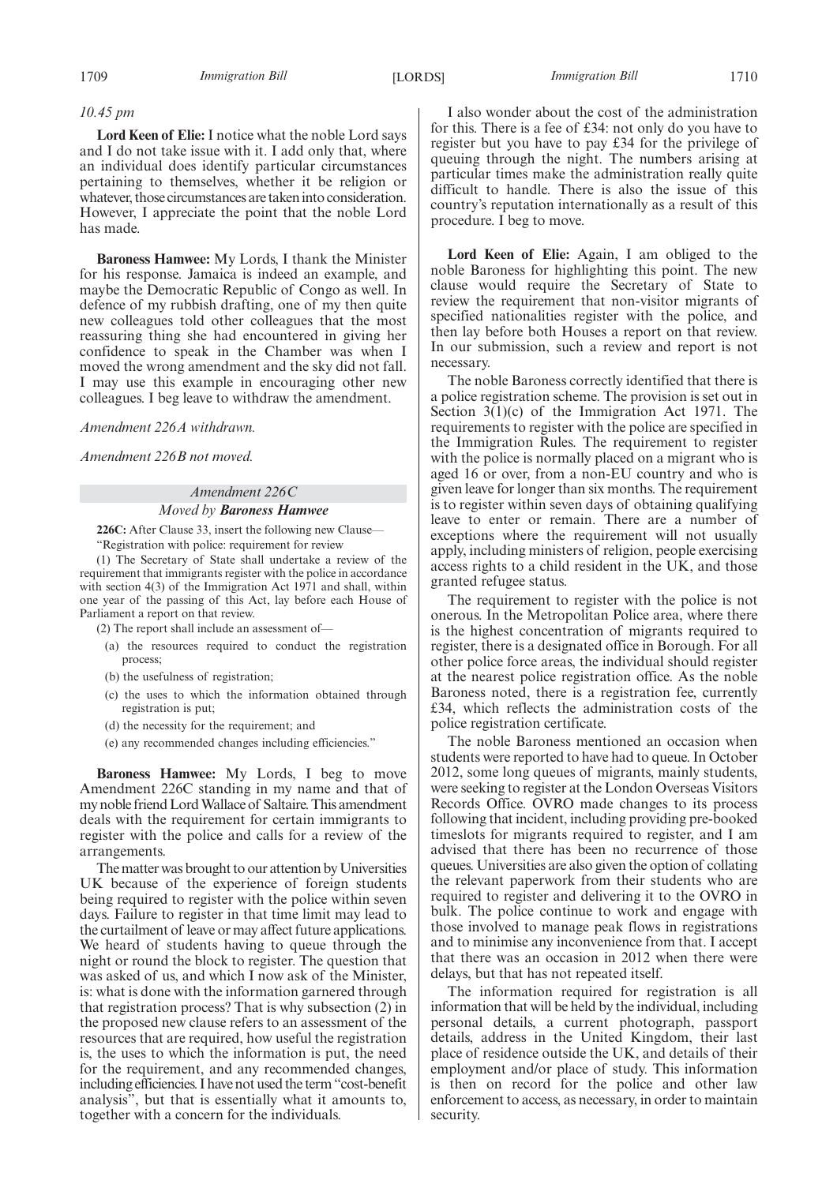## *10.45 pm*

**Lord Keen of Elie:** I notice what the noble Lord says and I do not take issue with it. I add only that, where an individual does identify particular circumstances pertaining to themselves, whether it be religion or whatever, those circumstances are taken into consideration. However, I appreciate the point that the noble Lord has made.

**Baroness Hamwee:** My Lords, I thank the Minister for his response. Jamaica is indeed an example, and maybe the Democratic Republic of Congo as well. In defence of my rubbish drafting, one of my then quite new colleagues told other colleagues that the most reassuring thing she had encountered in giving her confidence to speak in the Chamber was when I moved the wrong amendment and the sky did not fall. I may use this example in encouraging other new colleagues. I beg leave to withdraw the amendment.

*Amendment 226A withdrawn.*

*Amendment 226B not moved.*

## *Amendment 226C*

#### *Moved by Baroness Hamwee*

**226C:** After Clause 33, insert the following new Clause—

"Registration with police: requirement for review

(1) The Secretary of State shall undertake a review of the requirement that immigrants register with the police in accordance with section 4(3) of the Immigration Act 1971 and shall, within one year of the passing of this Act, lay before each House of Parliament a report on that review.

- (2) The report shall include an assessment of—
	- (a) the resources required to conduct the registration process;
	- (b) the usefulness of registration;
	- (c) the uses to which the information obtained through registration is put;
	- (d) the necessity for the requirement; and
	- (e) any recommended changes including efficiencies."

**Baroness Hamwee:** My Lords, I beg to move Amendment 226C standing in my name and that of my noble friend Lord Wallace of Saltaire. This amendment deals with the requirement for certain immigrants to register with the police and calls for a review of the arrangements.

The matter was brought to our attention by Universities UK because of the experience of foreign students being required to register with the police within seven days. Failure to register in that time limit may lead to the curtailment of leave or may affect future applications. We heard of students having to queue through the night or round the block to register. The question that was asked of us, and which I now ask of the Minister, is: what is done with the information garnered through that registration process? That is why subsection (2) in the proposed new clause refers to an assessment of the resources that are required, how useful the registration is, the uses to which the information is put, the need for the requirement, and any recommended changes, including efficiencies. I have not used the term "cost-benefit analysis", but that is essentially what it amounts to, together with a concern for the individuals.

I also wonder about the cost of the administration for this. There is a fee of £34: not only do you have to register but you have to pay £34 for the privilege of queuing through the night. The numbers arising at particular times make the administration really quite difficult to handle. There is also the issue of this country's reputation internationally as a result of this procedure. I beg to move.

**Lord Keen of Elie:** Again, I am obliged to the noble Baroness for highlighting this point. The new clause would require the Secretary of State to review the requirement that non-visitor migrants of specified nationalities register with the police, and then lay before both Houses a report on that review. In our submission, such a review and report is not necessary.

The noble Baroness correctly identified that there is a police registration scheme. The provision is set out in Section 3(1)(c) of the Immigration Act 1971. The requirements to register with the police are specified in the Immigration Rules. The requirement to register with the police is normally placed on a migrant who is aged 16 or over, from a non-EU country and who is given leave for longer than six months. The requirement is to register within seven days of obtaining qualifying leave to enter or remain. There are a number of exceptions where the requirement will not usually apply, including ministers of religion, people exercising access rights to a child resident in the UK, and those granted refugee status.

The requirement to register with the police is not onerous. In the Metropolitan Police area, where there is the highest concentration of migrants required to register, there is a designated office in Borough. For all other police force areas, the individual should register at the nearest police registration office. As the noble Baroness noted, there is a registration fee, currently £34, which reflects the administration costs of the police registration certificate.

The noble Baroness mentioned an occasion when students were reported to have had to queue. In October 2012, some long queues of migrants, mainly students, were seeking to register at the London Overseas Visitors Records Office. OVRO made changes to its process following that incident, including providing pre-booked timeslots for migrants required to register, and I am advised that there has been no recurrence of those queues. Universities are also given the option of collating the relevant paperwork from their students who are required to register and delivering it to the OVRO in bulk. The police continue to work and engage with those involved to manage peak flows in registrations and to minimise any inconvenience from that. I accept that there was an occasion in 2012 when there were delays, but that has not repeated itself.

The information required for registration is all information that will be held by the individual, including personal details, a current photograph, passport details, address in the United Kingdom, their last place of residence outside the UK, and details of their employment and/or place of study. This information is then on record for the police and other law enforcement to access, as necessary, in order to maintain security.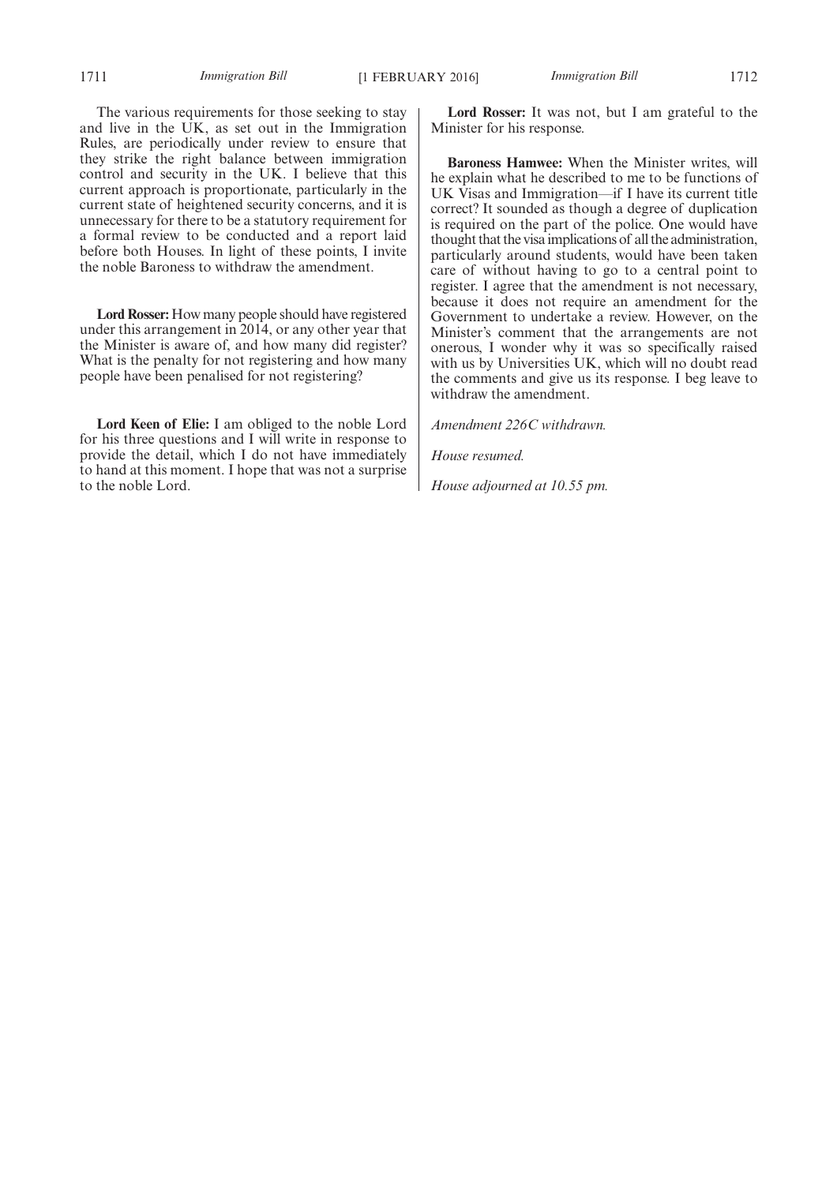The various requirements for those seeking to stay and live in the UK, as set out in the Immigration Rules, are periodically under review to ensure that they strike the right balance between immigration control and security in the UK. I believe that this current approach is proportionate, particularly in the current state of heightened security concerns, and it is unnecessary for there to be a statutory requirement for a formal review to be conducted and a report laid before both Houses. In light of these points, I invite the noble Baroness to withdraw the amendment.

**Lord Rosser:** How many people should have registered under this arrangement in 2014, or any other year that the Minister is aware of, and how many did register? What is the penalty for not registering and how many people have been penalised for not registering?

**Lord Keen of Elie:** I am obliged to the noble Lord for his three questions and I will write in response to provide the detail, which I do not have immediately to hand at this moment. I hope that was not a surprise to the noble Lord.

**Lord Rosser:** It was not, but I am grateful to the Minister for his response.

**Baroness Hamwee:** When the Minister writes, will he explain what he described to me to be functions of UK Visas and Immigration—if I have its current title correct? It sounded as though a degree of duplication is required on the part of the police. One would have thought that the visaimplications of all the administration, particularly around students, would have been taken care of without having to go to a central point to register. I agree that the amendment is not necessary, because it does not require an amendment for the Government to undertake a review. However, on the Minister's comment that the arrangements are not onerous, I wonder why it was so specifically raised with us by Universities UK, which will no doubt read the comments and give us its response. I beg leave to withdraw the amendment.

*Amendment 226C withdrawn.*

*House resumed.*

*House adjourned at 10.55 pm.*